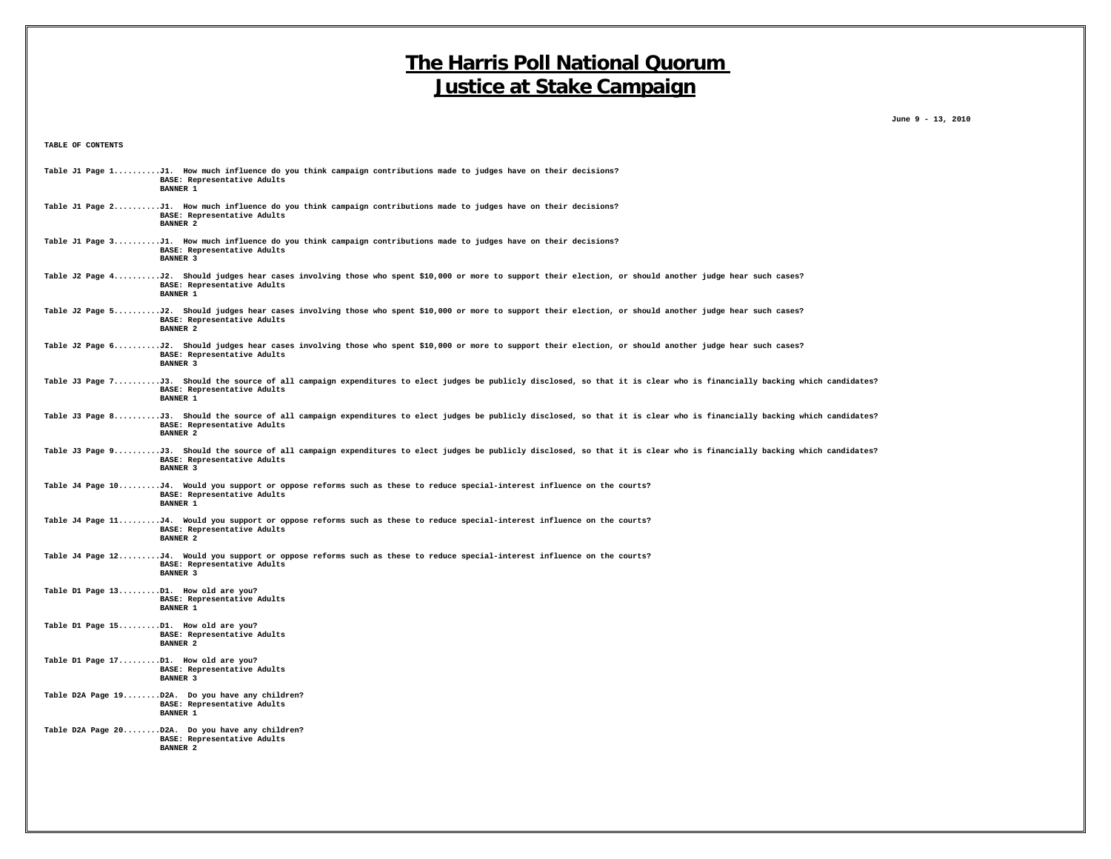**June 9 - 13, 2010**

**TABLE OF CONTENTS**

| Table J1 Page 1J1. How much influence do you think campaign contributions made to judges have on their decisions?<br>BASE: Representative Adults<br><b>BANNER 1</b>                                                         |
|-----------------------------------------------------------------------------------------------------------------------------------------------------------------------------------------------------------------------------|
| Table J1 Page 2J1. How much influence do you think campaign contributions made to judges have on their decisions?<br>BASE: Representative Adults<br><b>BANNER 2</b>                                                         |
| Table J1 Page 3J1. How much influence do you think campaign contributions made to judges have on their decisions?<br>BASE: Representative Adults<br><b>BANNER 3</b>                                                         |
| Table J2 Page 4J2. Should judges hear cases involving those who spent \$10,000 or more to support their election, or should another judge hear such cases?<br>BASE: Representative Adults<br><b>BANNER 1</b>                |
| Table J2 Page 5J2. Should judges hear cases involving those who spent \$10,000 or more to support their election, or should another judge hear such cases?<br>BASE: Representative Adults<br><b>BANNER 2</b>                |
| Table J2 Page 6J2. Should judges hear cases involving those who spent \$10,000 or more to support their election, or should another judge hear such cases?<br>BASE: Representative Adults<br>BANNER 3                       |
| Table J3 Page 7J3. Should the source of all campaign expenditures to elect judges be publicly disclosed, so that it is clear who is financially backing which candidates?<br>BASE: Representative Adults<br><b>BANNER 1</b> |
| Table J3 Page 8J3. Should the source of all campaign expenditures to elect judges be publicly disclosed, so that it is clear who is financially backing which candidates?<br>BASE: Representative Adults<br><b>BANNER 2</b> |
| Table J3 Page 9J3. Should the source of all campaign expenditures to elect judges be publicly disclosed, so that it is clear who is financially backing which candidates?<br>BASE: Representative Adults<br><b>BANNER 3</b> |
| Table J4 Page 10J4. Would you support or oppose reforms such as these to reduce special-interest influence on the courts?<br>BASE: Representative Adults<br>BANNER 1                                                        |
| Table J4 Page 11J4. Would you support or oppose reforms such as these to reduce special-interest influence on the courts?<br>BASE: Representative Adults<br><b>BANNER 2</b>                                                 |
| Table J4 Page 12J4. Would you support or oppose reforms such as these to reduce special-interest influence on the courts?<br>BASE: Representative Adults<br><b>BANNER 3</b>                                                 |
| Table D1 Page 13D1. How old are you?<br>BASE: Representative Adults<br><b>BANNER 1</b>                                                                                                                                      |
| Table D1 Page 15D1. How old are you?<br>BASE: Representative Adults<br><b>BANNER 2</b>                                                                                                                                      |
| Table D1 Page 17D1. How old are you?<br>BASE: Representative Adults<br><b>BANNER 3</b>                                                                                                                                      |
| Table D2A Page 19D2A. Do you have any children?<br>BASE: Representative Adults<br><b>BANNER 1</b>                                                                                                                           |
| Table D2A Page 20D2A. Do you have any children?<br>BASE: Representative Adults<br><b>BANNER 2</b>                                                                                                                           |
|                                                                                                                                                                                                                             |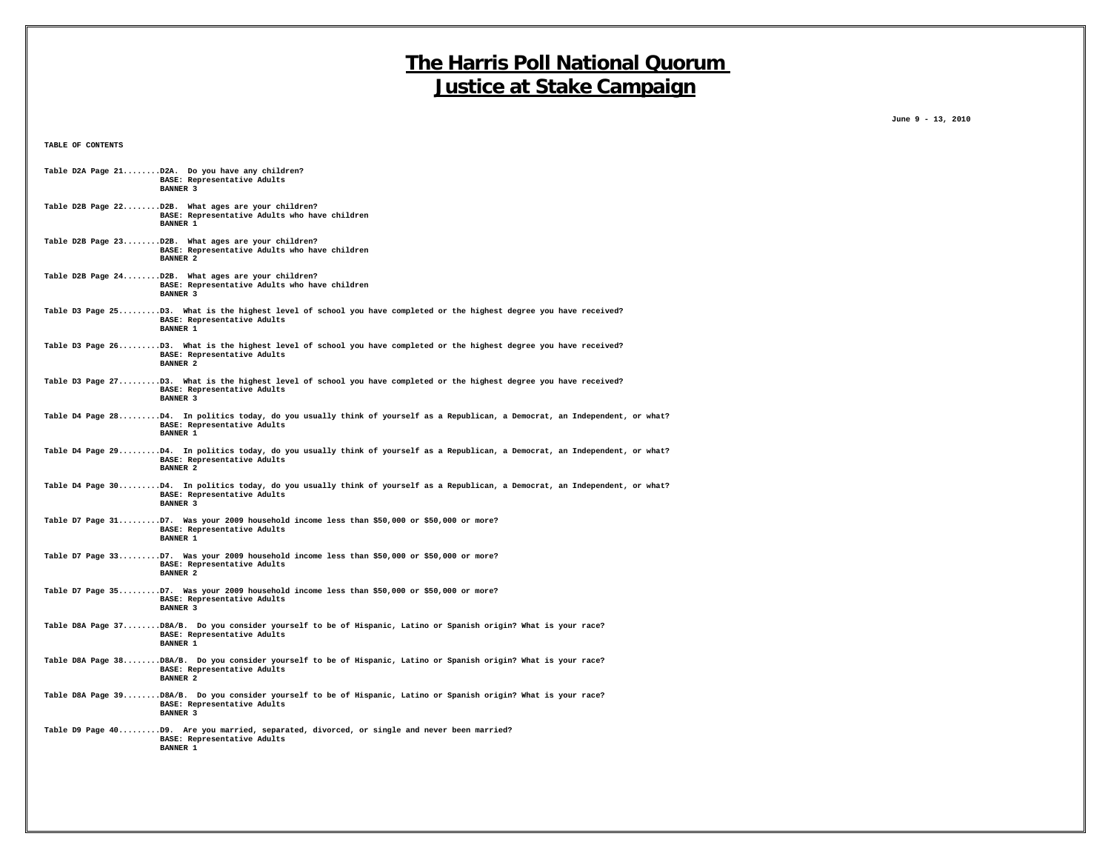**TABLE OF CONTENTS**

 **June 9 - 13, 2010**

| Table D2A Page 21D2A. Do you have any children?                                                                                                                                 |
|---------------------------------------------------------------------------------------------------------------------------------------------------------------------------------|
| BASE: Representative Adults<br><b>BANNER 3</b>                                                                                                                                  |
| Table D2B Page 22D2B. What ages are your children?<br>BASE: Representative Adults who have children<br><b>BANNER 1</b>                                                          |
| Table D2B Page 23D2B. What ages are your children?<br>BASE: Representative Adults who have children<br>BANNER <sub>2</sub>                                                      |
| Table D2B Page 24D2B. What ages are your children?<br>BASE: Representative Adults who have children<br><b>BANNER 3</b>                                                          |
| Table D3 Page 25D3. What is the highest level of school you have completed or the highest degree you have received?<br>BASE: Representative Adults<br><b>BANNER 1</b>           |
| Table D3 Page 26D3. What is the highest level of school you have completed or the highest degree you have received?<br>BASE: Representative Adults<br>BANNER <sub>2</sub>       |
| Table D3 Page 27D3. What is the highest level of school you have completed or the highest degree you have received?<br>BASE: Representative Adults<br><b>BANNER 3</b>           |
| Table D4 Page 28D4. In politics today, do you usually think of yourself as a Republican, a Democrat, an Independent, or what?<br>BASE: Representative Adults<br>BANNER 1        |
| Table D4 Page 29D4. In politics today, do you usually think of yourself as a Republican, a Democrat, an Independent, or what?<br>BASE: Representative Adults<br><b>BANNER 2</b> |
| Table D4 Page 30D4. In politics today, do you usually think of yourself as a Republican, a Democrat, an Independent, or what?<br>BASE: Representative Adults<br><b>BANNER 3</b> |
| Table D7 Page 31D7. Was your 2009 household income less than \$50,000 or \$50,000 or more?<br>BASE: Representative Adults<br><b>BANNER 1</b>                                    |
| Table D7 Page 33D7. Was your 2009 household income less than \$50,000 or \$50,000 or more?<br>BASE: Representative Adults<br><b>BANNER 2</b>                                    |
| Table D7 Page 35D7. Was your 2009 household income less than \$50,000 or \$50,000 or more?<br>BASE: Representative Adults<br><b>BANNER 3</b>                                    |
| Table D8A Page 37D8A/B. Do you consider yourself to be of Hispanic, Latino or Spanish origin? What is your race?<br>BASE: Representative Adults<br><b>BANNER 1</b>              |
| Table D8A Page 38D8A/B. Do you consider yourself to be of Hispanic, Latino or Spanish origin? What is your race?<br>BASE: Representative Adults<br>BANNER <sub>2</sub>          |
| Table D8A Page 39D8A/B. Do you consider yourself to be of Hispanic, Latino or Spanish origin? What is your race?<br>BASE: Representative Adults<br><b>BANNER 3</b>              |
| Table D9 Page 40D9. Are you married, separated, divorced, or single and never been married?<br>BASE: Representative Adults<br>BANNER 1                                          |
|                                                                                                                                                                                 |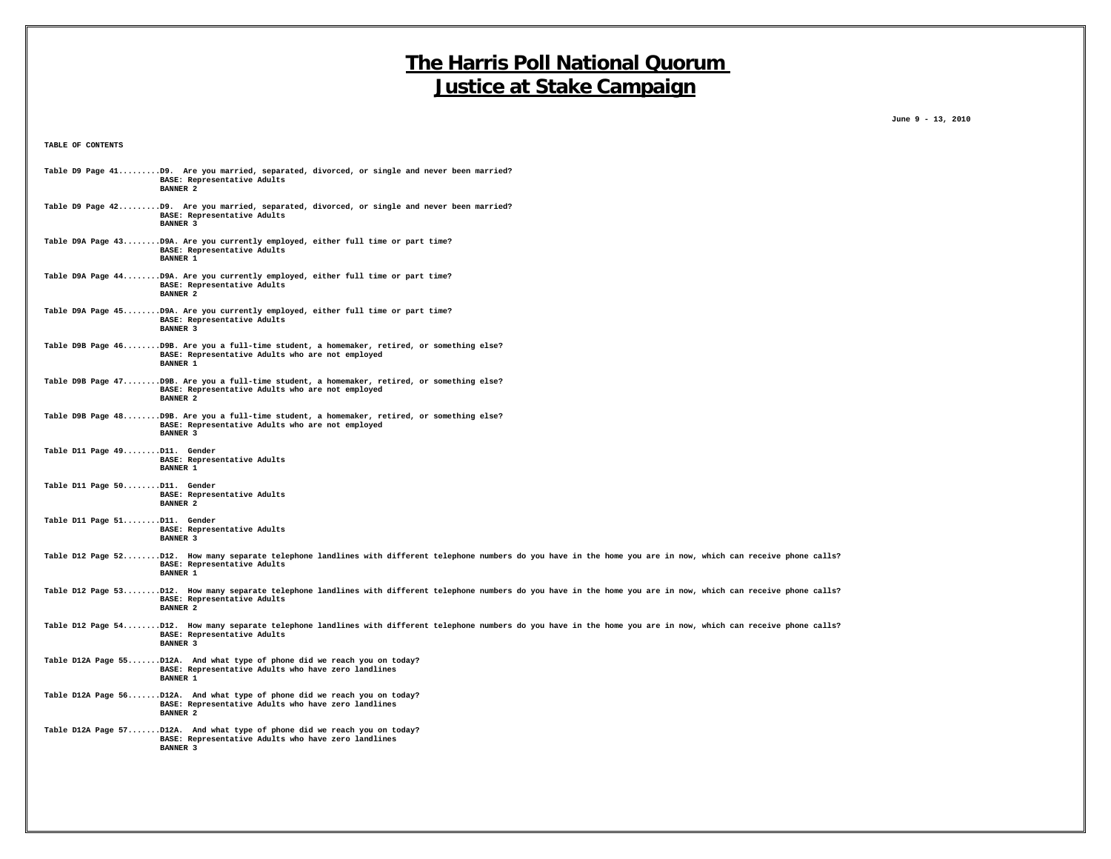**TABLE OF CONTENTS**

 **June 9 - 13, 2010**

|                              | Table D9 Page 41D9. Are you married, separated, divorced, or single and never been married?<br>BASE: Representative Adults<br><b>BANNER 2</b>                                                                         |
|------------------------------|-----------------------------------------------------------------------------------------------------------------------------------------------------------------------------------------------------------------------|
|                              | Table D9 Page 42D9. Are you married, separated, divorced, or single and never been married?<br>BASE: Representative Adults<br><b>BANNER 3</b>                                                                         |
|                              | Table D9A Page 43D9A. Are you currently employed, either full time or part time?<br>BASE: Representative Adults<br><b>BANNER 1</b>                                                                                    |
|                              | Table D9A Page 44D9A. Are you currently employed, either full time or part time?<br>BASE: Representative Adults<br><b>BANNER 2</b>                                                                                    |
|                              | Table D9A Page 45D9A. Are you currently employed, either full time or part time?<br>BASE: Representative Adults<br><b>BANNER 3</b>                                                                                    |
|                              | Table D9B Page 46D9B. Are you a full-time student, a homemaker, retired, or something else?<br>BASE: Representative Adults who are not employed<br><b>BANNER 1</b>                                                    |
|                              | Table D9B Page 47D9B. Are you a full-time student, a homemaker, retired, or something else?<br>BASE: Representative Adults who are not employed<br><b>BANNER 2</b>                                                    |
|                              | Table D9B Page 48D9B. Are you a full-time student, a homemaker, retired, or something else?<br>BASE: Representative Adults who are not employed<br><b>BANNER 3</b>                                                    |
| Table D11 Page 49D11. Gender | BASE: Representative Adults<br><b>BANNER 1</b>                                                                                                                                                                        |
| Table D11 Page 50D11. Gender | BASE: Representative Adults<br><b>BANNER 2</b>                                                                                                                                                                        |
| Table D11 Page 51D11. Gender | BASE: Representative Adults<br><b>BANNER 3</b>                                                                                                                                                                        |
|                              | Table D12 Page 52D12. How many separate telephone landlines with different telephone numbers do you have in the home you are in now, which can receive phone calls?<br>BASE: Representative Adults<br><b>BANNER 1</b> |
|                              | Table D12 Page 53D12. How many separate telephone landlines with different telephone numbers do you have in the home you are in now, which can receive phone calls?<br>BASE: Representative Adults<br><b>BANNER 2</b> |
|                              | Table D12 Page 54D12. How many separate telephone landlines with different telephone numbers do you have in the home you are in now, which can receive phone calls?<br>BASE: Representative Adults<br><b>BANNER 3</b> |
|                              | Table D12A Page 55D12A. And what type of phone did we reach you on today?<br>BASE: Representative Adults who have zero landlines<br><b>BANNER 1</b>                                                                   |
|                              | Table D12A Page 56D12A. And what type of phone did we reach you on today?<br>BASE: Representative Adults who have zero landlines<br><b>BANNER 2</b>                                                                   |
|                              | Table D12A Page 57D12A. And what type of phone did we reach you on today?<br>BASE: Representative Adults who have zero landlines<br><b>BANNER 3</b>                                                                   |
|                              |                                                                                                                                                                                                                       |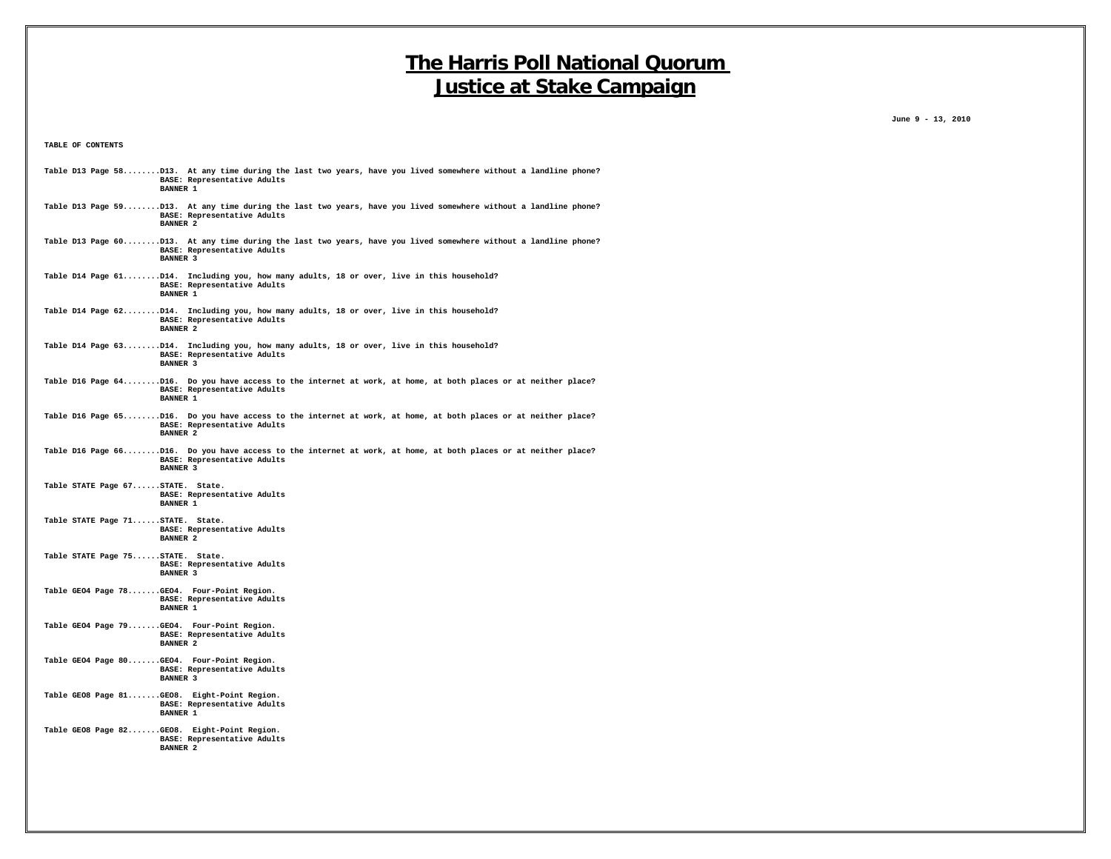**June 9 - 13, 2010**

**TABLE OF CONTENTS**

| Table D13 Page 58D13. At any time during the last two years, have you lived somewhere without a landline phone?<br>BASE: Representative Adults<br><b>BANNER 1</b> |  |
|-------------------------------------------------------------------------------------------------------------------------------------------------------------------|--|
| Table D13 Page 59D13. At any time during the last two years, have you lived somewhere without a landline phone?<br>BASE: Representative Adults<br><b>BANNER 2</b> |  |
| Table D13 Page 60D13. At any time during the last two years, have you lived somewhere without a landline phone?<br>BASE: Representative Adults<br><b>BANNER 3</b> |  |
| Table D14 Page 61D14. Including you, how many adults, 18 or over, live in this household?<br>BASE: Representative Adults<br><b>BANNER 1</b>                       |  |
| Table D14 Page 62D14. Including you, how many adults, 18 or over, live in this household?<br>BASE: Representative Adults<br><b>BANNER 2</b>                       |  |
| Table D14 Page 63D14. Including you, how many adults, 18 or over, live in this household?<br>BASE: Representative Adults<br><b>BANNER 3</b>                       |  |
| Table D16 Page 64D16. Do you have access to the internet at work, at home, at both places or at neither place?<br>BASE: Representative Adults<br><b>BANNER 1</b>  |  |
| Table D16 Page 65D16. Do you have access to the internet at work, at home, at both places or at neither place?<br>BASE: Representative Adults<br><b>BANNER 2</b>  |  |
| Table D16 Page 66D16. Do you have access to the internet at work, at home, at both places or at neither place?<br>BASE: Representative Adults<br><b>BANNER 3</b>  |  |
| Table STATE Page 67STATE. State.<br>BASE: Representative Adults<br><b>BANNER 1</b>                                                                                |  |
| Table STATE Page 71STATE. State.<br>BASE: Representative Adults<br><b>BANNER 2</b>                                                                                |  |
| Table STATE Page 75STATE. State.<br>BASE: Representative Adults<br><b>BANNER 3</b>                                                                                |  |
| Table GE04 Page 78GE04. Four-Point Region.<br>BASE: Representative Adults<br><b>BANNER 1</b>                                                                      |  |
| Table GEO4 Page 79GEO4. Four-Point Region.<br>BASE: Representative Adults<br><b>BANNER 2</b>                                                                      |  |
| Table GEO4 Page 80GEO4. Four-Point Region.<br>BASE: Representative Adults<br><b>BANNER 3</b>                                                                      |  |
| Table GEO8 Page 81GEO8. Eight-Point Region.<br>BASE: Representative Adults<br><b>BANNER 1</b>                                                                     |  |
| Table GEO8 Page 82GEO8. Eight-Point Region.<br>BASE: Representative Adults<br><b>BANNER 2</b>                                                                     |  |
|                                                                                                                                                                   |  |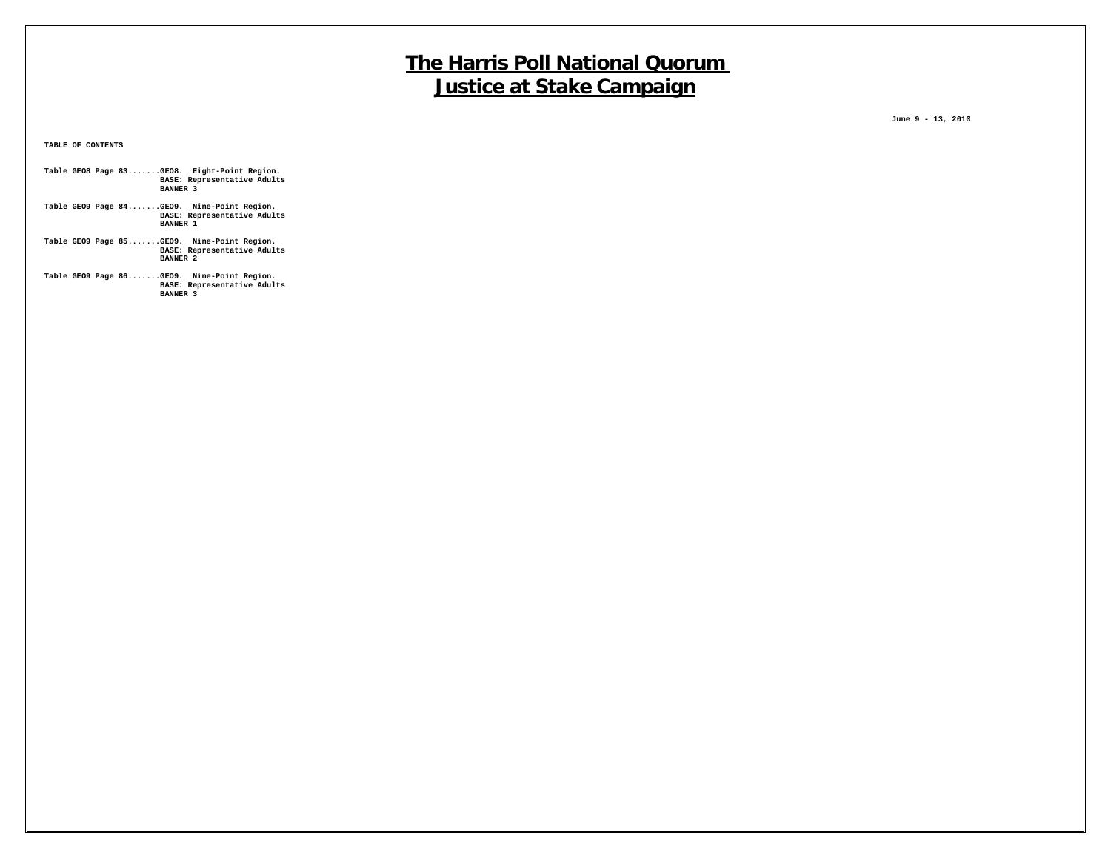**June 9 - 13, 2010**

**TABLE OF CONTENTS**

- **Table GEO8 Page 83.......GEO8. Eight-Point Region. BASE: Representative Adults BANNER 3**
- **Table GEO9 Page 84.......GEO9. Nine-Point Region. BASE: Representative Adults BANNER 1**
- **Table GEO9 Page 85.......GEO9. Nine-Point Region. BASE: Representative Adults BANNER 2**
- **Table GEO9 Page 86.......GEO9. Nine-Point Region. BASE: Representative Adults BANNER 3**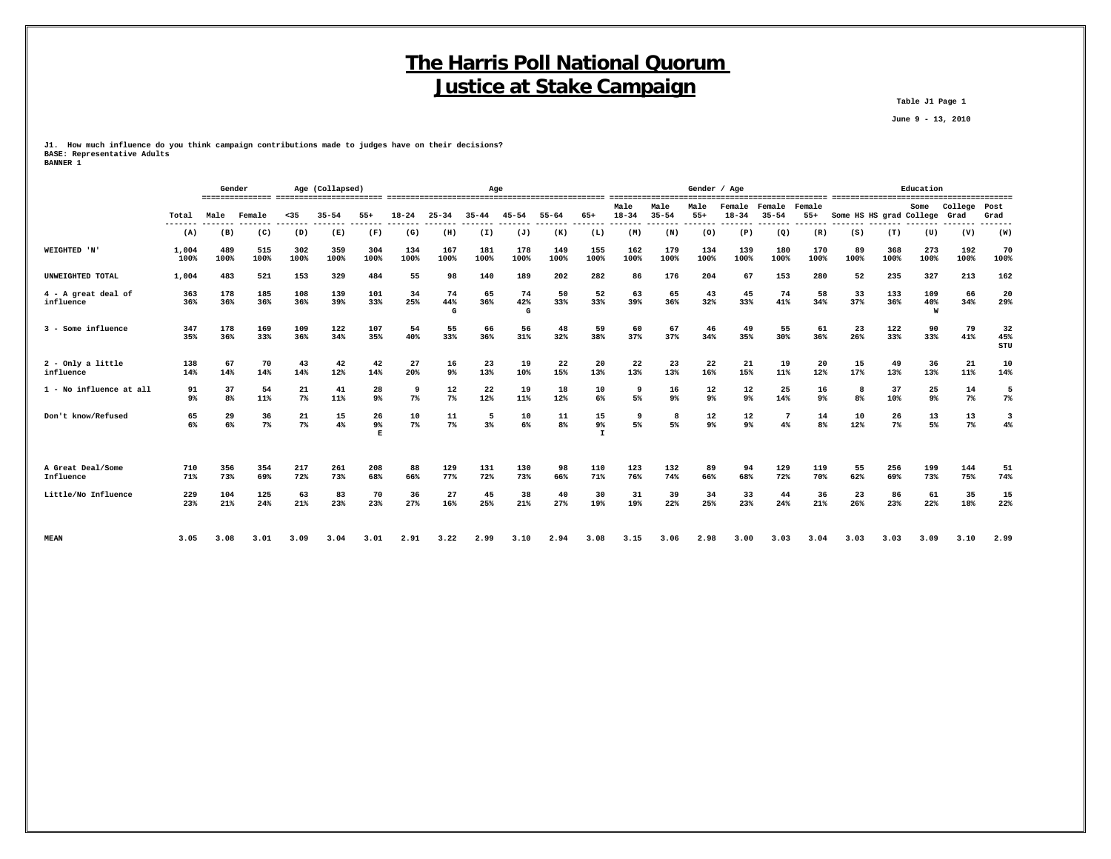**Table J1 Page 1**

 **June 9 - 13, 2010**

**J1. How much influence do you think campaign contributions made to judges have on their decisions? BASE: Representative Adults BANNER 1**

|                                  |                |                      | Age (Collapsed)<br>Gender |             |             |               |             | Age             |             |                |                      |                             | ----------------------- | Gender / Age         |               |                                     |                       |                      |                         | Education   |                      |                 |                  |
|----------------------------------|----------------|----------------------|---------------------------|-------------|-------------|---------------|-------------|-----------------|-------------|----------------|----------------------|-----------------------------|-------------------------|----------------------|---------------|-------------------------------------|-----------------------|----------------------|-------------------------|-------------|----------------------|-----------------|------------------|
|                                  | Total          | Male                 | Female                    | $35$        | $35 - 54$   | $55+$         | $18 - 24$   | $25 - 34$       | $35 - 44$   | $45 - 54$      | $55 - 64$            | $65+$                       | Male<br>$18 - 34$       | Male<br>$35 - 54$    | Male<br>$55+$ | Female<br>$18 - 34$                 | Female<br>$35 - 54$   | Female<br>$55+$      | Some HS HS grad College |             | Some                 | College<br>Grad | Post<br>Grad     |
|                                  | -------<br>(A) | (B)                  | (C)                       | (D)         | (E)         | (F)           | (G)         | (H)             | (I)         | (J)            | (K)                  | (L)                         | (M)                     | (N)                  | (0)           | (P)                                 | (Q)                   | (R)                  | (S)                     | (T)         | (U)                  | (V)             | .<br>(W)         |
| WEIGHTED 'N'                     | 1,004<br>100%  | 489<br>100%          | 515<br>100%               | 302<br>100% | 359<br>100% | 304<br>100%   | 134<br>100% | 167<br>100%     | 181<br>100% | 178<br>100%    | 149<br>100%          | 155<br>100%                 | 162<br>100%             | 179<br>100%          | 134<br>100%   | 139<br>100%                         | 180<br>100%           | 170<br>100%          | 89<br>100%              | 368<br>100% | 273<br>100%          | 192<br>100%     | 70<br>100%       |
| UNWEIGHTED TOTAL                 | 1,004          | 483                  | 521                       | 153         | 329         | 484           | 55          | 98              | 140         | 189            | 202                  | 282                         | 86                      | 176                  | 204           | 67                                  | 153                   | 280                  | 52                      | 235         | 327                  | 213             | 162              |
| 4 - A great deal of<br>influence | 363<br>36%     | 178<br>36%           | 185<br>36%                | 108<br>36%  | 139<br>39%  | 101<br>33%    | 34<br>25%   | 74<br>44%<br>G  | 65<br>36%   | 74<br>42%<br>G | 50<br>33%            | 52<br>33%                   | 63<br>39%               | 65<br>36%            | 43<br>32%     | 45<br>33%                           | 74<br>41%             | 58<br>34%            | 33<br>37%               | 133<br>36%  | 109<br>40%<br>W      | 66<br>34%       | 20<br>29%        |
| 3 - Some influence               | 347<br>35%     | 178<br>36%           | 169<br>33%                | 109<br>36%  | 122<br>34%  | 107<br>35%    | 54<br>40%   | 55<br>33%       | 66<br>36%   | 56<br>31%      | 48<br>32%            | 59<br>38%                   | 60<br>37%               | 67<br>37%            | 46<br>34%     | 49<br>35%                           | 55<br>30%             | 61<br>36%            | 23<br>26%               | 122<br>33%  | 90<br>33%            | 79<br>41%       | 32<br>45%<br>STU |
| 2 - Only a little<br>influence   | 138<br>14%     | 67<br>14%            | 70<br>14%                 | 43<br>14%   | 42<br>12%   | 42<br>14%     | 27<br>20%   | 16<br>$9\%$     | 23<br>13%   | 19<br>10%      | 22<br>15%            | 20<br>13%                   | 22<br>13%               | 23<br>13%            | 22<br>16%     | 21<br>15%                           | 19<br>11%             | 20<br>12%            | 15<br>17%               | 49<br>13%   | 36<br>13%            | 21<br>11%       | 10<br>14%        |
| 1 - No influence at all          | 91<br>9%       | 37<br>8 <sup>8</sup> | 54<br>11%                 | 21<br>$7\%$ | 41<br>11%   | 28<br>9%      | 9<br>$7\%$  | 12<br>$7\%$     | 22<br>12%   | 19<br>11%      | 18<br>12%            | 10<br>6%                    | 9<br>5%                 | 16<br>9 <sup>°</sup> | 12<br>9%      | $12 \overline{ }$<br>9 <sup>°</sup> | 25<br>14%             | 16<br>9 <sup>°</sup> | 8<br>8 <sup>°</sup>     | 37<br>10%   | 25<br>9 <sup>°</sup> | 14<br>$7\%$     | 5<br>$7\%$       |
| Don't know/Refused               | 65<br>6%       | 29<br>6%             | 36<br>$7\%$               | 21<br>$7\%$ | 15<br>4%    | 26<br>9%<br>E | 10<br>$7\%$ | $11\,$<br>$7\%$ | 5<br>3%     | 10<br>6%       | 11<br>8 <sup>°</sup> | 15<br>$9\%$<br>$\mathbf{I}$ | 9<br>5%                 | 8<br>5%              | 12<br>9%      | 12<br>9%                            | $7\phantom{.0}$<br>4% | 14<br>8 <sup>°</sup> | 10<br>12%               | 26<br>7%    | 13<br>5%             | 13<br>$7\%$     | 3<br>4%          |
| A Great Deal/Some<br>Influence   | 710<br>71%     | 356<br>73%           | 354<br>69%                | 217<br>72%  | 261<br>73%  | 208<br>68%    | 88<br>66%   | 129<br>77%      | 131<br>72%  | 130<br>73%     | 98<br>66%            | 110<br>71%                  | 123<br>76%              | 132<br>74%           | 89<br>66%     | 94<br>68%                           | 129<br>72%            | 119<br>70%           | 55<br>62%               | 256<br>69%  | 199<br>73%           | 144<br>75%      | 51<br>74%        |
| Little/No Influence              | 229<br>23%     | 104<br>21%           | 125<br>24%                | 63<br>21%   | 83<br>23%   | 70<br>23%     | 36<br>27%   | 27<br>16%       | 45<br>25%   | 38<br>21%      | 40<br>27%            | 30<br>19%                   | 31<br>19%               | 39<br>22%            | 34<br>25%     | 33<br>23%                           | 44<br>24%             | 36<br>21%            | 23<br>26%               | 86<br>23%   | 61<br>22%            | 35<br>18%       | 15<br>22%        |
| <b>MEAN</b>                      | 3.05           | 3.08                 | 3.01                      | 3.09        | 3.04        | 3.01          | 2.91        | 3.22            | 2.99        | 3.10           | 2.94                 | 3.08                        | 3.15                    | 3.06                 | 2.98          | 3.00                                | 3.03                  | 3.04                 | 3.03                    | 3.03        | 3.09                 | 3.10            | 2.99             |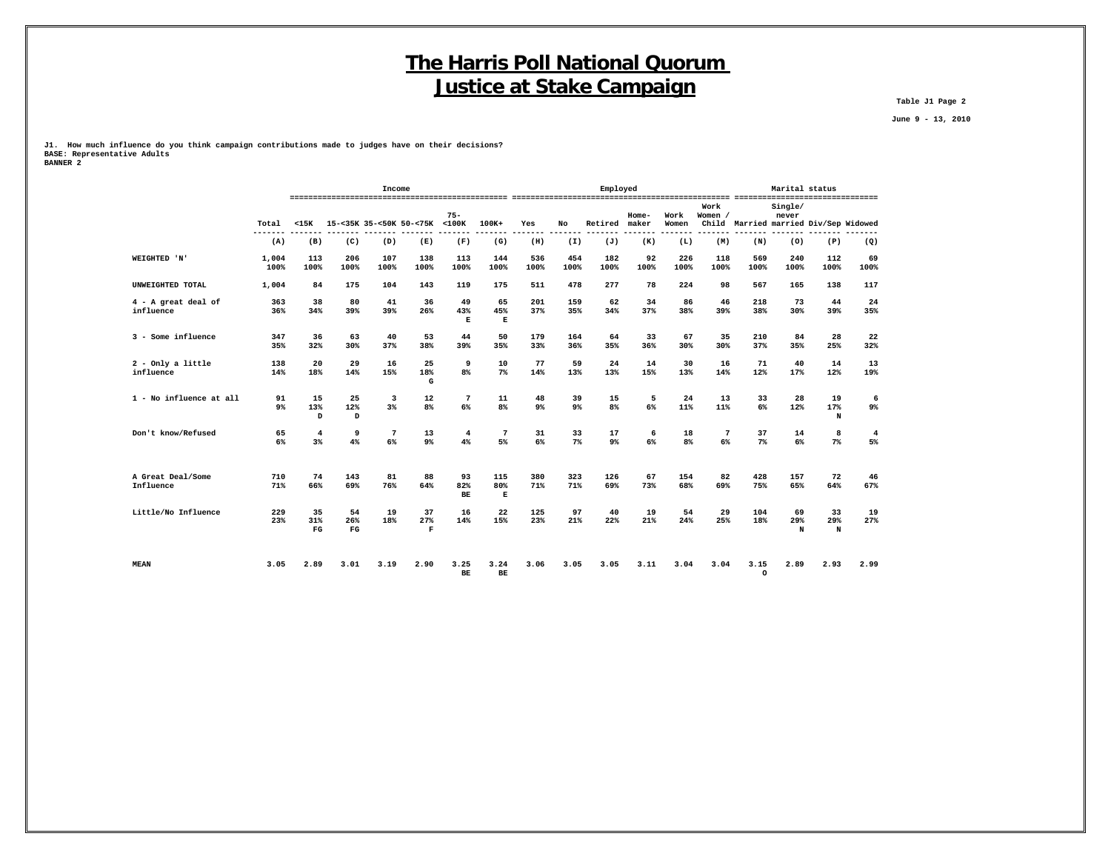**Table J1 Page 2**

 **June 9 - 13, 2010**

**J1. How much influence do you think campaign contributions made to judges have on their decisions? BASE: Representative Adults BANNER 2**

|                                  |               |                          |                          | Income                |                          |                           |                      |                      |                      | Emploved    |                |               |                 | Marital status  |                  |                                       |                      |
|----------------------------------|---------------|--------------------------|--------------------------|-----------------------|--------------------------|---------------------------|----------------------|----------------------|----------------------|-------------|----------------|---------------|-----------------|-----------------|------------------|---------------------------------------|----------------------|
|                                  | Total         | $15K$                    |                          |                       | 15-<35K 35-<50K 50-<75K  | $75 -$<br>$<$ 100 $<$     | $100K +$             | Yes                  | No                   | Retired     | Home-<br>maker | Work<br>Women | Work<br>Women / |                 | Single/<br>never | Child Married married Div/Sep Widowed |                      |
|                                  | (A)           | (B)                      | (C)                      | (D)                   | (E)                      | (F)                       | (G)                  | (H)                  | (I)                  | (J)         | (K)            | (L)           | (M)             | (N)             | (0)              | (P)                                   | (Q)                  |
| WEIGHTED 'N'                     | 1,004<br>100% | 113<br>100%              | 206<br>100%              | 107<br>100%           | 138<br>100%              | 113<br>100%               | 144<br>100%          | 536<br>100%          | 454<br>100%          | 182<br>100% | 92<br>100%     | 226<br>100%   | 118<br>100%     | 569<br>100%     | 240<br>100%      | 112<br>100%                           | 69<br>100%           |
| UNWEIGHTED TOTAL                 | 1,004         | 84                       | 175                      | 104                   | 143                      | 119                       | 175                  | 511                  | 478                  | 277         | 78             | 224           | 98              | 567             | 165              | 138                                   | 117                  |
| 4 - A great deal of<br>influence | 363<br>36%    | 38<br>34%                | 80<br>39%                | 41<br>39%             | 36<br>26%                | 49<br>43%<br>$\mathbf{E}$ | 65<br>45%<br>Е       | 201<br>37%           | 159<br>35%           | 62<br>34%   | 34<br>37%      | 86<br>38%     | 46<br>39%       | 218<br>38%      | 73<br>30%        | 44<br>39%                             | 24<br>35%            |
| 3 - Some influence               | 347<br>35%    | 36<br>32%                | 63<br>30%                | 40<br>37%             | 53<br>38%                | 44<br>39%                 | 50<br>35%            | 179<br>33%           | 164<br>36%           | 64<br>35%   | 33<br>36%      | 67<br>30%     | 35<br>30%       | 210<br>37%      | 84<br>35%        | 28<br>25%                             | 22<br>32%            |
| $2$ - Only a little<br>influence | 138<br>14%    | 20<br>18%                | 29<br>14%                | 16<br>15%             | 25<br>18%<br>G           | 9<br>8 <sup>8</sup>       | 10<br>7%             | 77<br>14%            | 59<br>13%            | 24<br>13%   | 14<br>15%      | 30<br>13%     | 16<br>14%       | 71<br>12%       | 40<br>17%        | 14<br>12%                             | 13<br>19%            |
| 1 - No influence at all          | 91<br>9%      | 15<br>13%<br>D           | 25<br>12%<br>D           | 3<br>3%               | 12<br>8%                 | 7<br>6%                   | 11<br>8 <sup>°</sup> | 48<br>9 <sup>°</sup> | 39<br>9 <sup>°</sup> | 15<br>8%    | 5<br>6%        | 24<br>11%     | 13<br>11%       | 33<br>6%        | 28<br>12%        | 19<br>17%<br>N                        | 6<br>9%              |
| Don't know/Refused               | 65<br>6%      | 4<br>3%                  | 9<br>4%                  | $7\phantom{.0}$<br>6% | 13<br>9 <sup>°</sup>     | $\overline{4}$<br>4%      | $\overline{7}$<br>5% | 31<br>6%             | 33<br>7%             | 17<br>9%    | 6<br>6%        | 18<br>8%      | 7<br>6%         | 37<br>$7\%$     | 14<br>6%         | 8<br>$7\%$                            | $\overline{4}$<br>5% |
| A Great Deal/Some<br>Influence   | 710<br>71%    | 74<br>66%                | 143<br>69%               | 81<br>76%             | 88<br>64%                | 93<br>82%<br>BE           | 115<br>80%<br>Е      | 380<br>71%           | 323<br>71%           | 126<br>69%  | 67<br>73%      | 154<br>68%    | 82<br>69%       | 428<br>75%      | 157<br>65%       | 72<br>64%                             | 46<br>67%            |
| Little/No Influence              | 229<br>23%    | 35<br>31%<br>$_{\rm FG}$ | 54<br>26%<br>$_{\rm FG}$ | 19<br>18%             | 37<br>27%<br>$\mathbf F$ | 16<br>14%                 | 22<br>15%            | 125<br>23%           | 97<br>21%            | 40<br>22%   | 19<br>21%      | 54<br>24%     | 29<br>25%       | 104<br>18%      | 69<br>29%<br>N   | 33<br>29%<br>N                        | 19<br>27%            |
| <b>MEAN</b>                      | 3.05          | 2.89                     | 3.01                     | 3.19                  | 2.90                     | 3.25<br><b>BE</b>         | 3.24<br><b>BE</b>    | 3.06                 | 3.05                 | 3.05        | 3.11           | 3.04          | 3.04            | 3.15<br>$\circ$ | 2.89             | 2.93                                  | 2.99                 |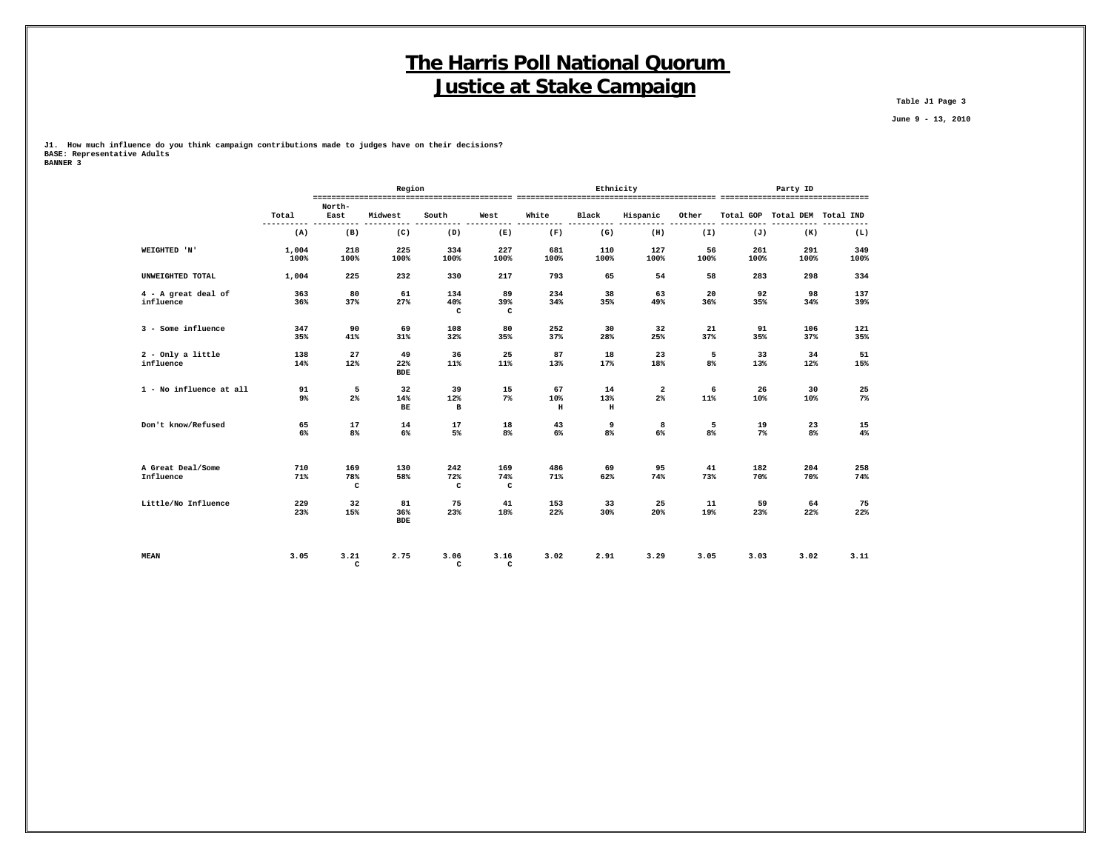**Table J1 Page 3**

 **June 9 - 13, 2010**

**J1. How much influence do you think campaign contributions made to judges have on their decisions? BASE: Representative Adults**

| <b>BANNER 3</b> |  |
|-----------------|--|
|                 |  |

|                                    |                     |                 | Region                   |                            |                           |                           | Ethnicity           |                    |            |             | Party ID            |             |
|------------------------------------|---------------------|-----------------|--------------------------|----------------------------|---------------------------|---------------------------|---------------------|--------------------|------------|-------------|---------------------|-------------|
|                                    | Total<br>---------- | North-<br>East  | Midwest                  | South                      | West                      | White                     | Black               | Hispanic           | Other      | Total GOP   | Total DEM Total IND | ----        |
|                                    | (A)                 | (B)             | (C)                      | (D)                        | (E)                       | (F)                       | (G)                 | (H)                | (I)        | (J)         | (K)                 | (L)         |
| WEIGHTED 'N'                       | 1,004<br>100%       | 218<br>100%     | 225<br>100%              | 334<br>100%                | 227<br>100%               | 681<br>100%               | 110<br>100%         | 127<br>100%        | 56<br>100% | 261<br>100% | 291<br>100%         | 349<br>100% |
| UNWEIGHTED TOTAL                   | 1,004               | 225             | 232                      | 330                        | 217                       | 793                       | 65                  | 54                 | 58         | 283         | 298                 | 334         |
| $4 - A$ great deal of<br>influence | 363<br>36%          | 80<br>37%       | 61<br>27%                | 134<br>40%<br>$\mathtt{C}$ | 89<br>39%<br>$\mathtt{C}$ | 234<br>34%                | 38<br>35%           | 63<br>49%          | 20<br>36%  | 92<br>35%   | 98<br>34%           | 137<br>39%  |
| 3 - Some influence                 | 347<br>35%          | 90<br>41%       | 69<br>31%                | 108<br>32%                 | 80<br>35%                 | 252<br>37%                | 30<br>28%           | 32<br>25%          | 21<br>37%  | 91<br>35%   | 106<br>37%          | 121<br>35%  |
| $2$ - Only a little<br>influence   | 138<br>14%          | 27<br>12%       | 49<br>22%<br>${\tt BDE}$ | 36<br>11%                  | 25<br>11%                 | 87<br>13%                 | 18<br>17%           | 23<br>18%          | 5<br>8%    | 33<br>13%   | 34<br>12%           | 51<br>15%   |
| 1 - No influence at all            | 91<br>9%            | 5<br>2%         | 32<br>14%<br>BE          | 39<br>12%<br>$\mathbf{B}$  | 15<br>$7\%$               | 67<br>10%<br>$\, {\bf H}$ | 14<br>13%<br>$\,$ H | $\mathbf{2}$<br>2% | 6<br>11%   | 26<br>10%   | 30<br>10%           | 25<br>$7\%$ |
| Don't know/Refused                 | 65<br>6%            | 17<br>8%        | 14<br>6%                 | 17<br>5%                   | 18<br>8%                  | 43<br>6%                  | 9<br>8%             | 8<br>6%            | 5<br>8%    | 19<br>$7\%$ | 23<br>8%            | 15<br>4%    |
| A Great Deal/Some<br>Influence     | 710<br>71%          | 169<br>78%<br>c | 130<br>58%               | 242<br>72%<br>с            | 169<br>74%<br>c           | 486<br>71%                | 69<br>62%           | 95<br>74%          | 41<br>73%  | 182<br>70%  | 204<br>70%          | 258<br>74%  |
| Little/No Influence                | 229<br>23%          | 32<br>15%       | 81<br>36%<br><b>BDE</b>  | 75<br>23%                  | 41<br>18%                 | 153<br>22%                | 33<br>30%           | 25<br>20%          | 11<br>19%  | 59<br>23%   | 64<br>22%           | 75<br>22%   |
| <b>MEAN</b>                        | 3.05                | 3.21<br>c       | 2.75                     | 3.06<br>c                  | 3.16<br>c                 | 3.02                      | 2.91                | 3.29               | 3.05       | 3.03        | 3.02                | 3.11        |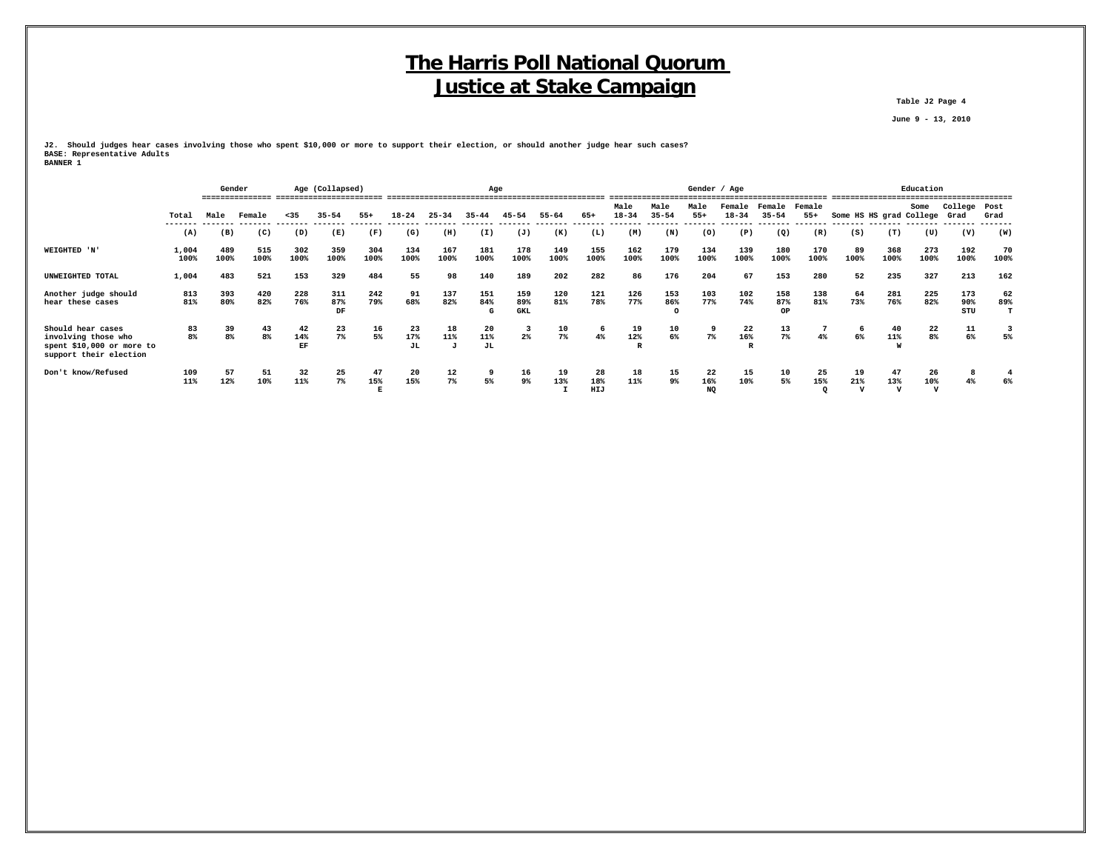**Table J2 Page 4**

 **June 9 - 13, 2010**

**J2. Should judges hear cases involving those who spent \$10,000 or more to support their election, or should another judge hear such cases? BASE: Representative Adults BANNER 1**

|                                                                                                 |                  |                      | Gender      |                 | Age (Collapsed)  |             |                 |             |                 | Age                      |                      |                  |                              |                                       |                 | Gender / Age   |                                   |                      |                         |                           |                          | Education            |                |  |
|-------------------------------------------------------------------------------------------------|------------------|----------------------|-------------|-----------------|------------------|-------------|-----------------|-------------|-----------------|--------------------------|----------------------|------------------|------------------------------|---------------------------------------|-----------------|----------------|-----------------------------------|----------------------|-------------------------|---------------------------|--------------------------|----------------------|----------------|--|
|                                                                                                 | Total<br>------- | Male                 | Female      | < 35            | $35 - 54$        | $55+$       | $18 - 24$       | $25 - 34$   | $35 - 44$       | $45 - 54$                | 55-64                | 65+              | Male<br>$18 - 34$<br>------- | Male<br>$35 - 54$<br>-------- ------- | Male<br>$55+$   | $18 - 34$      | Female Female Female<br>$35 - 54$ | $55+$                | Some HS HS grad College |                           | Some                     | College Post<br>Grad | Grad           |  |
|                                                                                                 | (A)              | (B)                  | (C)         | (D)             | (E)              | (F)         | (G)             | (H)         | (I)             | (J)                      | (K)                  | (L)              | (M)                          | (N)                                   | (0)             | (P)            | (Q)                               | (R)                  | (S)                     | (T)                       | (U)                      | (V)                  | (W)            |  |
| WEIGHTED 'N'                                                                                    | 1,004<br>100%    | 489<br>100%          | 515<br>100% | 302<br>100%     | 359<br>100%      | 304<br>100% | 134<br>100%     | 167<br>100% | 181<br>100%     | 178<br>100%              | 149<br>100%          | 155<br>100%      | 162<br>100%                  | 179<br>100%                           | 134<br>100%     | 139<br>100%    | 180<br>100%                       | 170<br>100%          | 89<br>100%              | 368<br>100%               | 273<br>100%              | 192<br>100%          | 70<br>100%     |  |
| UNWEIGHTED TOTAL                                                                                | 1,004            | 483                  | 521         | 153             | 329              | 484         | 55              | 98          | 140             | 189                      | 202                  | 282              | 86                           | 176                                   | 204             | 67             | 153                               | 280                  | 52                      | 235                       | 327                      | 213                  | 162            |  |
| Another judge should<br>hear these cases                                                        | 813<br>81%       | 393<br>80%           | 420<br>82%  | 228<br>76%      | 311<br>87%<br>DF | 242<br>79%  | 91<br>68%       | 137<br>82%  | 151<br>84%<br>G | 159<br>89%<br><b>GKL</b> | 120<br>81%           | 121<br>78%       | 126<br>77%                   | 153<br>86%<br>$\circ$                 | 103<br>77%      | 102<br>74%     | 158<br>87%<br>OP                  | 138<br>81%           | 64<br>73%               | 281<br>76%                | 225<br>82%               | 173<br>90%<br>STU    | 62<br>89%<br>т |  |
| Should hear cases<br>involving those who<br>spent \$10,000 or more to<br>support their election | 83<br>8%         | 39<br>8 <sup>8</sup> | 43<br>8%    | 42<br>14%<br>EF | 23<br>7%         | 16<br>5%    | 23<br>17%<br>JL | 18<br>11%   | 20<br>11%<br>JL | 2%                       | 10<br>7 <sup>8</sup> | 6<br>4%          | 19<br>12%                    | 10<br>$6\%$                           | 9<br>7%         | 22<br>16%<br>R | 13<br>7%                          |                      | 6%                      | 40<br>11%                 | 22<br>8 <sup>8</sup>     | 11<br>6%             | 3<br>5%        |  |
| Don't know/Refused                                                                              | 109<br>11%       | 57<br>12%            | 51<br>10%   | 32<br>11%       | 25<br>$7\%$      | 47<br>15%   | 20<br>15%       | 12<br>$7\%$ | 9<br>5%         | 16<br>9%                 | 19<br>13%            | 28<br>18%<br>HIJ | 18<br>11%                    | 15<br>9%                              | 22<br>16%<br>NQ | 15<br>10%      | 10<br>5%                          | 25<br>15%<br>$\circ$ | 19<br>21%               | 47<br>13%<br>$\mathbf{v}$ | 26<br>10%<br>$\mathbf v$ | 8<br>4%              | 6%             |  |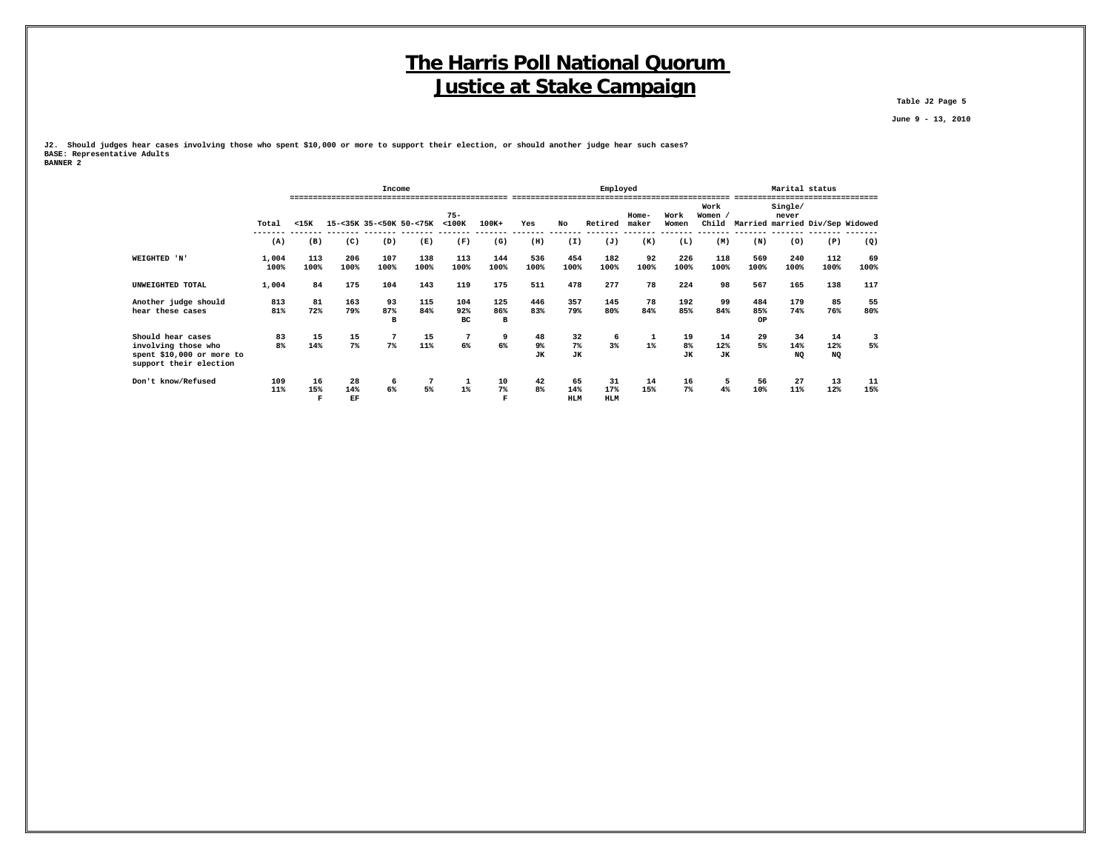**Table J2 Page 5**

 **June 9 - 13, 2010**

**J2. Should judges hear cases involving those who spent \$10,000 or more to support their election, or should another judge hear such cases? BASE: Representative Adults BANNER 2**

|                                                                                                 |                      |                                                                      |                 | Income         |             |                  |                  |                       |                         | Employed                |                |                       |                        | Marital status   |                  | --------------                        |            |
|-------------------------------------------------------------------------------------------------|----------------------|----------------------------------------------------------------------|-----------------|----------------|-------------|------------------|------------------|-----------------------|-------------------------|-------------------------|----------------|-----------------------|------------------------|------------------|------------------|---------------------------------------|------------|
|                                                                                                 | Total                | $75 -$<br>$<$ 100 $<$<br>15-<35K 35-<50K 50-<75K<br>$100K+$<br>$15K$ |                 |                |             |                  |                  | Yes                   | No                      | Retired                 | Home-<br>maker | Work<br>Women         | Work<br>Women /        |                  | Single/<br>never | Child Married married Div/Sep Widowed |            |
|                                                                                                 | (A)                  | (B)                                                                  | (C)             | (D)            | (E)         | (F)              | (G)              | (H)                   | (I)                     | (J)                     | (K)            | (L)                   | (M)                    | (N)              | (0)              | (P)                                   | (Q)        |
| WEIGHTED 'N'                                                                                    | 1,004<br>100%        | 113<br>100%                                                          | 206<br>100%     | 107<br>100%    | 138<br>100% | 113<br>100%      | 144<br>100%      | 536<br>100%           | 454<br>100%             | 182<br>100%             | 92<br>100%     | 226<br>100%           | 118<br>100%            | 569<br>100%      | 240<br>100%      | 112<br>100%                           | 69<br>100% |
| UNWEIGHTED TOTAL                                                                                | 1,004                | 175<br>84                                                            | 104             | 143            | 119         | 175              | 511              | 478                   | 277                     | 78                      | 224            | 98                    | 567                    | 165              | 138              | 117                                   |            |
| Another judge should<br>hear these cases                                                        | 813<br>81%           | 81<br>72%                                                            | 163<br>79%      | 93<br>87%<br>B | 115<br>84%  | 104<br>92%<br>BC | 125<br>86%<br>в  | 446<br>83%            | 357<br>79%              | 145<br>80%              | 78<br>84%      | 192<br>85%            | 99<br>84%              | 484<br>85%<br>OP | 179<br>74%       | 85<br>76%                             | 55<br>80%  |
| Should hear cases<br>involving those who<br>spent \$10,000 or more to<br>support their election | 83<br>8 <sup>8</sup> | 15<br>14%                                                            | 15<br>7%        | $7\%$          | 15<br>11%   | 6%               | 9<br>6%          | 48<br>9%<br><b>JK</b> | 32<br>7%<br><b>JK</b>   | 6<br>3%                 | $1\%$          | 19<br>8%<br><b>JK</b> | 14<br>12%<br><b>JK</b> | 29<br>5%         | 34<br>14%<br>NQ  | 14<br>12%<br><b>NQ</b>                | 3<br>5%    |
| Don't know/Refused                                                                              | 109<br>11%           | 16<br>15%<br>F                                                       | 28<br>14%<br>EF | 6<br>$6\%$     | 7<br>5%     | $1\%$            | 10<br>$7\%$<br>F | 42<br>8%              | 65<br>14%<br><b>HLM</b> | 31<br>17%<br><b>HLM</b> | 14<br>15%      | 16<br>$7\%$           | 5<br>4%                | 56<br>10%        | 27<br>11%        | 13<br>12%                             | 11<br>15%  |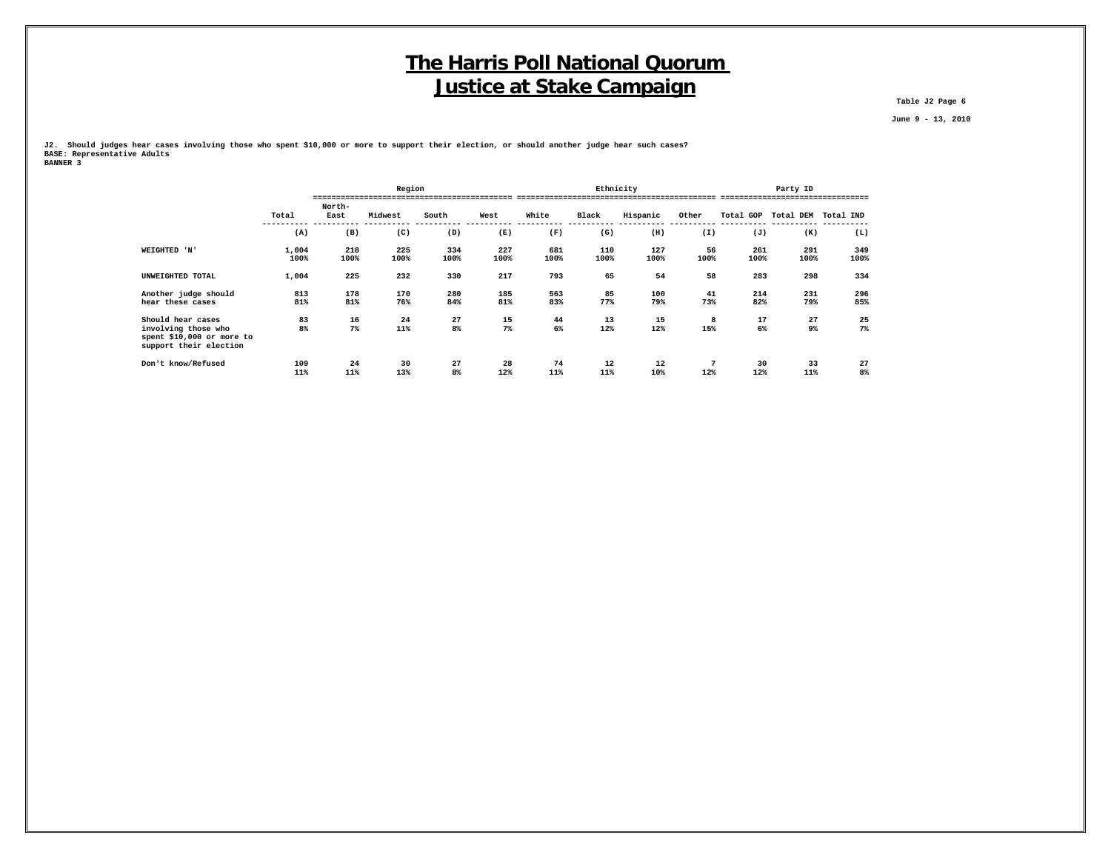**Table J2 Page 6**

 **June 9 - 13, 2010**

**J2. Should judges hear cases involving those who spent \$10,000 or more to support their election, or should another judge hear such cases? BASE: Representative Adults BANNER 3**

|                                                                            |            |           | Region    |          |           |           |           | Ethnicity |                        |                     | Party ID  |                      |
|----------------------------------------------------------------------------|------------|-----------|-----------|----------|-----------|-----------|-----------|-----------|------------------------|---------------------|-----------|----------------------|
|                                                                            |            |           |           |          |           |           |           |           |                        |                     |           |                      |
|                                                                            |            | North-    |           |          | West      |           |           |           |                        |                     |           |                      |
|                                                                            | Total      | East      | Midwest   | South    |           | White     | Black     | Hispanic  | Other                  | Total GOP Total DEM |           | Total IND            |
|                                                                            | (A)        | (B)       | (C)       | (D)      | (E)       | (F)       | (G)       | (H)       | (I)                    | (J)                 | (K)       | (L)                  |
| WEIGHTED 'N'                                                               | 1,004      | 218       | 225       | 334      | 227       | 681       | 110       | 127       | 56                     | 261                 | 291       | 349                  |
|                                                                            | 100%       | 100%      | 100%      | 100%     | 100%      | 100%      | 100%      | 100%      | 100%                   | 100%                | 100%      | 100%                 |
| UNWEIGHTED TOTAL                                                           | 1,004      | 225       | 232       | 330      | 217       | 793       | 65        | 54        | 58                     | 283                 | 298       | 334                  |
| Another judge should                                                       | 813        | 178       | 170       | 280      | 185       | 563       | 85        | 100       | 41                     | 214                 | 231       | 296                  |
| hear these cases                                                           | 81%        | 81%       | 76%       | 84%      | 81%       | 83%       | 77%       | 79%       | 73%                    | 82%                 | 79%       | 85%                  |
| Should hear cases                                                          | 83         | 16        | 24        | 27       | 15        | 44        | 13        | 15        | 8                      | 17                  | 27        | 25                   |
| involving those who<br>spent \$10,000 or more to<br>support their election | 8%         | $7\%$     | 11%       | 8%       | $7\%$     | 6%        | 12%       | 12%       | 15%                    | 6%                  | 9%        | $7\%$                |
| Don't know/Refused                                                         | 109<br>11% | 24<br>11% | 30<br>13% | 27<br>8% | 28<br>12% | 74<br>11% | 12<br>11% | 12<br>10% | $7\phantom{.0}$<br>12% | 30<br>12%           | 33<br>11% | 27<br>8 <sup>°</sup> |
|                                                                            |            |           |           |          |           |           |           |           |                        |                     |           |                      |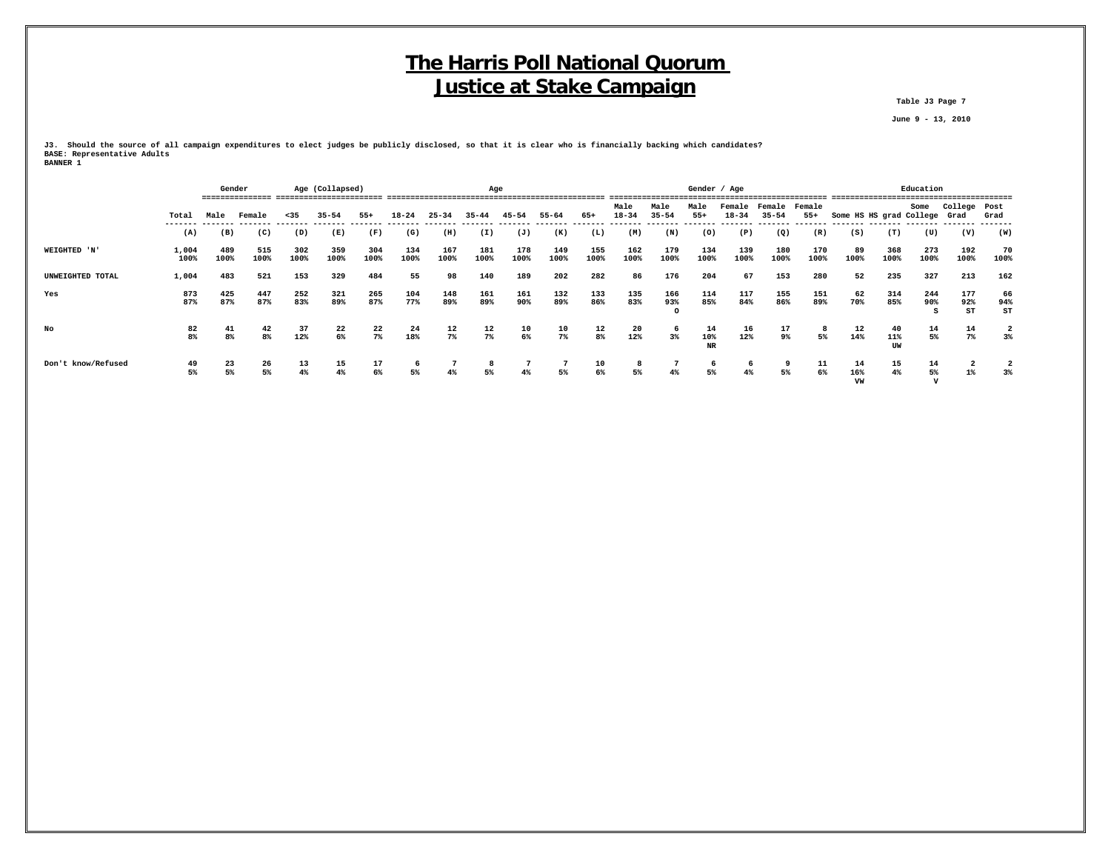**Table J3 Page 7**

 **June 9 - 13, 2010**

**J3. Should the source of all campaign expenditures to elect judges be publicly disclosed, so that it is clear who is financially backing which candidates? BASE: Representative Adults BANNER 1**

|                    |                  | Gender               |             | Age (Collapsed) |             |                  |                 |                                     | Age              |                  |                  |                |                   |                   |                        | Gender / Age        |                     |                 |                              |                         | Education   |                  |                         |
|--------------------|------------------|----------------------|-------------|-----------------|-------------|------------------|-----------------|-------------------------------------|------------------|------------------|------------------|----------------|-------------------|-------------------|------------------------|---------------------|---------------------|-----------------|------------------------------|-------------------------|-------------|------------------|-------------------------|
|                    | Total<br>------- | Male                 | Female      | < 35            | $35 - 54$   | $55+$            | $18 - 24$       | $25 - 34$<br>$35 - 44$<br>$45 - 54$ |                  |                  | 55-64            | 65+            | Male<br>$18 - 34$ | Male<br>$35 - 54$ | Male<br>$55+$          | Female<br>$18 - 34$ | Female<br>$35 - 54$ | Female<br>$55+$ | Some HS HS grad College Grad |                         | Some        | College Post     | Grad                    |
|                    | (A)              | (B)                  | (C)         | (D)             | (E)         | (F)              | (G)             | (H)                                 | (I)              | (J)              | (K)              | (L)            | (M)               | (N)               | (0)                    | (P)                 | (Q)                 | (R)             | (S)                          | (T)                     | (U)         | (V)              | (W)                     |
| WEIGHTED 'N'       | 1,004<br>100%    | 489<br>100%          | 515<br>100% | 302<br>100%     | 359<br>100% | 304<br>100%      | 134<br>100%     | 167<br>100%                         | 181<br>100%      | 178<br>100%      | 149<br>100%      | 155<br>100%    | 162<br>100%       | 179<br>100%       | 134<br>100%            | 139<br>100%         | 180<br>100%         | 170<br>100%     | 89<br>100%                   | 368<br>100%             | 273<br>100% | 192<br>100%      | 70<br>100%              |
| UNWEIGHTED TOTAL   | 1,004            | 483                  | 521         | 153             | 329         | 484              | 55              | 98                                  | 140              | 189              | 202              | 282            | 86                | 176               | 204                    | 67                  | 153                 | 280             | 52                           | 235                     | 327         | 213              | 162                     |
| Yes                | 873<br>87%       | 425<br>87%           | 447<br>87%  | 252<br>83%      | 321<br>89%  | 265<br>87%       | 104<br>77%      | 148<br>89%                          | 161<br>89%       | 161<br>90%       | 132<br>89%       | 133<br>86%     | 135<br>83%        | 166<br>93%        | 114<br>85%             | 117<br>84%          | 155<br>86%          | 151<br>89%      | 62<br>70%                    | 314<br>85%              | 244<br>90%  | 177<br>92%<br>ST | 66<br>94%<br>ST         |
| No                 | 82<br>8%         | 41<br>8 <sup>8</sup> | 42<br>8%    | 37<br>12%       | 22<br>$6\%$ | $\frac{22}{7\%}$ | $\frac{24}{18}$ | $\frac{12}{7\%}$                    | $\frac{12}{7\%}$ | $\frac{10}{6\%}$ | $\frac{10}{7\%}$ | $\frac{12}{8}$ | $\frac{20}{12\%}$ | 6<br>$3\%$        | 14<br>10%<br><b>NR</b> | 16<br>12%           | 17<br>9%            | 8<br>5%         | 12<br>14%                    | 40<br>11%<br><b>TTW</b> | 14<br>5%    | 14<br>$7\%$      | $\overline{2}$<br>$3\%$ |
| Don't know/Refused | 49<br>5%         | 23<br>5%             | 26<br>5%    | 13<br>4%        | 15<br>4%    | 17<br>6%         | 6<br>5%         | 4%                                  | 8<br>5%          | 4%               | 5%               | 10<br>6%       | 8<br>5%           | 4%                | -6<br>5%               | 6<br>$4\%$          | 5%                  | 11<br>6%        | 14<br>16%<br>VW              | 15<br>4%                | 14<br>5%    | $1\%$            | $3\%$                   |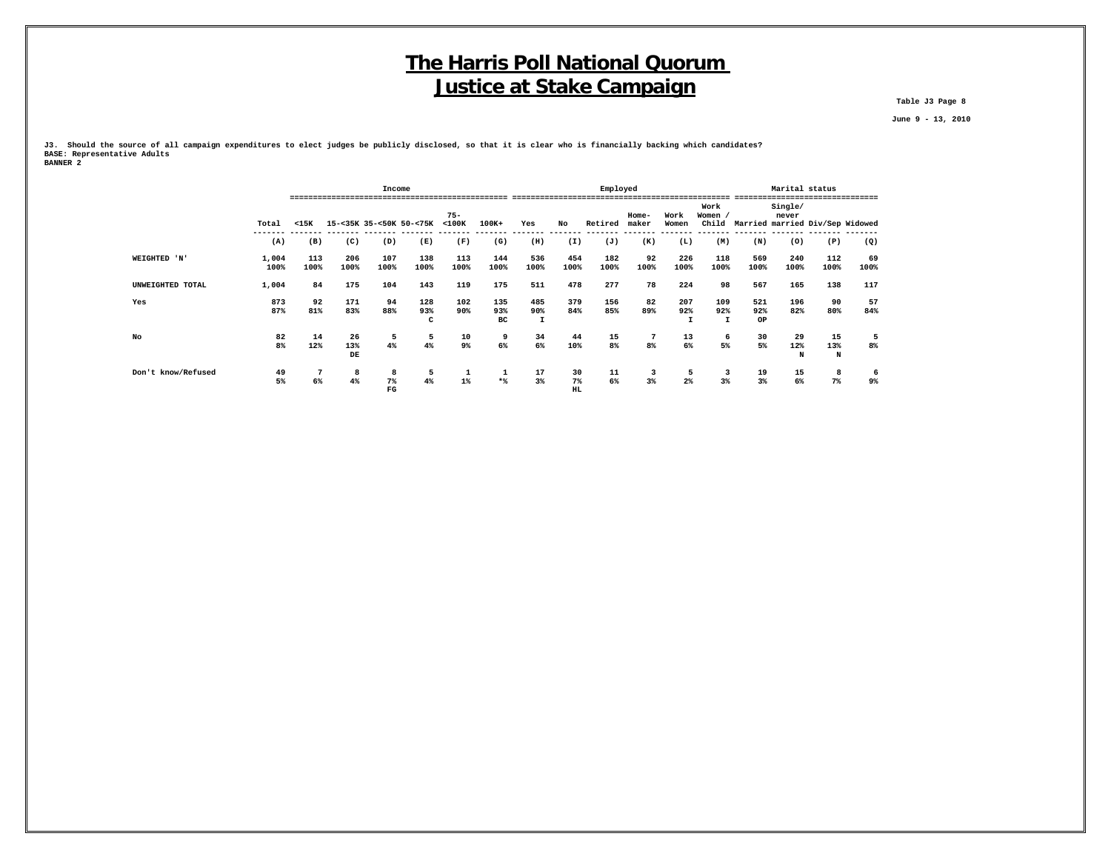**Table J3 Page 8**

 **June 9 - 13, 2010**

**J3. Should the source of all campaign expenditures to elect judges be publicly disclosed, so that it is clear who is financially backing which candidates? BASE: Representative Adults BANNER 2**

|                    |               |                      |                 | Income           |                         |                       |                  |                            |                          | Employed                                 |                |                     |                            |                  | Marital status   |                                       | .          |
|--------------------|---------------|----------------------|-----------------|------------------|-------------------------|-----------------------|------------------|----------------------------|--------------------------|------------------------------------------|----------------|---------------------|----------------------------|------------------|------------------|---------------------------------------|------------|
|                    | Total         | $15K$                |                 |                  | 15-<35K 35-<50K 50-<75K | $75 -$<br>$<$ 100 $K$ | $100K+$          | Yes                        | No                       | Retired                                  | Home-<br>maker | Work<br>Women       | Work<br>Women /            |                  | Single/<br>never | Child Married married Div/Sep Widowed |            |
|                    | (A)           | (B)                  | (C)             | (D)              | (E)                     | (F)                   | (G)              | (H)                        | (I)                      | (J)                                      | (K)            | (L)                 | (M)                        | (N)              | (0)              | (P)                                   | (Q)        |
| WEIGHTED 'N'       | 1,004<br>100% | 113<br>100%          | 206<br>100%     | 107<br>100%      | 138<br>100%             | 113<br>100%           | 144<br>100%      | 536<br>100%                | 454<br>100%              | 182<br>100%                              | 92<br>100%     | 226<br>100%         | 118<br>100%                | 569<br>100%      | 240<br>100%      | 112<br>100%                           | 69<br>100% |
| UNWEIGHTED TOTAL   | 1,004         | 84                   | 175             | 104              | 143                     | 119                   | 175              | 511                        | 478                      | 277                                      | 78             | 224                 | 98                         | 567              | 165              | 138                                   | 117        |
| Yes                | 873<br>87%    | 92<br>81%            | 171<br>83%      | 94<br>88%        | 128<br>93%<br>c         | 102<br>90%            | 135<br>93%<br>вc | 485<br>90%<br>$\mathbf{I}$ | 379<br>84%               | 156<br>85%                               | 82<br>89%      | 207<br>92%          | 109<br>92%<br>$\mathbf{I}$ | 521<br>92%<br>OP | 196<br>82%       | 90<br>80%                             | 57<br>84%  |
| No                 | 82<br>8%      | 14<br>12%            | 26<br>13%<br>DE | 5<br>4%          | 5<br>4%                 | 10<br>9%              | 9<br>6%          | 34<br>6%                   | 44<br>10%                | 15<br>8%                                 | 7<br>8%        | 13<br>6%            | -6<br>5%                   | 30<br>5%         | 29<br>12%<br>N   | 15<br>13%<br>N                        | 5<br>8%    |
| Don't know/Refused | 49<br>5%      | $\overline{7}$<br>6% | 8<br>4%         | 8<br>$7\%$<br>FG | 5<br>4%                 | $1\%$                 | л.<br>$*$        | $\frac{17}{3}$             | 30<br>$7\%$<br><b>HL</b> | $\begin{array}{c} 11 \\ 6\% \end{array}$ | 3<br>3%        | 5<br>2 <sup>°</sup> | 3<br>3%                    | 19<br>3%         | 15<br>$6\%$      | 8<br>$7\%$                            | 6<br>9%    |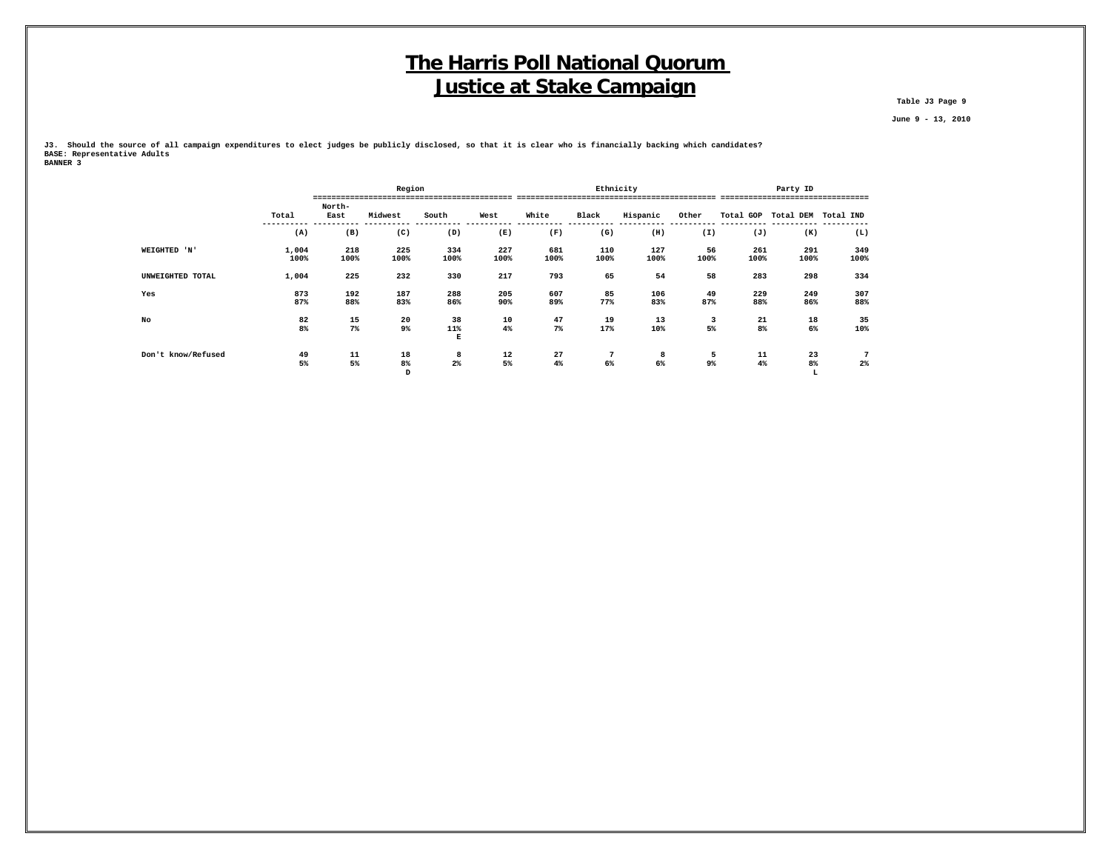**Table J3 Page 9**

 **June 9 - 13, 2010**

**J3. Should the source of all campaign expenditures to elect judges be publicly disclosed, so that it is clear who is financially backing which candidates? BASE: Representative Adults BANNER 3**

|                    |       |        | Region  |          |      |       | Ethnicity       |          |       |                     | Party ID |             |
|--------------------|-------|--------|---------|----------|------|-------|-----------------|----------|-------|---------------------|----------|-------------|
|                    |       |        |         |          |      |       |                 |          |       |                     |          | -----       |
|                    |       | North- |         |          |      |       |                 |          |       |                     |          |             |
|                    | Total | East   | Midwest | South    | West | White | Black           | Hispanic | Other | Total GOP Total DEM |          | Total IND   |
|                    | (A)   | (B)    | (C)     | (D)      | (E)  | (F)   | (G)             | (H)      | (I)   | (J)                 | (K)      | (L)         |
| WEIGHTED 'N'       | 1,004 | 218    | 225     | 334      | 227  | 681   | 110             | 127      | 56    | 261                 | 291      | 349         |
|                    | 100%  | 100%   | 100%    | 100%     | 100% | 100%  | 100%            | 100%     | 100%  | 100%                | 100%     | 100%        |
| UNWEIGHTED TOTAL   | 1,004 | 225    | 232     | 330      | 217  | 793   | 65              | 54       | 58    | 283                 | 298      | 334         |
| Yes                | 873   | 192    | 187     | 288      | 205  | 607   | 85              | 106      | 49    | 229                 | 249      | 307         |
|                    | 87%   | 88%    | 83%     | 86%      | 90%  | 89%   | 77%             | 83%      | 87%   | 88%                 | 86%      | 88%         |
| No                 | 82    | 15     | 20      | 38       | 10   | 47    | 19              | 13       | 3     | 21                  | 18       | 35          |
|                    | 8%    | $7\%$  | 9%      | 11%<br>Е | 4%   | $7\%$ | 17%             | 10%      | 5%    | 8%                  | 6%       | 10%         |
| Don't know/Refused | 49    | 11     | 18      | 8        | 12   | 27    | $7\phantom{.0}$ | 8        | 5     | 11                  | 23       | $7^{\circ}$ |
|                    | 5%    | 5%     | 8%      | $2\%$    | 5%   | 4%    | 6%              | 6%       | 9%    | 4%                  | 8%       | $2\%$       |
|                    |       |        | D       |          |      |       |                 |          |       |                     | r        |             |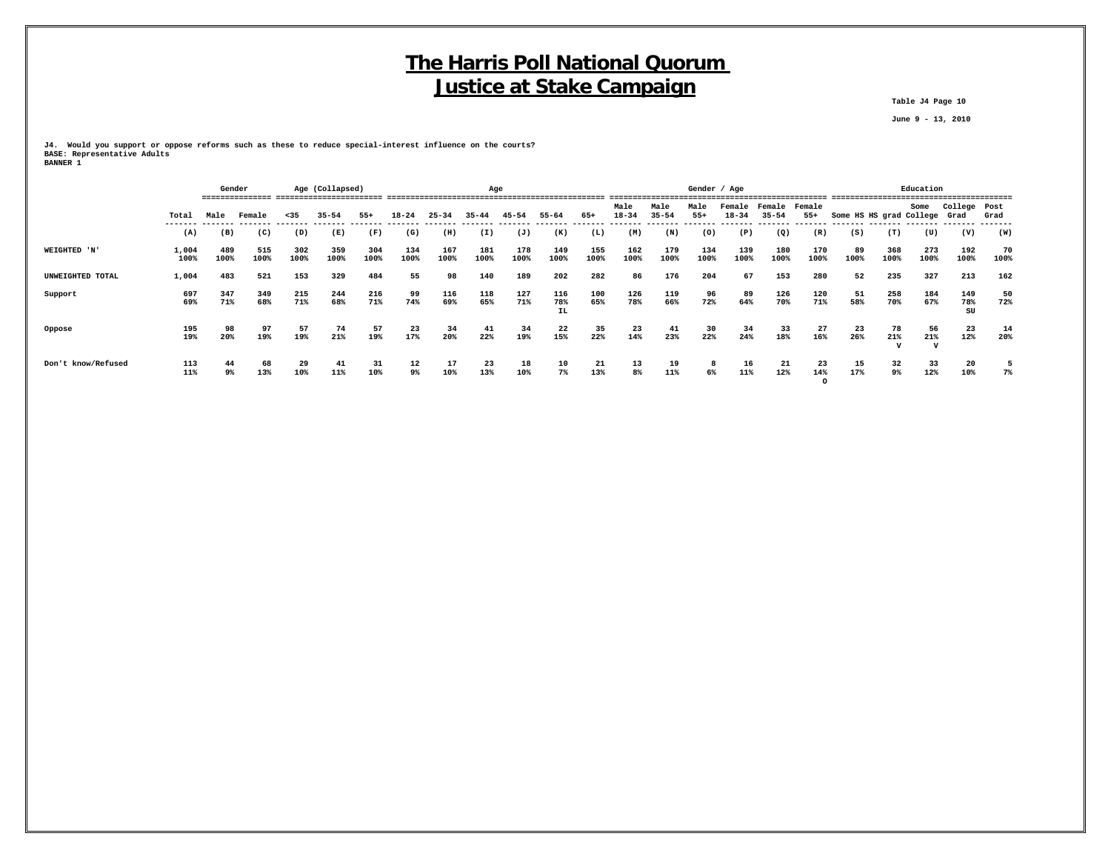**Table J4 Page 10**

 **June 9 - 13, 2010**

**J4. Would you support or oppose reforms such as these to reduce special-interest influence on the courts? BASE: Representative Adults BANNER 1**

|                    |                 |             | Gender      |             | Age (Collapsed) |             |             |             | Age         |             |                  |             |                   | Gender / Age      |               |                     |                     |                      |                              | Education   |                           |                  |            |
|--------------------|-----------------|-------------|-------------|-------------|-----------------|-------------|-------------|-------------|-------------|-------------|------------------|-------------|-------------------|-------------------|---------------|---------------------|---------------------|----------------------|------------------------------|-------------|---------------------------|------------------|------------|
|                    | Total<br>------ | Male        | Female      | $35$        | $35 - 54$       | $55+$       | $18 - 24$   | $25 - 34$   | $35 - 44$   | 45-54       | $55 - 64$        | 65+         | Male<br>$18 - 34$ | Male<br>$35 - 54$ | Male<br>$55+$ | Female<br>$18 - 34$ | Female<br>$35 - 54$ | Female<br>$55+$      | Some HS HS grad College Grad |             | Some                      | College Post     | Grad       |
|                    | (A)             | (B)         | (C)         | (D)         | (E)             | (F)         | (G)         | (H)         | (I)         | (J)         | (K)              | (L)         | (M)               | (N)               | (0)           | (P)                 | (Q)                 | (R)                  | (S)                          | (T)         | (U)                       | (V)              | (W)        |
| WEIGHTED 'N'       | 1,004<br>100%   | 489<br>100% | 515<br>100% | 302<br>100% | 359<br>100%     | 304<br>100% | 134<br>100% | 167<br>100% | 181<br>100% | 178<br>100% | 149<br>100%      | 155<br>100% | 162<br>100%       | 179<br>100%       | 134<br>100%   | 139<br>100%         | 180<br>100%         | 170<br>100%          | 89<br>100%                   | 368<br>100% | 273<br>100%               | 192<br>100%      | 70<br>100% |
| UNWEIGHTED TOTAL   | 1,004           | 483         | 521         | 153         | 329             | 484         | 55          | 98          | 140         | 189         | 202              | 282         | 86                | 176               | 204           | 67                  | 153                 | 280                  | 52                           | 235         | 327                       | 213              | 162        |
| Support            | 697<br>69%      | 347<br>71%  | 349<br>68%  | 215<br>71%  | 244<br>68%      | 216<br>71%  | 99<br>74%   | 116<br>69%  | 118<br>65%  | 127<br>71%  | 116<br>78%<br>IL | 100<br>65%  | 126<br>78%        | 119<br>66%        | 96<br>72%     | 89<br>64%           | 126<br>70%          | 120<br>71%           | 51<br>58%                    | 258<br>70%  | 184<br>67%                | 149<br>78%<br>SU | 50<br>72%  |
| Oppose             | 195<br>19%      | 98<br>20%   | 97<br>19%   | 57<br>19%   | 74<br>21%       | 57<br>19%   | 23<br>17%   | 34<br>20%   | 41<br>22%   | 34<br>19%   | 22<br>15%        | 35<br>22%   | 23<br>14%         | 41<br>23%         | 30<br>22%     | 34<br>24%           | 33<br>18%           | 27<br>16%            | 23<br>26%                    | 78<br>21%   | 56<br>21%<br>$\mathbf{v}$ | 23<br>12%        | 14<br>20%  |
| Don't know/Refused | 113<br>11%      | 44<br>9%    | 68<br>13%   | 29<br>10%   | 41<br>11%       | 31<br>10%   | 12<br>9%    | 17<br>10%   | 23<br>13%   | 18<br>10%   | 10<br>7%         | 21<br>13%   | 13<br>8%          | 19<br>11%         | 6%            | 16<br>11%           | 21<br>12%           | 23<br>14%<br>$\circ$ | 15<br>17%                    | 32<br>9%    | 33<br>12%                 | 20<br>10%        | 7%         |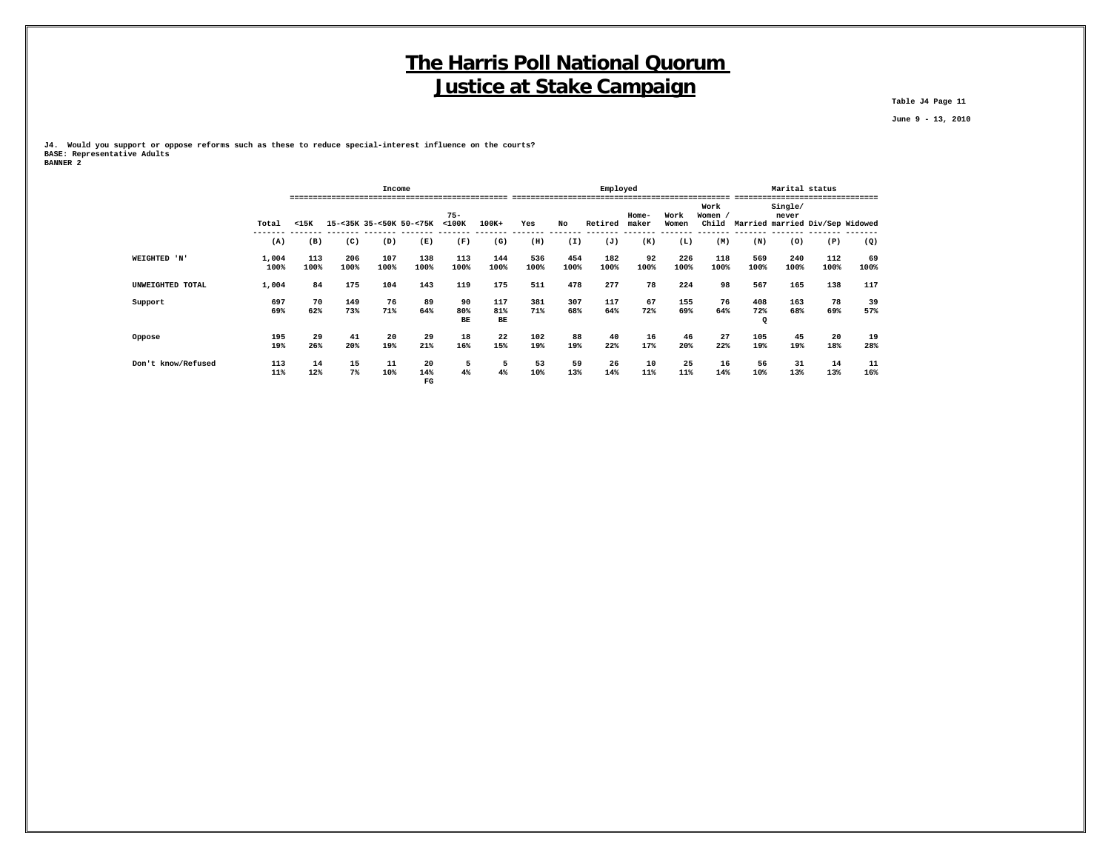**Table J4 Page 11**

 **June 9 - 13, 2010**

**J4. Would you support or oppose reforms such as these to reduce special-interest influence on the courts? BASE: Representative Adults BANNER 2**

|                    |               |             |             |             | Income                   |                       |                  |             |             | Employed    |                  |               |               |                           | Marital status   | -----------------                     |            |
|--------------------|---------------|-------------|-------------|-------------|--------------------------|-----------------------|------------------|-------------|-------------|-------------|------------------|---------------|---------------|---------------------------|------------------|---------------------------------------|------------|
|                    | Total         | $15K$       |             |             | 15-<35K 35-<50K 50-<75K  | $75 -$<br>$<$ 100 $<$ | $100K+$          | Yes         | No          | Retired     | $Home-$<br>maker | Work<br>Women | Work<br>Women |                           | Single/<br>never | Child Married married Div/Sep Widowed |            |
|                    | -----<br>(A)  | (B)         | (C)         | (D)         | (E)                      | (F)                   | (G)              | (H)         | (I)         | (J)         | (K)              | (L)           | (M)           | (N)                       | (0)              | (P)                                   | (Q)        |
| WEIGHTED 'N'       | 1,004<br>100% | 113<br>100% | 206<br>100% | 107<br>100% | 138<br>100%              | 113<br>100%           | 144<br>100%      | 536<br>100% | 454<br>100% | 182<br>100% | 92<br>100%       | 226<br>100%   | 118<br>100%   | 569<br>100%               | 240<br>100%      | 112<br>100%                           | 69<br>100% |
| UNWEIGHTED TOTAL   | 1,004         | 84          | 175         | 104         | 143                      | 119                   | 175              | 511         | 478         | 277         | 78               | 224           | 98            | 567                       | 165              | 138                                   | 117        |
| Support            | 697<br>69%    | 70<br>62%   | 149<br>73%  | 76<br>71%   | 89<br>64%                | 90<br>80%<br>BE       | 117<br>81%<br>BE | 381<br>71%  | 307<br>68%  | 117<br>64%  | 67<br>72%        | 155<br>69%    | 76<br>64%     | 408<br>72%<br>$\mathbf Q$ | 163<br>68%       | 78<br>69%                             | 39<br>57%  |
| Oppose             | 195<br>19%    | 29<br>26%   | 41<br>20%   | 20<br>19%   | 29<br>21%                | 18<br>16%             | 22<br>15%        | 102<br>19%  | 88<br>19%   | 40<br>22%   | 16<br>17%        | 46<br>20%     | 27<br>22%     | 105<br>19%                | 45<br>19%        | 20<br>18%                             | 19<br>28%  |
| Don't know/Refused | 113<br>11%    | 14<br>12%   | 15<br>7%    | 11<br>10%   | 20<br>14%<br>$_{\rm FG}$ | 5<br>4%               | 5<br>4%          | 53<br>10%   | 59<br>13%   | 26<br>14%   | 10<br>11%        | 25<br>11%     | 16<br>14%     | 56<br>10%                 | 31<br>13%        | 14<br>13%                             | 11<br>16%  |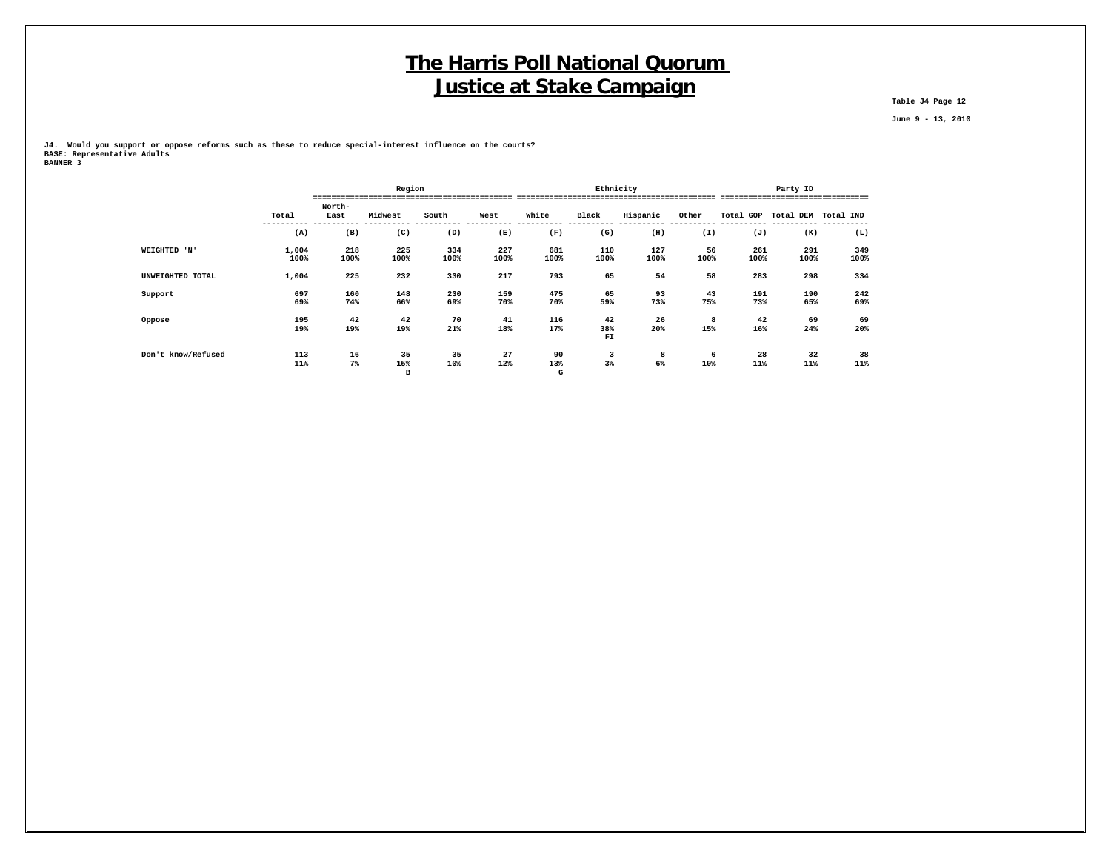**Table J4 Page 12**

 **June 9 - 13, 2010**

**J4. Would you support or oppose reforms such as these to reduce special-interest influence on the courts? BASE: Representative Adults BANNER 3**

|                    |               |                | Region         |             |             |                |                 | Ethnicity   |            |             | Party ID            |                                 |
|--------------------|---------------|----------------|----------------|-------------|-------------|----------------|-----------------|-------------|------------|-------------|---------------------|---------------------------------|
|                    | Total         | North-<br>East | Midwest        | South       | West        | White          | Black           | Hispanic    | Other      |             | Total GOP Total DEM | ------------------<br>Total IND |
|                    | (A)           | (B)            | (C)            | (D)         | (E)         | (F)            | (G)             | (H)         | (I)        | (J)         | (K)                 | (L)                             |
| WEIGHTED 'N'       | 1,004<br>100% | 218<br>100%    | 225<br>100%    | 334<br>100% | 227<br>100% | 681<br>100%    | 110<br>100%     | 127<br>100% | 56<br>100% | 261<br>100% | 291<br>100%         | 349<br>100%                     |
| UNWEIGHTED TOTAL   | 1,004         | 225            | 232            | 330         | 217         | 793            | 65              | 54          | 58         | 283         | 298                 | 334                             |
| Support            | 697<br>69%    | 160<br>74%     | 148<br>66%     | 230<br>69%  | 159<br>70%  | 475<br>70%     | 65<br>59%       | 93<br>73%   | 43<br>75%  | 191<br>73%  | 190<br>65%          | 242<br>69%                      |
| Oppose             | 195<br>19%    | 42<br>19%      | 42<br>19%      | 70<br>21%   | 41<br>18%   | 116<br>17%     | 42<br>38%<br>FI | 26<br>20%   | 8<br>15%   | 42<br>16%   | 69<br>24%           | 69<br>20%                       |
| Don't know/Refused | 113<br>11%    | 16<br>$7\%$    | 35<br>15%<br>в | 35<br>10%   | 27<br>12%   | 90<br>13%<br>G | 3<br>$3\%$      | 8<br>6%     | 6<br>10%   | 28<br>11%   | 32<br>11%           | 38<br>11%                       |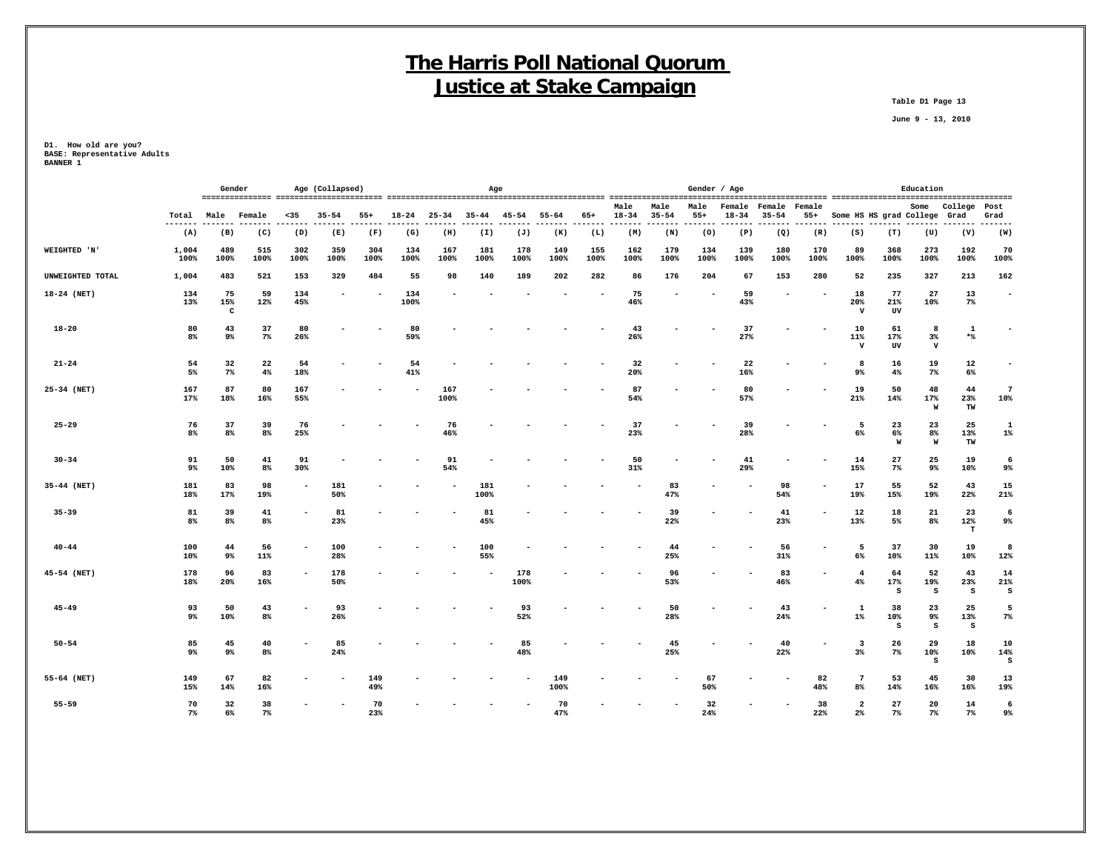**Table D1 Page 13**

 **June 9 - 13, 2010**

|                  |                |                | Gender               |             | Age (Collapsed) |             | Age<br>$18 - 24$<br>$25 - 34$<br>$35 - 44$<br>$55 - 64$<br>65+<br>45-54<br>-----<br>(G)<br>(H)<br>(I)<br>(J)<br>(K)<br>(L)<br>167<br>181<br>178<br>155<br>134<br>149<br>100%<br>100%<br>100%<br>100%<br>100%<br>100%<br>55<br>98<br>140<br>189<br>202<br>282<br>134<br>100% |             |             |             |             |  |                   |                   | Gender / Age  |                 |                     |                 |                                  |                 | Education                 |                 |                           |
|------------------|----------------|----------------|----------------------|-------------|-----------------|-------------|-----------------------------------------------------------------------------------------------------------------------------------------------------------------------------------------------------------------------------------------------------------------------------|-------------|-------------|-------------|-------------|--|-------------------|-------------------|---------------|-----------------|---------------------|-----------------|----------------------------------|-----------------|---------------------------|-----------------|---------------------------|
|                  | Total          | Male           | Female               | $35$        | $35 - 54$       | $55+$       |                                                                                                                                                                                                                                                                             |             |             |             |             |  | Male<br>$18 - 34$ | Male<br>$35 - 54$ | Male<br>$55+$ | Female<br>18-34 | Female<br>$35 - 54$ | Female<br>$55+$ | Some HS HS grad College          |                 | Some                      | College<br>Grad | Post<br>Grad              |
|                  | -------<br>(A) | (B)            | $- - -$<br>(C)       | ----<br>(D) | ----<br>(E)     | (F)         |                                                                                                                                                                                                                                                                             |             |             |             |             |  | -----<br>(M)      | -------<br>(N)    | ------<br>(0) | .<br>(P)        | -------<br>(Q)      | .<br>(R)        | -------<br>(S)                   | -------<br>(T)  | ---<br>(U)                | (V)             | .<br>(W)                  |
| WEIGHTED 'N'     | 1,004<br>100%  | 489<br>100%    | 515<br>100%          | 302<br>100% | 359<br>100%     | 304<br>100% |                                                                                                                                                                                                                                                                             |             |             |             |             |  | 162<br>100%       | 179<br>100%       | 134<br>100%   | 139<br>100%     | 180<br>100%         | 170<br>100%     | 89<br>100%                       | 368<br>100%     | 273<br>100%               | 192<br>100%     | 70<br>100%                |
| UNWEIGHTED TOTAL | 1,004          | 483            | 521                  | 153         | 329             | 484         |                                                                                                                                                                                                                                                                             |             |             |             |             |  | 86                | 176               | 204           | 67              | 153                 | 280             | 52                               | 235             | 327                       | 213             | 162                       |
| 18-24 (NET)      | 134<br>13%     | 75<br>15%<br>c | 59<br>12%            | 134<br>45%  |                 |             |                                                                                                                                                                                                                                                                             |             |             |             |             |  | 75<br>46%         |                   |               | 59<br>43%       |                     |                 | 18<br>20%<br>$\mathbf v$         | 77<br>21%<br>UV | 27<br>10%                 | 13<br>7%        | $\overline{\phantom{a}}$  |
| $18 - 20$        | 80<br>$8\%$    | 43<br>9%       | 37<br>$7\%$          | 80<br>26%   |                 |             | 80<br>59%                                                                                                                                                                                                                                                                   |             |             |             |             |  | 43<br>26%         |                   |               | 37<br>27%       |                     |                 | 10<br>11%<br>$\mathbf{v}$        | 61<br>17%<br>UV | 8<br>$3\%$<br>$\mathbf v$ | 1<br>$*$ $\ast$ | $\blacksquare$            |
| $21 - 24$        | 54<br>5%       | 32<br>$7\%$    | 22<br>$4\%$          | 54<br>18%   |                 |             | 54<br>41%                                                                                                                                                                                                                                                                   |             |             |             |             |  | 32<br>20%         |                   |               | 22<br>16%       |                     |                 | -8<br>9%                         | 16<br>4%        | 19<br>$7\%$               | 12<br>6%        |                           |
| 25-34 (NET)      | 167<br>17%     | 87<br>18%      | 80<br>16%            | 167<br>55%  |                 |             |                                                                                                                                                                                                                                                                             | 167<br>100% |             |             |             |  | 87<br>54%         |                   |               | 80<br>57%       |                     |                 | 19<br>21%                        | 50<br>14%       | 48<br>17%<br>W            | 44<br>23%<br>TW | $\overline{7}$<br>10%     |
| $25 - 29$        | 76<br>$8\%$    | 37<br>8%       | 39<br>8%             | 76<br>25%   |                 |             |                                                                                                                                                                                                                                                                             | 76<br>46%   |             |             |             |  | 37<br>23%         |                   |               | 39<br>28%       |                     |                 | 5<br>6%                          | 23<br>6%<br>W   | 23<br>8%<br>W             | 25<br>13%<br>TW | 1<br>$1\%$                |
| $30 - 34$        | 91<br>9%       | 50<br>10%      | 41<br>8%             | 91<br>30%   |                 |             |                                                                                                                                                                                                                                                                             | 91<br>54%   |             |             |             |  | 50<br>31%         |                   |               | 41<br>29%       |                     |                 | 14<br>15%                        | 27<br>$7\%$     | 25<br>9%                  | 19<br>10%       | 6<br>9%                   |
| 35-44 (NET)      | 181<br>18%     | 83<br>17%      | 98<br>19%            |             | 181<br>50%      |             |                                                                                                                                                                                                                                                                             |             | 181<br>100% |             |             |  |                   | 83<br>47%         |               |                 | 98<br>54%           |                 | 17<br>19%                        | 55<br>15%       | 52<br>19%                 | 43<br>22%       | 15<br>21%                 |
| $35 - 39$        | 81<br>8%       | 39<br>8%       | 41<br>8 <sup>8</sup> |             | 81<br>23%       |             |                                                                                                                                                                                                                                                                             |             | 81<br>45%   |             |             |  |                   | 39<br>22%         |               |                 | 41<br>23%           |                 | 12<br>13%                        | 18<br>5%        | 21<br>8%                  | 23<br>12%<br>т  | 6<br>9%                   |
| $40 - 44$        | 100<br>10%     | 44<br>9%       | 56<br>11%            |             | 100<br>28%      |             |                                                                                                                                                                                                                                                                             |             | 100<br>55%  |             |             |  |                   | 44<br>25%         |               |                 | 56<br>31%           |                 | 5<br>6%                          | 37<br>10%       | 30<br>11%                 | 19<br>10%       | 8<br>12%                  |
| 45-54 (NET)      | 178<br>18%     | 96<br>20%      | 83<br>16%            |             | 178<br>50%      |             |                                                                                                                                                                                                                                                                             |             |             | 178<br>100% |             |  |                   | 96<br>53%         |               |                 | 83<br>46%           |                 | $\overline{\mathbf{4}}$<br>4%    | 64<br>17%<br>s  | 52<br>19%<br>s            | 43<br>23%<br>s  | 14<br>21%<br>$\mathtt{s}$ |
| $45 - 49$        | 93<br>$9\%$    | 50<br>10%      | 43<br>8%             |             | 93<br>26%       |             |                                                                                                                                                                                                                                                                             |             |             | 93<br>52%   |             |  |                   | 50<br>28%         |               |                 | 43<br>24%           |                 | 1<br>$1\%$                       | 38<br>10%<br>s  | 23<br>9%<br>s             | 25<br>13%<br>s  | 5<br>$7\%$                |
| $50 - 54$        | 85<br>9%       | 45<br>9%       | 40<br>8%             |             | 85<br>24%       |             |                                                                                                                                                                                                                                                                             |             |             | 85<br>48%   |             |  |                   | 45<br>25%         |               |                 | 40<br>22%           |                 | -3<br>$3\%$                      | 26<br>$7\%$     | 29<br>10%<br>s            | 18<br>10%       | 10<br>14%<br>S            |
| 55-64 (NET)      | 149<br>15%     | 67<br>14%      | 82<br>16%            |             |                 | 149<br>49%  |                                                                                                                                                                                                                                                                             |             |             | ٠           | 149<br>100% |  |                   |                   | 67<br>50%     |                 |                     | 82<br>48%       | $7\phantom{.0}$<br>8%            | 53<br>14%       | 45<br>16%                 | 30<br>16%       | 13<br>19%                 |
| $55 - 59$        | 70<br>7%       | 32<br>6%       | 38<br>7 <sup>8</sup> |             |                 | 70<br>23%   |                                                                                                                                                                                                                                                                             |             |             |             | 70<br>47%   |  |                   |                   | 32<br>24%     |                 |                     | 38<br>22%       | $\overline{a}$<br>2 <sup>8</sup> | 27<br>7%        | 20<br>$7\%$               | 14<br>$7\%$     | 6<br>9%                   |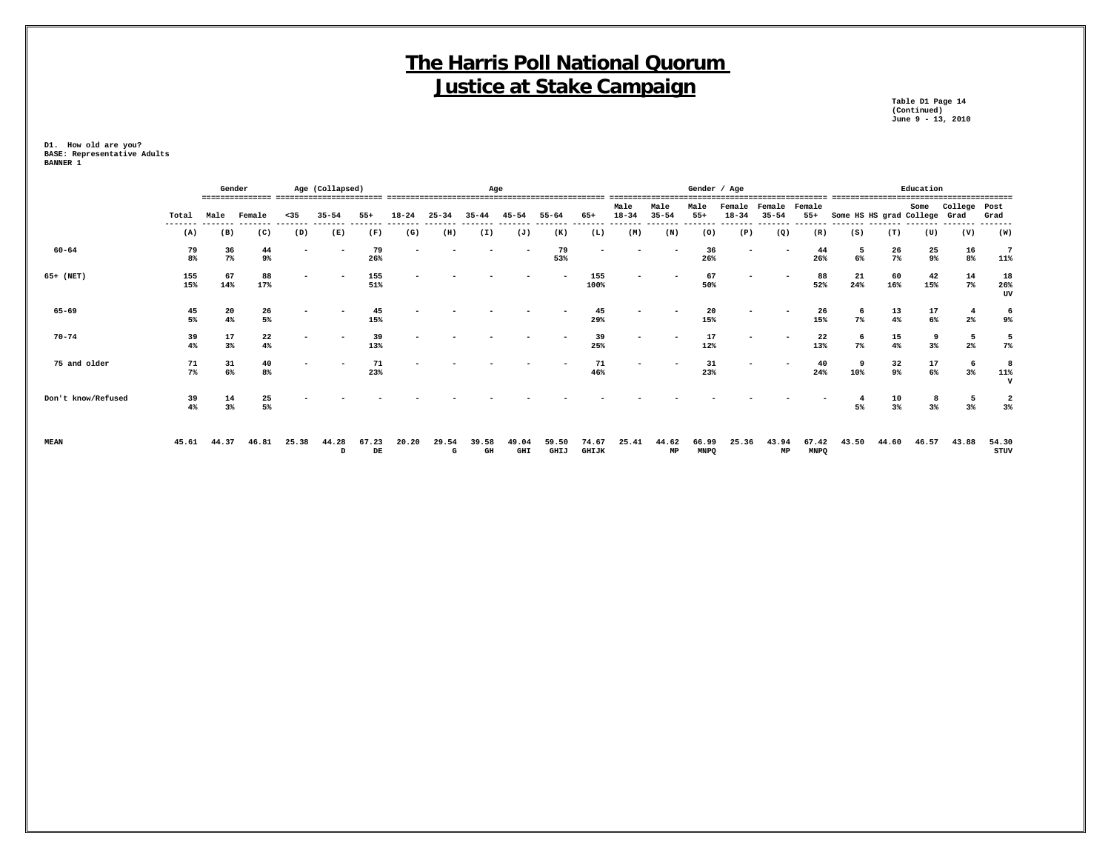**Table D1 Page 14 Table D1 Page 14<br>(Continued)<br>June 9 - 13, 2010 June 9 - 13, 2010**

|                    |               | Gender      |                  |                          | Age (Collapsed) |                      | Age       |            |                                 |              |               |                |                   |                   | Gender / Age         |                          |                     |                      |                              |                  | Education                                |                      |                          |
|--------------------|---------------|-------------|------------------|--------------------------|-----------------|----------------------|-----------|------------|---------------------------------|--------------|---------------|----------------|-------------------|-------------------|----------------------|--------------------------|---------------------|----------------------|------------------------------|------------------|------------------------------------------|----------------------|--------------------------|
|                    | Total         | Male        | Female           | $35$                     | $35 - 54$       | $55+$                | $18 - 24$ | $25 - 34$  | $35 - 44$                       | $45 - 54$    | $55 - 64$     | $65+$          | Male<br>$18 - 34$ | Male<br>$35 - 54$ | Male<br>$55+$        | Female<br>$18 - 34$      | Female<br>$35 - 54$ | Female<br>$55+$      | Some HS HS grad College Grad |                  | Some                                     | College Post         | Grad                     |
|                    | ------<br>(A) | (B)         | (C)              | (D)                      | (E)             | (F)                  | (G)       | (H)        | (I)                             | (J)          | (K)           | (L)            | (M)               | (N)               | (0)                  | (P)                      | (Q)                 | (R)                  | (S)                          | (T)              | (U)                                      | (V)                  | (W)                      |
| $60 - 64$          | 79<br>8%      | 36<br>$7\%$ | 44<br>9%         |                          |                 | 79<br>26%            |           |            |                                 |              | 79<br>53%     |                |                   |                   | 36<br>26%            | $\overline{\phantom{0}}$ |                     | 44<br>26%            | 5<br>6%                      | 26<br>$7\%$      | 25<br>9%                                 | 16<br>8%             | $7\phantom{.0}$<br>11%   |
| 65+ (NET)          | 155<br>15%    | 67<br>14%   | 88<br>17%        | $\overline{\phantom{a}}$ |                 | 155<br>51%           |           |            |                                 |              |               | 155<br>100%    |                   |                   | 67<br>50%            | ۰                        |                     | 88<br>52%            | 21<br>24%                    | 60<br>16%        | 42<br>15%                                | 14<br>7%             | 18<br>26%<br>UV          |
| 65-69              | 45<br>5%      | 20<br>4%    | 26<br>5%         | ۰                        |                 | 45<br>15%            |           |            |                                 |              |               | 45<br>29%      |                   |                   | 20<br>15%            | -                        |                     | 26<br>15%            | 6<br>7%                      | 13<br>4%         | $\begin{array}{c} 17 \\ 6\% \end{array}$ | $\overline{4}$<br>2% | 6<br>9%                  |
| $70 - 74$          | 39<br>4%      | 17<br>3%    | 22<br>4%         | ۰                        |                 | 39<br>13%            |           |            |                                 |              |               | 39<br>25%      |                   |                   | 17<br>12%            | -                        |                     | 22<br>13%            | 6<br>7%                      | 15<br>4%         | 9<br>$3\%$                               | 5<br>2%              | $7\%$                    |
| 75 and older       | 71<br>$7\%$   | 31<br>$6\%$ | 40<br>8%         | $\overline{\phantom{a}}$ |                 | 71<br>23%            |           |            |                                 |              |               | 71<br>46%      |                   |                   | 31<br>23%            | ۰                        |                     | 40<br>24%            | 9<br>10%                     | 32<br>9%         | 17<br>$6\%$                              | 6<br>$3\%$           | 8<br>11%<br>$\mathbf{v}$ |
| Don't know/Refused | 39<br>4%      | 14<br>$3\%$ | $\frac{25}{5\%}$ |                          |                 |                      |           |            |                                 |              |               |                |                   |                   |                      |                          |                     |                      | 4<br>5%                      | $\frac{10}{3\%}$ | 8<br>3%                                  | 5<br>3%              | $\mathbf{2}$<br>3%       |
| <b>MEAN</b>        | 45.61         | 44.37       | 46.81            | 25.38                    | 44.28<br>D      | 67.23<br>$_{\rm DE}$ | 20.20     | 29.54<br>G | 39.58<br>$\mathbf{G}\mathbf{H}$ | 49.04<br>GHI | 59.50<br>GHIJ | 74.67<br>GHIJK | 25.41             | 44.62<br>MP       | 66.99<br><b>MNPQ</b> | 25.36                    | 43.94<br>MP         | 67.42<br><b>MNPQ</b> | 43.50                        | 44.60            | 46.57                                    | 43.88                | 54.30<br>STUV            |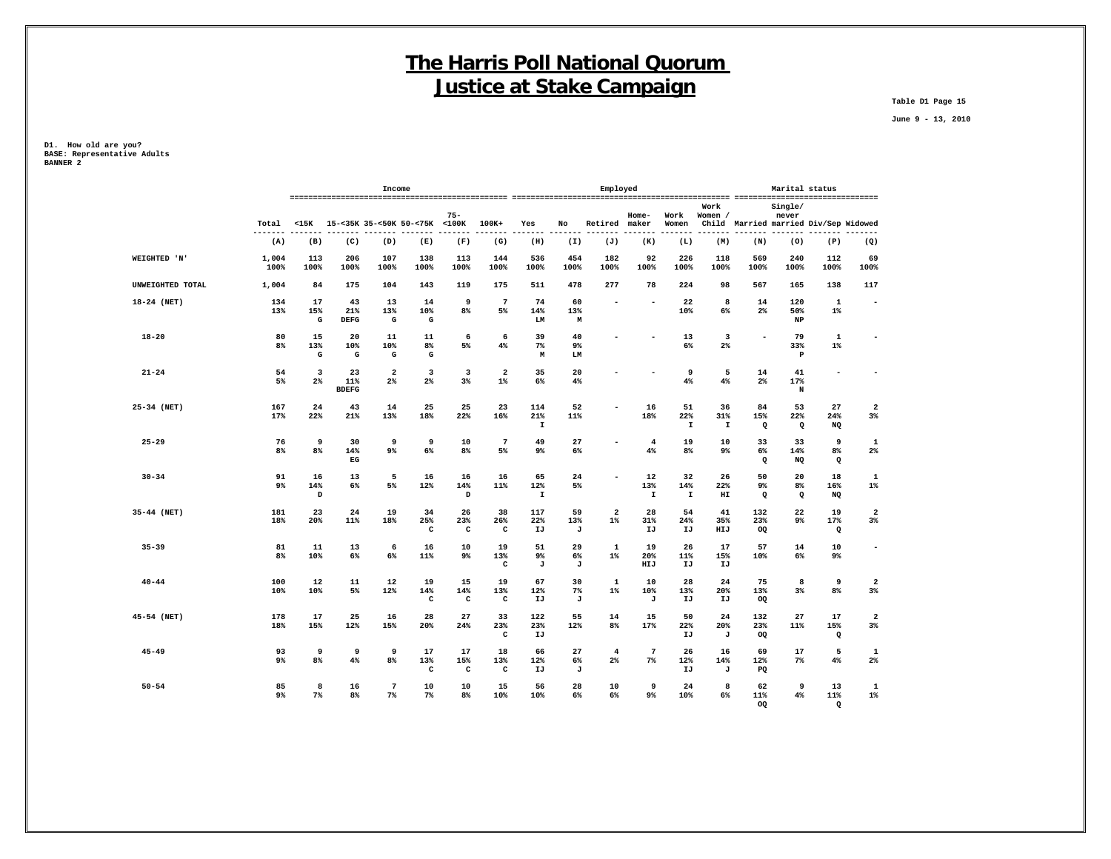**Table D1 Page 15**

 **June 9 - 13, 2010**

|                  |                    |                                          |                                    | Income                           |                           |                           |                           |                          |                  | Employed                |                          |                           |                           |                                       | Marital status             |                           |                          |
|------------------|--------------------|------------------------------------------|------------------------------------|----------------------------------|---------------------------|---------------------------|---------------------------|--------------------------|------------------|-------------------------|--------------------------|---------------------------|---------------------------|---------------------------------------|----------------------------|---------------------------|--------------------------|
|                  | Total<br>$- - - -$ |                                          | <15K 15-<35K 35-<50K 50-<75K <100K |                                  |                           | $75 -$                    | 100K+                     | Yes                      | No               | Retired maker           | Home-                    | Work<br>Women             | Work<br>Women /           | Child Married married Div/Sep Widowed | Single/<br>never           |                           |                          |
|                  | (A)                | (B)                                      | (C)                                | (D)                              | (E)                       | (F)                       | (G)                       | (H)                      | (I)              | (J)                     | (K)                      | (L)                       | (M)                       | (N)                                   | (0)                        | (P)                       | (Q)                      |
| WEIGHTED 'N'     | 1,004<br>100%      | 113<br>100%                              | 206<br>100%                        | 107<br>100%                      | 138<br>100%               | 113<br>100%               | 144<br>100%               | 536<br>100%              | 454<br>100%      | 182<br>100%             | 92<br>100%               | 226<br>100%               | 118<br>100%               | 569<br>100%                           | 240<br>100%                | 112<br>100%               | 69<br>100%               |
| UNWEIGHTED TOTAL | 1,004              | 84                                       | 175                                | 104                              | 143                       | 119                       | 175                       | 511                      | 478              | 277                     | 78                       | 224                       | 98                        | 567                                   | 165                        | 138                       | 117                      |
| 18-24 (NET)      | 134<br>13%         | 17<br>15%<br>$\mathbf G$                 | 43<br>21%<br><b>DEFG</b>           | 13<br>13%<br>G                   | 14<br>10%<br>${\bf G}$    | 9<br>8 <sup>8</sup>       | $7\phantom{.0}$<br>5%     | 74<br>14%<br>LM          | 60<br>13%<br>M   |                         | $\overline{\phantom{a}}$ | 22<br>10%                 | 8<br>$6\%$                | 14<br>$2\%$                           | 120<br>50%<br>$_{\rm NP}$  | 1<br>$1\%$                | $\overline{\phantom{a}}$ |
| $18 - 20$        | 80<br>8%           | 15<br>13%<br>$\mathbf G$                 | 20<br>10%<br>G                     | 11<br>10%<br>G                   | 11<br>8%<br>G             | 6<br>5%                   | 6<br>$4\%$                | 39<br>7%<br>М            | 40<br>9%<br>LM   |                         | $\overline{\phantom{a}}$ | 13<br>6%                  | 3<br>2%                   | $\overline{\phantom{a}}$              | 79<br>33%<br>$\, {\bf P}$  | 1<br>$1\%$                | $\overline{\phantom{a}}$ |
| $21 - 24$        | 54<br>5%           | 3<br>$2\%$                               | 23<br>11%<br><b>BDEFG</b>          | $\overline{\mathbf{2}}$<br>$2\%$ | 3<br>$2\%$                | 3<br>3%                   | 2<br>$1\%$                | 35<br>6%                 | 20<br>$4\%$      |                         | ۰                        | 9<br>4%                   | 5<br>4%                   | 14<br>$2\%$                           | 41<br>17%<br>N             | $\overline{\phantom{a}}$  |                          |
| 25-34 (NET)      | 167<br>17%         | 24<br>22%                                | 43<br>21%                          | 14<br>13%                        | 25<br>18%                 | 25<br>22%                 | 23<br>16%                 | 114<br>21%<br>I          | 52<br>11%        |                         | 16<br>18%                | 51<br>22%<br>$\mathbf{I}$ | 36<br>31%<br>$\mathbf{I}$ | 84<br>15%<br>$\mathbf{Q}$             | 53<br>22%<br>Q             | 27<br>24%<br>NQ           | $\overline{2}$<br>3%     |
| $25 - 29$        | 76<br>8%           | 9<br>8%                                  | 30<br>14%<br>EG                    | 9<br>9%                          | 9<br>$6\%$                | 10<br>8 <sup>8</sup>      | $7\phantom{.0}$<br>5%     | 49<br>9%                 | 27<br>$6\%$      |                         | $\overline{4}$<br>4%     | 19<br>8%                  | 10<br>9%                  | 33<br>6%<br>$\mathbf{Q}$              | 33<br>14%<br>NQ            | 9<br>8%<br>$\mathbf{Q}$   | 1<br>2 <sup>°</sup>      |
| $30 - 34$        | 91<br>$9\%$        | 16<br>14%<br>$\, {\scriptstyle {\rm D}}$ | 13<br>6%                           | 5<br>5%                          | 16<br>12%                 | 16<br>14%<br>D            | 16<br>11%                 | 65<br>12%<br>$\mathbf I$ | 24<br>5%         |                         | 12<br>13%<br>$\mathbf T$ | 32<br>14%<br>$\mathtt I$  | 26<br>22%<br>HI           | 50<br>9%<br>$\mathbf{Q}$              | 20<br>$8\%$<br>$\mathbf Q$ | 18<br>16%<br>NQ           | 1<br>$1\%$               |
| 35-44 (NET)      | 181<br>18%         | 23<br>20%                                | 24<br>11%                          | 19<br>18%                        | 34<br>25%<br>c            | 26<br>23%<br>$\mathtt{C}$ | 38<br>26%<br>c            | 117<br>22%<br>IJ         | 59<br>13%<br>J   | $\overline{a}$<br>$1\%$ | 28<br>31%<br>IJ          | 54<br>24%<br>IJ           | 41<br>35%<br>HIJ          | 132<br>23%<br>OQ                      | 22<br>9%                   | 19<br>17%<br>$\mathbf Q$  | $\overline{2}$<br>3%     |
| $35 - 39$        | 81<br>8%           | 11<br>10%                                | 13<br>6%                           | 6<br>6%                          | 16<br>11%                 | 10<br>9%                  | 19<br>13%<br>C            | 51<br>9%<br>J            | 29<br>6%<br>J    | 1<br>$1\%$              | 19<br>20%<br>HIJ         | 26<br>11%<br>IJ           | 17<br>15%<br>IJ           | 57<br>10%                             | 14<br>6%                   | 10<br>9%                  | $\overline{\phantom{a}}$ |
| $40 - 44$        | 100<br>10%         | 12<br>10%                                | 11<br>5%                           | $12 \overline{ }$<br>12%         | 19<br>14%<br>с            | 15<br>14%<br>c            | 19<br>13%<br>c            | 67<br>12%<br>IJ          | 30<br>$7\%$<br>J | 1<br>$1\%$              | 10<br>10%<br>J           | 28<br>13%<br>IJ           | 24<br>20%<br>IJ           | 75<br>13%<br>OQ                       | 8<br>$3\%$                 | 9<br>8%                   | $\overline{a}$<br>3%     |
| 45-54 (NET)      | 178<br>18%         | 17<br>15%                                | 25<br>12%                          | 16<br>15%                        | 28<br>20%                 | 27<br>24%                 | 33<br>23%<br>c            | 122<br>23%<br>IJ         | 55<br>12%        | 14<br>8%                | 15<br>17%                | 50<br>22%<br>IJ           | 24<br>20%<br>J            | 132<br>23%<br>OQ                      | 27<br>11%                  | 17<br>15%<br>$\mathbf{Q}$ | $\overline{a}$<br>$3\%$  |
| $45 - 49$        | 93<br>$9\%$        | 9<br>8%                                  | 9<br>4%                            | 9<br>8 <sup>°</sup>              | 17<br>13%<br>$\mathtt{C}$ | 17<br>15%<br>$\mathtt{C}$ | 18<br>13%<br>$\mathtt{C}$ | 66<br>12%<br>IJ          | 27<br>6%<br>J    | $\overline{4}$<br>$2\%$ | $7\phantom{.0}$<br>7%    | 26<br>12%<br>IJ           | 16<br>14%<br>J            | 69<br>12%<br>PQ                       | 17<br>7%                   | 5<br>4%                   | $\mathbf{1}$<br>2%       |
| $50 - 54$        | 85<br>$9\%$        | 8<br>$7\%$                               | 16<br>8%                           | $7\phantom{.0}$<br>$7\%$         | 10<br>7%                  | 10<br>8 <sup>8</sup>      | 15<br>10%                 | 56<br>10%                | 28<br>6%         | 10<br>6%                | 9<br>$9\%$               | 24<br>10%                 | 8<br>6%                   | 62<br>11%<br>OQ                       | 9<br>4%                    | 13<br>11%<br>$\mathbf Q$  | 1<br>$1\%$               |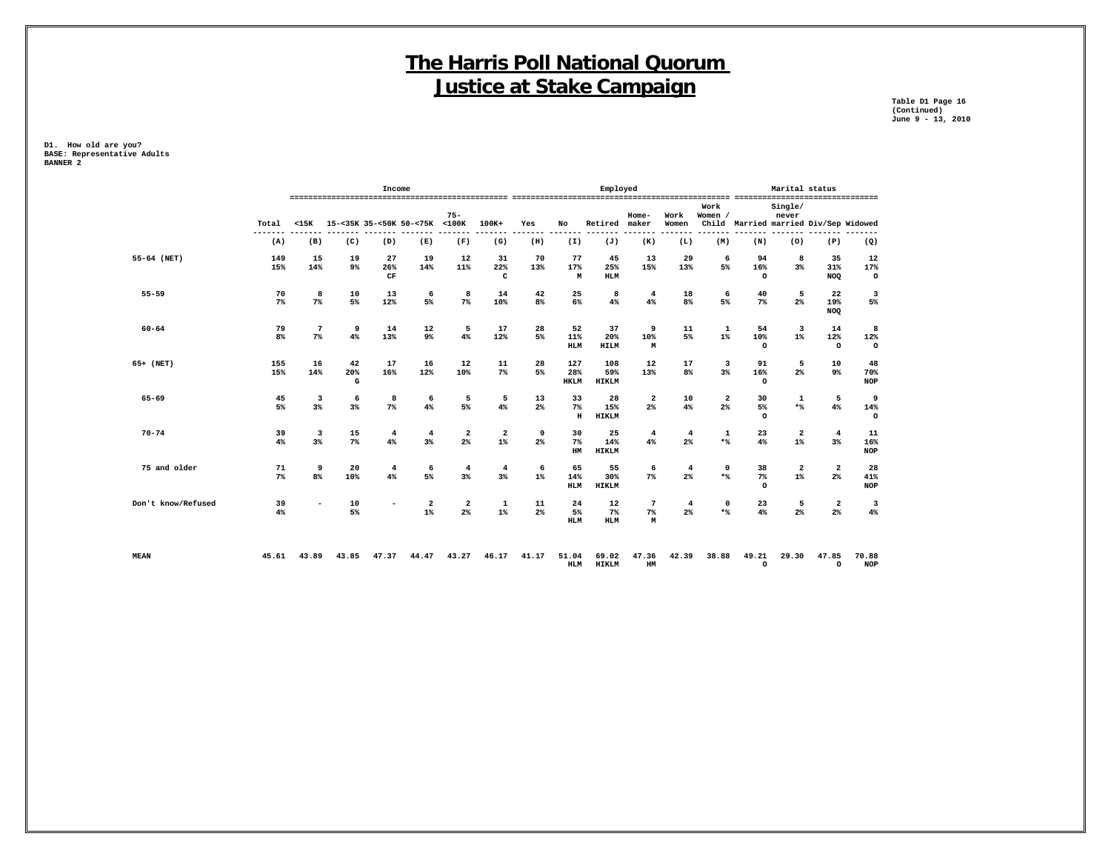**Table D1 Page 16 (Continued) June 9 - 13, 2010**

|                                |                          |                | Income               |                                  |                       |                      |                          |                           | Employed                   |                                     |                      |                      |                        | Marital status                   |                                       |                               |
|--------------------------------|--------------------------|----------------|----------------------|----------------------------------|-----------------------|----------------------|--------------------------|---------------------------|----------------------------|-------------------------------------|----------------------|----------------------|------------------------|----------------------------------|---------------------------------------|-------------------------------|
| Total                          | $15K$                    |                |                      | 15-<35K 35-<50K 50-<75K          | $75 -$<br>$<$ 100 $K$ | 100K+                | Yes                      | No                        | Retired                    | $Home-$<br>maker                    | Work<br>Women        | Work<br>Women /      |                        | Single/<br>never                 | Child Married married Div/Sep Widowed |                               |
| (A)                            | (B)                      | (C)            | (D)                  | (E)                              | (F)                   | (G)                  | (H)                      | (I)                       | (J)                        | (K)                                 | (L)                  | (M)                  | (N)                    | (0)                              | (P)                                   | (Q)                           |
| 55-64 (NET)<br>149<br>15%      | 15<br>14%                | 19<br>9%       | 27<br>26%<br>CF      | 19<br>14%                        | 12<br>11%             | 31<br>22%<br>C       | 70<br>13%                | 77<br>17%<br>M            | 45<br>25%<br><b>HLM</b>    | 13<br>15%                           | 29<br>13%            | 6<br>5%              | 94<br>16%<br>$\circ$   | 8<br>3%                          | 35<br>31%<br><b>NOQ</b>               | 12<br>17%<br>$\circ$          |
| $55 - 59$<br>70<br>$7\%$       | 8<br>$7\%$               | 10<br>5%       | 13<br>12%            | 6<br>5%                          | 8<br>$7\%$            | 14<br>10%            | 42<br>8%                 | 25<br>6%                  | 8<br>4%                    | $\overline{4}$<br>4%                | 18<br>8%             | 6<br>5%              | 40<br>$7\%$            | 5<br>2 <sup>8</sup>              | 22<br>19%<br><b>NOQ</b>               | 3<br>5%                       |
| $60 - 64$<br>79<br>8%          | $\overline{7}$<br>$7\%$  | 9<br>4%        | 14<br>13%            | 12<br>9%                         | 5<br>4%               | 17<br>12%            | 28<br>5%                 | 52<br>11%<br><b>HLM</b>   | 37<br>20%<br><b>HILM</b>   | 9<br>10%<br>M                       | 11<br>5%             | 1<br>$1\%$           | 54<br>10%<br>$\circ$   | $\overline{\mathbf{3}}$<br>$1\%$ | 14<br>12%<br>$\circ$                  | 8<br>12%<br>$\circ$           |
| 65+ (NET)<br>155<br>15%        | 16<br>14%                | 42<br>20%<br>G | 17<br>16%            | 16<br>12%                        | 12<br>10%             | 11<br>$7\%$          | 28<br>5%                 | 127<br>28%<br><b>HKLM</b> | 108<br>59%<br><b>HIKLM</b> | 12<br>13%                           | 17<br>8%             | 3<br>3%              | 91<br>16%<br>$\circ$   | 5<br>2 <sup>8</sup>              | 10<br>9%                              | 48<br>70%<br><b>NOP</b>       |
| $65 - 69$<br>45<br>5%          | 3<br>3%                  | 6<br>3%        | 8<br>7%              | 6<br>4%                          | 5<br>5%               | 5<br>4%              | 13<br>$2\%$              | 33<br>7%<br>$\mathbf H$   | 28<br>15%<br><b>HIKLM</b>  | $\overline{\mathbf{2}}$<br>$2\%$    | 10<br>4%             | $\overline{a}$<br>2% | 30<br>5%<br>$\circ$    | 1<br>$*$                         | 5<br>4%                               | 9<br>14%<br>$\circ$           |
| $70 - 74$<br>39<br>4%          | 3<br>$3\%$               | 15<br>7%       | $\overline{4}$<br>4% | $\overline{4}$<br>3%             | 2<br>$2\%$            | 2<br>$1\%$           | 9<br>$2\%$               | 30<br>7%<br>HM            | 25<br>14%<br><b>HIKLM</b>  | $\overline{4}$<br>4%                | $\overline{4}$<br>2% | 1<br>$*$             | 23<br>4%               | $\overline{\mathbf{2}}$<br>$1\%$ | 4<br>$3\%$                            | 11<br>16%<br><b>NOP</b>       |
| 75 and older<br>71<br>$7\%$    | 9<br>8%                  | 20<br>10%      | 4<br>4%              | 6<br>5%                          | $\overline{4}$<br>3%  | $\overline{4}$<br>3% | 6<br>$1\%$               | 65<br>14%<br><b>HLM</b>   | 55<br>30%<br><b>HIKLM</b>  | 6<br>7%                             | 4<br>2%              | $\mathbf 0$<br>$*$   | 38<br>$7\%$<br>$\circ$ | 2<br>$1\%$                       | 2<br>$2\%$                            | 28<br>41%<br><b>NOP</b>       |
| Don't know/Refused<br>39<br>4% | $\overline{\phantom{a}}$ | 10<br>5%       |                      | $\overline{\mathbf{2}}$<br>$1\%$ | 2<br>$2\%$            | 1<br>$1\%$           | $11\,$<br>2 <sup>°</sup> | 24<br>5%<br><b>HLM</b>    | 12<br>$7\%$<br><b>HLM</b>  | $7\phantom{.0}$<br>$7\%$<br>M       | $\overline{4}$<br>2% | $\mathbf 0$<br>$*$   | 23<br>4%               | 5<br>2 <sup>8</sup>              | $\mathbf{2}$<br>2 <sup>°</sup>        | $\overline{\mathbf{3}}$<br>4% |
| MEAN<br>45.61                  | 43.89                    | 43.85          | 47.37                | 44.47                            | 43.27                 | 46.17                | 41.17                    | 51.04<br><b>HLM</b>       | 69.02<br><b>HIKLM</b>      | 47.36<br>$\mathop{\rm HM}\nolimits$ | 42.39                | 38.88                | 49.21<br>$\circ$       | 29.30                            | 47.85<br>$\circ$                      | 70.88<br><b>NOP</b>           |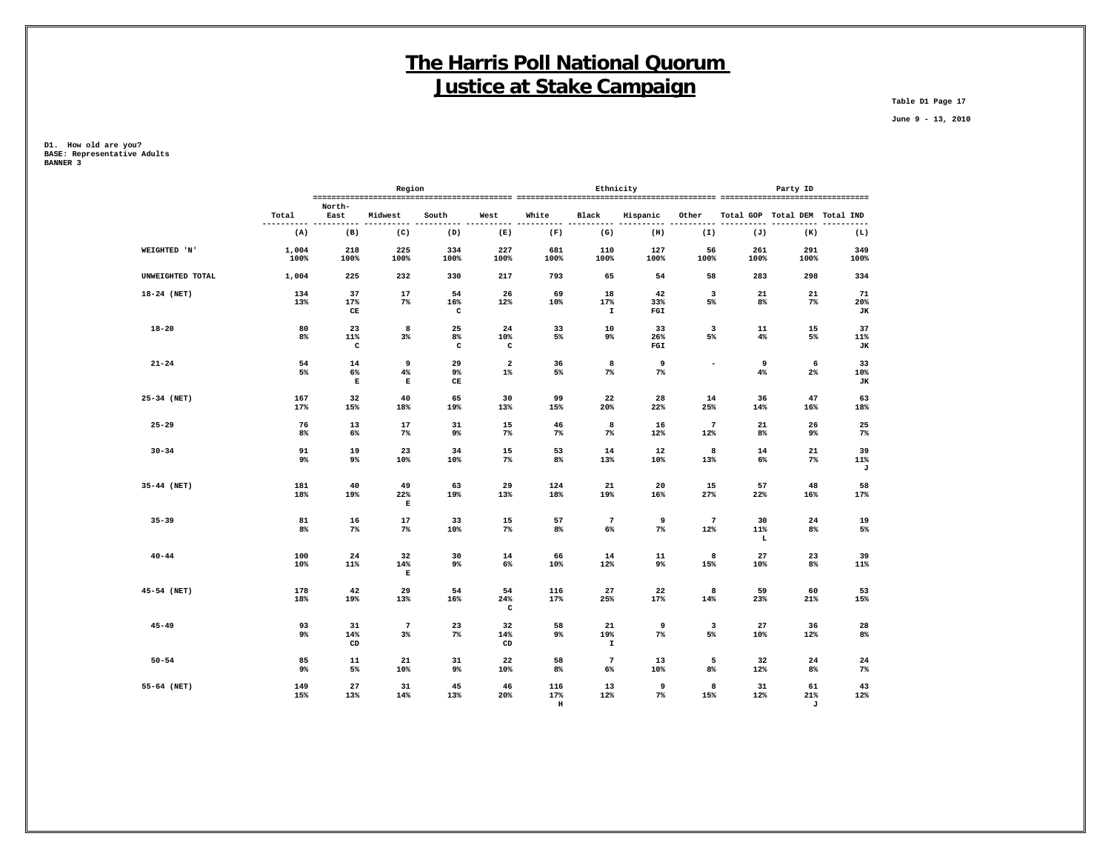**Table D1 Page 17**

 **June 9 - 13, 2010**

**D1. How old are you? BASE: Representative Adults BANNER 3**

|                  |                   |                           | Region                   |                                  |                           |             |                           | Ethnicity        |                               |                | Party ID                      |                 |
|------------------|-------------------|---------------------------|--------------------------|----------------------------------|---------------------------|-------------|---------------------------|------------------|-------------------------------|----------------|-------------------------------|-----------------|
|                  | Total             | North-<br>East            | Midwest                  | South                            | West                      | White       | Black                     | Hispanic         | Other                         |                | Total GOP Total DEM Total IND |                 |
|                  | ----------<br>(A) | (B)                       | (C)                      | (D)                              | (E)                       | (F)         | (G)                       | ----<br>(H)      | (I)                           | (J)            | (K)                           | -----<br>(L)    |
| WEIGHTED 'N'     | 1,004<br>100%     | 218<br>100%               | 225<br>100%              | 334<br>100%                      | 227<br>100%               | 681<br>100% | 110<br>100%               | 127<br>100%      | 56<br>100%                    | 261<br>100%    | 291<br>100%                   | 349<br>100%     |
| UNWEIGHTED TOTAL | 1,004             | 225                       | 232                      | 330                              | 217                       | 793         | 65                        | 54               | 58                            | 283            | 298                           | 334             |
| 18-24 (NET)      | 134<br>13%        | 37<br>17%<br>CE           | 17<br>$7\%$              | 54<br>$16\%$<br>$\mathtt{c}$     | 26<br>12%                 | 69<br>10%   | 18<br>17%<br>$\mathbf{I}$ | 42<br>33%<br>FGI | $\overline{\mathbf{3}}$<br>5% | 21<br>8%       | 21<br>$7\%$                   | 71<br>20%<br>JK |
| $18 - 20$        | 80<br>8%          | 23<br>11%<br>$\mathtt{C}$ | 8<br>3%                  | 25<br>8%<br>c                    | 24<br>10%<br>c            | 33<br>5%    | 10<br>9%                  | 33<br>26%<br>FGI | $\overline{\mathbf{3}}$<br>5% | 11<br>$4\%$    | 15<br>5%                      | 37<br>11%<br>JК |
| $21 - 24$        | 54<br>5%          | 14<br>6%<br>$\mathbf E$   | 9<br>4%<br>$\mathbf E$   | 29<br>9%<br>$\mathbf C\mathbf E$ | $\mathbf{2}$<br>$1\%$     | 36<br>5%    | 8<br>$7\%$                | 9<br>$7\%$       | $\overline{\phantom{a}}$      | 9<br>4%        | 6<br>$2\%$                    | 33<br>10%<br>JК |
| 25-34 (NET)      | 167<br>17%        | 32<br>15%                 | 40<br>18%                | 65<br>19%                        | 30<br>13%                 | 99<br>15%   | 22<br>20%                 | 28<br>22%        | 14<br>25%                     | 36<br>14%      | 47<br>16%                     | 63<br>18%       |
| $25 - 29$        | 76<br>8%          | 13<br>6%                  | 17<br>$7\%$              | 31<br>9%                         | 15<br>$7\%$               | 46<br>7%    | 8<br>$7\%$                | 16<br>12%        | $7\overline{ }$<br>12%        | 21<br>8%       | 26<br>9%                      | 25<br>$7\%$     |
| $30 - 34$        | 91<br>9%          | 19<br>9%                  | 23<br>10%                | 34<br>10%                        | 15<br>$7\%$               | 53<br>8%    | 14<br>13%                 | 12<br>10%        | 8<br>13%                      | 14<br>$6\%$    | 21<br>7%                      | 39<br>11%<br>J  |
| 35-44 (NET)      | 181<br>18%        | 40<br>19%                 | 49<br>22%<br>$\mathbf E$ | 63<br>19%                        | 29<br>13%                 | 124<br>18%  | 21<br>19%                 | 20<br>$16\%$     | 15<br>27%                     | 57<br>22%      | 48<br>16%                     | 58<br>17%       |
| $35 - 39$        | 81<br>8%          | 16<br>$7\%$               | 17<br>$7\%$              | 33<br>10%                        | 15<br>$7\%$               | 57<br>$8\%$ | $7\phantom{.0}$<br>6%     | 9<br>$7\%$       | $7\overline{ }$<br>12%        | 30<br>11%<br>L | 24<br>8%                      | 19<br>5%        |
| $40 - 44$        | 100<br>10%        | 24<br>11%                 | 32<br>14%<br>Е           | 30<br>9%                         | 14<br>6%                  | 66<br>10%   | 14<br>12%                 | 11<br>9%         | 8<br>15%                      | 27<br>10%      | 23<br>8%                      | 39<br>11%       |
| 45-54 (NET)      | 178<br>18%        | 42<br>19%                 | 29<br>13%                | 54<br>16%                        | 54<br>24%<br>$\mathtt{C}$ | 116<br>17%  | 27<br>25%                 | 22<br>17%        | 8<br>14%                      | 59<br>23%      | 60<br>21%                     | 53<br>15%       |
| $45 - 49$        | 93<br>9%          | 31<br>14%<br>CD           | $7\phantom{.0}$<br>$3\%$ | 23<br>$7\%$                      | 32<br>14%<br>CD           | 58<br>9%    | 21<br>19%<br>$\mathbf I$  | 9<br>$7\%$       | $\overline{\mathbf{3}}$<br>5% | 27<br>10%      | 36<br>12%                     | 28<br>8%        |
| $50 - 54$        | 85<br>9%          | 11<br>5%                  | 21<br>10%                | 31<br>9%                         | 22<br>10%                 | 58<br>8%    | $7\phantom{.0}$<br>6%     | 13<br>10%        | 5<br>8%                       | 32<br>12%      | 24<br>8%                      | 24<br>$7\%$     |
| 55-64 (NET)      | 149<br>15%        | 27<br>13%                 | 31<br>14%                | 45<br>13%                        | 46<br>20%                 | 116<br>17%  | 13<br>12%                 | 9<br>$7\%$       | 8<br>15%                      | 31<br>12%      | 61<br>21%                     | 43<br>12%       |

 **H J**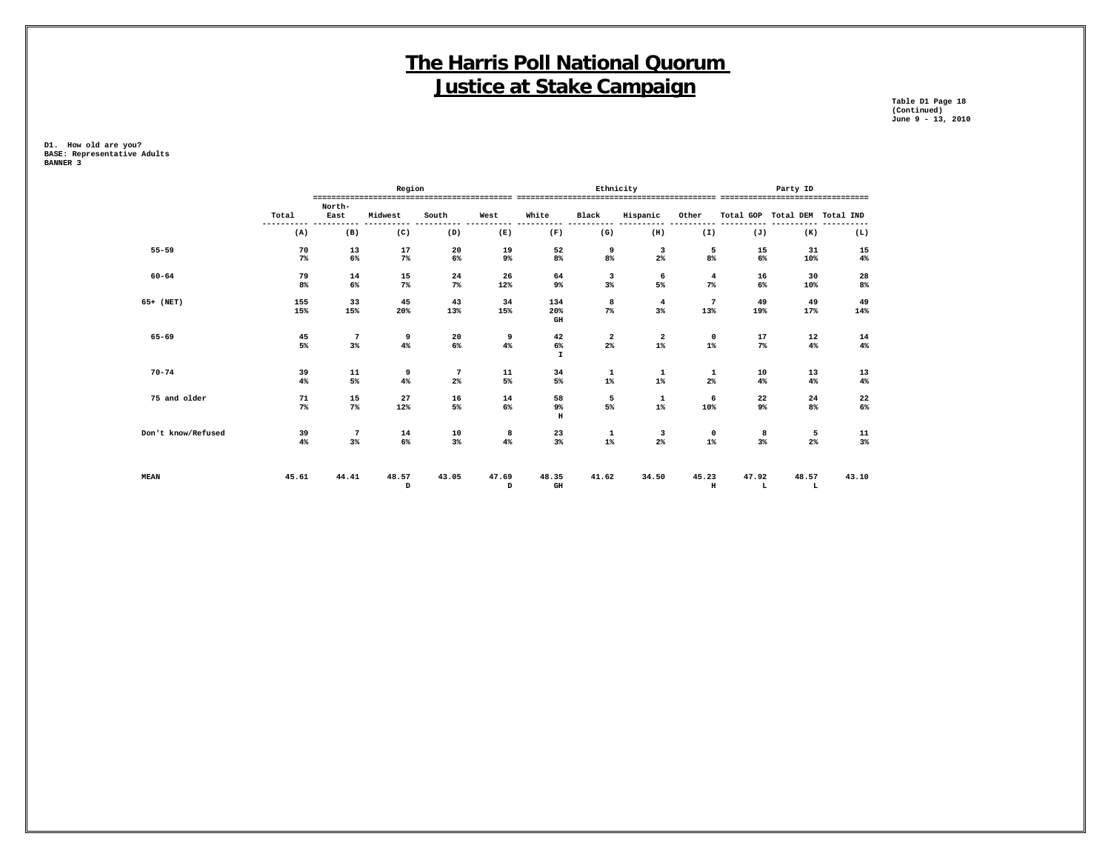**Table D1 Page 18 Table D1 Page 18<br>(Continued)<br>June 9 - 13, 2010 June 9 - 13, 2010**

|                    |             |                       | Region                                |                                          |                                          |                                   | Ethnicity                                      |                                             |                                  |                  | Party ID             |                                    |
|--------------------|-------------|-----------------------|---------------------------------------|------------------------------------------|------------------------------------------|-----------------------------------|------------------------------------------------|---------------------------------------------|----------------------------------|------------------|----------------------|------------------------------------|
| Total              |             | North-<br>East        | Midwest                               | South                                    | West                                     | White                             | Black                                          | Hispanic                                    | Other                            | Total GOP        | Total DEM Total IND  | ---------------------------------- |
|                    | (A)         | (B)                   | (C)                                   | (D)                                      | (E)                                      | (F)                               | (G)                                            | (H)                                         | (I)                              | (J)              | (K)                  | (L)                                |
| $55 - 59$          | 70<br>$7\%$ | 13<br>6%              | 17<br>7%                              | 20<br>$6\%$                              | 19<br>9%                                 | 52<br>$8\%$                       | 9<br>8%                                        | 3<br>$2\%$                                  | 5<br>8%                          | 15<br>$6\%$      | 31<br>10%            | 15<br>$4\%$                        |
| $60 - 64$          | 79<br>8%    | 14<br>6%              | 15<br>$7\%$                           | $\bf{^{24}}$<br>$7\%$                    | 26<br>12%                                | 64<br>9%                          | 3<br>3%                                        | 6<br>5%                                     | $\overline{\mathbf{4}}$<br>$7\%$ | 16<br>6%         | 30<br>10%            | 28<br>8%                           |
| 65+ (NET)          | 155<br>15%  | 33<br>15%             | 45<br>20%                             | 43<br>13%                                | 34<br>15%                                | 134<br>20%<br>$\,$ GH             | 8<br>7%                                        | $\overline{4}$<br>3%                        | 7<br>13%                         | 49<br>19%        | 49<br>17%            | 49<br>14%                          |
| $65 - 69$          | 45<br>5%    | $7\phantom{.0}$<br>3% | 9<br>$4\%$                            | 20<br>$6\%$                              | 9<br>$4\%$                               | $\bf 42$<br>$6\%$<br>$\mathbf{I}$ | $\frac{2}{2}$                                  | $\begin{smallmatrix}2\2\3\end{smallmatrix}$ | 0<br>$1\%$                       | 17<br>7%         | 12<br>$4\%$          | 14<br>$4\,$                        |
| $70 - 74$          | 39<br>4%    | 11<br>5%              | 9<br>4%                               | $7\phantom{.0}$<br>$2\%$                 | $\begin{array}{c} 11 \\ 5\% \end{array}$ | $34$<br>5%                        | $\begin{smallmatrix} 1\\1\% \end{smallmatrix}$ | $\begin{smallmatrix}1\\1\end{smallmatrix}$  | $\frac{1}{2\%}$                  | $\frac{10}{4\%}$ | 13<br>4%             | 13<br>$\mathbf{4}\mathbf{\$}$      |
| 75 and older       | 71<br>$7\%$ | 15<br>$7\%$           | 27<br>12%                             | 16<br>5%                                 | 14<br>$6\%$                              | 58<br>9%<br>$\, {\rm H}$          | $\begin{array}{c} 5 \\ 5\% \end{array}$        | $\begin{smallmatrix}1\\1\end{smallmatrix}$  | 6<br>10%                         | 22<br>9%         | $\frac{24}{8}$       | $\frac{22}{6\%}$                   |
| Don't know/Refused | 39<br>4%    | $7\phantom{.0}$<br>3% | 14<br>$6\%$                           | $\begin{array}{c} 10 \\ 3\% \end{array}$ | 8<br>$4\%$                               | 23<br>3%                          | $\begin{smallmatrix}1\\1\end{smallmatrix}$     | 3<br>2%                                     | 0<br>$1\%$                       | 8<br>3%          | $\frac{5}{2\%}$      | 11<br>3%                           |
| <b>MEAN</b>        | 45.61       | 44.41                 | 48.57<br>$\, {\scriptstyle\mathrm D}$ | 43.05                                    | 47.69<br>D                               | 48.35<br>$\mathbf{G}\mathbf{H}$   | 41.62                                          | 34.50                                       | 45.23<br>$_{\rm H}$              | 47.92<br>L       | 48.57<br>$\mathbf L$ | 43.10                              |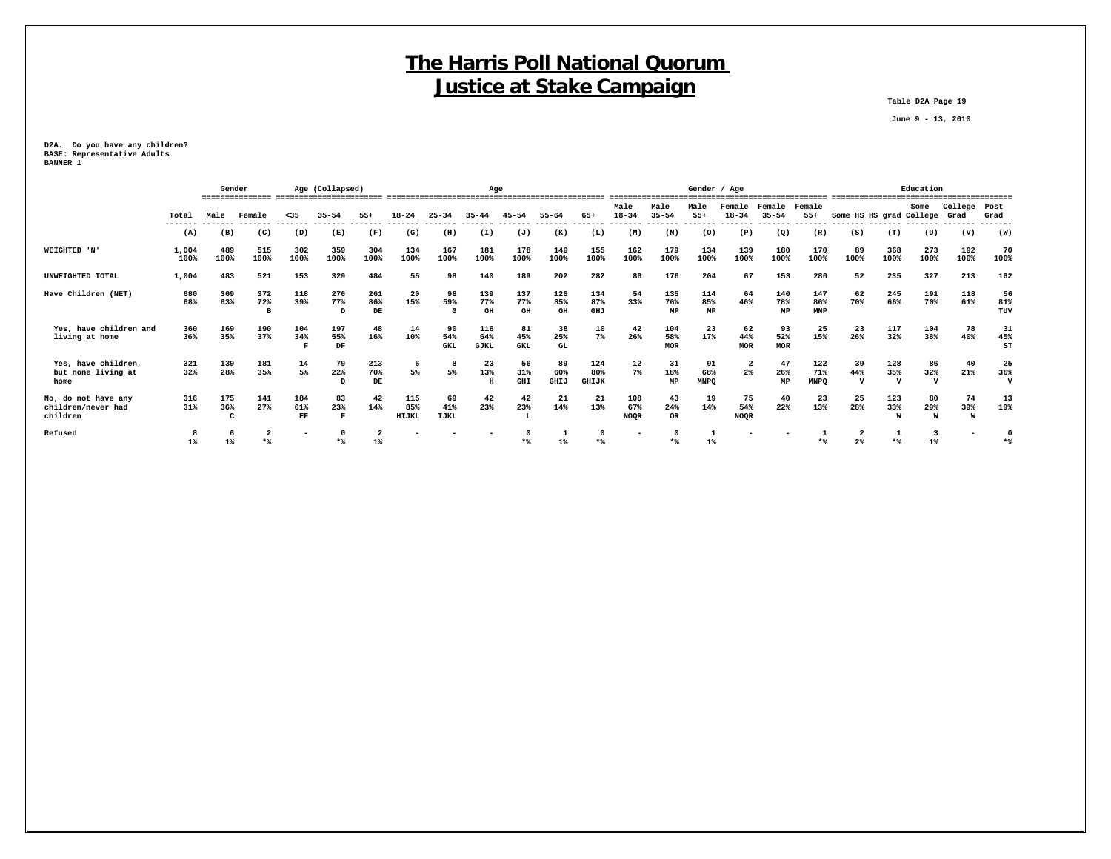**Table D2A Page 19**

 **June 9 - 13, 2010**

**D2A. Do you have any children? BASE: Representative Adults BANNER 1**

|                                                       |                | Gender               |             |                  | Age (Collapsed)            |                  |                     |                          | Age                       |                         |                   |                            |                           |                          |                          | Gender / Age                     |                     |                           |                           |                              | Education       |                 |                           |
|-------------------------------------------------------|----------------|----------------------|-------------|------------------|----------------------------|------------------|---------------------|--------------------------|---------------------------|-------------------------|-------------------|----------------------------|---------------------------|--------------------------|--------------------------|----------------------------------|---------------------|---------------------------|---------------------------|------------------------------|-----------------|-----------------|---------------------------|
|                                                       | Total          | Male                 | Female      | $35$             | $35 - 54$                  | $55+$            | $18 - 24$           | $25 - 34$                | $35 - 44$                 | $45 - 54$               | $55 - 64$         | 65+                        | Male<br>$18 - 34$         | Male<br>$35 - 54$        | Male<br>$55+$            | Female<br>$18 - 34$              | Female<br>$35 - 54$ | Female<br>$55+$           | Some HS HS grad College   |                              | Some            | College<br>Grad | Post<br>Grad              |
|                                                       | -------<br>(A) | (B)                  | (C)         | (D)              | (E)                        | (F)              | (G)                 | (H)                      | (I)                       | (J)                     | (K)               | (L)                        | (M)                       | (N)                      | (0)                      | (P)                              | (Q)                 | (R)                       | (S)                       | (T)                          | (U)             | (V)             | (W)                       |
| WEIGHTED 'N'                                          | 1,004<br>100%  | 489<br>100%          | 515<br>100% | 302<br>100%      | 359<br>100%                | 304<br>100%      | 134<br>100%         | 167<br>100%              | 181<br>100%               | 178<br>100%             | 149<br>100%       | 155<br>100%                | 162<br>100%               | 179<br>100%              | 134<br>100%              | 139<br>100%                      | 180<br>100%         | 170<br>100%               | 89<br>100%                | 368<br>100%                  | 273<br>100%     | 192<br>100%     | 70<br>100%                |
| UNWEIGHTED TOTAL                                      | 1,004          | 483                  | 521         | 153              | 329                        | 484              | 55                  | 98                       | 140                       | 189                     | 202               | 282                        | 86                        | 176                      | 204                      | 67                               | 153                 | 280                       | 52                        | 235                          | 327             | 213             | 162                       |
| Have Children (NET)                                   | 680<br>68%     | 309<br>63%           | 372<br>72%  | 118<br>39%       | 276<br>77%<br><sub>D</sub> | 261<br>86%<br>DE | 20<br>15%           | 98<br>59%                | 139<br>77%<br>GH          | 137<br>77%<br>GH        | 126<br>85%<br>GH  | 134<br>87%<br>GHJ          | 54<br>33%                 | 135<br>76%<br>MP         | 114<br>85%<br>MP         | 64<br>46%                        | 140<br>78%<br>MP    | 147<br>86%<br>MNP         | 62<br>70%                 | 245<br>66%                   | 191<br>70%      | 118<br>61%      | 56<br>81%<br>TUV          |
| Yes, have children and<br>living at home              | 360<br>36%     | 169<br>35%           | 190<br>37%  | 104<br>34%       | 197<br>55%<br>DF           | 48<br>16%        | 14<br>10%           | 90<br>54%<br><b>GKL</b>  | 116<br>64%<br><b>GJKL</b> | 81<br>45%<br><b>GKL</b> | 38<br>25%<br>GL   | 10<br>7%                   | 42<br>26%                 | 104<br>58%<br><b>MOR</b> | 23<br>17%                | 62<br>44%<br>MOR                 | 93<br>52%<br>MOR    | 25<br>15%                 | 23<br>26%                 | 117<br>32%                   | 104<br>38%      | 78<br>40%       | 31<br>45%<br>ST           |
| Yes, have children,<br>but none living at<br>home     | 321<br>32%     | 139<br>28%           | 181<br>35%  | 14<br>5%         | 79<br>22%                  | 213<br>70%<br>DE | 6<br>5%             | 5%                       | 23<br>13%<br>H            | 56<br>31%<br><b>GHI</b> | 89<br>60%<br>GHIJ | 124<br>80%<br><b>GHIJK</b> | 12<br>$7\%$               | 31<br>18%<br>MP          | 91<br>68%<br><b>MNPO</b> | $\overline{\mathbf{2}}$<br>$2\%$ | 47<br>26%<br>MP     | 122<br>71%<br><b>MNPO</b> | 39<br>44%<br>$\mathbf{v}$ | 128<br>35%<br>$\overline{v}$ | 86<br>32%<br>77 | 40<br>21%       | 25<br>36%<br>$\mathbf{v}$ |
| No, do not have any<br>children/never had<br>children | 316<br>31%     | 175<br>36%<br>$\sim$ | 141<br>27%  | 184<br>61%<br>EF | 83<br>23%                  | 42<br>14%        | 115<br>85%<br>HIJKL | 69<br>41%<br><b>LJKL</b> | 42<br>23%                 | 42<br>23%               | 21<br>14%         | 21<br>13%                  | 108<br>67%<br><b>NOOR</b> | 43<br>24%<br>OR          | 19<br>14%                | 75<br>54%<br><b>NOOR</b>         | 40<br>22%           | 23<br>13%                 | 25<br>28%                 | 123<br>33%                   | 80<br>29%       | 74<br>39%<br>W  | 13<br>19%                 |
| Refused                                               |                |                      |             | ۰                |                            |                  |                     |                          |                           |                         |                   |                            |                           |                          |                          |                                  |                     |                           |                           |                              |                 |                 |                           |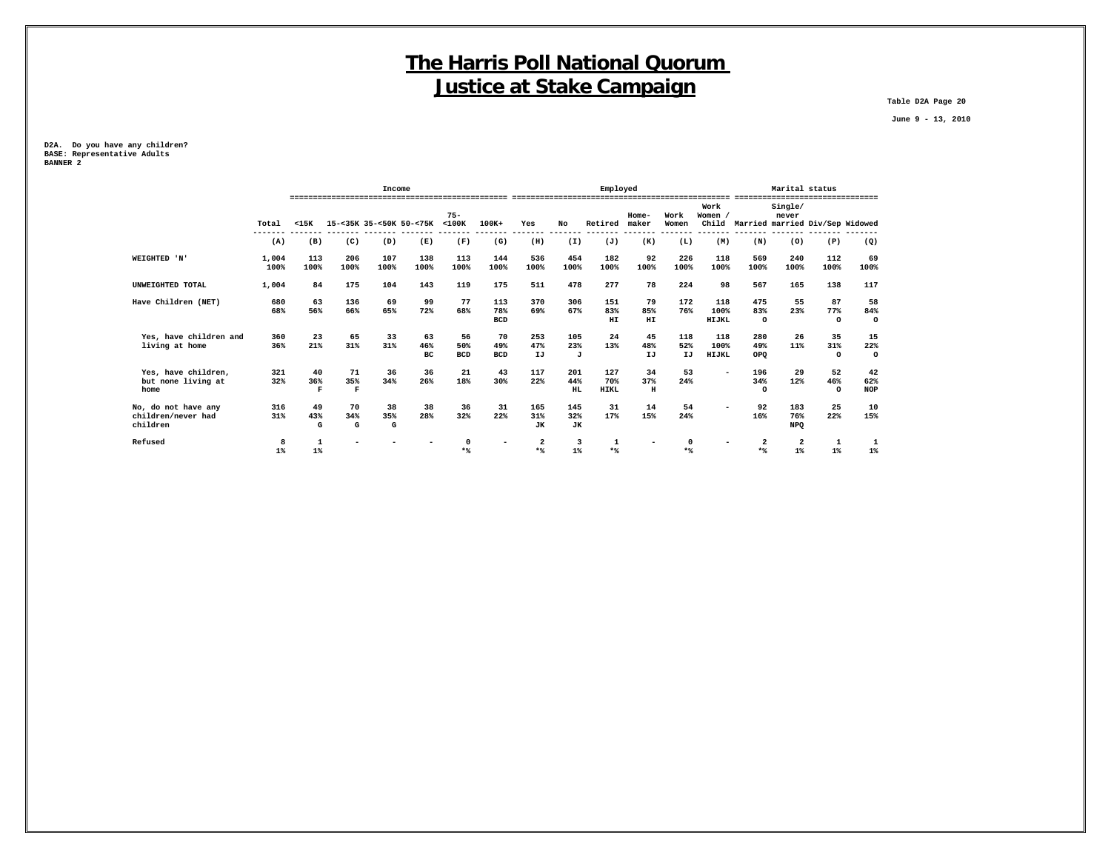**Table D2A Page 20**

 **June 9 - 13, 2010**

**D2A. Do you have any children? BASE: Representative Adults BANNER 2**

|                        |       |                    |             | Income                  |      |                       |            |      |           | Employed    |                        |               |                        |                                 | Marital status          |                    |            |
|------------------------|-------|--------------------|-------------|-------------------------|------|-----------------------|------------|------|-----------|-------------|------------------------|---------------|------------------------|---------------------------------|-------------------------|--------------------|------------|
|                        | Total | $15K$              |             | 15-<35K 35-<50K 50-<75K |      | $75 -$<br>$<$ 100 $K$ | 100K+      | Yes  | No        | Retired     | Home-<br>maker         | Work<br>Women | Work<br>Women<br>Child | Married married Div/Sep Widowed | Single/<br>never        | ------------------ |            |
|                        | (A)   | (B)                | (C)         | (D)                     | (E)  | (F)                   | (G)        | (H)  | (I)       | (J)         | (K)                    | (L)           | (M)                    | (N)                             | (0)                     | (P)                | (Q)        |
|                        |       |                    |             |                         |      |                       |            |      |           |             |                        |               |                        |                                 |                         |                    |            |
| WEIGHTED 'N'           | 1,004 | 113                | 206         | 107                     | 138  | 113                   | 144        | 536  | 454       | 182         | 92                     | 226           | 118                    | 569                             | 240                     | 112                | 69         |
|                        | 100%  | 100%               | 100%        | 100%                    | 100% | 100%                  | 100%       | 100% | 100%      | 100%        | 100%                   | 100%          | 100%                   | 100%                            | 100%                    | 100%               | 100%       |
| UNWEIGHTED TOTAL       | 1,004 | 84                 | 175         | 104                     | 143  | 119                   | 175        | 511  | 478       | 277         | 78                     | 224           | 98                     | 567                             | 165                     | 138                | 117        |
| Have Children (NET)    | 680   | 63                 | 136         | 69                      | 99   | 77                    | 113        | 370  | 306       | 151         | 79                     | 172           | 118                    | 475                             | 55                      | 87                 | 58         |
|                        | 68%   | 56%                | 66%         | 65%                     | 72%  | 68%                   | 78%        | 69%  | 67%       | 83%         | 85%                    | 76%           | 100%                   | 83%                             | 23%                     | 77%                | 84%        |
|                        |       |                    |             |                         |      |                       | <b>BCD</b> |      |           | HI          | $\mathbf{H}\mathbf{I}$ |               | HIJKL                  | $\circ$                         |                         | $\circ$            | $\circ$    |
| Yes, have children and | 360   | 23                 | 65          | 33                      | 63   | 56                    | 70         | 253  | 105       | 24          | 45                     | 118           | 118                    | 280                             | 26                      | 35                 | 15         |
| living at home         | 36%   | 21%                | 31%         | 31%                     | 46%  | 50%                   | 49%        | 47%  | 23%       | 13%         | 48%                    | 52%           | 100%                   | 49%                             | 11%                     | 31%                | 22%        |
|                        |       |                    |             |                         | BC   | <b>BCD</b>            | <b>BCD</b> | IJ   | J         |             | IJ                     | IJ            | HIJKL                  | OPQ                             |                         | $\circ$            | $\circ$    |
| Yes, have children,    | 321   | 40                 | 71          | 36                      | 36   | 21                    | 43         | 117  | 201       | 127         | 34                     | 53            |                        | 196                             | 29                      | 52                 | 42         |
| but none living at     | 32%   | 36%                | 35%         | 34%                     | 26%  | 18%                   | 30%        | 22%  | 44%       | 70%         | 37%                    | 24%           |                        | 34%                             | 12%                     | 46%                | 62%        |
| home                   |       | $\mathbf{F}% _{0}$ | $\mathbf F$ |                         |      |                       |            |      | HL.       | <b>HIKL</b> | $\,$ H                 |               |                        | $\Omega$                        |                         | $\circ$            | <b>NOP</b> |
| No, do not have any    | 316   | 49                 | 70          | 38                      | 38   | 36                    | 31         | 165  | 145       | 31          | 14                     | 54            |                        | 92                              | 183                     | 25                 | 10         |
| children/never had     | 31%   | 43%                | 34%         | 35%                     | 28%  | 32%                   | 22%        | 31%  | 32%       | 17%         | 15%                    | 24%           |                        | 16%                             | 76%                     | 22%                | 15%        |
| children               |       | G                  | G           | G                       |      |                       |            | JK   | <b>JK</b> |             |                        |               |                        |                                 | <b>NPQ</b>              |                    |            |
| Refused                | 8     |                    |             |                         |      |                       |            | 2    | 3         |             |                        |               |                        | 2                               | $\overline{\mathbf{2}}$ |                    |            |
|                        | 1%    | $1\%$              |             |                         |      | $*$                   |            | $*$  | $1\%$     | $*$         |                        | $*$           |                        | $*$                             | $1\%$                   | $1\%$              | $1\%$      |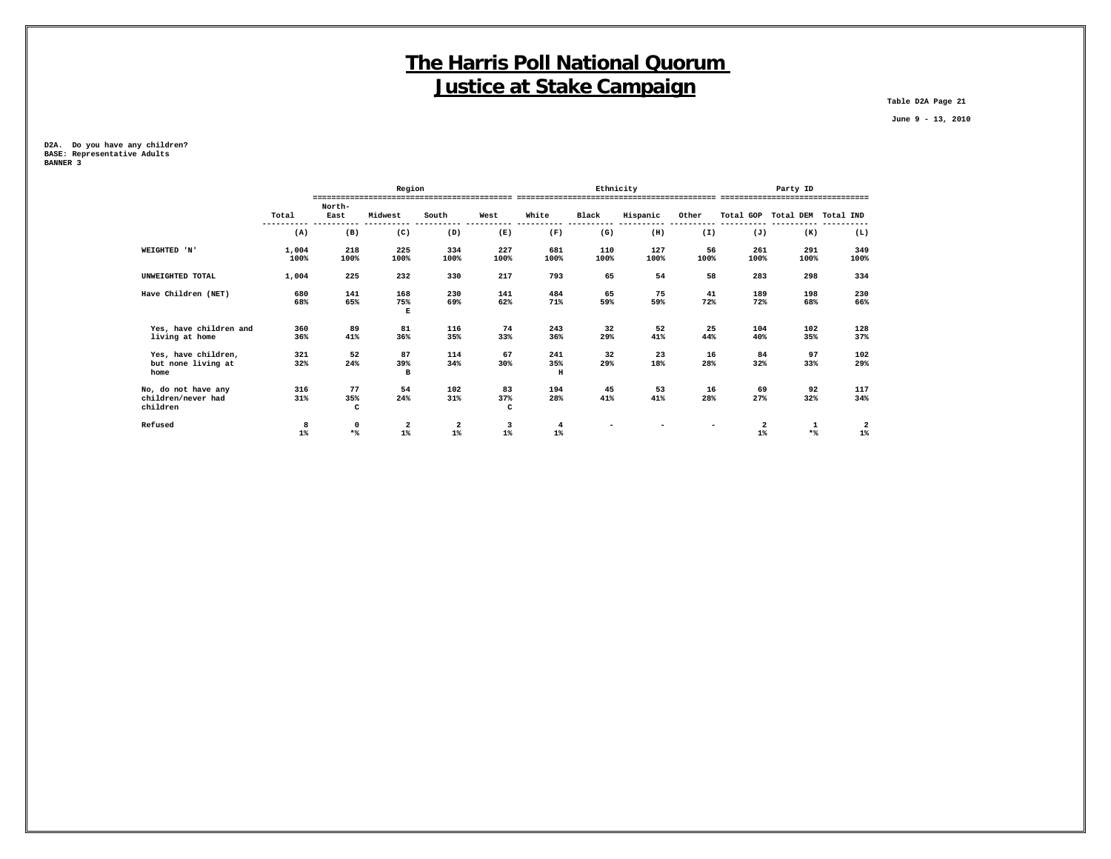**Table D2A Page 21**

 **June 9 - 13, 2010**

**D2A. Do you have any children? BASE: Representative Adults BANNER 3**

|                                |       |                     | Region             |                         |          |                |       | Ethnicity |                          |                         | Party ID                      |                         |
|--------------------------------|-------|---------------------|--------------------|-------------------------|----------|----------------|-------|-----------|--------------------------|-------------------------|-------------------------------|-------------------------|
|                                |       | North-              |                    |                         |          |                |       |           |                          |                         |                               |                         |
|                                | Total | East                | Midwest            | South                   | West     | White          | Black | Hispanic  | Other                    |                         | Total GOP Total DEM Total IND |                         |
|                                | (A)   | (B)                 | (C)                | (D)                     | (E)      | (F)            | (G)   | (H)       | (I)                      | (J)                     | (K)                           | ----<br>(L)             |
| WEIGHTED 'N'                   | 1,004 | 218                 | 225                | 334                     | 227      | 681            | 110   | 127       | 56                       | 261                     | 291                           | 349                     |
|                                | 100%  | 100%                | 100%               | 100%                    | 100%     | 100%           | 100%  | 100%      | 100%                     | 100%                    | 100%                          | 100%                    |
| UNWEIGHTED TOTAL               | 1,004 | 225                 | 232                | 330                     | 217      | 793            | 65    | 54        | 58                       | 283                     | 298                           | 334                     |
| Have Children (NET)            | 680   | 141                 | 168                | 230                     | 141      | 484            | 65    | 75        | 41                       | 189                     | 198                           | 230                     |
|                                | 68%   | 65%                 | 75%<br>$\mathbf E$ | 69%                     | 62%      | 71%            | 59%   | 59%       | 72%                      | 72%                     | 68%                           | 66%                     |
| Yes, have children and         | 360   | 89                  | 81                 | 116                     | 74       | 243            | 32    | 52        | 25                       | 104                     | 102                           | 128                     |
| living at home                 | 36%   | 41%                 | 36%                | 35%                     | 33%      | 36%            | 29%   | 41%       | 44%                      | 40%                     | 35%                           | 37%                     |
| Yes, have children,            | 321   | 52                  | 87                 | 114                     | 67       | 241            | 32    | 23        | 16                       | 84                      | 97                            | 102                     |
| but none living at<br>home     | 32%   | 24%                 | 39%<br>в           | 34%                     | 30%      | 35%<br>H       | 29%   | 18%       | 28%                      | 32%                     | 33%                           | 29%                     |
| No, do not have any            | 316   | 77                  | 54                 | 102                     | 83       | 194            | 45    | 53        | 16                       | 69                      | 92                            | 117                     |
| children/never had<br>children | 31%   | 35%<br>$\mathtt{C}$ | 24%                | 31%                     | 37%<br>c | 28%            | 41%   | 41%       | 28%                      | 27%                     | 32%                           | 34%                     |
| Refused                        | 8     | $\mathbf 0$         | $\overline{a}$     | $\overline{\mathbf{2}}$ | 3        | $\overline{4}$ |       |           | $\overline{\phantom{a}}$ | $\overline{\mathbf{2}}$ | 1                             | $\overline{\mathbf{2}}$ |
|                                | $1\%$ | $*$                 | $1\%$              | $1\%$                   | $1\%$    | $1\%$          |       |           |                          | $1\%$                   | $*$                           | $1\%$                   |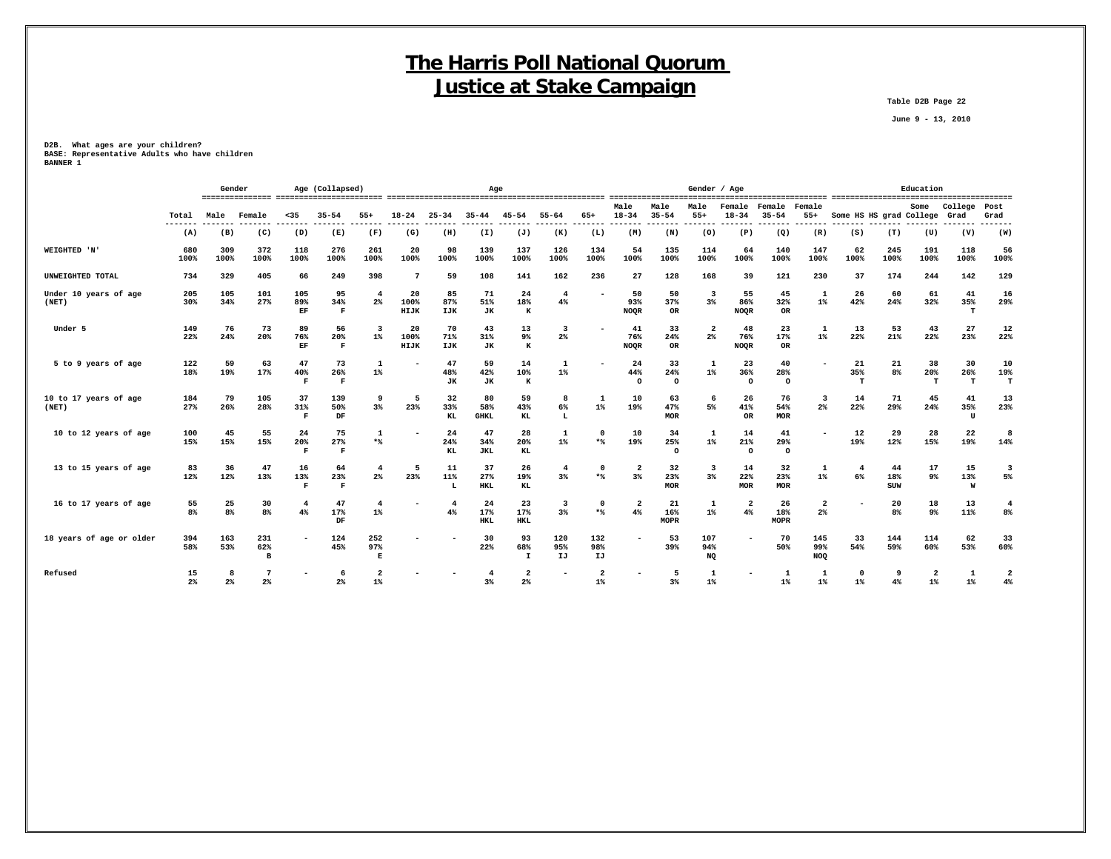**Table D2B Page 22**

 **June 9 - 13, 2010**

**D2B. What ages are your children? BASE: Representative Adults who have children BANNER 1**

|                                |                 | Gender               |                              |                           | Age (Collapsed)          |                          |                    |                        | Age                      |                           |                         |                  |                          |                          | Gender / Age                     |                            | ------------------------ |                                  |                         |                  | Education                        |                 |                                  |
|--------------------------------|-----------------|----------------------|------------------------------|---------------------------|--------------------------|--------------------------|--------------------|------------------------|--------------------------|---------------------------|-------------------------|------------------|--------------------------|--------------------------|----------------------------------|----------------------------|--------------------------|----------------------------------|-------------------------|------------------|----------------------------------|-----------------|----------------------------------|
|                                | Total<br>------ | Male                 | Female                       | $35$                      | $35 - 54$                | $55+$                    | $18 - 24$          | $25 - 34$              | $35 - 44$                | $45 - 54$                 | $55 - 64$               | $65+$            | Male<br>$18 - 34$        | Male<br>$35 - 54$        | Male<br>$55+$                    | <b>Temale</b><br>$18 - 34$ | Female<br>$35 - 54$      | Female<br>$55+$                  | Some HS HS grad College |                  | Some                             | College<br>Grad | Post<br>Grad<br>------           |
|                                | (A)             | (B)                  | (C)                          | (D)                       | (E)                      | (F)                      | (G)                | (H)                    | (I)                      | (J)                       | (K)                     | (L)              | (M)                      | -----<br>(N)             | (0)                              | (P)                        | (Q)                      | (R)                              | (S)                     | (T)              | (U)                              | (V)             | (W)                              |
| WEIGHTED 'N'                   | 680<br>100%     | 309<br>100%          | 372<br>100%                  | 118<br>100%               | 276<br>100%              | 261<br>100%              | 20<br>100%         | 98<br>100%             | 139<br>100%              | 137<br>100%               | 126<br>100%             | 134<br>100%      | 54<br>100%               | 135<br>100%              | 114<br>100%                      | 64<br>100%                 | 140<br>100%              | 147<br>100%                      | 62<br>100%              | 245<br>100%      | 191<br>100%                      | 118<br>100%     | 56<br>100%                       |
| UNWEIGHTED TOTAL               | 734             | 329                  | 405                          | 66                        | 249                      | 398                      | $\overline{7}$     | 59                     | 108                      | 141                       | 162                     | 236              | 27                       | 128                      | 168                              | 39                         | 121                      | 230                              | 37                      | 174              | 244                              | 142             | 129                              |
| Under 10 years of age<br>(NET) | 205<br>30%      | 105<br>34%           | 101<br>27%                   | 105<br>89%<br>EF          | 95<br>34%<br>F           | $\overline{4}$<br>2%     | 20<br>100%<br>HIJK | 85<br>87%<br>IJK       | 71<br>51%<br><b>JK</b>   | 24<br>18%<br>к            | $\overline{4}$<br>$4\%$ |                  | 50<br>93%<br><b>NOQR</b> | 50<br>37%<br>OR          | 3<br>3%                          | 55<br>86%<br>NOQR          | 45<br>32%<br><b>OR</b>   | 1<br>$1\%$                       | 26<br>42%               | 60<br>24%        | 61<br>32%                        | 41<br>35%<br>т  | 16<br>29%                        |
| Under 5                        | 149<br>22%      | 76<br>24%            | 73<br>20%                    | 89<br>76%<br>EF           | 56<br>20%<br>$\mathbf F$ | 3<br>$1\%$               | 20<br>100%<br>HIJK | 70<br>71%<br>IJK       | 43<br>31%<br>JK          | 13<br>9%<br>к             | 3<br>$2\%$              |                  | 41<br>76%<br><b>NOQR</b> | 33<br>24%<br>OR          | $\overline{2}$<br>2 <sup>°</sup> | 48<br>76%<br><b>NOQR</b>   | 23<br>17%<br><b>OR</b>   | 1<br>$1\%$                       | 13<br>22%               | 53<br>21%        | 43<br>22%                        | 27<br>23%       | 12<br>22%                        |
| 5 to 9 years of age            | 122<br>18%      | 59<br>19%            | 63<br>17%                    | 47<br>40%<br>$\mathbf F$  | 73<br>26%<br>F           | 1<br>$1\%$               |                    | 47<br>48%<br><b>JK</b> | 59<br>42%<br>JК          | 14<br>10%<br>к            | $\mathbf{1}$<br>$1\%$   |                  | 24<br>44%<br>$\Omega$    | 33<br>24%<br>$\circ$     | $\mathbf{1}$<br>$1\%$            | 23<br>36%<br>$\circ$       | 40<br>28%<br>$\circ$     |                                  | 21<br>35%<br>т          | 21<br>8%         | 38<br>20%<br>т                   | 30<br>26%<br>т  | 10<br>19%<br>т                   |
| 10 to 17 years of age<br>(NET) | 184<br>27%      | 79<br>26%            | 105<br>28%                   | 37<br>31%<br>$\mathbf F$  | 139<br>50%<br>DF         | 9<br>$3\%$               | 5<br>23%           | 32<br>33%<br>KL        | 80<br>58%<br><b>GHKL</b> | 59<br>43%<br>KL           | 8<br>6%<br>L            | -1<br>$1\%$      | 10<br>19%                | 63<br>47%<br><b>MOR</b>  | 6<br>5%                          | 26<br>41%<br><b>OR</b>     | 76<br>54%<br>MOR         | $\overline{\mathbf{3}}$<br>$2\%$ | 14<br>22%               | 71<br>29%        | 45<br>24%                        | 41<br>35%<br>U  | 13<br>23%                        |
| 10 to 12 years of age          | 100<br>15%      | 45<br>15%            | 55<br>15%                    | 24<br>20%<br>F            | 75<br>27%<br>F           | 1<br>$*$                 |                    | 24<br>24%<br>KL        | 47<br>34%<br><b>JKL</b>  | 28<br>20%<br>KL           | $\mathbf{1}$<br>$1\%$   | $\Omega$<br>$*$  | 10<br>19%                | 34<br>25%<br>$\Omega$    | 1<br>$1\%$                       | 14<br>21%<br>$\Omega$      | 41<br>29%<br>$\Omega$    |                                  | 12<br>19%               | 29<br>12%        | 28<br>15%                        | 22<br>19%       | 8<br>14%                         |
| 13 to 15 years of age          | 83<br>12%       | 36<br>12%            | 47<br>13%                    | 16<br>13%<br>$\mathbf{F}$ | 64<br>23%<br>$\mathbf F$ | $\overline{\bf 4}$<br>2% | 5<br>23%           | 11<br>11%              | 37<br>27%<br><b>HKL</b>  | 26<br>19%<br>KL           | $\overline{4}$<br>3%    | $\Omega$<br>$*$  | $\overline{2}$<br>3%     | 32<br>23%<br><b>MOR</b>  | $\overline{\mathbf{3}}$<br>3%    | 14<br>22%<br><b>MOR</b>    | 32<br>23%<br>MOR         | 1<br>$1\%$                       | 4<br>6%                 | 44<br>18%<br>SUW | 17<br>$9\%$                      | 15<br>13%<br>W  | $\overline{\mathbf{3}}$<br>5%    |
| 16 to 17 years of age          | 55<br>8%        | 25<br>8 <sup>8</sup> | 30<br>8 <sup>8</sup>         | $\overline{4}$<br>4%      | 47<br>17%<br>DF          | $\overline{4}$<br>$1\%$  |                    | 4%                     | 24<br>17%<br><b>HKL</b>  | 23<br>17%<br><b>HKL</b>   | 3<br>3%                 | $\Omega$<br>$*$  | $\overline{2}$<br>4%     | 21<br>16%<br><b>MOPR</b> | 1<br>$1\%$                       | $\overline{2}$<br>4%       | 26<br>18%<br><b>MOPR</b> | $\overline{a}$<br>2%             |                         | 20<br>8%         | 18<br>9%                         | 13<br>11%       | $\overline{4}$<br>8 <sup>8</sup> |
| 18 years of age or older       | 394<br>58%      | 163<br>53%           | 231<br>62%<br>$\overline{B}$ | $\overline{\phantom{a}}$  | 124<br>45%               | 252<br>97%<br>E          |                    |                        | 30<br>22%                | 93<br>68%<br>$\mathbf{I}$ | 120<br>95%<br>IJ        | 132<br>98%<br>IJ | ۰                        | 53<br>39%                | 107<br>94%<br>NQ                 | $\overline{\phantom{a}}$   | 70<br>50%                | 145<br>99%<br><b>NOQ</b>         | 33<br>54%               | 144<br>59%       | 114<br>60%                       | 62<br>53%       | 33<br>60%                        |
| Refused                        | 15<br>2%        | 2 <sup>8</sup>       | 2 <sup>8</sup>               |                           | -6<br>2%                 | $1\%$                    |                    |                        | 3%                       | 2<br>2%                   |                         | $1\%$            |                          | 5<br>3%                  | $1\%$                            |                            | $1\%$                    | 1<br>$1\%$                       | $\mathbf 0$<br>$1\%$    | 9<br>4%          | $\overline{\mathbf{2}}$<br>$1\%$ | 1<br>$1\%$      | $\overline{2}$<br>4%             |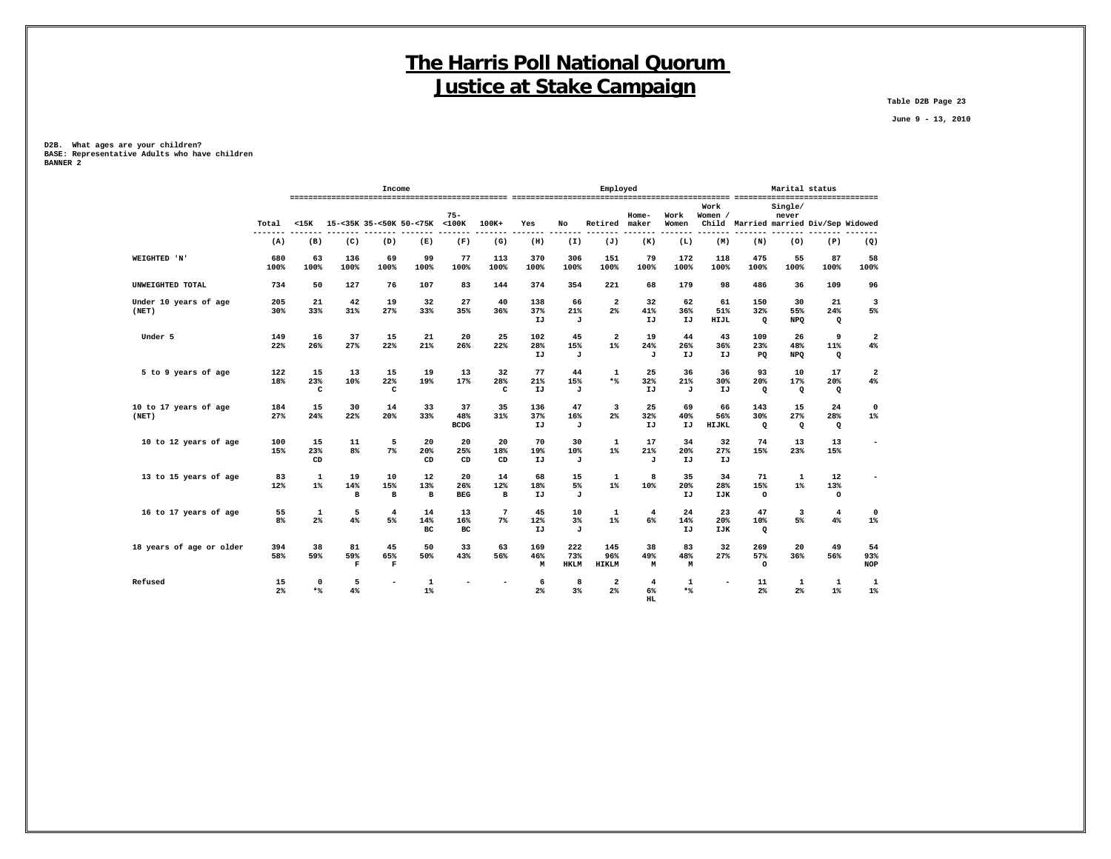**Table D2B Page 23**

 **June 9 - 13, 2010**

**D2B. What ages are your children? BASE: Representative Adults who have children BANNER 2**

|                                               |                           |                           | Income                   |                               |                          |                          |                  |                           | Employed                   |                                   |                 |                    |                            | Marital status          |                                       |                               |
|-----------------------------------------------|---------------------------|---------------------------|--------------------------|-------------------------------|--------------------------|--------------------------|------------------|---------------------------|----------------------------|-----------------------------------|-----------------|--------------------|----------------------------|-------------------------|---------------------------------------|-------------------------------|
| Total                                         | $15K$                     |                           |                          | 15-<35K 35-<50K 50-<75K <100K | $75 -$                   | $100K+$                  | Yes              | No                        | Retired                    | Home-<br>maker                    | Work<br>Women   | Work<br>Women /    |                            | Single/<br>never        | Child Married married Div/Sep Widowed |                               |
| (A)                                           | (B)                       | (C)                       | (D)                      | (E)                           | (F)                      | (G)                      | (H)              | (I)                       | (J)                        | (K)                               | (L)             | (M)                | (N)                        | (0)                     | (P)                                   | (Q)                           |
| WEIGHTED 'N'<br>680<br>100%                   | 63<br>100%                | 136<br>100%               | 69<br>100%               | 99<br>100%                    | 77<br>100%               | 113<br>100%              | 370<br>100%      | 306<br>100%               | 151<br>100%                | 79<br>100%                        | 172<br>100%     | 118<br>100%        | 475<br>100%                | 55<br>100%              | 87<br>100%                            | 58<br>100%                    |
| UNWEIGHTED TOTAL<br>734                       | 50                        | 127                       | 76                       | 107                           | 83                       | 144                      | 374              | 354                       | 221                        | 68                                | 179             | 98                 | 486                        | 36                      | 109                                   | 96                            |
| Under 10 years of age<br>205<br>30%<br>(NET)  | 21<br>33%                 | 42<br>31%                 | 19<br>27%                | 32<br>33%                     | 27<br>35%                | 40<br>36%                | 138<br>37%<br>IJ | 66<br>21%<br>J            | $\mathbf{2}$<br>2%         | 32<br>41%<br>IJ                   | 62<br>36%<br>IJ | 61<br>51%<br>HIJL  | 150<br>32%<br>Q            | 30<br>55%<br>NPQ        | 21<br>24%<br>Q                        | $\overline{\mathbf{3}}$<br>5% |
| Under 5<br>149<br>22%                         | 16<br>26%                 | 37<br>27%                 | 15<br>22%                | 21<br>21%                     | 20<br>26%                | 25<br>22%                | 102<br>28%<br>IJ | 45<br>15%<br>J            | $\mathbf{2}$<br>$1\%$      | 19<br>24%<br>J                    | 44<br>26%<br>IJ | 43<br>36%<br>IJ    | 109<br>23%<br><b>PQ</b>    | 26<br>48%<br><b>NPO</b> | 9<br>11%<br>$\mathbf{Q}$              | $\overline{a}$<br>4%          |
| 5 to 9 years of age<br>122<br>18%             | 15<br>23%<br>$\mathtt{C}$ | 13<br>10%                 | 15<br>22%<br>c           | 19<br>19%                     | 13<br>17%                | 32<br>28%<br>C           | 77<br>21%<br>IJ  | 44<br>15%<br>J            | $\mathbf 1$<br>$*$         | 25<br>32%<br>IJ                   | 36<br>21%<br>J  | 36<br>30%<br>IJ    | 93<br>20%<br>Q             | 10<br>17%<br>$\Omega$   | 17<br>20%<br>$\mathbf{Q}$             | $\overline{a}$<br>4%          |
| 10 to 17 years of age<br>184<br>27%<br>(NET)  | 15<br>24%                 | 30<br>22%                 | 14<br>20%                | 33<br>33%                     | 37<br>48%<br><b>BCDG</b> | 35<br>31%                | 136<br>37%<br>IJ | 47<br>16%<br>J            | 3<br>2%                    | 25<br>32%<br>IJ                   | 69<br>40%<br>IJ | 66<br>56%<br>HIJKL | 143<br>30%<br>$\mathbf{Q}$ | 15<br>27%<br>$\Omega$   | 24<br>28%<br>Q                        | $\mathbf 0$<br>$1\%$          |
| 10 to 12 years of age<br>100<br>15%           | 15<br>23%<br>CD           | 11<br>8%                  | 5<br>7%                  | 20<br>20%<br>CD               | 20<br>25%<br>CD          | 20<br>18%<br>CD          | 70<br>19%<br>IJ  | 30<br>10%<br>J            | 1<br>$1\%$                 | 17<br>21%<br>J                    | 34<br>20%<br>IJ | 32<br>27%<br>IJ    | 74<br>15%                  | 13<br>23%               | 13<br>15%                             | $\overline{\phantom{a}}$      |
| 13 to 15 years of age<br>83<br>12%            | $\mathbf{1}$<br>$1\%$     | 19<br>14%<br>$\, {\bf B}$ | 10<br>15%<br>в           | 12<br>13%<br>$\mathbf{B}$     | 20<br>26%<br><b>BEG</b>  | 14<br>12%<br>в           | 68<br>18%<br>IJ  | 15<br>5%<br>J             | 1<br>$1\%$                 | 8<br>10%                          | 35<br>20%<br>IJ | 34<br>28%<br>IJK   | 71<br>15%<br>$\circ$       | 1<br>$1\%$              | 12<br>13%<br>$\circ$                  |                               |
| 16 to 17 years of age<br>55<br>8 <sup>°</sup> | 1<br>2%                   | 5<br>4%                   | $\overline{4}$<br>5%     | 14<br>14%<br>BC               | 13<br>16%<br>вc          | $7\phantom{.0}$<br>$7\%$ | 45<br>12%<br>IJ  | 10<br>$3\%$<br>J          | 1<br>$1\%$                 | 4<br>6%                           | 24<br>14%<br>IJ | 23<br>20%<br>IJK   | 47<br>10%<br>Q             | 3<br>5%                 | $\overline{4}$<br>$4\%$               | $\mathbf 0$<br>$1\%$          |
| 18 years of age or older<br>394<br>58%        | 38<br>59%                 | 81<br>59%<br>F            | 45<br>65%<br>$\mathbf F$ | 50<br>50%                     | 33<br>43%                | 63<br>56%                | 169<br>46%<br>М  | 222<br>73%<br><b>HKLM</b> | 145<br>96%<br><b>HIKLM</b> | 38<br>49%<br>М                    | 83<br>48%<br>M  | 32<br>27%          | 269<br>57%<br>$\circ$      | 20<br>36%               | 49<br>56%                             | 54<br>93%<br><b>NOP</b>       |
| Refused<br>15<br>2%                           | 0<br>$*$                  | 5<br>4%                   |                          | 1<br>$1\%$                    |                          |                          | 6<br>2%          | 8<br>3%                   | 2<br>2%                    | $\overline{4}$<br>6%<br><b>HL</b> | 1<br>$*$        |                    | 11<br>2%                   | 1<br>2 <sup>8</sup>     | 1<br>$1\%$                            | 1<br>$1\%$                    |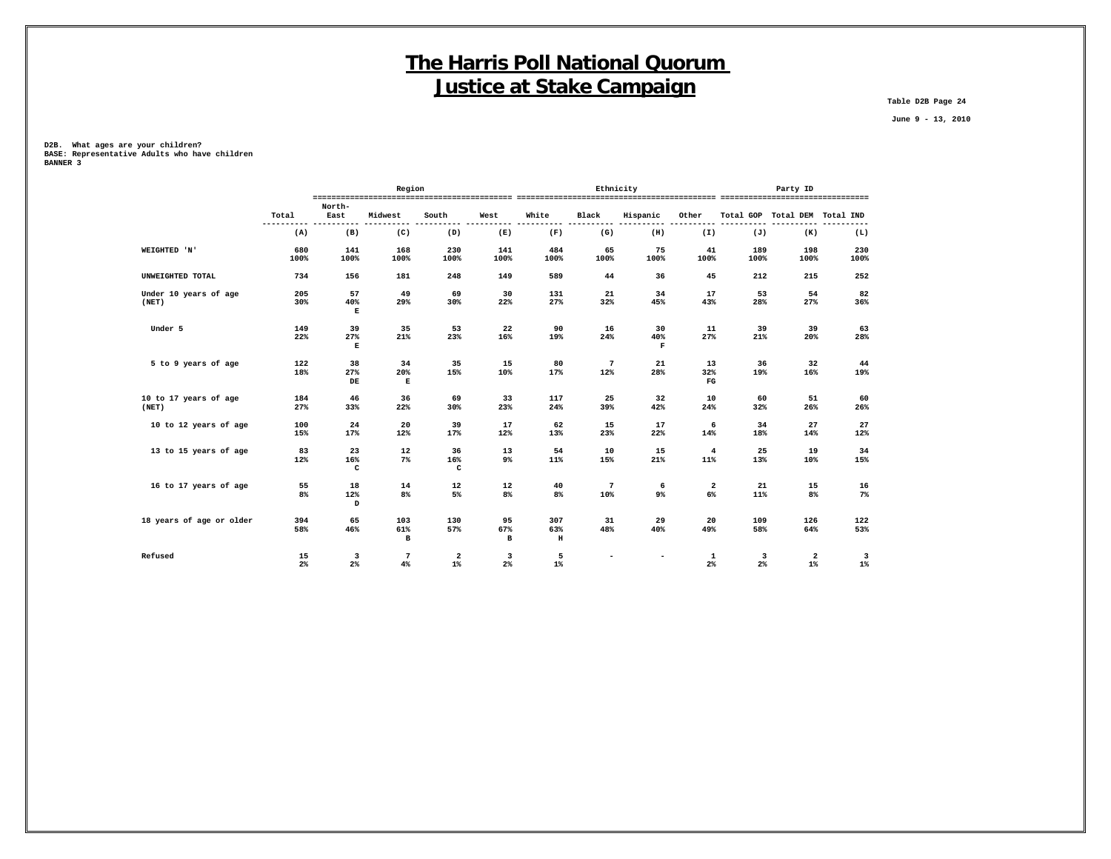**Table D2B Page 24**

 **June 9 - 13, 2010**

**D2B. What ages are your children? BASE: Representative Adults who have children BANNER 3**

|                          |                     |                     | Region               |                                  |          |            | Ethnicity       |                          |                         |         | Party ID                         |                                  |
|--------------------------|---------------------|---------------------|----------------------|----------------------------------|----------|------------|-----------------|--------------------------|-------------------------|---------|----------------------------------|----------------------------------|
|                          |                     | North-              |                      |                                  |          |            |                 |                          |                         |         |                                  |                                  |
|                          | Total<br>---------- | East                | Midwest              | South                            | West     | White      | Black           | Hispanic                 | Other                   |         | Total GOP Total DEM Total IND    | ----                             |
|                          | (A)                 | (B)                 | (C)                  | (D)                              | (E)      | (F)        | (G)             | (H)                      | (I)                     | (J)     | (K)                              | (L)                              |
| WEIGHTED 'N'             | 680                 | 141                 | 168                  | 230                              | 141      | 484        | 65              | 75                       | 41                      | 189     | 198                              | 230                              |
|                          | 100%                | 100%                | 100%                 | 100%                             | 100%     | 100%       | 100%            | 100%                     | 100%                    | 100%    | 100%                             | 100%                             |
| UNWEIGHTED TOTAL         | 734                 | 156                 | 181                  | 248                              | 149      | 589        | 44              | 36                       | 45                      | 212     | 215                              | 252                              |
| Under 10 years of age    | 205                 | 57                  | 49                   | 69                               | 30       | 131        | 21              | 34                       | 17                      | 53      | 54                               | 82                               |
| (NET)                    | 30%                 | 40%<br>$\mathbf E$  | 29%                  | 30%                              | 22%      | 27%        | 32%             | 45%                      | 43%                     | 28%     | 27%                              | 36%                              |
| Under 5                  | 149                 | 39                  | 35                   | 53                               | 22       | 90         | 16              | 30                       | 11                      | 39      | 39                               | 63                               |
|                          | 22%                 | 27%<br>$\mathbf E$  | 21%                  | 23%                              | 16%      | 19%        | 24%             | 40%<br>$\mathbf F$       | 27%                     | 21%     | 20%                              | 28%                              |
| 5 to 9 years of age      | 122                 | 38                  | 34                   | 35                               | 15       | 80         | $7\phantom{.0}$ | 21                       | 13                      | 36      | 32                               | 44                               |
|                          | 18%                 | 27%<br>$_{\rm DE}$  | 20%<br>$\mathbf E$   | 15%                              | 10%      | 17%        | 12%             | 28%                      | 32%<br>$_{\rm FG}$      | 19%     | 16%                              | 19%                              |
| 10 to 17 years of age    | 184                 | 46                  | 36                   | 69                               | 33       | 117        | 25              | 32                       | 10                      | 60      | 51                               | 60                               |
| (NET)                    | 27%                 | 33%                 | 22%                  | 30%                              | 23%      | 24%        | 39%             | 42%                      | 24%                     | 32%     | 26%                              | 26%                              |
| 10 to 12 years of age    | 100                 | 24                  | 20                   | 39                               | 17       | 62         | 15              | 17                       | 6                       | 34      | 27                               | 27                               |
|                          | 15%                 | 17%                 | 12%                  | 17%                              | 12%      | 13%        | 23%             | 22%                      | 14%                     | 18%     | 14%                              | 12%                              |
| 13 to 15 years of age    | 83                  | 23                  | 12                   | 36                               | 13       | 54         | 10              | 15                       | $\overline{4}$          | 25      | 19                               | 34                               |
|                          | 12%                 | 16%<br>$\mathbf{C}$ | 7%                   | 16%<br>C                         | 9%       | 11%        | 15%             | 21%                      | 11%                     | 13%     | 10%                              | 15%                              |
| 16 to 17 years of age    | 55                  | 18                  | 14                   | 12                               | 12       | 40         | $7\phantom{.0}$ | 6                        | $\overline{\mathbf{2}}$ | 21      | 15                               | 16                               |
|                          | 8%                  | 12%<br>D            | 8%                   | 5%                               | 8%       | 8%         | 10%             | $9\%$                    | 6%                      | 11%     | 8%                               | $7\%$                            |
| 18 years of age or older | 394                 | 65                  | 103                  | 130                              | 95       | 307        | 31              | 29                       | 20                      | 109     | 126                              | 122                              |
|                          | 58%                 | 46%                 | 61%<br>в             | 57%                              | 67%<br>в | 63%<br>н   | 48%             | 40%                      | 49%                     | 58%     | 64%                              | 53%                              |
|                          |                     |                     |                      |                                  |          |            |                 |                          |                         |         |                                  |                                  |
| Refused                  | 15<br>2%            | 3<br>$2\%$          | $\overline{7}$<br>4% | $\overline{\mathbf{2}}$<br>$1\%$ | 3<br>2%  | 5<br>$1\%$ |                 | $\overline{\phantom{a}}$ | 1<br>$2\%$              | 3<br>2% | $\overline{\mathbf{2}}$<br>$1\%$ | $\overline{\mathbf{3}}$<br>$1\%$ |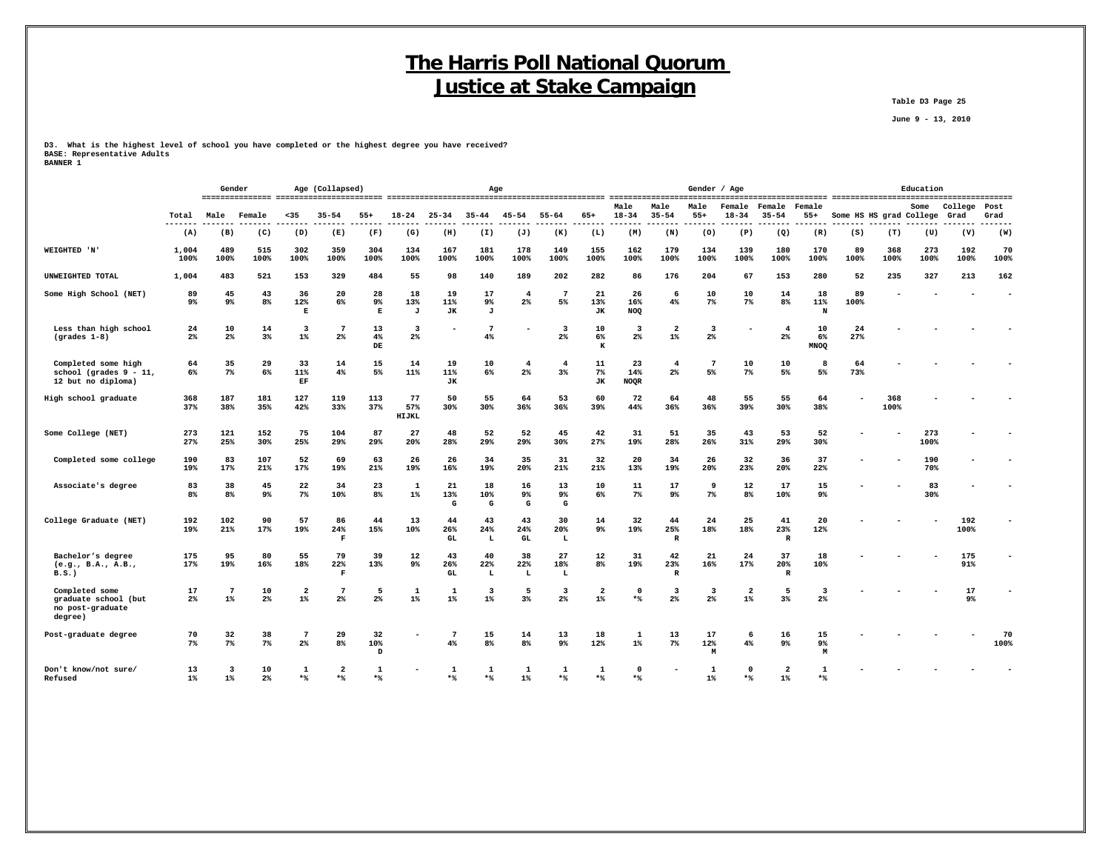**June 9 - 13, 2010**

**D3. What is the highest level of school you have completed or the highest degree you have received? BASE: Representative Adults BANNER 1**

|                                                                        |                | Gender                           |                      |                          | Age (Collapsed)           |                        |                                  |                       |                | Age                              |                      |                         |                              |                           |                                  | Gender / Age                     |                           |                           |                         |             | Education   |             |                 |
|------------------------------------------------------------------------|----------------|----------------------------------|----------------------|--------------------------|---------------------------|------------------------|----------------------------------|-----------------------|----------------|----------------------------------|----------------------|-------------------------|------------------------------|---------------------------|----------------------------------|----------------------------------|---------------------------|---------------------------|-------------------------|-------------|-------------|-------------|-----------------|
|                                                                        |                |                                  |                      |                          |                           |                        |                                  |                       |                |                                  |                      |                         | --------------------<br>Male | Male                      | Male                             | Female                           | Female                    | Female                    |                         |             | Some        | College     | -------<br>Post |
|                                                                        | Total<br>$---$ | Male                             | Female               | $35$                     | $35 - 54$                 | $55+$                  | 18-24                            | $25 - 34$             | $35 - 44$      | $45 - 54$                        | $55 - 64$            | $65+$                   | $18 - 34$                    | $35 - 54$                 | $55+$<br>.                       | $18 - 34$                        | $35 - 54$<br>-----        | $55+$                     | Some HS HS grad College |             |             | Grad        | Grad            |
|                                                                        | (A)            | (B)                              | (C)                  | (D)                      | (E)                       | (F)                    | (G)                              | (H)                   | (I)            | (J)                              | (K)                  | (L)                     | (M)                          | (N)                       | (0)                              | (P)                              | (Q)                       | (R)                       | (S)                     | (T)         | (U)         | (V)         | (W)             |
| <b>WEIGHTED 'N'</b>                                                    | 1,004<br>100%  | 489<br>100%                      | 515<br>100%          | 302<br>100%              | 359<br>100%               | 304<br>100%            | 134<br>100%                      | 167<br>100%           | 181<br>100%    | 178<br>100%                      | 149<br>100%          | 155<br>100%             | 162<br>100%                  | 179<br>100%               | 134<br>100%                      | 139<br>100%                      | 180<br>100%               | 170<br>100%               | 89<br>100%              | 368<br>100% | 273<br>100% | 192<br>100% | 70<br>100%      |
| UNWEIGHTED TOTAL                                                       | 1,004          | 483                              | 521                  | 153                      | 329                       | 484                    | 55                               | 98                    | 140            | 189                              | 202                  | 282                     | 86                           | 176                       | 204                              | 67                               | 153                       | 280                       | 52                      | 235         | 327         | 213         | 162             |
| Some High School (NET)                                                 | 89<br>9%       | 45<br>9%                         | 43<br>8%             | 36<br>12%<br>Е           | 20<br>6%                  | 28<br>9%<br>Е          | 18<br>13%<br>J                   | 19<br>11%<br>JК       | 17<br>9%<br>J  | 4<br>2%                          | 7<br>5%              | 21<br>13%<br>JK         | 26<br>16%<br>NOQ             | 6<br>$4\%$                | 10<br>$7\%$                      | 10<br>$7\%$                      | 14<br>8 <sup>8</sup>      | 18<br>11%<br>N            | 89<br>100%              |             |             |             |                 |
| Less than high school<br>$(grades 1-8)$                                | 24<br>$2\%$    | 10<br>$2\%$                      | 14<br>$3\%$          | 3<br>$1\%$               | $7\phantom{1}$<br>$2\%$   | 13<br>4%<br>${\tt DE}$ | $\overline{\mathbf{3}}$<br>$2\%$ |                       | 7<br>4%        |                                  | 3<br>$2\%$           | 10<br>6%<br>K           | 3<br>$2\%$                   | $\mathbf{2}$<br>$1\%$     | $\overline{\mathbf{3}}$<br>$2\%$ |                                  | $\overline{4}$<br>$2\%$   | 10<br>6%<br><b>MNOQ</b>   | 24<br>27%               |             |             |             |                 |
| Completed some high<br>school (grades $9 - 11$ ,<br>12 but no diploma) | 64<br>6%       | 35<br>$7\%$                      | 29<br>6%             | 33<br>11%<br>EF          | 14<br>4%                  | 15<br>5%               | 14<br>11%                        | 19<br>11%<br>JК       | 10<br>6%       | $\overline{4}$<br>$2\%$          | $\overline{4}$<br>3% | 11<br>$7\%$<br>JK       | 23<br>14%<br>NOQR            | $\overline{4}$<br>$2\%$   | 7<br>5%                          | 10<br>$7\%$                      | 10<br>5%                  | 8<br>5%                   | 64<br>73%               |             |             |             |                 |
| High school graduate                                                   | 368<br>37%     | 187<br>38%                       | 181<br>35%           | 127<br>42%               | 119<br>33%                | 113<br>37%             | 77<br>57%<br>HIJKL               | 50<br>30%             | 55<br>30%      | 64<br>36%                        | 53<br>36%            | 60<br>39%               | 72<br>44%                    | 64<br>36%                 | 48<br>36%                        | 55<br>39%                        | 55<br>30%                 | 64<br>38%                 |                         | 368<br>100% |             |             |                 |
| Some College (NET)                                                     | 273<br>27%     | 121<br>25%                       | 152<br>30%           | 75<br>25%                | 104<br>29%                | 87<br>29%              | 27<br>20%                        | 48<br>28%             | 52<br>29%      | 52<br>29%                        | 45<br>30%            | 42<br>27%               | 31<br>19%                    | 51<br>28%                 | 35<br>26%                        | 43<br>31%                        | 53<br>29%                 | 52<br>30%                 |                         |             | 273<br>100% |             |                 |
| Completed some college                                                 | 190<br>19%     | 83<br>17%                        | 107<br>21%           | 52<br>17%                | 69<br>19%                 | 63<br>21%              | 26<br>19%                        | 26<br>16%             | 34<br>19%      | 35<br>20%                        | 31<br>21%            | 32<br>21%               | 20<br>13%                    | 34<br>19%                 | 26<br>20%                        | 32<br>23%                        | 36<br>20%                 | 37<br>22%                 |                         |             | 190<br>70%  |             |                 |
| Associate's degree                                                     | 83<br>8%       | 38<br>$8\%$                      | 45<br>$9\%$          | 22<br>$7\%$              | 34<br>10%                 | 23<br>8%               | 1<br>$1\%$                       | 21<br>13%<br>G        | 18<br>10%<br>G | 16<br>9%<br>G                    | 13<br>9%<br>G        | 10<br>6%                | 11<br>$7\%$                  | 17<br>9%                  | 9<br>$7\%$                       | 12<br>8%                         | 17<br>10%                 | 15<br>$9\%$               |                         |             | 83<br>30%   |             |                 |
| College Graduate (NET)                                                 | 192<br>19%     | 102<br>21%                       | 90<br>17%            | 57<br>19%                | 86<br>24%<br>$\mathbf{F}$ | 44<br>15%              | 13<br>10%                        | 44<br>26%<br>GL       | 43<br>24%<br>L | 43<br>24%<br>GL                  | 30<br>20%<br>L       | 14<br>9%                | 32<br>19%                    | 44<br>25%<br>R            | 24<br>18%                        | 25<br>18%                        | 41<br>23%<br>$\mathbf R$  | 20<br>12%                 |                         |             |             | 192<br>100% |                 |
| Bachelor's degree<br>(e.g., B.A., A.B.,)<br>B.S.                       | 175<br>17%     | 95<br>19%                        | 80<br>16%            | 55<br>18%                | 79<br>22%<br>$\mathbf{F}$ | 39<br>13%              | 12<br>9%                         | 43<br>26%<br>GL       | 40<br>22%<br>L | 38<br>22%<br>L                   | 27<br>18%<br>г       | 12<br>8%                | 31<br>19%                    | 42<br>23%<br>$\, {\bf R}$ | 21<br>16%                        | 24<br>17%                        | 37<br>20%<br>$\mathbb{R}$ | 18<br>10%                 |                         |             |             | 175<br>91%  |                 |
| Completed some<br>graduate school (but<br>no post-graduate<br>degree)  | 17<br>2%       | $7\phantom{.0}$<br>$1\%$         | 10<br>2%             | $\overline{a}$<br>$1\%$  | -7<br>2 <sup>°</sup>      | 5<br>$2\%$             | 1<br>$1\%$                       | 1<br>$1\%$            | 3<br>$1\%$     | 5<br>3%                          | 3<br>2%              | $\overline{2}$<br>$1\%$ | $^{\circ}$<br>$*$            | -3<br>2 <sup>8</sup>      | 3<br>2 <sup>°</sup>              | $\overline{\mathbf{2}}$<br>$1\%$ | 5<br>$3*$                 | 3<br>2 <sup>8</sup>       |                         |             |             | 17<br>9%    |                 |
| Post-graduate degree                                                   | 70<br>$7\%$    | 32<br>$7\%$                      | 38<br>$7\%$          | $7\phantom{.0}$<br>$2\%$ | 29<br>8%                  | 32<br>10%<br>D         |                                  | $7\phantom{.0}$<br>4% | 15<br>8%       | 14<br>8 <sup>°</sup>             | 13<br>$9\%$          | 18<br>12%               | 1<br>$1\%$                   | 13<br>$7\%$               | 17<br>12%<br>M                   | 6<br>4%                          | 16<br>9 <sup>°</sup>      | 15<br>9 <sup>°</sup><br>M |                         |             |             |             | 70<br>100%      |
| Don't know/not sure/<br>Refused                                        | 13<br>$1\%$    | $\overline{\mathbf{3}}$<br>$1\%$ | 10<br>2 <sup>°</sup> | $\mathbf{1}$<br>$*$      | -2<br>$*$                 | 1<br>**                |                                  | $\mathbf{1}$<br>**    | -1<br>**       | $\mathbf{1}$<br>$1$ <sup>*</sup> | **                   | -1<br>**                | $\Omega$<br>$*$              |                           | $1\%$                            | $\Omega$<br>$*$                  | -2<br>$1\%$               | $\mathbf{1}$<br>$*$       |                         |             |             |             |                 |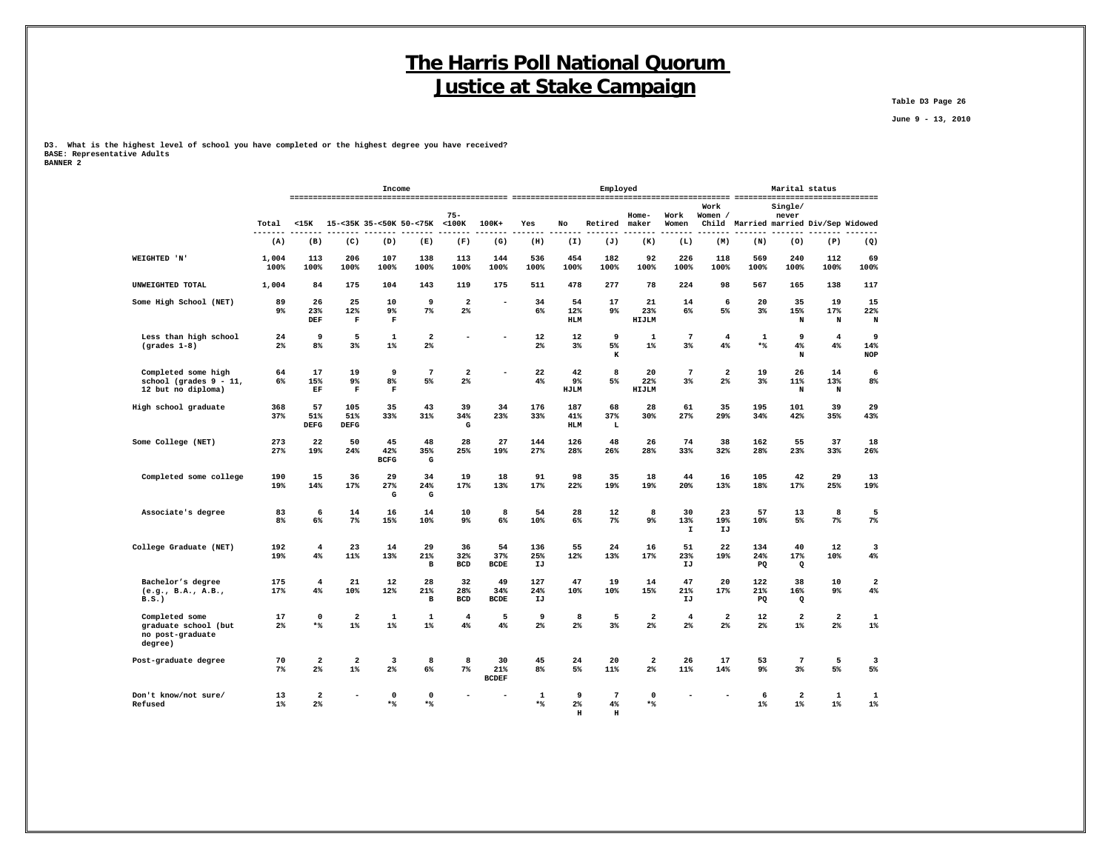**Table D3 Page 26**

 **June 9 - 13, 2010**

**D3. What is the highest level of school you have completed or the highest degree you have received? BASE: Representative Adults BANNER 2**

|                                                                        |                      |                               |                                  | Income                   |                                |                                           |                           |                      |                              | Employed                            |                                  |                           |                                  |                                       | Marital status                   |                                  |                               |
|------------------------------------------------------------------------|----------------------|-------------------------------|----------------------------------|--------------------------|--------------------------------|-------------------------------------------|---------------------------|----------------------|------------------------------|-------------------------------------|----------------------------------|---------------------------|----------------------------------|---------------------------------------|----------------------------------|----------------------------------|-------------------------------|
|                                                                        | Total                | $15K$                         |                                  |                          | 15-<35K 35-<50K 50-<75K <100K  | $75 -$                                    | 100K+                     | Yes                  | No                           | Retired                             | Home-<br>maker                   | Work<br>Women             | Work<br>Women /                  | Child Married married Div/Sep Widowed | Single/<br>never                 |                                  |                               |
|                                                                        | (A)                  | (B)                           | (C)                              | (D)                      | (E)                            | (F)                                       | (G)                       | (H)                  | (I)                          | (J)                                 | (K)                              | (L)                       | (M)                              | (N)                                   | (0)                              | (P)                              | (Q)                           |
| WEIGHTED 'N'                                                           | 1,004<br>100%        | 113<br>100%                   | 206<br>100%                      | 107<br>100%              | 138<br>100%                    | 113<br>100%                               | 144<br>100%               | 536<br>100%          | 454<br>100%                  | 182<br>100%                         | 92<br>100%                       | 226<br>100%               | 118<br>100%                      | 569<br>100%                           | 240<br>100%                      | 112<br>100%                      | 69<br>100%                    |
| UNWEIGHTED TOTAL                                                       | 1,004                | 84                            | 175                              | 104                      | 143                            | 119                                       | 175                       | 511                  | 478                          | 277                                 | 78                               | 224                       | 98                               | 567                                   | 165                              | 138                              | 117                           |
| Some High School (NET)                                                 | 89<br>9%             | 26<br>23%<br>DEF              | 25<br>12%<br>F                   | 10<br>9%<br>$\mathbf F$  | 9<br>$7\%$                     | $\overline{\mathbf{2}}$<br>$2\%$          |                           | 34<br>6%             | 54<br>12%<br><b>HLM</b>      | 17<br>9%                            | 21<br>23%<br>HIJLM               | 14<br>6%                  | 6<br>5%                          | 20<br>$3\%$                           | 35<br>15%<br>N                   | 19<br>17%<br>N                   | 15<br>22%<br>N                |
| Less than high school<br>$(grades 1-8)$                                | 24<br>2 <sup>°</sup> | 9<br>8%                       | 5<br>$3\%$                       | 1<br>$1\%$               | $\mathbf{2}$<br>2 <sup>°</sup> |                                           |                           | 12<br>2 <sup>8</sup> | 12<br>3%                     | 9<br>5%<br>K                        | 1<br>$1\%$                       | $7\phantom{.0}$<br>3%     | 4<br>4%                          | 1<br>$\star$ $\uparrow$               | 9<br>$4\%$<br>N                  | $\overline{4}$<br>4%             | 9<br>14%<br><b>NOP</b>        |
| Completed some high<br>school (grades $9 - 11$ ,<br>12 but no diploma) | 64<br>6%             | 17<br>15%<br>EF               | 19<br>9%<br>F                    | 9<br>8%<br>$\mathbf F$   | $7\phantom{.0}$<br>5%          | $\overline{\mathbf{2}}$<br>2 <sup>°</sup> |                           | 22<br>4%             | 42<br>9 <sup>°</sup><br>HJLM | 8<br>5%                             | 20<br>22%<br>HIJLM               | $7\phantom{.0}$<br>$3\%$  | $\overline{\mathbf{2}}$<br>$2\%$ | 19<br>3%                              | 26<br>11%<br>N                   | 14<br>13%<br>N                   | 6<br>8%                       |
| High school graduate                                                   | 368<br>37%           | 57<br>51%<br><b>DEFG</b>      | 105<br>51%<br><b>DEFG</b>        | 35<br>33%                | 43<br>31%                      | 39<br>34%<br>G                            | 34<br>23%                 | 176<br>33%           | 187<br>41%<br><b>HLM</b>     | 68<br>37%<br>L                      | 28<br>30%                        | 61<br>27%                 | 35<br>29%                        | 195<br>34%                            | 101<br>42%                       | 39<br>35%                        | 29<br>43%                     |
| Some College (NET)                                                     | 273<br>27%           | 22<br>19%                     | 50<br>24%                        | 45<br>42%<br><b>BCFG</b> | 48<br>35%<br>G                 | 28<br>25%                                 | 27<br>19%                 | 144<br>27%           | 126<br>28%                   | 48<br>26%                           | 26<br>28%                        | 74<br>33%                 | 38<br>32%                        | 162<br>28%                            | 55<br>23%                        | 37<br>33%                        | 18<br>26%                     |
| Completed some college                                                 | 190<br>19%           | 15<br>14%                     | 36<br>17%                        | 29<br>27%<br>G           | 34<br>24%<br>G                 | 19<br>17%                                 | 18<br>13%                 | 91<br>17%            | 98<br>22%                    | 35<br>19%                           | 18<br>19%                        | 44<br>20%                 | 16<br>13%                        | 105<br>18%                            | 42<br>17%                        | 29<br>25%                        | 13<br>19%                     |
| Associate's degree                                                     | 83<br>8 <sup>8</sup> | 6<br>6%                       | 14<br>7%                         | 16<br>15%                | 14<br>10%                      | 10<br>9%                                  | 8<br>$6\%$                | 54<br>10%            | 28<br>6%                     | 12<br>7%                            | 8<br>$9\%$                       | 30<br>13%<br>$\mathbf{I}$ | 23<br>19%<br>IJ                  | 57<br>10%                             | 13<br>5%                         | 8<br>$7\%$                       | 5<br>$7\%$                    |
| College Graduate (NET)                                                 | 192<br>19%           | $\overline{\mathbf{4}}$<br>4% | 23<br>11%                        | 14<br>13%                | 29<br>21%<br>в                 | 36<br>32%<br><b>BCD</b>                   | 54<br>37%<br><b>BCDE</b>  | 136<br>25%<br>IJ     | 55<br>12%                    | 24<br>13%                           | 16<br>17%                        | 51<br>23%<br>IJ           | 22<br>19%                        | 134<br>24%<br>PQ                      | 40<br>17%<br>Q                   | 12<br>10%                        | 3<br>4%                       |
| Bachelor's degree<br>(e.g., B.A., A.B.,<br>B.S.                        | 175<br>17%           | $\overline{4}$<br>4%          | 21<br>10%                        | 12<br>12%                | 28<br>21%<br>$\, {\bf B}$      | 32<br>28%<br><b>BCD</b>                   | 49<br>34%<br><b>BCDE</b>  | 127<br>24%<br>IJ     | 47<br>10%                    | 19<br>10%                           | 14<br>15%                        | 47<br>21%<br>IJ           | 20<br>17%                        | 122<br>21%<br>PQ                      | 38<br>16%<br>$\mathbf Q$         | 10<br>9%                         | $\mathbf{2}$<br>4%            |
| Completed some<br>graduate school (but<br>no post-graduate<br>degree)  | 17<br>2%             | $\mathbf 0$<br>*%             | $\overline{\mathbf{2}}$<br>$1\%$ | 1<br>$1\%$               | $\mathbf 1$<br>$1\%$           | $\overline{4}$<br>4%                      | 5<br>4%                   | 9<br>$2\%$           | 8<br>$2\%$                   | 5<br>3%                             | $\overline{\mathbf{2}}$<br>$2\%$ | $\overline{4}$<br>$2\%$   | $\mathbf{2}$<br>2%               | 12<br>$2\%$                           | $\overline{\mathbf{2}}$<br>$1\%$ | $\overline{\mathbf{2}}$<br>$2\%$ | $\mathbf 1$<br>$1\%$          |
| Post-graduate degree                                                   | 70<br>7%             | $\overline{a}$<br>$2\%$       | $\overline{\mathbf{2}}$<br>$1\%$ | 3<br>$2\%$               | 8<br>6%                        | 8<br>$7\%$                                | 30<br>21%<br><b>BCDEF</b> | 45<br>8%             | 24<br>5%                     | 20<br>11%                           | $\overline{\mathbf{2}}$<br>$2\%$ | 26<br>11%                 | 17<br>14%                        | 53<br>9%                              | $\overline{7}$<br>3%             | 5<br>5%                          | $\overline{\mathbf{3}}$<br>5% |
| Don't know/not sure/<br>Refused                                        | 13<br>$1\%$          | 2<br>2 <sup>8</sup>           |                                  | $\mathbf 0$<br>$*$       | 0<br>$*$                       |                                           |                           | $\mathbf 1$<br>$*$   | 9<br>$2\%$<br>$\mathbf H$    | $7\phantom{.0}$<br>4%<br>$_{\rm H}$ | $\mathbf 0$<br>$*$               |                           |                                  | 6<br>$1\%$                            | 2<br>$1\%$                       | 1<br>$1\%$                       | 1<br>$1\%$                    |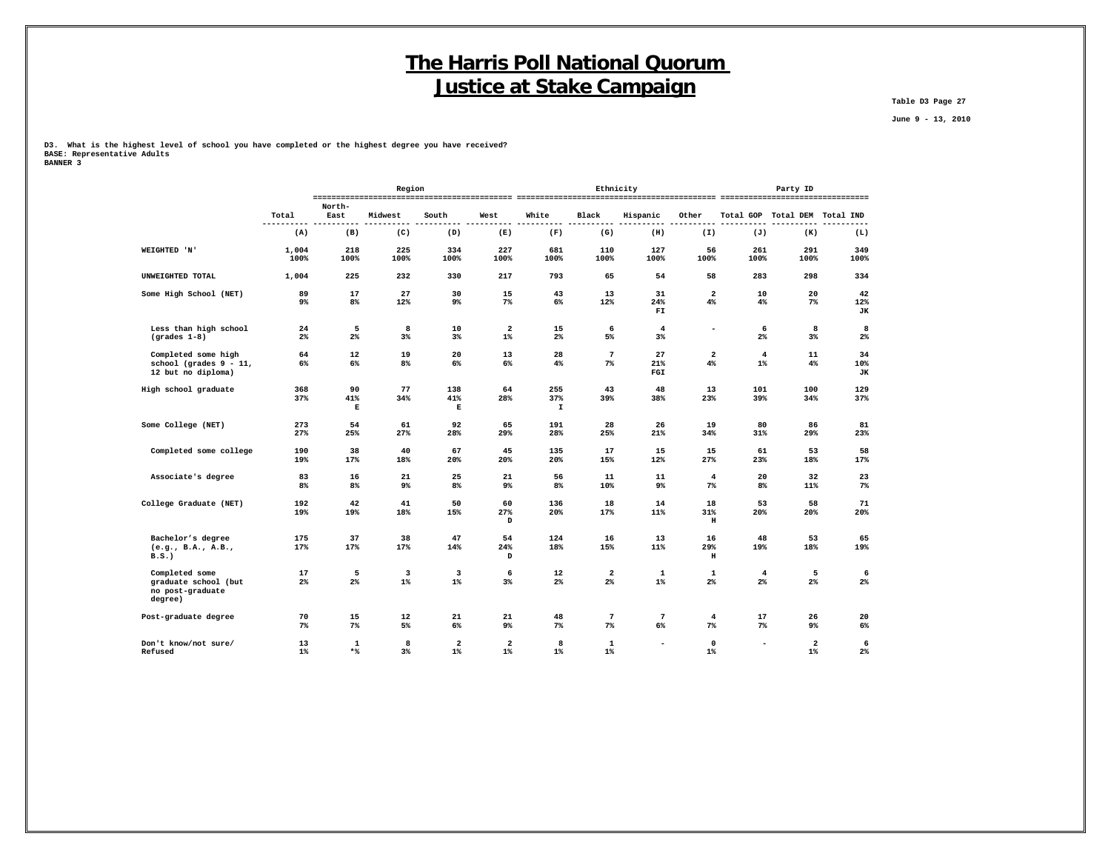**Table D3 Page 27**

 **June 9 - 13, 2010**

**D3. What is the highest level of school you have completed or the highest degree you have received? BASE: Representative Adults**

| -------       | ------------- |  |  |
|---------------|---------------|--|--|
| <b>RANNER</b> | ર<br>$\sim$   |  |  |
|               |               |  |  |

|                                                                        |                      |                      | Region      |                                  |                       |                           |                          | Ethnicity                |                           |                                  | Party ID                         |                 |
|------------------------------------------------------------------------|----------------------|----------------------|-------------|----------------------------------|-----------------------|---------------------------|--------------------------|--------------------------|---------------------------|----------------------------------|----------------------------------|-----------------|
|                                                                        |                      | North-               |             |                                  |                       |                           |                          |                          |                           |                                  |                                  |                 |
|                                                                        | Total                | East                 | Midwest     | South                            | West                  | White                     | Black                    | Hispanic                 | Other                     |                                  | Total GOP Total DEM Total IND    |                 |
|                                                                        | (A)                  | (B)                  | (C)         | (D)                              | (E)                   | (F)                       | (G)                      | (H)                      | (I)                       | (J)                              | (K)                              | (L)             |
| WEIGHTED 'N'                                                           | 1,004<br>100%        | 218<br>100%          | 225<br>100% | 334<br>100%                      | 227<br>100%           | 681<br>100%               | 110<br>100%              | 127<br>100%              | 56<br>100%                | 261<br>100%                      | 291<br>100%                      | 349<br>100%     |
| UNWEIGHTED TOTAL                                                       | 1,004                | 225                  | 232         | 330                              | 217                   | 793                       | 65                       | 54                       | 58                        | 283                              | 298                              | 334             |
| Some High School (NET)                                                 | 89<br>9%             | 17<br>8%             | 27<br>12%   | 30<br>9%                         | 15<br>$7\%$           | 43<br>6%                  | 13<br>12%                | 31<br>24%<br>FI          | $\mathbf{2}$<br>$4\%$     | 10<br>$4\%$                      | 20<br>$7\%$                      | 42<br>12%<br>JК |
| Less than high school<br>$(grades 1-8)$                                | 24<br>$2\%$          | 5<br>$2\%$           | 8<br>$3\%$  | 10<br>$3\%$                      | $\mathbf{2}$<br>$1\%$ | 15<br>$2\%$               | 6<br>5%                  | $\overline{4}$<br>3%     | ۰                         | 6<br>$2\%$                       | 8<br>$3\%$                       | 8<br>$2\%$      |
| Completed some high<br>school (grades $9 - 11$ ,<br>12 but no diploma) | 64<br>6%             | 12<br>$6\%$          | 19<br>8%    | 20<br>6%                         | 13<br>6%              | 28<br>4%                  | $7\phantom{.0}$<br>$7\%$ | 27<br>21%<br>FGI         | $\mathbf{2}$<br>4%        | $\overline{\mathbf{4}}$<br>$1\%$ | 11<br>4%                         | 34<br>10%<br>JК |
| High school graduate                                                   | 368<br>37%           | 90<br>41%<br>Е       | 77<br>34%   | 138<br>41%<br>Е                  | 64<br>28%             | 255<br>37%<br>$\mathbf I$ | 43<br>39%                | 48<br>38%                | 13<br>23%                 | 101<br>39%                       | 100<br>34%                       | 129<br>37%      |
| Some College (NET)                                                     | 273<br>27%           | 54<br>25%            | 61<br>27%   | 92<br>28%                        | 65<br>29%             | 191<br>28%                | 28<br>25%                | 26<br>21%                | 19<br>34%                 | 80<br>31%                        | 86<br>29%                        | 81<br>23%       |
| Completed some college                                                 | 190<br>19%           | 38<br>17%            | 40<br>18%   | 67<br>20%                        | 45<br>20%             | 135<br>20%                | 17<br>15%                | 15<br>12%                | 15<br>27%                 | 61<br>23%                        | 53<br>18%                        | 58<br>17%       |
| Associate's degree                                                     | 83<br>8 <sup>°</sup> | 16<br>8 <sup>°</sup> | 21<br>9%    | 25<br>8%                         | 21<br>$9\%$           | 56<br>8 <sup>8</sup>      | 11<br>10%                | 11<br>$9\%$              | $\overline{4}$<br>$7\%$   | 20<br>8 <sup>°</sup>             | 32<br>11%                        | 23<br>$7\%$     |
| College Graduate (NET)                                                 | 192<br>19%           | 42<br>19%            | 41<br>18%   | 50<br>15%                        | 60<br>27%<br>D        | 136<br>20%                | 18<br>17%                | 14<br>11%                | 18<br>31%<br>$\, {\bf H}$ | 53<br>20%                        | 58<br>20%                        | 71<br>20%       |
| Bachelor's degree<br>(e.g., B.A., A.B.,<br>B.S.                        | 175<br>17%           | 37<br>17%            | 38<br>17%   | 47<br>14%                        | 54<br>24%<br>D        | 124<br>18%                | 16<br>15%                | 13<br>11%                | 16<br>29%<br>$\, {\rm H}$ | 48<br>19%                        | 53<br>18%                        | 65<br>19%       |
| Completed some<br>graduate school (but<br>no post-graduate<br>degree)  | 17<br>2%             | 5<br>2%              | 3<br>$1\%$  | $\overline{\mathbf{3}}$<br>$1\%$ | 6<br>3%               | 12<br>$2\%$               | $\mathbf{2}$<br>2%       | 1<br>$1\%$               | $\mathbf{1}$<br>$2\%$     | $\overline{4}$<br>2 <sup>°</sup> | 5<br>2%                          | 6<br>$2\%$      |
| Post-graduate degree                                                   | 70<br>$7\%$          | 15<br>7%             | 12<br>5%    | 21<br>6%                         | 21<br>$9\%$           | 48<br>$7\%$               | $\overline{7}$<br>7%     | $7\phantom{.0}$<br>6%    | $\overline{4}$<br>$7\%$   | 17<br>$7\%$                      | 26<br>9%                         | 20<br>6%        |
| Don't know/not sure/<br>Refused                                        | 13<br>$1\%$          | 1<br>$*$ %           | 8<br>$3\%$  | $\overline{\mathbf{2}}$<br>$1\%$ | 2<br>$1\%$            | 8<br>$1\%$                | 1<br>$1\%$               | $\overline{\phantom{a}}$ | $\mathsf 0$<br>$1\%$      |                                  | $\overline{\mathbf{2}}$<br>$1\%$ | 6<br>$2\%$      |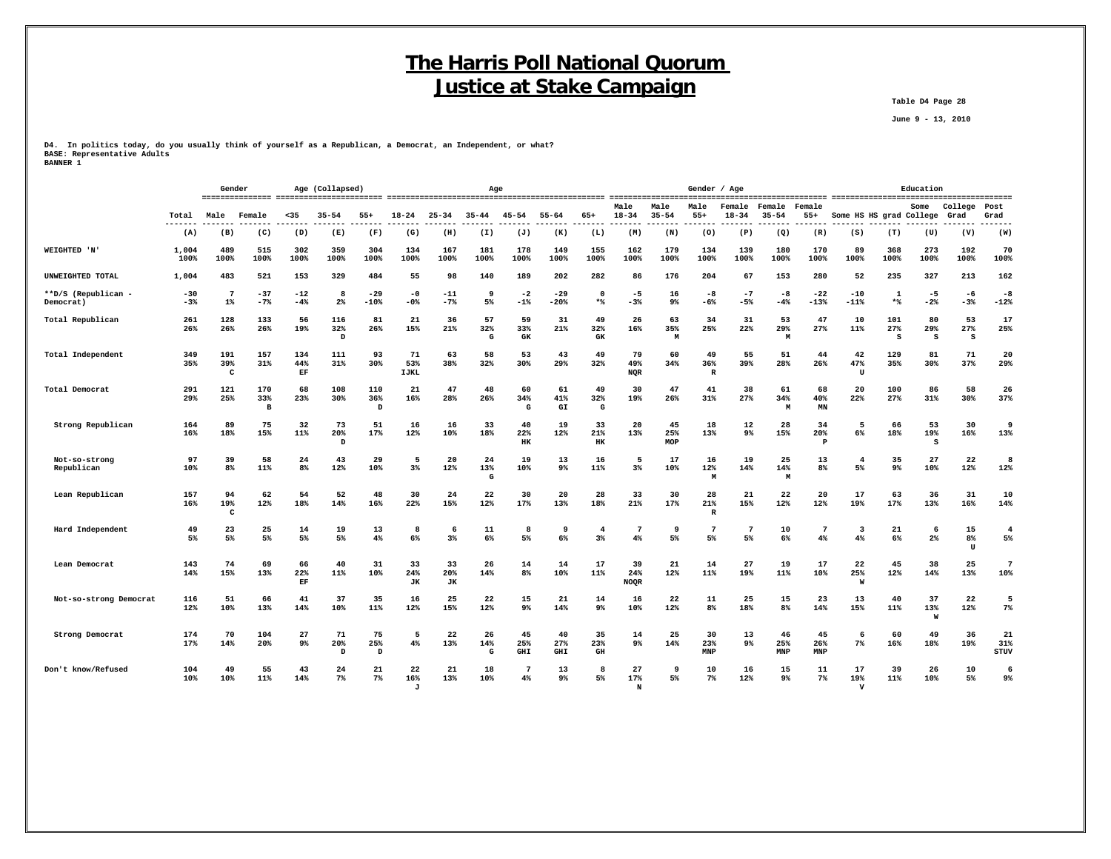**Table D4 Page 28**

 **June 9 - 13, 2010**

**D4. In politics today, do you usually think of yourself as a Republican, a Democrat, an Independent, or what? BASE: Representative Adults BANNER 1**

|                                  |                | Gender                   |                 |                      | Age (Collapsed)                            |                        |                     |                        |                | Age                  |                         |                                     |                          |                   | Gender / Age            |                      |                     |                           |                           |                      | Education               |                 |                          |
|----------------------------------|----------------|--------------------------|-----------------|----------------------|--------------------------------------------|------------------------|---------------------|------------------------|----------------|----------------------|-------------------------|-------------------------------------|--------------------------|-------------------|-------------------------|----------------------|---------------------|---------------------------|---------------------------|----------------------|-------------------------|-----------------|--------------------------|
|                                  | Total          | Male                     | Female          | $35$                 | $35 - 54$                                  | $55+$                  | 18-24               | 25-34                  | $35 - 44$      | 45-54                | $55 - 64$               | 65+                                 | Male<br>$18 - 34$        | Male<br>$35 - 54$ | Male<br>$55+$           | Female<br>$18 - 34$  | Female<br>$35 - 54$ | Female<br>$55+$           | Some HS HS grad College   |                      | Some                    | College<br>Grad | Post<br>Grad             |
|                                  | -------<br>(A) | (B)                      | ------<br>(C)   | ------<br>(D)        | -------<br>(E)                             | $- - - - - - -$<br>(F) | -------<br>(G)      | (H)                    | (I)            | (J)                  | -------<br>(K)          | --------<br>(L)                     | -------<br>(M)           | -------<br>(N)    | -------<br>(0)          | --------<br>(P)      | --------<br>(Q)     | --------<br>(R)           | -----<br>(S)              | (T)                  | -------- -------<br>(U) | --------<br>(V) | -------<br>(W)           |
| WEIGHTED 'N'                     | 1,004<br>100%  | 489<br>100%              | 515<br>100%     | 302<br>100%          | 359<br>100%                                | 304<br>100%            | 134<br>100%         | 167<br>100%            | 181<br>100%    | 178<br>100%          | 149<br>100%             | 155<br>100%                         | 162<br>100%              | 179<br>100%       | 134<br>100%             | 139<br>100%          | 180<br>100%         | 170<br>100%               | 89<br>100%                | 368<br>100%          | 273<br>100%             | 192<br>100%     | 70<br>100%               |
| UNWEIGHTED TOTAL                 | 1,004          | 483                      | 521             | 153                  | 329                                        | 484                    | 55                  | 98                     | 140            | 189                  | 202                     | 282                                 | 86                       | 176               | 204                     | 67                   | 153                 | 280                       | 52                        | 235                  | 327                     | 213             | 162                      |
| **D/S (Republican -<br>Democrat) | $-30$<br>$-3%$ | $7\phantom{.0}$<br>$1\%$ | $-37$<br>$-7%$  | $-12$<br>$-4%$       | 8<br>$2\%$                                 | $-29$<br>-10%          | -0<br>$-0$ %        | -11<br>$-7%$           | 9<br>5%        | -2<br>$-1%$          | $-29$<br>$-20%$         | $\Omega$<br>*%                      | -5<br>$-3%$              | 16<br>9%          | -8<br>$-6%$             | $-7$<br>$-5%$        | -8<br>$-4%$         | $-22$<br>$-13%$           | $-10$<br>$-11%$           | 1<br>$*$             | -5<br>$-2%$             | -6<br>$-3%$     | $-8$<br>$-12%$           |
| Total Republican                 | 261<br>26%     | 128<br>26%               | 133<br>26%      | 56<br>19%            | 116<br>32%<br>$\, {\scriptstyle\mathrm D}$ | 81<br>26%              | 21<br>15%           | 36<br>21%              | 57<br>32%<br>G | 59<br>33%<br>GK      | 31<br>21%               | 49<br>32%<br>GK                     | 26<br>16%                | 63<br>35%<br>M    | 34<br>25%               | 31<br>22%            | 53<br>29%<br>M      | 47<br>27%                 | 10<br>11%                 | 101<br>27%<br>s      | 80<br>29%<br>s          | 53<br>27%<br>s  | 17<br>25%                |
| Total Independent                | 349<br>35%     | 191<br>39%<br>с          | 157<br>31%      | 134<br>44%<br>EF     | 111<br>31%                                 | 93<br>30%              | 71<br>53%<br>IJKL   | 63<br>38%              | 58<br>32%      | 53<br>30%            | 43<br>29%               | 49<br>32%                           | 79<br>49%<br>NQR         | 60<br>34%         | 49<br>36%<br>R          | 55<br>39%            | 51<br>28%           | 44<br>26%                 | 42<br>47%<br>$\mathbf{U}$ | 129<br>35%           | 81<br>30%               | 71<br>37%       | 20<br>29%                |
| Total Democrat                   | 291<br>29%     | 121<br>25%               | 170<br>33%<br>в | 68<br>23%            | 108<br>30%                                 | 110<br>36%<br>D        | 21<br>16%           | 47<br>28%              | 48<br>26%      | 60<br>34%<br>G       | 61<br>41%<br>GI         | 49<br>32%<br>G                      | 30<br>19%                | 47<br>26%         | 41<br>31%               | 38<br>27%            | 61<br>34%<br>M      | 68<br>40%<br>MN           | 20<br>22%                 | 100<br>27%           | 86<br>31%               | 58<br>30%       | 26<br>37%                |
| Strong Republican                | 164<br>16%     | 89<br>18%                | 75<br>15%       | 32<br>11%            | 73<br>20%<br>D                             | 51<br>17%              | 16<br>12%           | 16<br>10%              | 33<br>18%      | 40<br>22%<br>HK      | 19<br>12%               | 33<br>21%<br>HK                     | 20<br>13%                | 45<br>25%<br>MOP  | 18<br>13%               | 12<br>9%             | 28<br>15%           | 34<br>20%<br>$\mathbf{P}$ | 5<br>$6\%$                | 66<br>18%            | 53<br>19%<br>s          | 30<br>16%       | 9<br>13%                 |
| Not-so-strong<br>Republican      | 97<br>10%      | 39<br>8 <sup>8</sup>     | 58<br>11%       | 24<br>8 <sup>8</sup> | 43<br>12%                                  | 29<br>10%              | 5<br>3 <sup>8</sup> | 20<br>12%              | 24<br>13%<br>G | 19<br>10%            | 13<br>$9\%$             | 16<br>11%                           | 5<br>3%                  | 17<br>10%         | 16<br>12%<br>M          | 19<br>14%            | 25<br>14%<br>M      | 13<br>8 <sup>8</sup>      | $\overline{4}$<br>5%      | 35<br>9 <sup>°</sup> | 27<br>10%               | 22<br>12%       | 8<br>12%                 |
| Lean Republican                  | 157<br>16%     | 94<br>19%<br>c           | 62<br>12%       | 54<br>18%            | 52<br>14%                                  | 48<br>16%              | 30<br>22%           | 24<br>15%              | 22<br>12%      | 30<br>17%            | 20<br>13%               | 28<br>18%                           | 33<br>21%                | 30<br>17%         | 28<br>21%<br>R          | 21<br>15%            | 22<br>12%           | 20<br>12%                 | 17<br>19%                 | 63<br>17%            | 36<br>13%               | 31<br>16%       | 10<br>14%                |
| Hard Independent                 | 49<br>5%       | 23<br>5%                 | 25<br>5%        | 14<br>5%             | 19<br>5%                                   | 13<br>4%               | 8<br>$6\%$          | -6<br>$3\%$            | 11<br>6%       | ٤<br>5%              | 9<br>6%                 | $\overline{4}$<br>$3\%$             | 7<br>4%                  | -9<br>5%          | 7<br>5%                 | $\overline{7}$<br>5% | 10<br>6%            | -7<br>4%                  | 3<br>4%                   | 21<br>6%             | -6<br>$2\%$             | 15<br>8%<br>IJ  | $\overline{4}$<br>5%     |
| Lean Democrat                    | 143<br>14%     | 74<br>15%                | 69<br>13%       | 66<br>22%<br>EF      | 40<br>11%                                  | 31<br>10%              | 33<br>24%<br>JК     | 33<br>20%<br><b>JK</b> | 26<br>14%      | 14<br>8 <sup>8</sup> | 14<br>10%               | 17<br>11%                           | 39<br>24%<br><b>NOQR</b> | 21<br>12%         | 14<br>11%               | 27<br>19%            | 19<br>11%           | 17<br>10%                 | 22<br>25%<br>W            | 45<br>12%            | 38<br>14%               | 25<br>13%       | $7\phantom{.0}$<br>10%   |
| Not-so-strong Democrat           | 116<br>12%     | 51<br>10%                | 66<br>13%       | 41<br>14%            | 37<br>10%                                  | 35<br>11%              | 16<br>12%           | 25<br>15%              | 22<br>12%      | 15<br>9%             | 21<br>14%               | 14<br>9%                            | 16<br>10%                | 22<br>12%         | 11<br>8%                | 25<br>18%            | 15<br>8%            | 23<br>14%                 | 13<br>15%                 | 40<br>11%            | 37<br>13%<br>W          | 22<br>12%       | 5<br>$7\%$               |
| Strong Democrat                  | 174<br>17%     | 70<br>14%                | 104<br>20%      | 27<br>9%             | 71<br>20%<br>D                             | 75<br>25%<br>D         | 5<br>4%             | 22<br>13%              | 26<br>14%<br>G | 45<br>25%<br>GHI     | 40<br>27%<br><b>GHI</b> | 35<br>23%<br>$\mathbf{G}\mathbf{H}$ | 14<br>9%                 | 25<br>14%         | 30<br>23%<br><b>MNP</b> | 13<br>9%             | 46<br>25%<br>MNP    | 45<br>26%<br>MNP          | 6<br>7%                   | 60<br>16%            | 49<br>18%               | 36<br>19%       | 21<br>31%<br><b>STUV</b> |
| Don't know/Refused               | 104<br>10%     | 49<br>10%                | 55<br>11%       | 43<br>14%            | 24<br>$7\%$                                | 21<br>$7\%$            | 22<br>16%           | 21<br>13%              | 18<br>10%      | 7<br>4%              | 13<br>9%                | 8<br>5%                             | 27<br>17%                | 9<br>5%           | 10<br>7%                | 16<br>12%            | 15<br>$9\%$         | 11<br>$7\%$               | 17<br>19%                 | 39<br>$11\%$         | 26<br>10%               | 10<br>5%        | 6<br>9%                  |

 **J N V**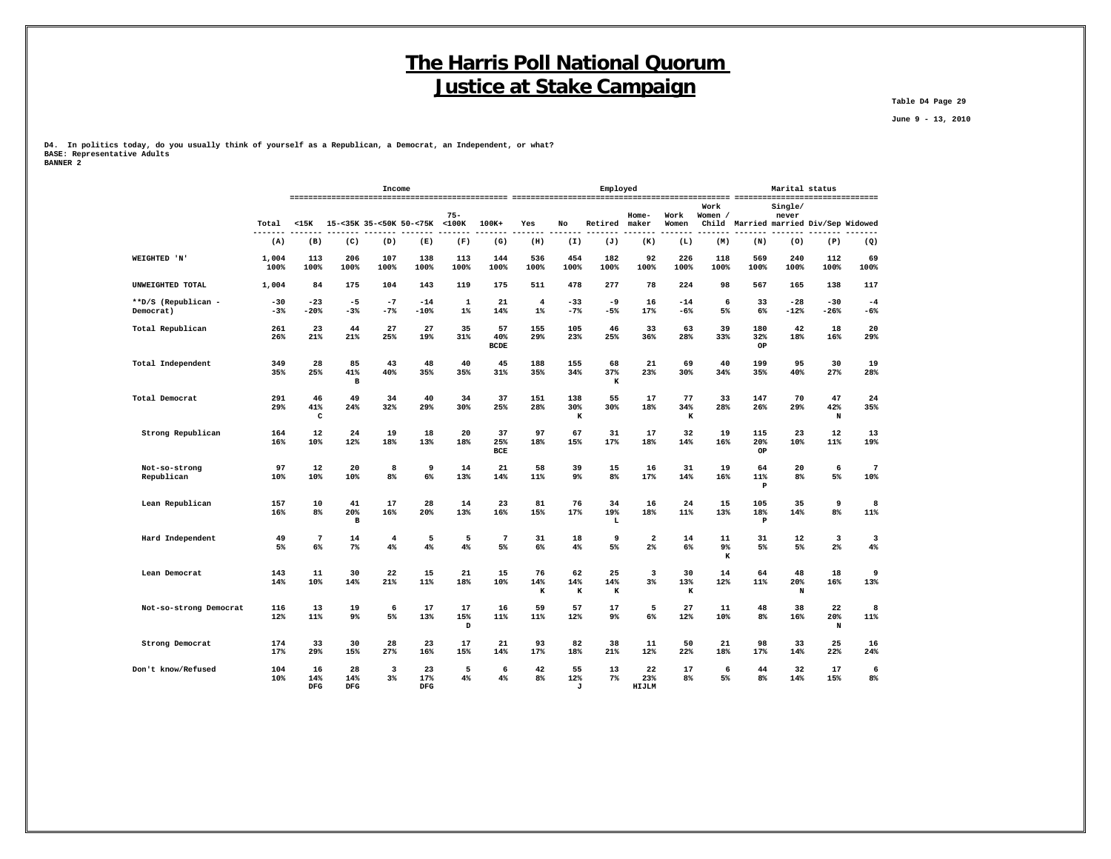**Table D4 Page 29**

 **June 9 - 13, 2010**

**D4. In politics today, do you usually think of yourself as a Republican, a Democrat, an Independent, or what? BASE: Representative Adults BANNER 2**

 **DFG DFG DFG J HIJLM**

|                        |               |                     |                               | Income         |             |             |                          |                |                     | Employed       |            |                |                 |                                       | Marital status   |             |                |
|------------------------|---------------|---------------------|-------------------------------|----------------|-------------|-------------|--------------------------|----------------|---------------------|----------------|------------|----------------|-----------------|---------------------------------------|------------------|-------------|----------------|
|                        | Total         | $<$ 15K             | 15-<35K 35-<50K 50-<75K <100K |                |             | $75 -$      | $100K+$                  | Yes            | No                  | Retired maker  | Home-      | Work<br>Women  | Work<br>Women / | Child Married married Div/Sep Widowed | Single/<br>never |             |                |
|                        | -------       |                     |                               |                |             |             |                          |                |                     |                |            |                |                 |                                       |                  |             |                |
|                        | (A)           | (B)                 | (C)                           | (D)            | (E)         | (F)         | (G)                      | (H)            | (I)                 | (J)            | (K)        | (L)            | (M)             | (N)                                   | (0)              | (P)         | (Q)            |
| WEIGHTED 'N            | 1,004<br>100% | 113<br>100%         | 206<br>100%                   | 107<br>100%    | 138<br>100% | 113<br>100% | 144<br>100%              | 536<br>100%    | 454<br>100%         | 182<br>100%    | 92<br>100% | 226<br>100%    | 118<br>100%     | 569<br>100%                           | 240<br>100%      | 112<br>100% | 69<br>100%     |
| UNWEIGHTED TOTAL       | 1,004         | 84                  | 175                           | 104            | 143         | 119         | 175                      | 511            | 478                 | 277            | 78         | 224            | 98              | 567                                   | 165              | 138         | 117            |
| **D/S (Republican -    | $-30$         | $-23$               | -5                            | $-7$           | $-14$       | 1           | 21                       | $\overline{4}$ | -33                 | -9             | 16         | $-14$          | 6               | 33                                    | $-28$            | $-30$       | $-4$           |
| Democrat)              | $-3%$         | $-20%$              | $-3%$                         | $-7%$          | -10%        | $1\%$       | 14%                      | $1\%$          | $-7%$               | $-5%$          | 17%        | -6%            | 5%              | 6%                                    | $-12%$           | $-26%$      | $-6%$          |
| Total Republican       | 261<br>26%    | 23<br>21%           | 44<br>21%                     | 27<br>25%      | 27<br>19%   | 35<br>31%   | 57<br>40%<br><b>BCDE</b> | 155<br>29%     | 105<br>23%          | 46<br>25%      | 33<br>36%  | 63<br>28%      | 39<br>33%       | 180<br>32%<br>OP                      | 42<br>18%        | 18<br>16%   | 20<br>29%      |
| Total Independent      | 349           | 28                  | 85                            | 43             | 48          | 40          | 45                       | 188            | 155                 | 68             | 21         | 69             | 40              | 199                                   | 95               | 30          | 19             |
|                        | 35%           | 25%                 | 41%<br>в                      | 40%            | 35%         | 35%         | 31%                      | 35%            | 34%                 | 37%<br>к       | 23%        | 30%            | 34%             | 35%                                   | 40%              | 27%         | 28%            |
| Total Democrat         | 291           | 46                  | 49                            | 34             | 40          | 34          | 37                       | 151            | 138                 | 55             | 17         | 77             | 33              | 147                                   | 70               | 47          | 24             |
|                        | 29%           | 41%<br>$\mathtt{C}$ | 24%                           | 32%            | 29%         | 30%         | 25%                      | 28%            | 30%<br>к            | 30%            | 18%        | 34%<br>к       | 28%             | 26%                                   | 29%              | 42%<br>N    | 35%            |
| Strong Republican      | 164           | 12                  | 24                            | 19             | 18          | 20          | 37                       | 97             | 67                  | 31             | 17         | 32             | 19              | 115                                   | 23               | 12          | 13             |
|                        | 16%           | 10%                 | 12%                           | 18%            | 13%         | 18%         | 25%<br><b>BCE</b>        | 18%            | 15%                 | 17%            | 18%        | 14%            | 16%             | 20%<br>OP                             | 10%              | 11%         | 19%            |
| Not-so-strong          | 97            | 12                  | 20                            | 8              | 9           | 14          | 21                       | 58             | 39                  | 15             | 16         | 31             | 19              | 64                                    | 20               | 6           | 7              |
| Republican             | 10%           | 10%                 | 10%                           | 8 <sup>8</sup> | 6%          | 13%         | 14%                      | 11%            | 9%                  | 8%             | 17%        | 14%            | 16%             | 11%<br>$\mathbf{P}$                   | 8 <sup>°</sup>   | 5%          | 10%            |
| Lean Republican        | 157           | 10                  | 41                            | 17             | 28          | 14          | 23                       | 81             | 76                  | 34             | 16         | 24             | 15              | 105                                   | 35               | 9           | 8              |
|                        | 16%           | 8%                  | 20%<br>$\mathbf{B}$           | 16%            | 20%         | 13%         | 16%                      | 15%            | 17%                 | 19%<br>L       | 18%        | 11%            | 13%             | 18%<br>$\mathbf{P}$                   | 14%              | 8%          | 11%            |
| Hard Independent       | 49            | $\overline{7}$      | 14                            | 4              | 5           | 5           | 7                        | 31             | 18                  | 9              | 2          | 14             | 11              | 31                                    | 12               | 3           | 3              |
|                        | 5%            | $6\%$               | $7\%$                         | 4%             | 4%          | 4%          | 5%                       | 6%             | 4%                  | 5%             | $2\%$      | 6%             | 9%<br>к         | 5%                                    | 5%               | $2\%$       | 4%             |
| Lean Democrat          | 143           | 11                  | 30                            | 22             | 15          | 21          | 15                       | 76             | 62                  | 25             | 3          | 30             | 14              | 64                                    | 48               | 18          | ٩              |
|                        | 14%           | 10%                 | 14%                           | 21%            | 11%         | 18%         | 10%                      | 14%<br>K       | 14%<br>$\mathbf{K}$ | 14%<br>$\bf K$ | 3%         | 13%<br>$\bf K$ | 12%             | 11%                                   | 20%<br>N         | 16%         | 13%            |
| Not-so-strong Democrat | 116           | 13                  | 19                            | 6              | 17          | 17          | 16                       | 59             | 57                  | 17             | 5          | 27             | 11              | 48                                    | 38               | 22          | 8              |
|                        | 12%           | 11%                 | 9%                            | 5%             | 13%         | 15%<br>D    | 11%                      | 11%            | 12%                 | 9 <sup>°</sup> | 6%         | 12%            | 10%             | 8 <sup>8</sup>                        | 16%              | 20%<br>N    | 11%            |
| Strong Democrat        | 174           | 33                  | 30                            | 28             | 23          | 17          | 21                       | 93             | 82                  | 38             | 11         | 50             | 21              | 98                                    | 33               | 25          | 16             |
|                        | 17%           | 29%                 | 15%                           | 27%            | 16%         | 15%         | 14%                      | 17%            | 18%                 | 21%            | 12%        | 22%            | 18%             | 17%                                   | 14%              | 22%         | 24%            |
| Don't know/Refused     | 104           | 16                  | 28                            | 3              | 23          | 5           | 6                        | 42             | 55                  | 13             | 22         | 17             | 6               | 44                                    | 32               | 17          | 6              |
|                        | 10%           | 14%                 | 14%                           | 3 <sup>8</sup> | 17%         | 4%          | 4%                       | 8 <sup>8</sup> | 12%                 | 7%             | 23%        | 8%             | 5%              | 8%                                    | 14%              | 15%         | 8 <sup>°</sup> |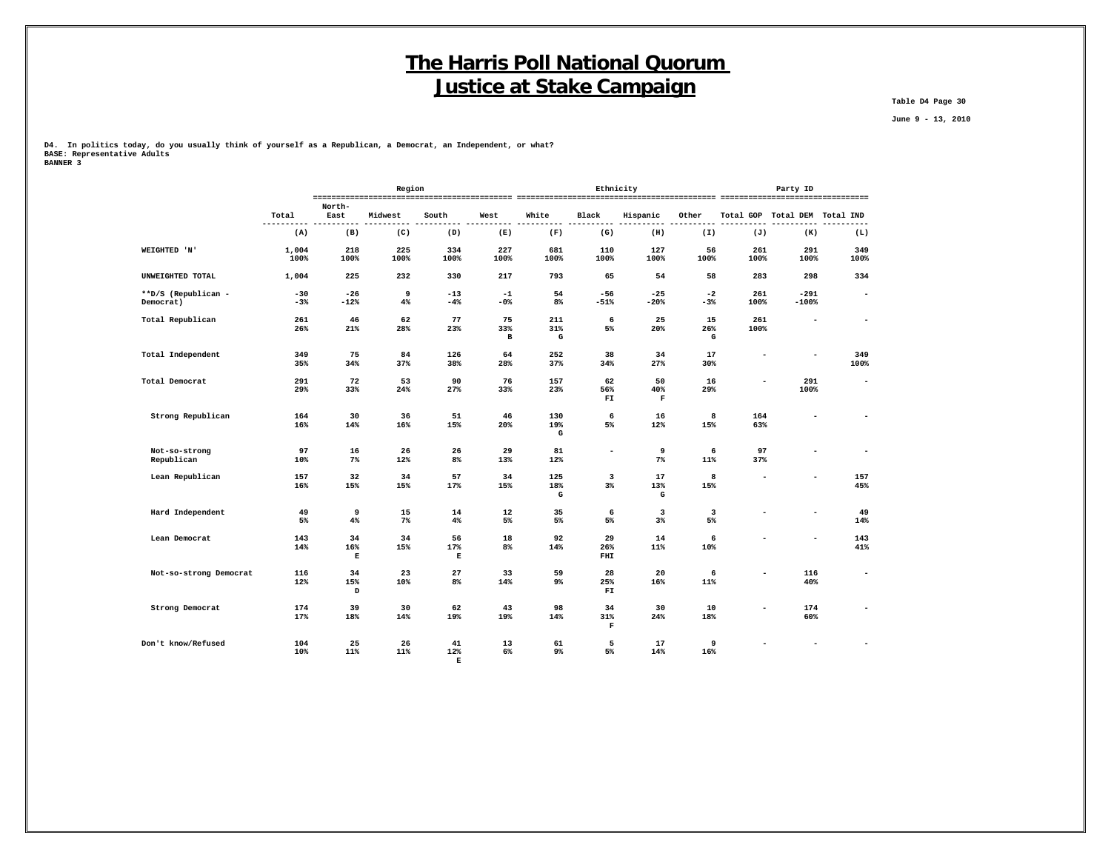**Table D4 Page 30**

 **June 9 - 13, 2010**

**D4. In politics today, do you usually think of yourself as a Republican, a Democrat, an Independent, or what? BASE: Representative Adults**

| BANNER 3 |  |  |
|----------|--|--|
|          |  |  |

|                             |               |                | Region      |                          |             |                 | Ethnicity                     |                          | Party ID                      |                          |                          |                          |  |
|-----------------------------|---------------|----------------|-------------|--------------------------|-------------|-----------------|-------------------------------|--------------------------|-------------------------------|--------------------------|--------------------------|--------------------------|--|
|                             |               | North-         |             |                          |             |                 |                               |                          |                               |                          |                          |                          |  |
|                             | Total         | East           | Midwest     | South                    | West        | White           | Black                         | Hispanic                 | Other                         | Total GOP Total DEM      |                          | Total IND                |  |
|                             | (A)           | (B)            | (C)         | (D)                      | (E)         | (F)             | (G)                           | (H)                      | (I)                           | (J)                      | (K)                      | (L)                      |  |
| WEIGHTED 'N'                | 1,004<br>100% | 218<br>100%    | 225<br>100% | 334<br>100%              | 227<br>100% | 681<br>100%     | 110<br>100%                   | 127<br>100%              | 56<br>100%                    | 261<br>100%              | 291<br>100%              | 349<br>100%              |  |
| UNWEIGHTED TOTAL            | 1,004         | 225            | 232         | 330                      | 217         | 793             | 65                            | 54                       | 58                            | 283                      | 298                      | 334                      |  |
| **D/S (Republican -         | $-30$         | $-26$          | 9           | $-13$                    | $-1$        | 54              | $-56$                         | $-25$                    | $-2$                          | 261                      | $-291$                   | $\overline{\phantom{a}}$ |  |
| Democrat)                   | $-3%$         | $-12%$         | 4%          | $-4%$                    | -0%         | 8 <sup>°</sup>  | $-51%$                        | $-20%$                   | $-3%$                         | 100%                     | $-100%$                  |                          |  |
| Total Republican            | 261           | 46             | 62          | 77                       | 75          | 211             | 6                             | 25                       | 15                            | 261                      | $\overline{\phantom{a}}$ | $\overline{\phantom{a}}$ |  |
|                             | 26%           | 21%            | 28%         | 23%                      | 33%<br>в    | 31%<br>G        | 5%                            | 20%                      | 26%<br>G                      | 100%                     |                          |                          |  |
| Total Independent           | 349<br>35%    | 75<br>34%      | 84<br>37%   | 126<br>38%               | 64<br>28%   | 252<br>37%      | 38<br>34%                     | 34<br>27%                | 17<br>30%                     |                          | $\overline{a}$           | 349<br>100%              |  |
| Total Democrat              | 291<br>29%    | 72<br>33%      | 53<br>24%   | 90<br>27%                | 76<br>33%   | 157<br>23%      | 62<br>56%<br>FI.              | 50<br>40%<br>$\mathbf F$ | 16<br>29%                     |                          | 291<br>100%              |                          |  |
| Strong Republican           | 164<br>16%    | 30<br>14%      | 36<br>16%   | 51<br>15%                | 46<br>20%   | 130<br>19%<br>G | 6<br>5%                       | 16<br>12%                | 8<br>15%                      | 164<br>63%               | ۰                        |                          |  |
| Not-so-strong<br>Republican | 97<br>10%     | 16<br>$7\%$    | 26<br>12%   | 26<br>8%                 | 29<br>13%   | 81<br>12%       | $\blacksquare$                | 9<br>7%                  | 6<br>11%                      | 97<br>37%                | $\overline{\phantom{a}}$ | $\overline{\phantom{a}}$ |  |
| Lean Republican             | 157<br>16%    | 32<br>15%      | 34<br>15%   | 57<br>17%                | 34<br>15%   | 125<br>18%<br>G | $\overline{\mathbf{3}}$<br>3% | 17<br>13%<br>G           | 8<br>15%                      | $\overline{\phantom{a}}$ | ۰                        | 157<br>45%               |  |
| Hard Independent            | 49<br>5%      | 9<br>4%        | 15<br>$7\%$ | 14<br>4%                 | 12<br>5%    | 35<br>5%        | 6<br>5%                       | 3<br>3%                  | $\overline{\mathbf{3}}$<br>5% |                          | $\overline{\phantom{0}}$ | 49<br>14%                |  |
| Lean Democrat               | 143<br>14%    | 34<br>16%<br>Е | 34<br>15%   | 56<br>17%<br>Е           | 18<br>8%    | 92<br>14%       | 29<br>26%<br>FHI              | 14<br>11%                | 6<br>10%                      |                          | $\overline{\phantom{a}}$ | 143<br>41%               |  |
| Not-so-strong Democrat      | 116<br>12%    | 34<br>15%<br>D | 23<br>10%   | 27<br>8 <sup>°</sup>     | 33<br>14%   | 59<br>9%        | 28<br>25%<br>FI               | 20<br>16%                | 6<br>11%                      | ۰                        | 116<br>40%               | $\overline{\phantom{a}}$ |  |
| Strong Democrat             | 174<br>17%    | 39<br>18%      | 30<br>14%   | 62<br>19%                | 43<br>19%   | 98<br>14%       | 34<br>31%<br>$\mathbf F$      | 30<br>24%                | 10<br>18%                     |                          | 174<br>60%               |                          |  |
| Don't know/Refused          | 104<br>10%    | 25<br>11%      | 26<br>11%   | 41<br>12%<br>$\mathbf E$ | 13<br>6%    | 61<br>9%        | 5<br>5%                       | 17<br>14%                | 9<br>16%                      |                          | $\overline{a}$           | $\overline{\phantom{a}}$ |  |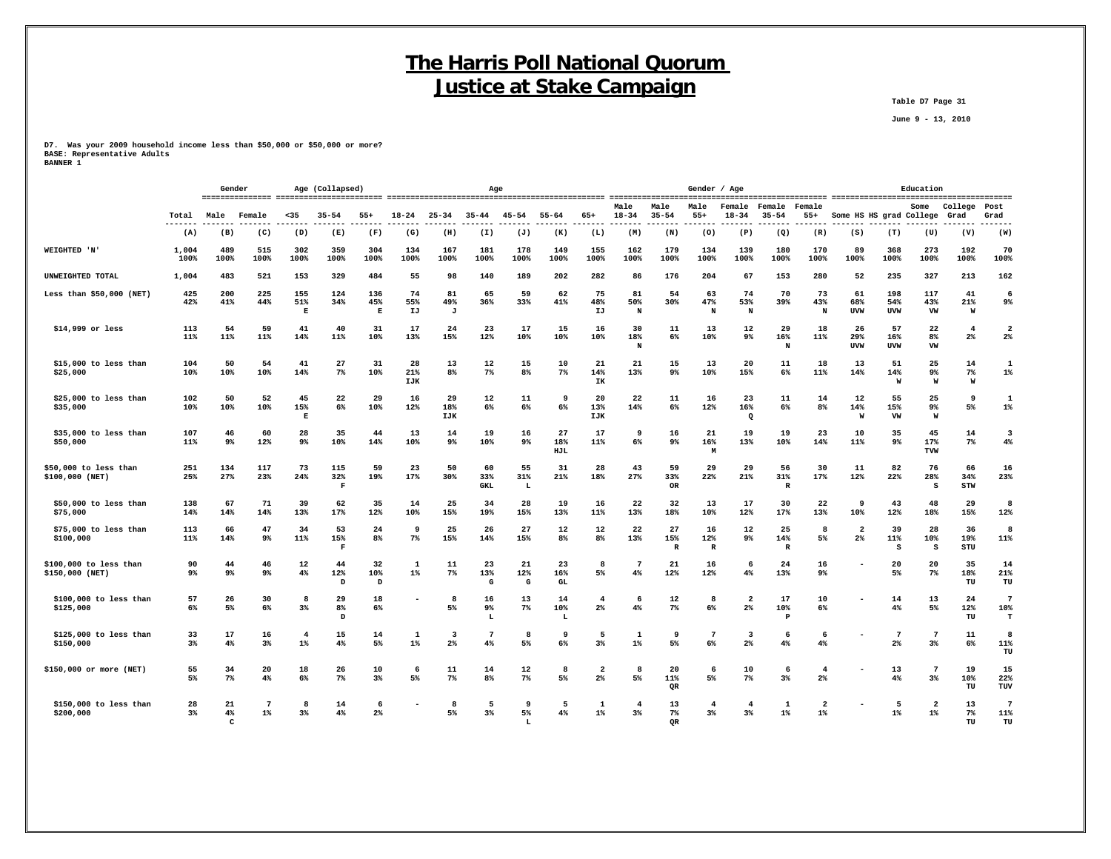**Table D7 Page 31**

 **June 9 - 13, 2010**

**D7. Was your 2009 household income less than \$50,000 or \$50,000 or more? BASE: Representative Adults BANNER 1**

|                                           | Gender         |               |                      | Age (Collapsed)          |                           |                      | Age                     |                  |                         |                      |                         |                                  | Gender / Age<br>---------------------- |                           |                      |                          |                           |                         | Education               |                          |                          |                    |                               |  |
|-------------------------------------------|----------------|---------------|----------------------|--------------------------|---------------------------|----------------------|-------------------------|------------------|-------------------------|----------------------|-------------------------|----------------------------------|----------------------------------------|---------------------------|----------------------|--------------------------|---------------------------|-------------------------|-------------------------|--------------------------|--------------------------|--------------------|-------------------------------|--|
|                                           | Total          | Male          | Female               | $35$                     | $35 - 54$                 | $55+$                | $18 - 24$               | $25 - 34$        | $35 - 44$               | $45 - 54$            | $55 - 64$               | $65+$                            | Male<br>$18 - 34$                      | Male<br>$35 - 54$         | Male<br>$55+$        | Female<br>$18 - 34$      | Female<br>$35 - 54$       | Female<br>$55+$         | Some HS HS grad College |                          | Some                     | College<br>Grad    | Post<br>Grad                  |  |
|                                           | $- - -$<br>(A) | (B)           | (C)                  | (D)                      | (E)                       | (F)                  | (G)                     | (H)              | (I)                     | (J)                  | (K)                     | (L)                              | (M)                                    | (N)                       | (0)                  | (P)                      | (Q)                       | (R)                     | (S)                     | (T)                      | (U)                      | (V)                | (W)                           |  |
| <b>WEIGHTED 'N'</b>                       | 1,004<br>100%  | 489<br>100%   | 515<br>100%          | 302<br>100%              | 359<br>100%               | 304<br>100%          | 134<br>100%             | 167<br>100%      | 181<br>100%             | 178<br>100%          | 149<br>100%             | 155<br>100%                      | 162<br>100%                            | 179<br>100%               | 134<br>100%          | 139<br>100%              | 180<br>100%               | 170<br>100%             | 89<br>100%              | 368<br>100%              | 273<br>100%              | 192<br>100%        | 70<br>100%                    |  |
| UNWEIGHTED TOTAL                          | 1,004          | 483           | 521                  | 153                      | 329                       | 484                  | 55                      | 98               | 140                     | 189                  | 202                     | 282                              | 86                                     | 176                       | 204                  | 67                       | 153                       | 280                     | 52                      | 235                      | 327                      | 213                | 162                           |  |
| Less than $$50,000$ (NET)                 | 425<br>42%     | 200<br>41%    | 225<br>44%           | 155<br>51%<br>Е          | 124<br>34%                | 136<br>45%<br>Е      | 74<br>55%<br>IJ         | 81<br>49%<br>J   | 65<br>36%               | 59<br>33%            | 62<br>41%               | 75<br>48%<br>IJ                  | 81<br>50%<br>N                         | 54<br>30%                 | 63<br>47%<br>N       | 74<br>53%<br>N           | 70<br>39%                 | 73<br>43%<br>N          | 61<br>68%<br><b>UVW</b> | 198<br>54%<br><b>UVW</b> | 117<br>43%<br>VW         | 41<br>21%<br>W     | 6<br>$9\%$                    |  |
| $$14,999$ or less                         | 113<br>11%     | 54<br>11%     | 59<br>11%            | 41<br>14%                | 40<br>11%                 | 31<br>10%            | 17<br>13%               | 24<br>15%        | 23<br>12%               | 17<br>10%            | 15<br>10%               | 16<br>10%                        | 30<br>18%<br>N                         | 11<br>6%                  | 13<br>10%            | 12<br>9%                 | 29<br>16%<br>N            | 18<br>11%               | 26<br>29%<br><b>UVW</b> | 57<br>16%<br><b>UVW</b>  | 22<br>8%<br>VW           | 4<br>$2\%$         | $\overline{2}$<br>$2\%$       |  |
| \$15,000 to less than<br>\$25,000         | 104<br>10%     | 50<br>10%     | 54<br>10%            | 41<br>14%                | 27<br>$7\%$               | 31<br>10%            | 28<br>21%<br><b>IJK</b> | 13<br>8%         | 12<br>$7\%$             | 15<br>8 <sup>°</sup> | 10<br>$7\%$             | 21<br>14%<br>IK                  | 21<br>13%                              | 15<br>9 <sup>°</sup>      | 13<br>10%            | 20<br>15%                | 11<br>6%                  | 18<br>11%               | 13<br>14%               | 51<br>14%<br>W           | 25<br>$9\%$<br>W         | 14<br>$7\%$<br>W   | -1<br>$1\%$                   |  |
| \$25,000 to less than<br>\$35,000         | 102<br>10%     | 50<br>10%     | 52<br>10%            | 45<br>15%<br>$\mathbf E$ | 22<br>6%                  | 29<br>10%            | 16<br>12%               | 29<br>18%<br>IJK | 12<br>6%                | 11<br>6%             | 9<br>6%                 | 20<br>13%<br>IJK                 | 22<br>14%                              | 11<br>6%                  | 16<br>12%            | 23<br>16%<br>$\mathbf Q$ | 11<br>6%                  | 14<br>8%                | 12<br>14%<br>M          | 55<br>15%<br>VW          | 25<br>9%<br>W            | $\mathbf{q}$<br>5% | $\mathbf{1}$<br>$1\%$         |  |
| \$35,000 to less than<br>\$50,000         | 107<br>11%     | 46<br>9%      | 60<br>12%            | 28<br>9%                 | 35<br>10%                 | 44<br>14%            | 13<br>10%               | 14<br>$9\%$      | 19<br>10%               | 16<br>$9\%$          | 27<br>18%<br>HJL        | 17<br>11%                        | 9<br>6%                                | 16<br>$9\%$               | 21<br>16%<br>M       | 19<br>13%                | 19<br>10%                 | 23<br>14%               | 10<br>11%               | 35<br>9 <sup>°</sup>     | 45<br>17%<br>TVW         | 14<br>7%           | $\overline{\mathbf{3}}$<br>4% |  |
| \$50,000 to less than<br>\$100,000 (NET)  | 251<br>25%     | 134<br>27%    | 117<br>23%           | 73<br>24%                | 115<br>32%<br>$\mathbf F$ | 59<br>19%            | 23<br>17%               | 50<br>30%        | 60<br>33%<br><b>GKL</b> | 55<br>31%<br>L       | 31<br>21%               | 28<br>18%                        | 43<br>27%                              | 59<br>33%<br>OR           | 29<br>22%            | 29<br>21%                | 56<br>31%<br>$\mathbb{R}$ | 30<br>17%               | 11<br>12%               | 82<br>22%                | 76<br>28%<br>s           | 66<br>34%<br>STW   | 16<br>23%                     |  |
| $$50,000$ to less than<br>\$75,000        | 138<br>14%     | 67<br>14%     | 71<br>14%            | 39<br>13%                | 62<br>17%                 | 35<br>12%            | 14<br>10%               | 25<br>15%        | 34<br>19%               | 28<br>15%            | 19<br>13%               | 16<br>$11$ %                     | 22<br>13%                              | 32<br>18%                 | 13<br>10%            | 17<br>12%                | 30<br>17%                 | 22<br>13%               | 9<br>10%                | 43<br>12%                | 48<br>18%                | 29<br>15%          | 8<br>12%                      |  |
| \$75,000 to less than<br>\$100,000        | 113<br>11%     | 66<br>14%     | 47<br>9 <sup>°</sup> | 34<br>11%                | 53<br>15%<br>F            | 24<br>8 <sup>°</sup> | 9<br>7%                 | 25<br>15%        | 26<br>14%               | 27<br>15%            | 12<br>8 <sup>8</sup>    | 12<br>8 <sup>8</sup>             | 22<br>13%                              | 27<br>15%<br>$\mathbb{R}$ | 16<br>12%<br>R       | 12<br>9%                 | 25<br>14%<br>R            | 8<br>5%                 | $\overline{2}$<br>2%    | 39<br>11%<br>- S         | 28<br>10%<br>s           | 36<br>19%<br>STU   | 8<br>11%                      |  |
| \$100,000 to less than<br>\$150,000 (NET) | 90<br>$9\%$    | 44<br>9%      | 46<br>9%             | 12<br>4%                 | 44<br>12%<br>D            | 32<br>10%<br>D       | 1<br>$1\%$              | 11<br>$7\%$      | 23<br>13%<br>G          | 21<br>12%<br>G       | 23<br>16%<br>${\tt GL}$ | 8<br>5%                          | 7<br>4%                                | 21<br>12%                 | 16<br>12%            | 6<br>4%                  | 24<br>13%                 | 16<br>9%                |                         | 20<br>5%                 | 20<br>$7\%$              | 35<br>18%<br>TU    | 14<br>21%<br>TU               |  |
| \$100,000 to less than<br>\$125,000       | 57<br>6%       | 26<br>5%      | 30<br>6%             | 8<br>$3\%$               | 29<br>8%<br>D             | 18<br>6%             |                         | 8<br>5%          | 16<br>9%<br>L           | 13<br>7%             | 14<br>10%<br>L          | $\overline{4}$<br>$2\%$          | 6<br>$4\%$                             | 12<br>7%                  | 8<br>6%              | $\overline{a}$<br>$2\%$  | 17<br>10%<br>P            | 10<br>6%                |                         | 14<br>4%                 | 13<br>5%                 | 24<br>12%<br>TU    | $\overline{7}$<br>10%<br>т    |  |
| \$125,000 to less than<br>\$150,000       | 33<br>$3*$     | 17<br>4%      | 16<br>3%             | $\overline{4}$<br>$1\%$  | 15<br>4%                  | 14<br>5%             | 1<br>$1\%$              | 3<br>2%          | 7<br>4%                 | 8<br>5%              | 9<br>6%                 | 5<br>3%                          | $\mathbf{1}$<br>$1\%$                  | 9<br>5%                   | $\overline{7}$<br>6% | 3<br>2%                  | 6<br>4%                   | 6<br>4%                 |                         | $7\phantom{.0}$<br>2%    | $7\phantom{.0}$<br>3%    | 11<br>6%           | 8<br>11%<br>TU                |  |
| \$150,000 or more (NET)                   | 55<br>5%       | 34<br>7%      | 20<br>4%             | 18<br>6%                 | 26<br>$7\%$               | 10<br>$3\%$          | 6<br>5%                 | 11<br>$7\%$      | 14<br>8%                | 12<br>7%             | 8<br>5%                 | $\overline{2}$<br>2 <sup>°</sup> | 8<br>5%                                | 20<br>11%<br>QR           | 6<br>5%              | 10<br>$7\%$              | 6<br>3%                   | $\overline{4}$<br>2%    |                         | 13<br>4%                 | $7\phantom{.0}$<br>$3\%$ | 19<br>10%<br>TU    | 15<br>22%<br>TUV              |  |
| \$150,000 to less than<br>\$200,000       | 28<br>3%       | 21<br>4%<br>C | -7<br>$1\%$          | 8<br>$3\%$               | 14<br>4%                  | 6<br>$2\%$           |                         | 8<br>5%          | 5<br>3%                 | 9<br>5%<br>L         | 5<br>4%                 | -1<br>$1\%$                      | $\overline{4}$<br>$3\%$                | 13<br>$7\%$<br><b>OR</b>  | 4<br>3 <sup>8</sup>  | $\overline{4}$<br>3%     | $\mathbf{1}$<br>$1\%$     | $\overline{a}$<br>$1\%$ |                         | - 5<br>$1\%$             | $\mathbf{2}$<br>$1\%$    | 13<br>7%<br>TU     | $\overline{7}$<br>11%<br>TU   |  |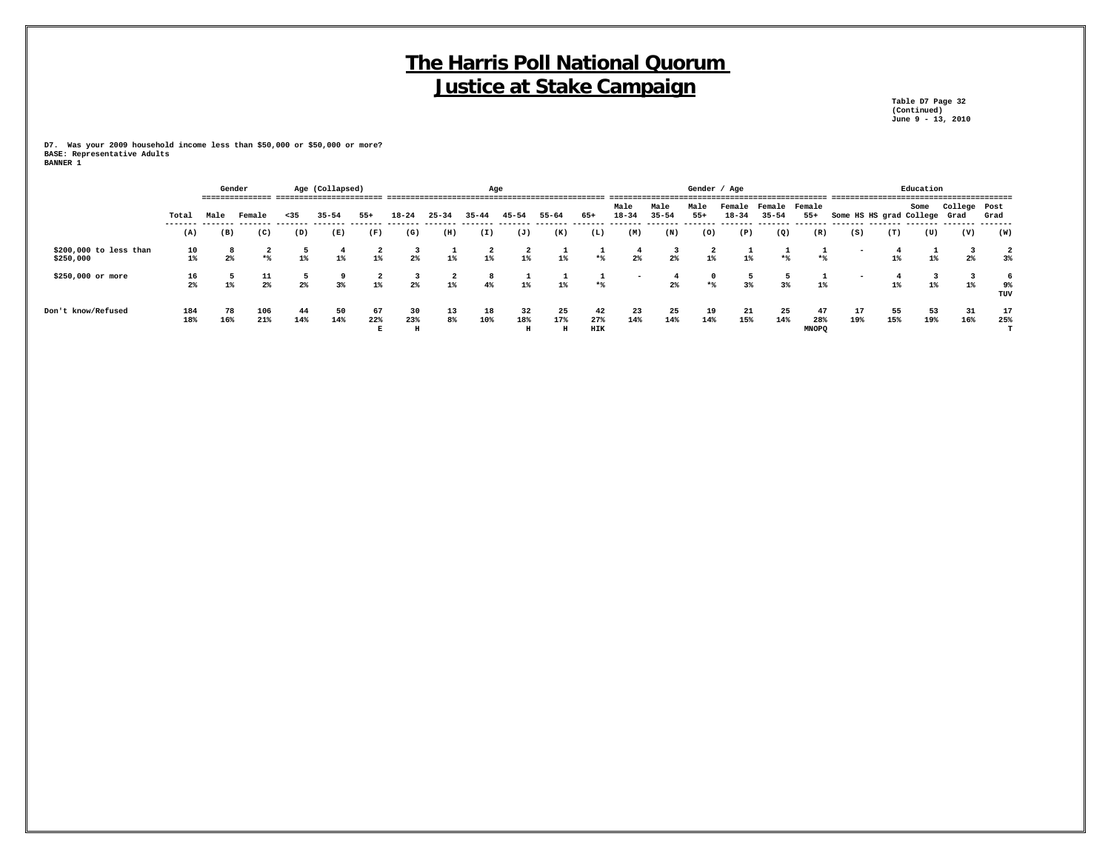**Table D7 Page 32 (Continued) June 9 - 13, 2010**

|                                     |             |           | Gender      |           | Age (Collapsed) |           | Age       |           |                         |                |           |                  |                   |                   | Gender / Age        |           |                                   |                           |                              |           | Education |              |                |
|-------------------------------------|-------------|-----------|-------------|-----------|-----------------|-----------|-----------|-----------|-------------------------|----------------|-----------|------------------|-------------------|-------------------|---------------------|-----------|-----------------------------------|---------------------------|------------------------------|-----------|-----------|--------------|----------------|
|                                     | Total       | Male      | Female      | $35$      | $35 - 54$       | $55+$     | $18 - 24$ | $25 - 34$ | $35 - 44$               | $45 - 54$      | $55 - 64$ | 65+              | Male<br>$18 - 34$ | Male<br>$35 - 54$ | Male<br>$55+$       | $18 - 34$ | Female Female Female<br>$35 - 54$ | $55+$                     | Some HS HS grad College Grad |           | Some      | College Post | Grad           |
|                                     | (A)         | (B)       | (C)         | (D)       | (E)             | (F)       | (G)       | (H)       | (I)                     | (J)            | (K)       | (L)              | (M)               | (N)               | (0)                 | (P)       | (Q)                               | (R)                       | (S)                          | (T)       | (U)       | (V)          | (W)            |
| \$200,000 to less than<br>\$250,000 | 10<br>$1\%$ | 8<br>2%   | $*$         | $1\%$     | $1\%$           | $1\%$     | 2%        | $1\%$     | $\overline{a}$<br>$1\%$ | $1\%$          | $1\%$     | $*$              | $2\%$             | $2\%$             | $1\%$               | $1\%$     | $*$                               | *%                        | -                            | $1\%$     | $1\%$     | $2\%$        | $3\%$          |
| \$250,000 or more                   | 16<br>2%    | $1\%$     | 11<br>$2\%$ | $2\%$     | 3%              | $1\%$     | 2%        | $1\%$     | 8<br>4%                 | $1\%$          | $1\%$     | $*$              |                   | $2\%$             | $\mathbf{0}$<br>$*$ | 3%        | 3%                                | $1\%$                     |                              | $1\%$     | $1\%$     | $1\%$        | 6<br>9%<br>TUV |
| Don't know/Refused                  | 184<br>18%  | 78<br>16% | 106<br>21%  | 44<br>14% | 50<br>14%       | 67<br>22% | 30<br>23% | 13<br>8%  | 18<br>10%               | 32<br>18%<br>H | 25<br>17% | 42<br>27%<br>HIK | 23<br>14%         | 25<br>14%         | 19<br>14%           | 21<br>15% | 25<br>14%                         | 47<br>28%<br><b>MNOPQ</b> | 17<br>19%                    | 55<br>15% | 53<br>19% | 31<br>16%    | 17<br>25%      |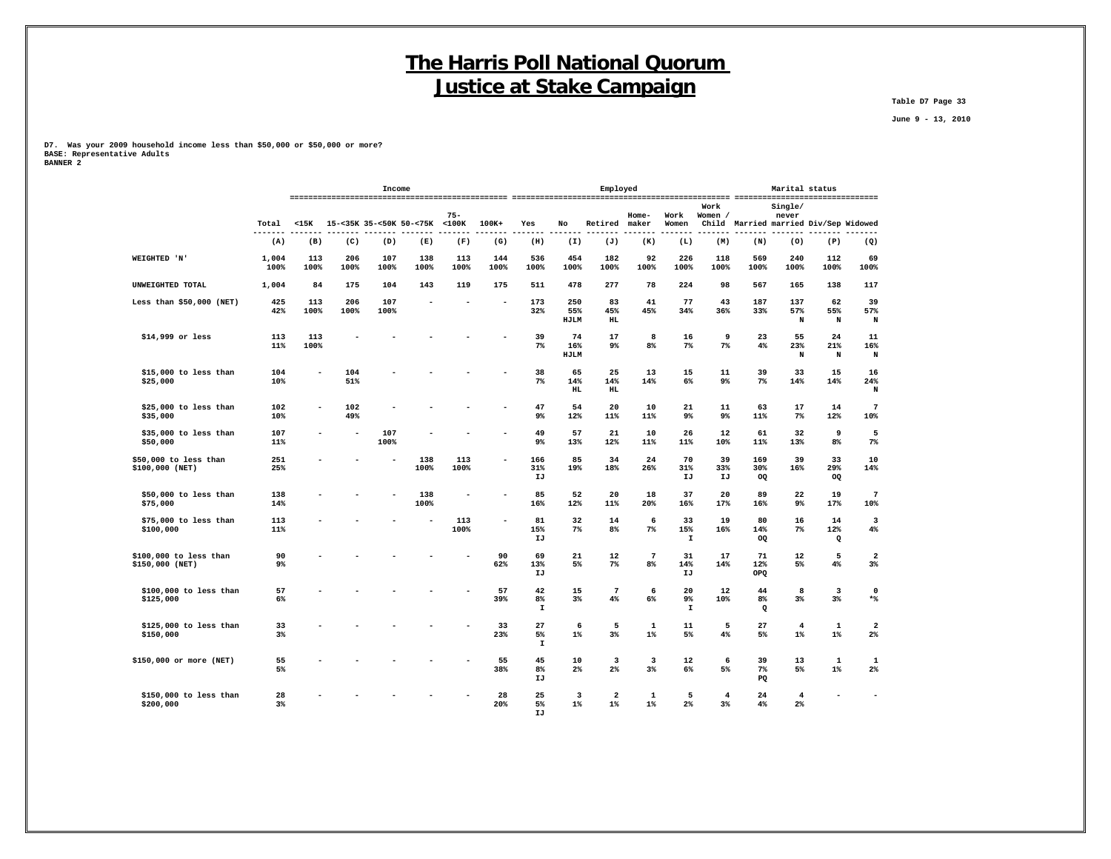**Table D7 Page 33**

 **June 9 - 13, 2010**

**D7. Was your 2009 household income less than \$50,000 or \$50,000 or more? BASE: Representative Adults BANNER 2**

 **IJ**

|                                           |               |                |             | Income                  |             |             |             |                          |                    | Marital status<br>Employed                |                       |                          |                      |                          |                                  |                                 |                                  |
|-------------------------------------------|---------------|----------------|-------------|-------------------------|-------------|-------------|-------------|--------------------------|--------------------|-------------------------------------------|-----------------------|--------------------------|----------------------|--------------------------|----------------------------------|---------------------------------|----------------------------------|
|                                           |               |                |             |                         |             | $75 -$      |             |                          |                    |                                           | Home-                 | Work                     | Work<br>Women /      |                          | Single/<br>never                 |                                 |                                  |
|                                           | Total         | $15K$          |             | 15-<35K 35-<50K 50-<75K |             | $<$ 100 $<$ | $100K+$     | Yes                      | No                 | Retired                                   | maker                 | Women                    | Child                |                          |                                  | Married married Div/Sep Widowed |                                  |
|                                           | (A)           | (B)            | (C)         | (D)                     | (E)         | (F)         | (G)         | (H)                      | (I)                | (J)                                       | (K)                   | (L)                      | (M)                  | (N)                      | (0)                              | (P)                             | (Q)                              |
| WEIGHTED 'N'                              | 1,004<br>100% | 113<br>100%    | 206<br>100% | 107<br>100%             | 138<br>100% | 113<br>100% | 144<br>100% | 536<br>100%              | 454<br>100%        | 182<br>100%                               | 92<br>100%            | 226<br>100%              | 118<br>100%          | 569<br>100%              | 240<br>100%                      | 112<br>100%                     | 69<br>100%                       |
| UNWEIGHTED TOTAL                          | 1,004         | 84             | 175         | 104                     | 143         | 119         | 175         | 511                      | 478                | 277                                       | 78                    | 224                      | 98                   | 567                      | 165                              | 138                             | 117                              |
| Less than $$50,000$ (NET)                 | 425<br>42%    | 113<br>100%    | 206<br>100% | 107<br>100%             |             |             | ۰           | 173<br>32%               | 250<br>55%<br>HJLM | 83<br>45%<br><b>HL</b>                    | 41<br>45%             | 77<br>34%                | 43<br>36%            | 187<br>33%               | 137<br>57%<br>$\, {\bf N}$       | 62<br>55%<br>$\mathbf N$        | 39<br>57%<br>N                   |
| \$14,999 or less                          | 113<br>11%    | 113<br>100%    |             |                         |             |             |             | 39<br>$7\%$              | 74<br>16%<br>HJLM  | 17<br>9%                                  | 8<br>8 <sup>8</sup>   | 16<br>7%                 | 9<br>$7\%$           | 23<br>4%                 | 55<br>23%<br>N                   | 24<br>21%<br>N                  | 11<br>16%<br>N                   |
| \$15,000 to less than<br>\$25,000         | 104<br>10%    | $\overline{a}$ | 104<br>51%  |                         |             |             |             | 38<br>$7\%$              | 65<br>14%<br>HL    | 25<br>14%<br>HL                           | 13<br>14%             | 15<br>6%                 | 11<br>9%             | 39<br>7%                 | 33<br>14%                        | 15<br>14%                       | 16<br>24%<br>N                   |
| \$25,000 to less than<br>\$35,000         | 102<br>10%    | $\overline{a}$ | 102<br>49%  |                         |             |             |             | 47<br>9%                 | 54<br>12%          | 20<br>11%                                 | 10<br>11%             | 21<br>$9\%$              | 11<br>9%             | 63<br>11%                | 17<br>7%                         | 14<br>12%                       | $\overline{7}$<br>10%            |
| \$35,000 to less than<br>\$50,000         | 107<br>11%    |                |             | 107<br>100%             |             |             |             | 49<br>9%                 | 57<br>13%          | 21<br>12%                                 | 10<br>11%             | 26<br>11%                | 12<br>10%            | 61<br>11%                | 32<br>13%                        | 9<br>8 <sup>°</sup>             | 5<br>$7\%$                       |
| \$50,000 to less than<br>\$100,000 (NET)  | 251<br>25%    |                |             |                         | 138<br>100% | 113<br>100% |             | 166<br>31%<br>IJ         | 85<br>19%          | 34<br>18%                                 | 24<br>26%             | 70<br>31%<br>IJ          | 39<br>33%<br>IJ      | 169<br>30%<br>OQ         | 39<br>16%                        | 33<br>29%<br>OQ                 | 10<br>14%                        |
| \$50,000 to less than<br>\$75,000         | 138<br>14%    |                |             |                         | 138<br>100% |             |             | 85<br>16%                | 52<br>12%          | 20<br>11%                                 | 18<br>20%             | 37<br>16%                | 20<br>17%            | 89<br>16%                | 22<br>9%                         | 19<br>17%                       | 7<br>10%                         |
| \$75,000 to less than<br>\$100,000        | 113<br>11%    |                |             |                         |             | 113<br>100% |             | 81<br>15%<br>IJ          | 32<br>$7\%$        | 14<br>8 <sup>°</sup>                      | 6<br>$7\%$            | 33<br>15%<br>$\mathbf I$ | 19<br>16%            | 80<br>14%<br>OQ          | 16<br>$7\%$                      | 14<br>12%<br>Q                  | 3<br>4%                          |
| \$100,000 to less than<br>\$150,000 (NET) | 90<br>9%      |                |             |                         |             |             | 90<br>62%   | 69<br>13%<br>IJ          | 21<br>5%           | 12<br>$7\%$                               | $7\phantom{.0}$<br>8% | 31<br>14%<br>IJ          | 17<br>14%            | 71<br>12%<br>OPQ         | 12<br>5%                         | 5<br>$4\%$                      | $\overline{\mathbf{2}}$<br>$3\%$ |
| \$100,000 to less than<br>\$125,000       | 57<br>6%      |                |             |                         |             |             | 57<br>39%   | 42<br>8%<br>$\mathbf{I}$ | 15<br>$3\%$        | $\overline{7}$<br>4%                      | 6<br>6%               | 20<br>9%<br>$\mathbf{I}$ | 12<br>10%            | 44<br>8%<br>$\mathbf{Q}$ | 8<br>$3\%$                       | 3<br>$3\%$                      | $\mathbf 0$<br>$\ast\$           |
| \$125,000 to less than<br>\$150,000       | 33<br>$3\%$   |                |             |                         |             |             | 33<br>23%   | 27<br>5%<br>$\mathbf T$  | 6<br>$1\%$         | 5<br>3%                                   | $\mathbf 1$<br>$1\%$  | 11<br>5%                 | 5<br>4%              | 27<br>5%                 | $\overline{4}$<br>$1\%$          | $\mathbf 1$<br>$1\%$            | $\overline{\mathbf{2}}$<br>$2\%$ |
| \$150,000 or more (NET)                   | 55<br>5%      |                |             |                         |             |             | 55<br>38%   | 45<br>$8\%$<br>IJ        | 10<br>$2\%$        | $\overline{\mathbf{3}}$<br>2 <sup>°</sup> | 3<br>$3\%$            | 12<br>6%                 | 6<br>5%              | 39<br>$7\%$<br>PQ        | 13<br>5%                         | $\mathbf{1}$<br>$1\%$           | 1<br>$2\%$                       |
| \$150,000 to less than<br>\$200,000       | 28<br>3%      |                |             |                         |             |             | 28<br>20%   | 25<br>5%                 | 3<br>$1\%$         | $\overline{\mathbf{2}}$<br>$1\%$          | $\mathbf 1$<br>$1\%$  | 5<br>2%                  | $\overline{4}$<br>3% | 24<br>4%                 | $\overline{4}$<br>2 <sup>8</sup> |                                 |                                  |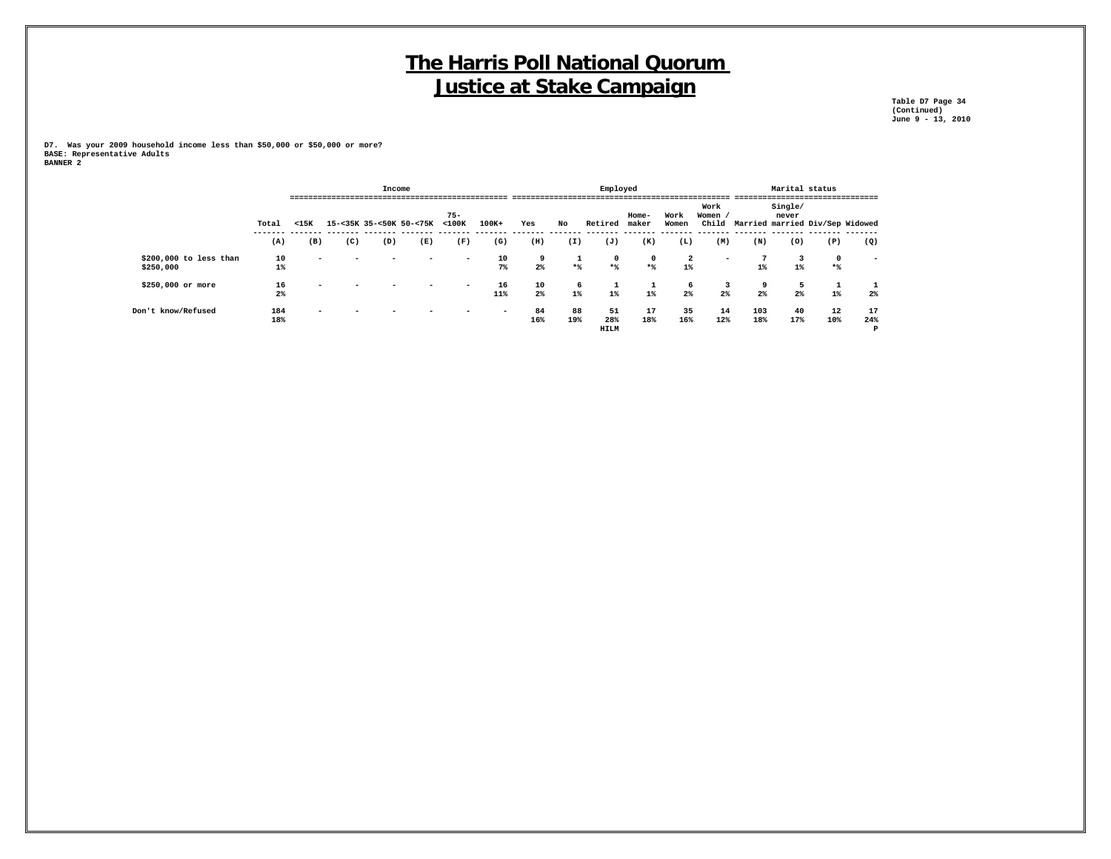**Table D7 Page 34 (Continued) June 9 - 13, 2010**

|                                     |             |                          |     | Income |                         |                          |             |           |                   | Employed                 |                    |                         |                          |                         | Marital status   |                                 |                          |
|-------------------------------------|-------------|--------------------------|-----|--------|-------------------------|--------------------------|-------------|-----------|-------------------|--------------------------|--------------------|-------------------------|--------------------------|-------------------------|------------------|---------------------------------|--------------------------|
|                                     | Total       | $15K$                    |     |        | 15-<35K 35-<50K 50-<75K | $75 -$<br>$<$ 100 $<$    | $100K+$     | Yes       | No                | Retired                  | Home-<br>maker     | Work<br>Women           | Work<br>Women /<br>Child |                         | Single/<br>never | Married married Div/Sep Widowed |                          |
|                                     | (A)         | (B)                      | (C) | (D)    | (E)                     | (F)                      | (G)         | (H)       | (I)               | (J)                      | (K)                | (L)                     | (M)                      | (N)                     | (0)              | (P)                             | (Q)                      |
| \$200,000 to less than<br>\$250,000 | 10<br>$1\%$ | $\overline{\phantom{a}}$ |     |        | -                       | $\overline{\phantom{0}}$ | 10<br>$7\%$ | 9<br>2%   | <b>.</b><br>$*$ % | $\mathbf 0$<br>$*$       | $\mathbf 0$<br>$*$ | $\overline{a}$<br>$1\%$ | $\overline{\phantom{a}}$ | $\overline{7}$<br>$1\%$ | $1\%$            | $\mathbf 0$<br>$*$              | $\overline{\phantom{a}}$ |
| \$250,000 or more                   | 16<br>2%    | $\overline{\phantom{0}}$ |     |        | -                       | $\overline{\phantom{0}}$ | 16<br>11%   | 10<br>2%  | 6<br>$1\%$        | <b>T</b><br>$1\%$        | 1<br>$1\%$         | 6<br>2%                 | -3<br>2%                 | 9<br>2%                 | -5<br>$2\%$      | $1\%$                           | 2%                       |
| Don't know/Refused                  | 184<br>18%  | -                        |     |        |                         |                          | -           | 84<br>16% | 88<br>19%         | 51<br>28%<br><b>HILM</b> | 17<br>18%          | 35<br>16%               | 14<br>12%                | 103<br>18%              | 40<br>17%        | 12<br>10%                       | 17<br>24%<br>P           |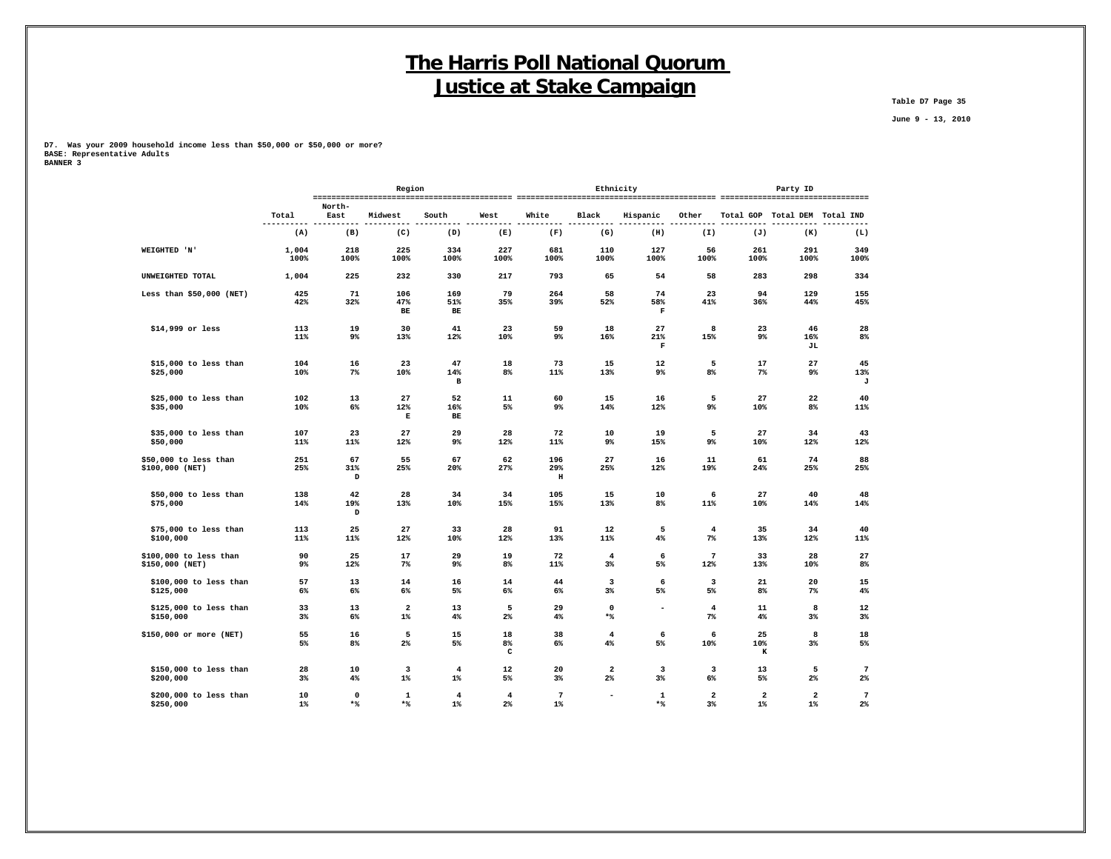**Table D7 Page 35**

 **June 9 - 13, 2010**

|                                          |                   |                     | Region                  |                         |                                  |                         | Ethnicity                |                    |                         |                                  | Party ID                         |                         |
|------------------------------------------|-------------------|---------------------|-------------------------|-------------------------|----------------------------------|-------------------------|--------------------------|--------------------|-------------------------|----------------------------------|----------------------------------|-------------------------|
|                                          | Total             | North-<br>East      | Midwest                 | South                   | West                             | White                   | Black                    | Hispanic           | Other                   |                                  | Total GOP Total DEM Total IND    |                         |
|                                          | ----------<br>(A) | ----<br>----<br>(B) | ----------<br>(C)       | -----<br>-----<br>(D)   | -----<br>----<br>(E)             | ----<br>.<br>(F)        | ---------<br>(G)         | ------<br>(H)      | ----<br>(I)             | ----<br>------<br>(J)            | ----<br>(K)                      | $---$<br>(L)            |
|                                          |                   |                     |                         |                         |                                  |                         |                          |                    |                         |                                  |                                  |                         |
| WEIGHTED 'N'                             | 1,004<br>100%     | 218<br>100%         | 225<br>100%             | 334<br>100%             | 227<br>100%                      | 681<br>100%             | 110<br>100%              | 127<br>100%        | 56<br>100%              | 261<br>100%                      | 291<br>100%                      | 349<br>100%             |
| UNWEIGHTED TOTAL                         | 1,004             | 225                 | 232                     | 330                     | 217                              | 793                     | 65                       | 54                 | 58                      | 283                              | 298                              | 334                     |
| Less than $$50,000$ (NET)                | 425               | 71<br>32%           | 106<br>47%              | 169                     | 79<br>35%                        | 264<br>39%              | 58                       | 74                 | 23                      | 94<br>36%                        | 129                              | 155                     |
|                                          | 42%               |                     | BЕ                      | 51%<br>$_{\rm BE}$      |                                  |                         | 52%                      | 58%<br>$\mathbf F$ | 41%                     |                                  | 44%                              | 45%                     |
| \$14,999 or less                         | 113               | 19                  | 30                      | 41                      | 23                               | 59                      | 18                       | 27                 | 8                       | 23                               | 46                               | 28                      |
|                                          | 11%               | 9%                  | 13%                     | 12%                     | 10%                              | 9%                      | 16%                      | 21%<br>$\mathbf F$ | 15%                     | 9%                               | 16%<br>JL                        | $8\%$                   |
| \$15,000 to less than                    | 104               | 16                  | 23                      | 47                      | 18                               | 73                      | 15                       | 12                 | 5                       | 17                               | 27                               | 45                      |
| \$25,000                                 | 10%               | $7\%$               | 10%                     | 14%<br>$\, {\bf B}$     | 8 <sup>8</sup>                   | 11%                     | 13%                      | 9%                 | 8%                      | 7%                               | 9%                               | 13%<br>J                |
| \$25,000 to less than                    | 102               | 13                  | 27                      | 52                      | 11                               | 60                      | 15                       | 16                 | 5                       | 27                               | 22                               | 40                      |
| \$35,000                                 | 10%               | $6\%$               | 12%<br>Е                | 16%<br>$\mathbf{BE}$    | 5%                               | $9\%$                   | 14%                      | 12%                | 9%                      | 10%                              | $8\%$                            | 11%                     |
| \$35,000 to less than                    | 107               | 23                  | 27                      | 29                      | 28                               | 72                      | 10                       | 19                 | 5                       | 27                               | 34                               | 43                      |
| \$50,000                                 | 11%               | 11%                 | 12%                     | 9%                      | 12%                              | 11%                     | 9%                       | 15%                | 9%                      | 10%                              | 12%                              | 12%                     |
| \$50,000 to less than<br>\$100,000 (NET) | 251<br>25%        | 67<br>31%           | 55<br>25%               | 67<br>20%               | 62<br>27%                        | 196<br>29%              | 27<br>25%                | 16<br>12%          | 11<br>19%               | 61<br>24%                        | 74<br>25%                        | 88<br>25%               |
|                                          |                   | D                   |                         |                         |                                  | н                       |                          |                    |                         |                                  |                                  |                         |
| \$50,000 to less than                    | 138               | 42                  | 28                      | 34                      | 34                               | 105                     | 15                       | 10                 | 6                       | 27                               | 40                               | 48                      |
| \$75,000                                 | 14%               | 19%<br>D            | 13%                     | 10%                     | 15%                              | 15%                     | 13%                      | 8%                 | 11%                     | 10%                              | 14%                              | 14%                     |
| \$75,000 to less than                    | 113               | 25                  | 27                      | 33                      | 28                               | 91                      | 12                       | 5                  | $\overline{4}$          | 35                               | 34                               | 40                      |
| \$100,000                                | 11%               | 11%                 | 12%                     | 10%                     | 12%                              | 13%                     | 11%                      | 4%                 | $7\%$                   | 13%                              | 12%                              | 11%                     |
| \$100,000 to less than                   | 90<br>$9\%$       | 25                  | 17<br>$7\%$             | 29<br>9%                | 19                               | 72                      | $\overline{4}$           | 6<br>5%            | 7                       | 33                               | 28                               | 27                      |
| \$150,000 (NET)                          |                   | 12%                 |                         |                         | 8%                               | 11%                     | $3\%$                    |                    | 12%                     | 13%                              | 10%                              | 8%                      |
| \$100,000 to less than<br>\$125,000      | 57<br>6%          | 13<br>6%            | 14<br>6%                | 16<br>5%                | 14<br>6%                         | 44<br>6%                | 3<br>3%                  | 6<br>5%            | 3<br>5%                 | 21<br>8 <sup>°</sup>             | 20<br>7%                         | 15<br>4%                |
|                                          |                   |                     |                         |                         |                                  |                         |                          |                    |                         |                                  |                                  |                         |
| \$125,000 to less than<br>\$150,000      | 33<br>3%          | 13<br>$6\%$         | $\overline{2}$<br>$1\%$ | 13<br>4%                | 5<br>2%                          | 29<br>4%                | $\mathbf 0$<br>$*$ $\,$  | $\blacksquare$     | $\overline{4}$<br>$7\%$ | 11<br>4%                         | 8<br>$3\%$                       | 12<br>$3\%$             |
| \$150,000 or more (NET)                  | 55                | 16                  | 5                       | 15                      | 18                               | 38                      | 4                        | 6                  | 6                       | 25                               | 8                                | 18                      |
|                                          | 5%                | 8 <sup>°</sup>      | $2\%$                   | 5%                      | 8%<br>c                          | 6%                      | 4%                       | 5%                 | 10%                     | 10%<br>к                         | $3\%$                            | 5%                      |
| \$150,000 to less than                   | 28                | 10                  | 3                       | $\overline{4}$          | 12                               | 20                      | 2                        | 3                  | $\overline{\mathbf{3}}$ | 13                               | 5                                | $7\phantom{.0}$         |
| \$200,000                                | $3\%$             | 4%                  | $1\%$                   | $1\%$                   | 5%                               | 3%                      | $2\%$                    | $3\%$              | 6%                      | 5%                               | $2\%$                            | $2\%$                   |
| \$200,000 to less than<br>\$250,000      | 10<br>$1\%$       | $\mathbf 0$<br>$*$  | 1<br>$*$                | $\overline{4}$<br>$1\%$ | $\overline{4}$<br>2 <sup>8</sup> | $\overline{7}$<br>$1\%$ | $\overline{\phantom{a}}$ | $\mathbf 1$<br>$*$ | $\mathbf{2}$<br>3%      | $\overline{\mathbf{2}}$<br>$1\%$ | $\overline{\mathbf{2}}$<br>$1\%$ | $\overline{7}$<br>$2\%$ |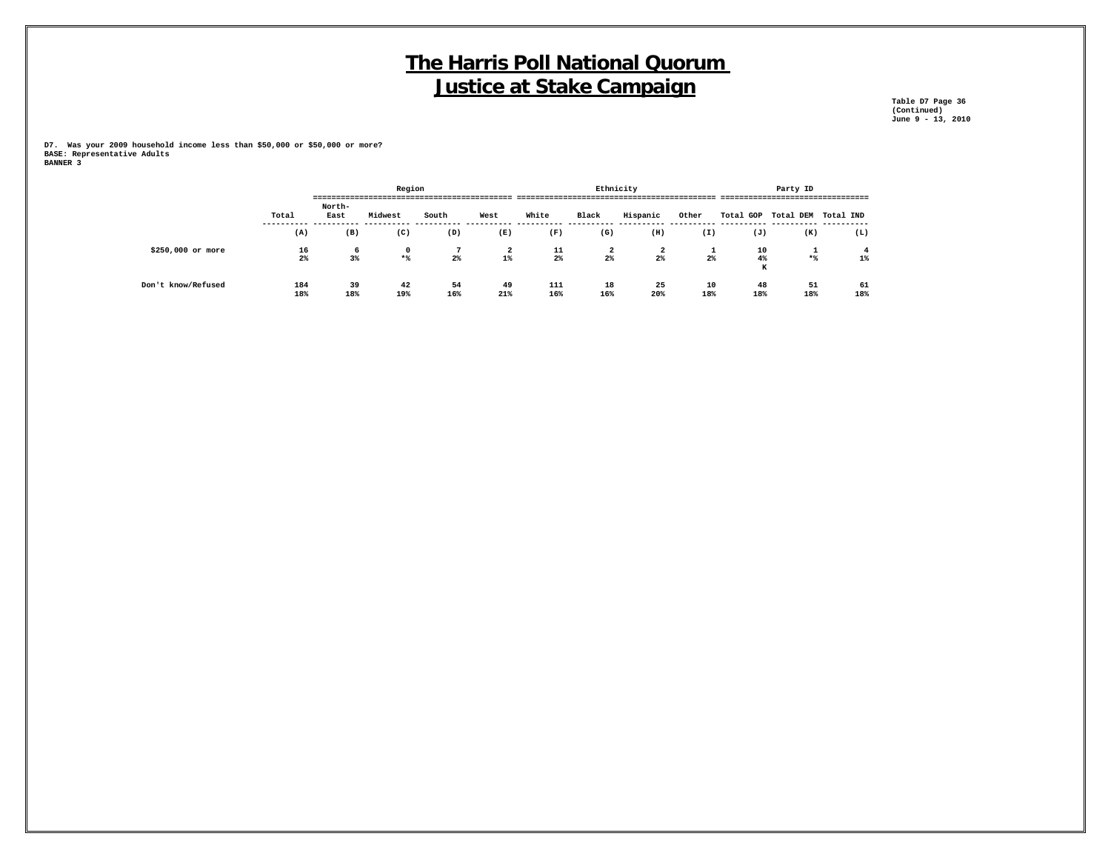**Table D7 Page 36 (Continued) June 9 - 13, 2010**

|                    |            |           | Region     |           |           |            | Ethnicity |                         |           |                     | Party ID  |           |
|--------------------|------------|-----------|------------|-----------|-----------|------------|-----------|-------------------------|-----------|---------------------|-----------|-----------|
|                    |            | ---       |            |           |           |            |           |                         |           |                     |           |           |
|                    |            | North-    |            |           |           |            |           |                         |           |                     |           |           |
|                    | Total      | East      | Midwest    | South     | West      | White      | Black     | Hispanic                | Other     | Total GOP Total DEM |           | Total IND |
|                    | (A)        | (B)       | (C)        | (D)       | (E)       | (F)        | (G)       | (H)                     | (I)       | (J)                 | (K)       | (L)       |
| \$250,000 or more  | 16         | 6         | $^{\circ}$ |           | 2         | 11         | 2         | $\overline{\mathbf{2}}$ | ۰         | 10                  | <b>.</b>  |           |
|                    | 2%         | 3%        | $*$        | $2\%$     | $1\%$     | 2%         | $2\%$     | $2\%$                   | 2%        | 4%<br>К             | $*$       | $1\%$     |
| Don't know/Refused | 184<br>18% | 39<br>18% | 42<br>19%  | 54<br>16% | 49<br>21% | 111<br>16% | 18<br>16% | 25<br>20%               | 10<br>18% | 48<br>18%           | 51<br>18% | 61<br>18% |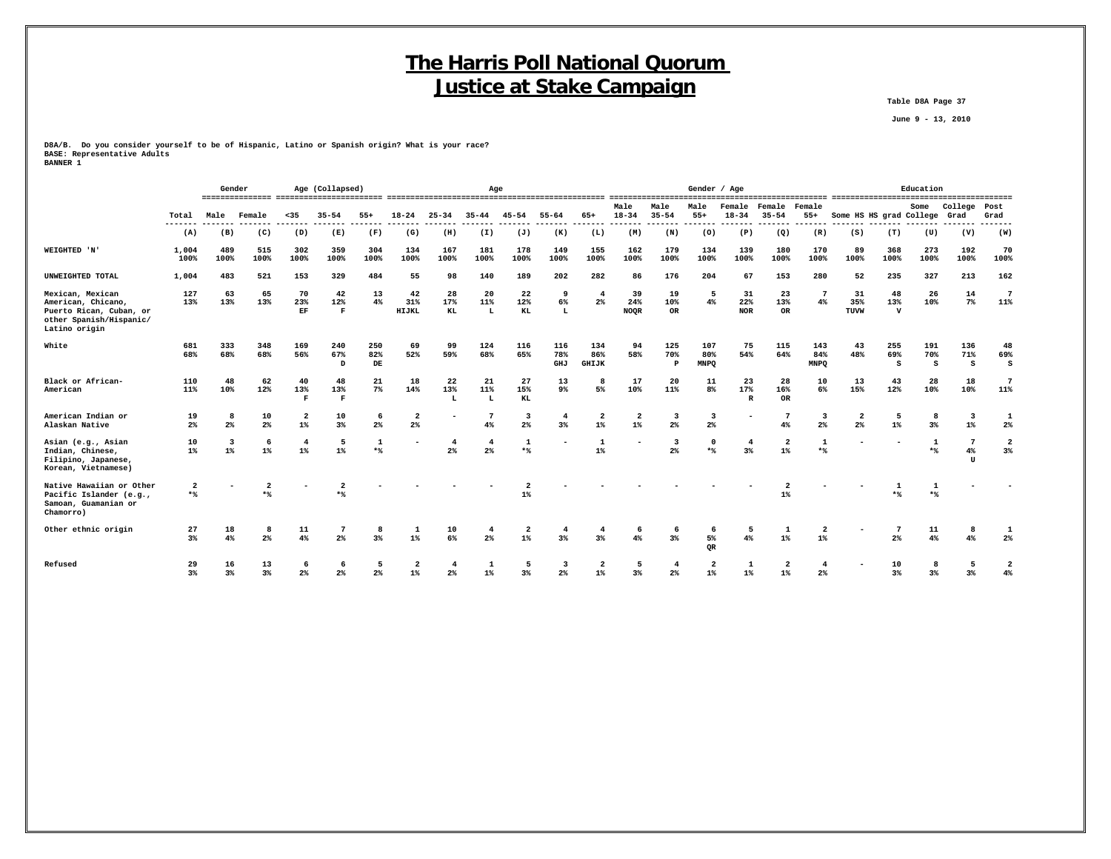**Table D8A Page 37**

 **June 9 - 13, 2010**

**D8A/B. Do you consider yourself to be of Hispanic, Latino or Spanish origin? What is your race? BASE: Representative Adults BANNER 1**

|                                                                                                               |                       | Gender                           |                       |                                  | Age (Collapsed)           |                  |                                  |                      | Age                     |                                           |                   |                            |                          |                                  | Gender / Age                              |                           |                                  |                           |                               |                          | Education       |                                    |                        |
|---------------------------------------------------------------------------------------------------------------|-----------------------|----------------------------------|-----------------------|----------------------------------|---------------------------|------------------|----------------------------------|----------------------|-------------------------|-------------------------------------------|-------------------|----------------------------|--------------------------|----------------------------------|-------------------------------------------|---------------------------|----------------------------------|---------------------------|-------------------------------|--------------------------|-----------------|------------------------------------|------------------------|
|                                                                                                               | Total                 | Male                             | Female                | $35$                             | $35 - 54$                 | $55+$            | $18 - 24$                        | $25 - 34$            | $35 - 44$               | $45 - 54$                                 | $55 - 64$         | 65+                        | Male<br>$18 - 34$        | Male<br>$35 - 54$                | Male<br>$55+$                             | Female<br>$18 - 34$       | Female<br>$35 - 54$              | Female<br>$55+$           | Some HS HS grad College       |                          | Some            | College<br>Grad                    | Post<br>Grad           |
|                                                                                                               | ---<br>(A)            | (B)                              | (C)                   | (D)                              | (E)                       | (F)              | (G)                              | (H)                  | (I)                     | (J)                                       | (K)               | (L)                        | (M)                      | (N)                              | (0)                                       | (P)                       | (Q)                              | (R)                       | (S)                           | (T)                      | (U)             | (V)                                | (W)                    |
| WEIGHTED 'N'                                                                                                  | 1,004<br>100%         | 489<br>100%                      | 515<br>100%           | 302<br>100%                      | 359<br>100%               | 304<br>100%      | 134<br>100%                      | 167<br>100%          | 181<br>100%             | 178<br>100%                               | 149<br>100%       | 155<br>100%                | 162<br>100%              | 179<br>100%                      | 134<br>100%                               | 139<br>100%               | 180<br>100%                      | 170<br>100%               | 89<br>100%                    | 368<br>100%              | 273<br>100%     | 192<br>100%                        | 70<br>100%             |
| UNWEIGHTED TOTAL                                                                                              | 1,004                 | 483                              | 521                   | 153                              | 329                       | 484              | 55                               | 98                   | 140                     | 189                                       | 202               | 282                        | 86                       | 176                              | 204                                       | 67                        | 153                              | 280                       | 52                            | 235                      | 327             | 213                                | 162                    |
| Mexican, Mexican<br>American, Chicano,<br>Puerto Rican, Cuban, or<br>other Spanish/Hispanic/<br>Latino origin | 127<br>13%            | 63<br>13%                        | 65<br>13%             | 70<br>23%<br>$\mathbf{EF}$       | 42<br>12%<br>$\mathbf{F}$ | 13<br>4%         | 42<br>31%<br>HIJKL               | 28<br>17%<br>KL      | 20<br>11%<br>L          | 22<br>12%<br>KL                           | 9<br>6%<br>L      | $\overline{4}$<br>2%       | 39<br>24%<br><b>NOQR</b> | 19<br>10%<br>OR                  | 5<br>4%                                   | 31<br>22%<br><b>NOR</b>   | 23<br>13%<br>OR                  | $7\phantom{.0}$<br>4%     | 31<br>35%<br>TUVW             | 48<br>13%<br>$\mathbf v$ | 26<br>10%       | 14<br>7%                           | $7\phantom{.0}$<br>11% |
| White                                                                                                         | 681<br>68%            | 333<br>68%                       | 348<br>68%            | 169<br>56%                       | 240<br>67%<br>D           | 250<br>82%<br>DE | 69<br>52%                        | 99<br>59%            | 124<br>68%              | 116<br>65%                                | 116<br>78%<br>GHJ | 134<br>86%<br><b>GHIJK</b> | 94<br>58%                | 125<br>70%<br>$\mathbf P$        | 107<br>80%<br><b>MNPQ</b>                 | 75<br>54%                 | 115<br>64%                       | 143<br>84%<br><b>MNPQ</b> | 43<br>48%                     | 255<br>69%<br>s          | 191<br>70%<br>s | 136<br>71%<br>s                    | 48<br>69%<br>s         |
| Black or African-<br>American                                                                                 | 110<br>11%            | 48<br>10%                        | 62<br>12%             | 40<br>13%<br>F                   | 48<br>13%<br>$\mathbf F$  | 21<br>$7\%$      | 18<br>14%                        | 22<br>13%<br>L       | 21<br>11%<br>L          | 27<br>15%<br>KL                           | 13<br>$9\%$       | 5%                         | 17<br>10%                | 20<br>11%                        | 11<br>8%                                  | 23<br>17%<br>$\mathbb{R}$ | 28<br>16%<br>OR                  | 10<br>6%                  | 13<br>15%                     | 43<br>12%                | 28<br>10%       | 18<br>10%                          | -7<br>11%              |
| American Indian or<br>Alaskan Native                                                                          | 19<br>$2\%$           | 8<br>$2\%$                       | 10<br>2 <sup>°</sup>  | $\overline{\mathbf{2}}$<br>$1\%$ | 10<br>3%                  | 6<br>$2\%$       | $\overline{\mathbf{2}}$<br>$2\%$ |                      | 4%                      | $\overline{\mathbf{3}}$<br>2 <sup>8</sup> | 4<br>3%           | $\overline{2}$<br>$1\%$    | $\overline{2}$<br>$1\%$  | 3<br>$2\%$                       | $\overline{\mathbf{3}}$<br>2 <sup>8</sup> |                           | 7<br>4%                          | 3<br>2%                   | $\overline{\mathbf{2}}$<br>2% | 5<br>$1\%$               | 8<br>3%         | 3<br>$1\%$                         | 1<br>$2\%$             |
| Asian (e.g., Asian<br>Indian, Chinese,<br>Filipino, Japanese,<br>Korean, Vietnamese)                          | 10<br>1%              | $\overline{\mathbf{3}}$<br>$1\%$ | 6<br>1%               | $\overline{4}$<br>1%             | 5<br>1%                   | 1<br>$*$         | ۰                                | $\overline{4}$<br>2% | $\overline{4}$<br>2%    | $\mathbf{1}$<br>$*$                       |                   | 1<br>1%                    | $\overline{\phantom{a}}$ | 3<br>2%                          | $\Omega$<br>$*$                           | $\overline{4}$<br>3%      | $\mathbf{2}$<br>$1$ %            | 1<br>$*$                  |                               |                          | 1<br>$*$        | $7\phantom{.0}$<br>4%<br><b>TT</b> | 2<br>3%                |
| Native Hawaiian or Other<br>Pacific Islander (e.g.,<br>Samoan, Guamanian or<br>Chamorro)                      | $\overline{2}$<br>$*$ |                                  | $\overline{2}$<br>$*$ |                                  | $*$                       |                  |                                  |                      |                         | $1\%$                                     |                   |                            |                          |                                  |                                           |                           | $1\%$                            |                           |                               | 1                        | $*$             |                                    |                        |
| Other ethnic origin                                                                                           | 27<br>3%              | 18<br>$4\%$                      | 8<br>2 <sup>9</sup>   | 11<br>4%                         | 2%                        | 8<br>3%          | $\mathbf{1}$<br>$1\%$            | 10<br>6%             | $\overline{4}$<br>$2\%$ | $\overline{2}$<br>$1\%$                   | 3%                | 3%                         | $4\%$                    | 6<br>$3\%$                       | 5%<br><b>OR</b>                           | 5<br>4%                   | 1<br>$1\%$                       | $\overline{2}$<br>$1\%$   | $\overline{\phantom{a}}$      | 2%                       | 11<br>4%        | 8                                  | 1<br>$2\%$             |
| Refused                                                                                                       | 29<br>3%              | 16<br>3%                         | 13<br>3%              | 6<br>$2\%$                       | -6<br>$2\%$               | 5<br>2%          | $\overline{a}$<br>$1\%$          | $\overline{4}$<br>2% | 1<br>$1\%$              | 5<br>3%                                   | 3<br>2%           | $\overline{a}$<br>$1\%$    | 5<br>3%                  | $\overline{\mathbf{4}}$<br>$2\%$ | $\overline{2}$<br>$1\%$                   | $\mathbf{1}$<br>$1\%$     | $\overline{\mathbf{2}}$<br>$1\%$ | 2 <sup>8</sup>            |                               | 10<br>3%                 | 3%              | 5<br>3%                            | $\mathbf{2}$<br>4%     |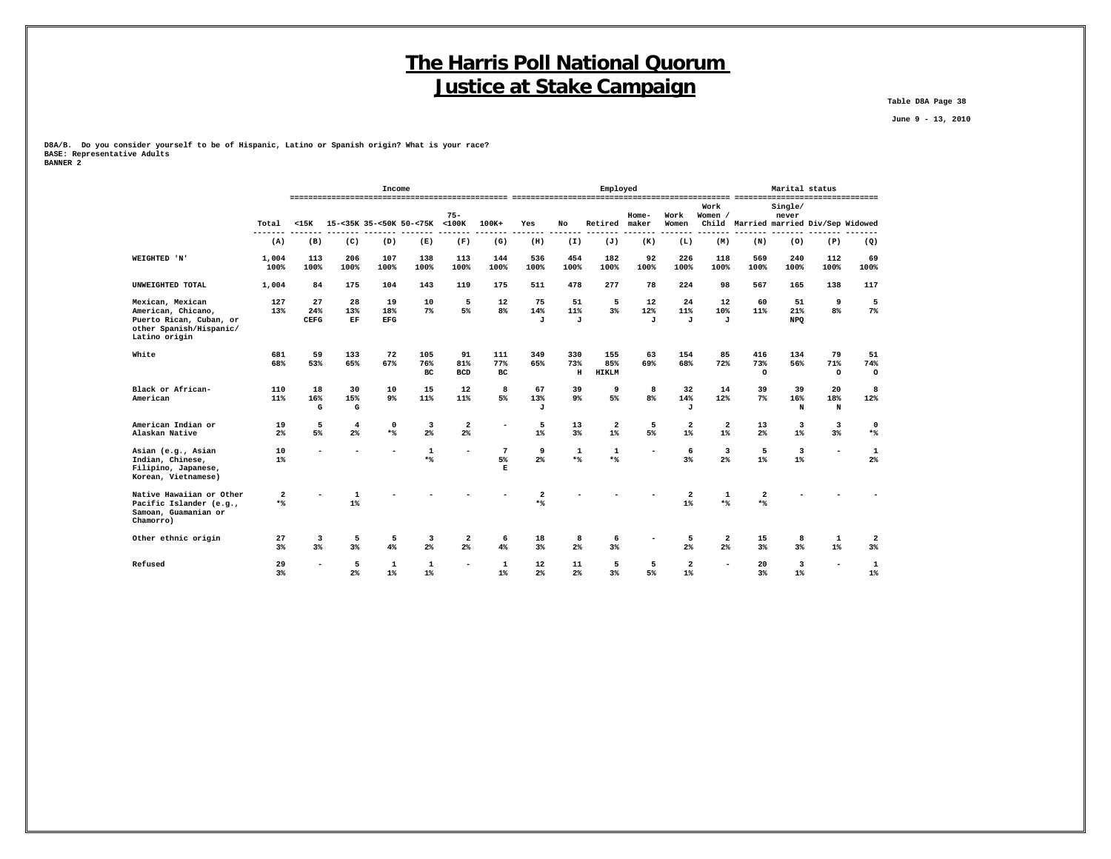**Table D8A Page 38**

 **June 9 - 13, 2010**

**D8A/B. Do you consider yourself to be of Hispanic, Latino or Spanish origin? What is your race? BASE: Representative Adults BANNER 2**

|                                                                                                               |                                    |                          |                            | Income                  |                               |                                |                  |                         |                      | Employed                   |                           |                           |                 |                                       | Marital status          |                                           |                       |
|---------------------------------------------------------------------------------------------------------------|------------------------------------|--------------------------|----------------------------|-------------------------|-------------------------------|--------------------------------|------------------|-------------------------|----------------------|----------------------------|---------------------------|---------------------------|-----------------|---------------------------------------|-------------------------|-------------------------------------------|-----------------------|
|                                                                                                               | Total                              | < 15K                    |                            |                         | 15-<35K 35-<50K 50-<75K <100K | $75 -$                         | $100K+$          | Yes                     | No                   | Retired                    | $Home-$<br>maker          | Work<br>Women             | Work<br>Women / | Child Married married Div/Sep Widowed | Single/<br>never        |                                           |                       |
|                                                                                                               | (A)                                | (B)                      | (C)                        | (D)                     | (E)                           | (F)                            | (G)              | (H)                     | (I)                  | (J)                        | (K)                       | (L)                       | (M)             | (N)                                   | (0)                     | (P)                                       | (Q)                   |
| WEIGHTED 'N'                                                                                                  | 1,004<br>100%                      | 113<br>100%              | 206<br>100%                | 107<br>100%             | 138<br>100%                   | 113<br>100%                    | 144<br>100%      | 536<br>100%             | 454<br>100%          | 182<br>100%                | 92<br>100%                | 226<br>100%               | 118<br>100%     | 569<br>100%                           | 240<br>100%             | 112<br>100%                               | 69<br>100%            |
| UNWEIGHTED TOTAL                                                                                              | 1,004                              | 84                       | 175                        | 104                     | 143                           | 119                            | 175              | 511                     | 478                  | 277                        | 78                        | 224                       | 98              | 567                                   | 165                     | 138                                       | 117                   |
| Mexican, Mexican<br>American, Chicano,<br>Puerto Rican, Cuban, or<br>other Spanish/Hispanic/<br>Latino origin | 127<br>13%                         | 27<br>24%<br><b>CEFG</b> | 28<br>13%<br>$\mathbf{EF}$ | 19<br>18%<br><b>EFG</b> | 10<br>$7\%$                   | 5<br>5%                        | 12<br>8%         | 75<br>14%<br>J          | 51<br>11%<br>J       | 5<br>3%                    | 12<br>12%<br>$\mathbf{J}$ | 24<br>11%<br>$\mathbf{J}$ | 12<br>10%<br>J  | 60<br>11%                             | 51<br>21%<br><b>NPQ</b> | 9<br>8 <sup>8</sup>                       | 5<br>$7\%$            |
| White                                                                                                         | 681<br>68%                         | 59<br>53%                | 133<br>65%                 | 72<br>67%               | 105<br>76%<br>BC              | 91<br>81%<br><b>BCD</b>        | 111<br>77%<br>BC | 349<br>65%              | 330<br>73%<br>$\,$ H | 155<br>85%<br><b>HIKLM</b> | 63<br>69%                 | 154<br>68%                | 85<br>72%       | 416<br>73%<br>$\circ$                 | 134<br>56%              | 79<br>71%<br>$\circ$                      | 51<br>74%<br>$\circ$  |
| Black or African-<br>American                                                                                 | 110<br>11%                         | 18<br>16%<br>G           | 30<br>15%<br>G             | 10<br>9 <sup>°</sup>    | 15<br>11%                     | 12<br>11%                      | 8<br>5%          | 67<br>13%<br>J          | 39<br>9%             | 9<br>5%                    | 8<br>8%                   | 32<br>14%<br>J            | 14<br>12%       | 39<br>$7\%$                           | 39<br>16%<br>N          | 20<br>18%<br>N                            | 8<br>12%              |
| American Indian or<br>Alaskan Native                                                                          | 19<br>2%                           | 5<br>5%                  | $\overline{4}$<br>2%       | 0<br>$*$                | 3<br>$2\%$                    | $\mathbf{2}$<br>2 <sup>8</sup> |                  | 5<br>$1\%$              | 13<br>3%             | $\overline{a}$<br>$1\%$    | 5<br>5%                   | $\overline{a}$<br>$1\%$   | 2<br>$1\%$      | 13<br>2%                              | 3<br>$1\%$              | $\overline{\mathbf{3}}$<br>3 <sup>8</sup> | $\mathbf 0$<br>$*$    |
| Asian (e.g., Asian<br>Indian, Chinese,<br>Filipino, Japanese,<br>Korean, Vietnamese)                          | 10<br>$1\%$                        |                          |                            |                         | 1<br>$*$                      |                                | 7<br>5%<br>Е     | 9<br>$2\%$              | 1<br>$*$             | 1<br>$*$                   |                           | 6<br>3%                   | 3<br>$2\%$      | 5<br>$1\%$                            | 3<br>$1\%$              | $\overline{\phantom{a}}$                  | $\mathbf{1}$<br>$2\%$ |
| Native Hawaiian or Other<br>Pacific Islander (e.g.,<br>Samoan, Guamanian or<br>Chamorro)                      | $\overline{\mathbf{2}}$<br>$\star$ |                          | 1<br>$1\%$                 |                         |                               |                                |                  | $\overline{2}$<br>$*$ % |                      |                            |                           | 2<br>$1\%$                | 1<br>$*$        | 2<br>$*$                              |                         |                                           |                       |
| Other ethnic origin                                                                                           | 27<br>3%                           | 3<br>3%                  | 5<br>3%                    | 5<br>4%                 | 3<br>$2\%$                    | $\overline{\mathbf{2}}$<br>2%  | 6<br>4%          | 18<br>3%                | 8<br>2%              | 6<br>3%                    |                           | 5<br>2%                   | 2<br>2%         | 15<br>$3\%$                           | 8<br>3%                 | $\mathbf 1$<br>$1\%$                      | 2<br>$3\%$            |
| Refused                                                                                                       | 29<br>3%                           | $\overline{\phantom{a}}$ | 5<br>2%                    | 1<br>$1\%$              | 1<br>$1\%$                    |                                | 1<br>$1\%$       | 12<br>2%                | 11<br>2%             | 5<br>3%                    | 5<br>5%                   | 2<br>$1\%$                |                 | 20<br>3%                              | 3<br>$1\%$              | ۰                                         | $\mathbf{1}$<br>$1\%$ |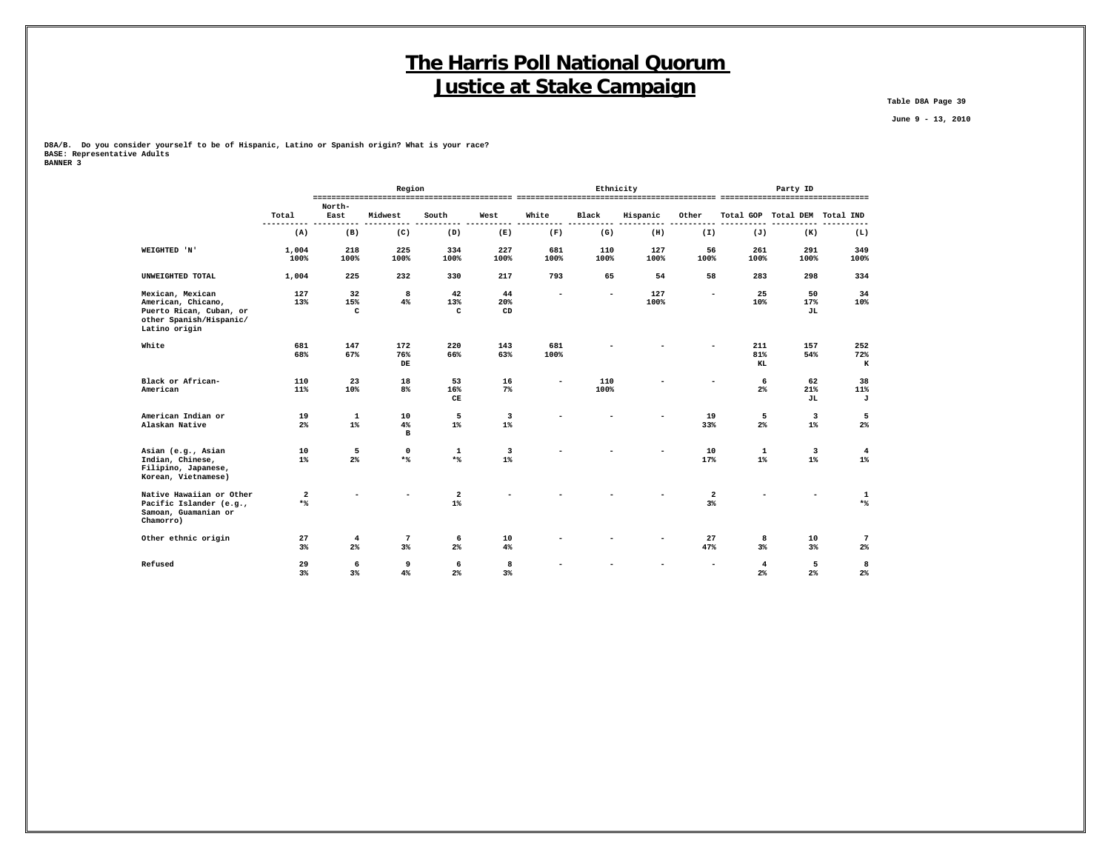**Table D8A Page 39**

 **June 9 - 13, 2010**

**D8A/B. Do you consider yourself to be of Hispanic, Latino or Spanish origin? What is your race? BASE: Representative Adults**

| BANNER 3 |  |  |
|----------|--|--|
|          |  |  |

|                                                                     |               |                | Region  |                                                                                                                                                                                                                                                                                                                                                                                                                         |       |                          | Ethnicity                |          |                          |                         | Party ID                      |                 |
|---------------------------------------------------------------------|---------------|----------------|---------|-------------------------------------------------------------------------------------------------------------------------------------------------------------------------------------------------------------------------------------------------------------------------------------------------------------------------------------------------------------------------------------------------------------------------|-------|--------------------------|--------------------------|----------|--------------------------|-------------------------|-------------------------------|-----------------|
|                                                                     | Total         | North-<br>East | Midwest | South                                                                                                                                                                                                                                                                                                                                                                                                                   | West  | White                    | Black                    | Hispanic | Other                    |                         | Total GOP Total DEM Total IND |                 |
|                                                                     | $- - -$       |                |         |                                                                                                                                                                                                                                                                                                                                                                                                                         |       |                          |                          |          |                          |                         |                               | ---             |
|                                                                     | (A)           | (B)            | (C)     | (D)                                                                                                                                                                                                                                                                                                                                                                                                                     | (E)   | (F)                      | (G)                      | (H)      | (I)                      | (J)                     | (K)                           | (L)             |
| WEIGHTED 'N'                                                        | 1,004         | 218            | 225     | 334                                                                                                                                                                                                                                                                                                                                                                                                                     | 227   | 681                      | 110                      | 127      | 56                       | 261                     | 291                           | 349             |
|                                                                     | 100%          | 100%           | 100%    | 100%                                                                                                                                                                                                                                                                                                                                                                                                                    | 100%  | 100%                     | 100%                     | 100%     | 100%                     | 100%                    | 100%                          | 100%            |
| UNWEIGHTED TOTAL                                                    | 1,004         | 225            | 232     | 330                                                                                                                                                                                                                                                                                                                                                                                                                     | 217   | 793                      | 65                       | 54       | 58                       | 283                     | 298                           | 334             |
| Mexican, Mexican                                                    | 127           | 32             | 8       | 42                                                                                                                                                                                                                                                                                                                                                                                                                      | 44    | $\overline{\phantom{a}}$ | $\overline{\phantom{a}}$ | 127      | $\overline{\phantom{a}}$ | 25                      | 50                            | 34              |
| American, Chicano,                                                  | 13%           | 15%            | 4%      | 13%                                                                                                                                                                                                                                                                                                                                                                                                                     | 20%   |                          |                          | 100%     |                          | 10%                     | 17%                           | 10%             |
| Puerto Rican, Cuban, or<br>other Spanish/Hispanic/<br>Latino origin |               | $\mathtt{C}$   |         | C                                                                                                                                                                                                                                                                                                                                                                                                                       | CD    |                          |                          |          |                          |                         | JL                            |                 |
| White                                                               | 681           | 147            | 172     | 220                                                                                                                                                                                                                                                                                                                                                                                                                     | 143   | 681                      |                          |          |                          | 211                     | 157                           | 252             |
|                                                                     | 68%           | 67%            | 76%     | 66%                                                                                                                                                                                                                                                                                                                                                                                                                     | 63%   | 100%                     |                          |          |                          | 81%                     | 54%                           | 72%             |
|                                                                     |               |                | DE      |                                                                                                                                                                                                                                                                                                                                                                                                                         |       |                          |                          |          |                          | KL                      |                               | $\,$ K          |
| Black or African-                                                   | 110           | 23             | 18      | 53                                                                                                                                                                                                                                                                                                                                                                                                                      | 16    | $\overline{\phantom{a}}$ | 110                      |          |                          | 6                       | 62                            | 38              |
| American                                                            | 11%           | 10%            | 8%      | 16%<br>CE                                                                                                                                                                                                                                                                                                                                                                                                               | 7%    |                          | 100%                     |          |                          | $2\%$                   | 21%<br><b>JL</b>              | 11%<br>J        |
| American Indian or                                                  | 19            | 1              | 10      | 5                                                                                                                                                                                                                                                                                                                                                                                                                       | 3     |                          |                          |          | 19                       | 5                       | $\overline{\mathbf{3}}$       | 5               |
| Alaskan Native                                                      | $2\%$         | $1\%$          | 4%<br>в | $1\%$                                                                                                                                                                                                                                                                                                                                                                                                                   | $1\%$ |                          |                          |          | 33%                      | $2\%$                   | $1\%$                         | $2\%$           |
| Asian (e.g., Asian                                                  | 10            | 5              | 0       | 1                                                                                                                                                                                                                                                                                                                                                                                                                       | 3     |                          |                          |          | 10                       | 1                       | $\overline{\mathbf{3}}$       | $\overline{4}$  |
| Indian, Chinese,<br>Filipino, Japanese,<br>Korean, Vietnamese)      | $1\%$         | 2%             | $*$     | $*$                                                                                                                                                                                                                                                                                                                                                                                                                     | $1\%$ |                          |                          |          | 17%                      | $1\%$                   | $1\%$                         | $1\%$           |
| Native Hawaiian or Other                                            | $\mathbf{2}$  |                |         | $\mathbf{2}% =\mathbf{2}+\mathbf{2}+\mathbf{3}+\mathbf{5}+\mathbf{5}+\mathbf{5}+\mathbf{6}+\mathbf{6}+\mathbf{5}+\mathbf{5}+\mathbf{6}+\mathbf{5}+\mathbf{6}+\mathbf{6}+\mathbf{5}+\mathbf{5}+\mathbf{6}+\mathbf{5}+\mathbf{6}+\mathbf{6}+\mathbf{5}+\mathbf{6}+\mathbf{6}+\mathbf{6}+\mathbf{6}+\mathbf{6}+\mathbf{6}+\mathbf{6}+\mathbf{6}+\mathbf{6}+\mathbf{6}+\mathbf{6}+\mathbf{6}+\mathbf{6}+\mathbf{6}+\mathbf$ |       |                          |                          |          | $\overline{\mathbf{2}}$  |                         |                               | $\mathbf{1}$    |
| Pacific Islander (e.g.,<br>Samoan, Guamanian or<br>Chamorro)        | $\star$ $\!8$ |                |         | $1\%$                                                                                                                                                                                                                                                                                                                                                                                                                   |       |                          |                          |          | $3\%$                    |                         |                               | $*$             |
| Other ethnic origin                                                 | 27            | $\overline{4}$ | 7       | 6                                                                                                                                                                                                                                                                                                                                                                                                                       | 10    |                          |                          |          | 27                       | 8                       | 10                            | $7\phantom{.0}$ |
|                                                                     | 3%            | 2%             | 3%      | $2\%$                                                                                                                                                                                                                                                                                                                                                                                                                   | 4%    |                          |                          |          | 47%                      | 3%                      | 3%                            | 2%              |
| Refused                                                             | 29            | 6              | 9       | 6                                                                                                                                                                                                                                                                                                                                                                                                                       | 8     |                          |                          |          |                          | $\overline{\mathbf{4}}$ | 5                             | 8               |
|                                                                     | 3%            | 3%             | 4%      | $2\%$                                                                                                                                                                                                                                                                                                                                                                                                                   | 3%    |                          |                          |          |                          | 2 <sup>°</sup>          | 2%                            | $2\%$           |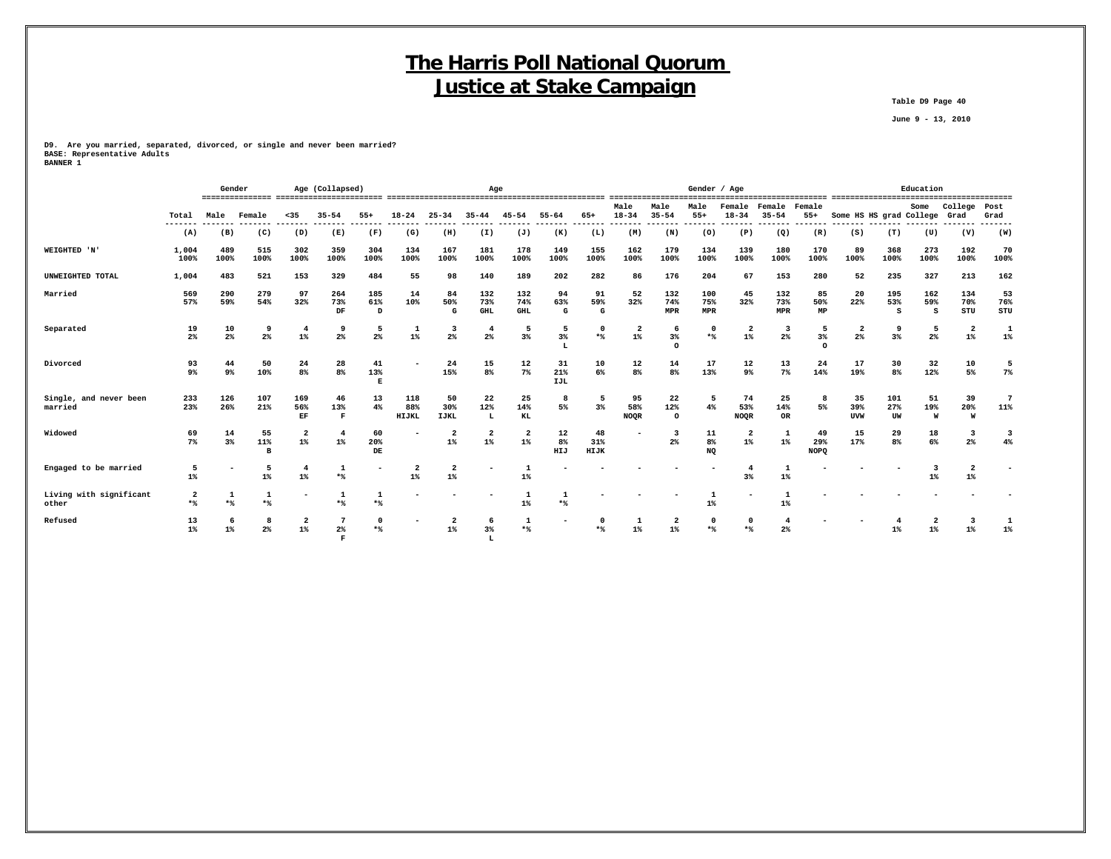**Table D9 Page 40**

 **June 9 - 13, 2010**

**D9. Are you married, separated, divorced, or single and never been married? BASE: Representative Adults BANNER 1**

|                                   |                                |             | Gender<br>Age (Collapsed)<br>Age |                             |                                |                 |                     |                          |                          |                          |                  |                   | Gender / Age                     |                          |                   |                          |                          |                          | Education                     |                  |                 |                                  |                       |
|-----------------------------------|--------------------------------|-------------|----------------------------------|-----------------------------|--------------------------------|-----------------|---------------------|--------------------------|--------------------------|--------------------------|------------------|-------------------|----------------------------------|--------------------------|-------------------|--------------------------|--------------------------|--------------------------|-------------------------------|------------------|-----------------|----------------------------------|-----------------------|
|                                   | Total                          | Male        | Female                           | $35$                        | $35 - 54$                      | $55+$           | $18 - 24$           | $25 - 34$                | $35 - 44$                | $45 - 54$                | $55 - 64$        | 65+               | Male<br>$18 - 34$                | Male<br>$35 - 54$        | Male<br>$55+$     | Female<br>$18 - 34$      | Female<br>$35 - 54$      | Female<br>$55+$          | Some HS HS grad College       |                  | Some            | College<br>Grad                  | Post<br>Grad          |
|                                   | (A)                            | (B)         | (C)                              | (D)                         | (E)                            | (F)             | (G)                 | (H)                      | (I)                      | (J)                      | (K)              | (L)               | (M)                              | (N)                      | (0)               | (P)                      | (Q)                      | (R)                      | (S)                           | (T)              | (U)             | (V)                              | (W)                   |
| WEIGHTED 'N'                      | 1,004<br>100%                  | 489<br>100% | 515<br>100%                      | 302<br>100%                 | 359<br>100%                    | 304<br>100%     | 134<br>100%         | 167<br>100%              | 181<br>100%              | 178<br>100%              | 149<br>100%      | 155<br>100%       | 162<br>100%                      | 179<br>100%              | 134<br>100%       | 139<br>100%              | 180<br>100%              | 170<br>100%              | 89<br>100%                    | 368<br>100%      | 273<br>100%     | 192<br>100%                      | 70<br>100%            |
| UNWEIGHTED TOTAL                  | 1,004                          | 483         | 521                              | 153                         | 329                            | 484             | 55                  | 98                       | 140                      | 189                      | 202              | 282               | 86                               | 176                      | 204               | 67                       | 153                      | 280                      | 52                            | 235              | 327             | 213                              | 162                   |
| Married                           | 569<br>57%                     | 290<br>59%  | 279<br>54%                       | 97<br>32%                   | 264<br>73%<br>DF               | 185<br>61%<br>D | 14<br>10%           | 84<br>50%<br>G           | 132<br>73%<br><b>GHL</b> | 132<br>74%<br><b>GHL</b> | 94<br>63%<br>G   | 91<br>59%<br>G    | 52<br>32%                        | 132<br>74%<br><b>MPR</b> | 100<br>75%<br>MPR | 45<br>32%                | 132<br>73%<br><b>MPR</b> | 85<br>50%<br>MP          | 20<br>22%                     | 195<br>53%<br>s  | 162<br>59%<br>s | 134<br>70%<br>STU                | 53<br>76%<br>STU      |
| Separated                         | 19<br>2 <sup>8</sup>           | 10<br>2%    | 9<br>$2\%$                       | 4<br>$1\%$                  | 9<br>2 <sup>8</sup>            | 5<br>$2\%$      | $1\%$               | -3<br>$2\%$              | $\overline{4}$<br>2%     | 3%                       | 5<br>3%<br>L     | 0<br>$*$          | $\overline{\mathbf{2}}$<br>$1\%$ | 6<br>$3\%$<br>$\circ$    | $^{\circ}$<br>$*$ | $\overline{a}$<br>$1\%$  | 3<br>2 <sup>°</sup>      | 5<br>$3\%$<br>$\Omega$   | $\overline{\mathbf{2}}$<br>2% | 9<br>3%          | 5<br>$2\%$      | $\overline{2}$<br>$1\%$          | 1<br>$1\%$            |
| Divorced                          | 93<br>9 <sup>°</sup>           | 44<br>$9\%$ | 50<br>10%                        | 24<br>8%                    | 28<br>8%                       | 41<br>13%<br>E  |                     | 24<br>15%                | 15<br>8%                 | 12<br>7%                 | 31<br>21%<br>IJL | 10<br>6%          | 12<br>8%                         | 14<br>8 <sup>8</sup>     | 17<br>13%         | 12<br>9%                 | 13<br>7%                 | 24<br>14%                | 17<br>19%                     | 30<br>8%         | 32<br>12%       | 10<br>5%                         | 5<br>$7\%$            |
| Single, and never been<br>married | 233<br>23%                     | 126<br>26%  | 107<br>21%                       | 169<br>56%<br>$\mathbf{EF}$ | 46<br>13%<br>$\mathbf{F}$      | 13<br>$4\%$     | 118<br>88%<br>HIJKL | 50<br>30%<br><b>IJKL</b> | 22<br>12%<br>L           | 25<br>14%<br>KL          | 8<br>5%          | 5<br>3%           | 95<br>58%<br><b>NOOR</b>         | 22<br>12%<br>$\circ$     | 5<br>4%           | 74<br>53%<br><b>NOQR</b> | 25<br>14%<br><b>OR</b>   | 5%                       | 35<br>39%<br><b>UVW</b>       | 101<br>27%<br>UW | 51<br>19%<br>W  | 39<br>20%<br>W                   | $\overline{7}$<br>11% |
| Widowed                           | 69<br>$7\%$                    | 14<br>3%    | 55<br>11%<br>B                   | $\overline{2}$<br>$1\%$     | $\overline{4}$<br>$1\%$        | 60<br>20%<br>DE |                     | $1\%$                    | 2<br>$1\%$               | $\overline{2}$<br>$1\%$  | 12<br>8%<br>HIJ  | 48<br>31%<br>HIJK |                                  | -3<br>$2\%$              | 11<br>8%<br>NQ    | $\mathbf{2}$<br>$1\%$    | $\mathbf{1}$<br>$1\%$    | 49<br>29%<br><b>NOPQ</b> | 15<br>17%                     | 29<br>8%         | 18<br>6%        | $\overline{\mathbf{3}}$<br>$2\%$ | 4%                    |
| Engaged to be married             | -5<br>$1\%$                    |             | 5<br>$1\%$                       | 4<br>$1\%$                  | $*$                            |                 | $1\%$               | 2<br>$1\%$               | $\overline{\phantom{a}}$ | $1\%$                    |                  |                   |                                  |                          |                   | 3%                       | $1\%$                    |                          |                               |                  | $1\%$           | 2<br>$1\%$                       |                       |
| Living with significant<br>other  | $\overline{\mathbf{2}}$<br>$*$ | -1<br>$*$   | 1<br>$*$                         | $\overline{\phantom{a}}$    | -1<br>$*$                      | 1<br>$*$        |                     |                          |                          | $1\%$                    | 1<br>$*$         |                   |                                  |                          | $1\%$             |                          | $1\%$                    |                          |                               |                  |                 |                                  |                       |
| Refused                           | 13<br>$1\%$                    | -6<br>$1\%$ | 8<br>$2\%$                       | $\mathbf{2}$<br>$1\%$       | 2 <sup>°</sup><br>$\mathbf{F}$ | 0<br>$*$        |                     | $1\%$                    | 6<br>3%<br>L             | $*$                      |                  |                   | $1\%$                            | -2<br>$1\%$              | $^{\circ}$        | $\mathbf 0$              | 4<br>2 <sup>°</sup>      |                          |                               | $1\%$            | $1\%$           |                                  | 1%                    |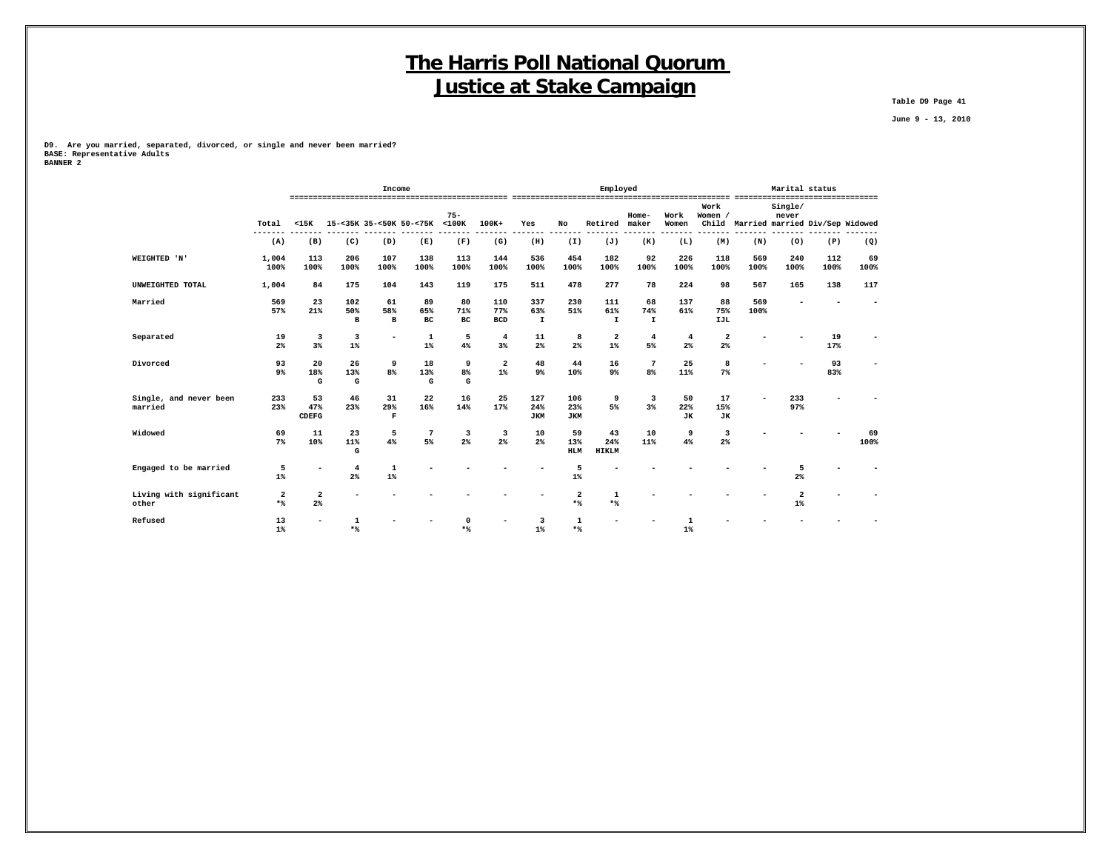**Table D9 Page 41**

 **June 9 - 13, 2010**

**D9. Are you married, separated, divorced, or single and never been married? BASE: Representative Adults BANNER 2**

|                                   |                       |                           |                            | Income                    |                               |                 |                          |                           |                          | Employed                   |                           |                        |                         |                                       | Marital status                   |             |            |
|-----------------------------------|-----------------------|---------------------------|----------------------------|---------------------------|-------------------------------|-----------------|--------------------------|---------------------------|--------------------------|----------------------------|---------------------------|------------------------|-------------------------|---------------------------------------|----------------------------------|-------------|------------|
|                                   | Total                 | $15K$                     |                            |                           | 15-<35K 35-<50K 50-<75K <100K | $75 -$          | $100K+$                  | Yes                       | No                       | Retired maker              | $Home-$                   | Work<br>Women          | Work<br>Women /         | Child Married married Div/Sep Widowed | Single/<br>never                 |             |            |
|                                   | (A)                   | (B)                       | (C)                        | (D)                       | (E)                           | (F)             | (G)                      | (H)                       | (I)                      | (J)                        | -------<br>(K)            | -------<br>(L)         | (M)                     | (N)                                   | (0)                              | (P)         | (Q)        |
| WEIGHTED 'N'                      | 1,004<br>100%         | 113<br>100%               | 206<br>100%                | 107<br>100%               | 138<br>100%                   | 113<br>100%     | 144<br>100%              | 536<br>100%               | 454<br>100%              | 182<br>100%                | 92<br>100%                | 226<br>100%            | 118<br>100%             | 569<br>100%                           | 240<br>100%                      | 112<br>100% | 69<br>100% |
| UNWEIGHTED TOTAL                  | 1,004                 | 84                        | 175                        | 104                       | 143                           | 119             | 175                      | 511                       | 478                      | 277                        | 78                        | 224                    | 98                      | 567                                   | 165                              | 138         | 117        |
| Married                           | 569<br>57%            | 23<br>21%                 | 102<br>50%<br>$\mathbf{B}$ | 61<br>58%<br>$\, {\bf B}$ | 89<br>65%<br>BC               | 80<br>71%<br>BC | 110<br>77%<br><b>BCD</b> | 337<br>63%<br>$\mathbf I$ | 230<br>51%               | 111<br>61%<br>$\mathbf{I}$ | 68<br>74%<br>$\mathbf{I}$ | 137<br>61%             | 88<br>75%<br>IJL        | 569<br>100%                           |                                  |             |            |
| Separated                         | 19<br>2%              | 3<br>3%                   | 3<br>$1\%$                 | ۰                         | $\mathbf{1}$<br>$1\%$         | 5<br>4%         | $\overline{4}$<br>3%     | 11<br>$2\%$               | 8<br>2%                  | $\overline{a}$<br>$1\%$    | $\overline{4}$<br>5%      | $\overline{4}$<br>2%   | $\overline{a}$<br>$2\%$ |                                       |                                  | 19<br>17%   |            |
| Divorced                          | 93<br>9 <sup>°</sup>  | 20<br>18%<br>G            | 26<br>13%<br>G             | 9<br>8%                   | 18<br>13%<br>G                | 9<br>8%<br>G    | $\overline{a}$<br>$1\%$  | 48<br>9%                  | 44<br>10%                | 16<br>9%                   | $\overline{7}$<br>8%      | 25<br>11%              | 8<br>$7\%$              |                                       |                                  | 93<br>83%   |            |
| Single, and never been<br>married | 233<br>23%            | 53<br>47%<br><b>CDEFG</b> | 46<br>23%                  | 31<br>29%<br>$\mathbf F$  | 22<br>16%                     | 16<br>14%       | 25<br>17%                | 127<br>24%<br><b>JKM</b>  | 106<br>23%<br><b>JKM</b> | 9<br>5%                    | 3<br>3%                   | 50<br>22%<br><b>JK</b> | 17<br>15%<br><b>JK</b>  |                                       | 233<br>97%                       |             |            |
| Widowed                           | 69<br>$7\%$           | 11<br>10%                 | 23<br>11%<br>G             | 5<br>4%                   | $7\phantom{.0}$<br>5%         | 3<br>$2\%$      | 3<br>2 <sup>°</sup>      | 10<br>2%                  | 59<br>13%<br><b>HLM</b>  | 43<br>24%<br><b>HIKLM</b>  | 10<br>11%                 | 9<br>4%                | 3<br>2%                 |                                       |                                  |             | 69<br>100% |
| Engaged to be married             | 5<br>$1\%$            | $\overline{\phantom{a}}$  | $\overline{\bf 4}$<br>2%   | $\mathbf{1}$<br>$1\%$     |                               |                 |                          |                           | 5<br>$1\%$               |                            |                           |                        |                         |                                       | 5<br>2 <sup>8</sup>              |             |            |
| Living with significant<br>other  | $\overline{a}$<br>$*$ | 2<br>2%                   |                            |                           |                               |                 |                          |                           | 2<br>$*$                 | 1<br>$*$                   |                           |                        |                         |                                       | $\overline{\mathbf{2}}$<br>$1\%$ |             |            |
| Refused                           | 13<br>$1\%$           |                           | $*$                        |                           |                               | $*$             |                          | 3<br>$1\%$                | 1<br>$*$                 |                            |                           | $1\%$                  |                         |                                       |                                  |             |            |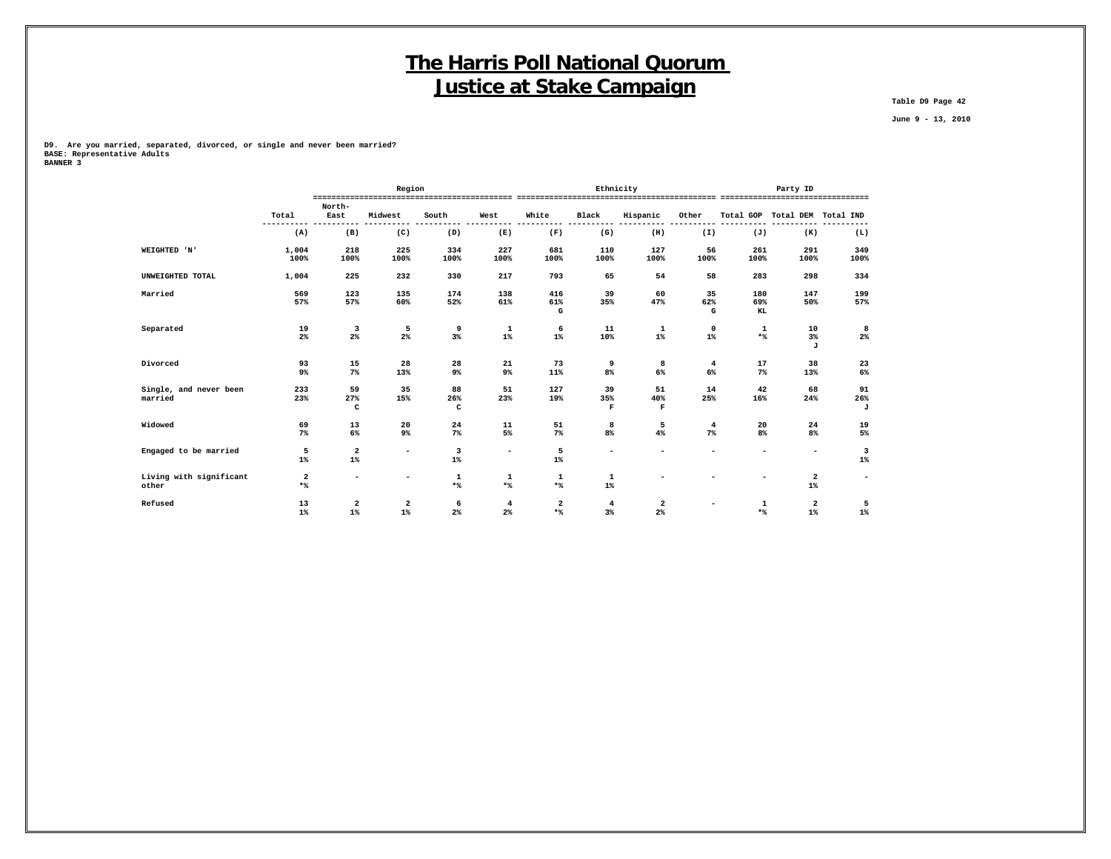**Table D9 Page 42**

 **June 9 - 13, 2010**

**D9. Are you married, separated, divorced, or single and never been married? BASE: Representative Adults BANNER 3**

|                                   |                                  |                                                                                                                                                                                                                                                                                                                                                                                                                                  | Region                   |                                  |                          |                     |                          | Ethnicity          |                         |             | Party ID                         |             |
|-----------------------------------|----------------------------------|----------------------------------------------------------------------------------------------------------------------------------------------------------------------------------------------------------------------------------------------------------------------------------------------------------------------------------------------------------------------------------------------------------------------------------|--------------------------|----------------------------------|--------------------------|---------------------|--------------------------|--------------------|-------------------------|-------------|----------------------------------|-------------|
|                                   | Total                            | North-<br>East                                                                                                                                                                                                                                                                                                                                                                                                                   | Midwest                  | South                            | West                     | White               | Black                    | Hispanic           | Other                   |             | Total GOP Total DEM Total IND    |             |
|                                   | (A)                              | (B)                                                                                                                                                                                                                                                                                                                                                                                                                              | (C)                      | (D)                              | (E)                      | (F)                 | (G)                      | (H)                | (I)                     | (J)         | (K)                              | (L)         |
| WEIGHTED 'N'                      | 1,004                            | 218                                                                                                                                                                                                                                                                                                                                                                                                                              | 225                      | 334                              | 227                      | 681                 | 110                      | 127                | 56                      | 261         | 291                              | 349         |
|                                   | 100%                             | 100%                                                                                                                                                                                                                                                                                                                                                                                                                             | 100%                     | 100%                             | 100%                     | 100%                | 100%                     | 100%               | 100%                    | 100%        | 100%                             | 100%        |
| UNWEIGHTED TOTAL                  | 1,004                            | 225                                                                                                                                                                                                                                                                                                                                                                                                                              | 232                      | 330                              | 217                      | 793                 | 65                       | 54                 | 58                      | 283         | 298                              | 334         |
| Married                           | 569                              | 123                                                                                                                                                                                                                                                                                                                                                                                                                              | 135                      | 174                              | 138                      | 416                 | 39                       | 60                 | 35                      | 180         | 147                              | 199         |
|                                   | 57%                              | 57%                                                                                                                                                                                                                                                                                                                                                                                                                              | 60%                      | 52%                              | 61%                      | 61%<br>G            | 35%                      | 47%                | 62%<br>G                | 69%<br>KL   | 50%                              | 57%         |
| Separated                         | 19<br>2%                         | 3<br>$2\%$                                                                                                                                                                                                                                                                                                                                                                                                                       | 5<br>$2\%$               | 9<br>3%                          | 1<br>$1\%$               | 6<br>$1\%$          | 11<br>10%                | 1<br>$1\%$         | $\mathbf 0$<br>$1\%$    | 1<br>$*$    | 10<br>3%<br>J                    | 8<br>$2\%$  |
| Divorced                          | 93<br>9%                         | 15<br>$7\%$                                                                                                                                                                                                                                                                                                                                                                                                                      | 28<br>13%                | 28<br>9%                         | 21<br>9%                 | 73<br>11%           | 9<br>$8\%$               | 8<br>$6\%$         | $\overline{4}$<br>$6\%$ | 17<br>$7\%$ | 38<br>13%                        | 23<br>$6\%$ |
| Single, and never been<br>married | 233<br>23%                       | 59<br>27%                                                                                                                                                                                                                                                                                                                                                                                                                        | 35<br>15%                | 88<br>26%                        | 51<br>23%                | 127<br>19%          | 39<br>35%                | 51<br>40%          | 14<br>25%               | 42<br>16%   | 68<br>24%                        | 91<br>26%   |
|                                   |                                  | c                                                                                                                                                                                                                                                                                                                                                                                                                                |                          | c                                |                          |                     | $\mathbf F$              | F                  |                         |             |                                  | J           |
| Widowed                           | 69<br>$7\%$                      | 13<br>6%                                                                                                                                                                                                                                                                                                                                                                                                                         | 20<br>9%                 | 24<br>$7\%$                      | 11<br>5%                 | 51<br>$7\%$         | 8<br>8%                  | 5<br>4%            | $\overline{4}$<br>$7\%$ | 20<br>$8\%$ | 24<br>8%                         | 19<br>5%    |
| Engaged to be married             | 5<br>$1\%$                       | $\mathbf{2}% =\mathbf{2}+\mathbf{2}+\mathbf{3}+\mathbf{5}+\mathbf{5}+\mathbf{5}+\mathbf{6}+\mathbf{6}+\mathbf{5}+\mathbf{5}+\mathbf{6}+\mathbf{5}+\mathbf{6}+\mathbf{6}+\mathbf{5}+\mathbf{5}+\mathbf{6}+\mathbf{5}+\mathbf{6}+\mathbf{6}+\mathbf{5}+\mathbf{6}+\mathbf{6}+\mathbf{5}+\mathbf{6}+\mathbf{6}+\mathbf{6}+\mathbf{6}+\mathbf{6}+\mathbf{6}+\mathbf{6}+\mathbf{6}+\mathbf{6}+\mathbf{6}+\mathbf{6}+\mathbf$<br>$1\%$ | $\overline{\phantom{a}}$ | $\overline{\mathbf{3}}$<br>$1\%$ | $\overline{\phantom{a}}$ | 5<br>$1\%$          | $\overline{\phantom{a}}$ |                    |                         | ۰           | $\overline{\phantom{a}}$         | 3<br>$1\%$  |
| Living with significant<br>other  | $\overline{\mathbf{2}}$<br>$*$ % | ۰                                                                                                                                                                                                                                                                                                                                                                                                                                | $\overline{\phantom{a}}$ | $\mathbf 1$<br>$*$               | 1<br>$*$                 | $\mathbf 1$<br>$*$  | $\mathbf 1$<br>$1\%$     |                    |                         |             | $\overline{\mathbf{2}}$<br>$1\%$ | -           |
| Refused                           | 13<br>$1\%$                      | $\overline{\mathbf{2}}$<br>$1\%$                                                                                                                                                                                                                                                                                                                                                                                                 | $\mathbf{2}$<br>$1\%$    | 6<br>$2\%$                       | 4<br>2%                  | $\mathbf{2}$<br>$*$ | $\overline{4}$<br>$3\%$  | $\mathbf{2}$<br>2% |                         | 1<br>$*$    | $\overline{\mathbf{2}}$<br>$1\%$ | 5<br>$1\%$  |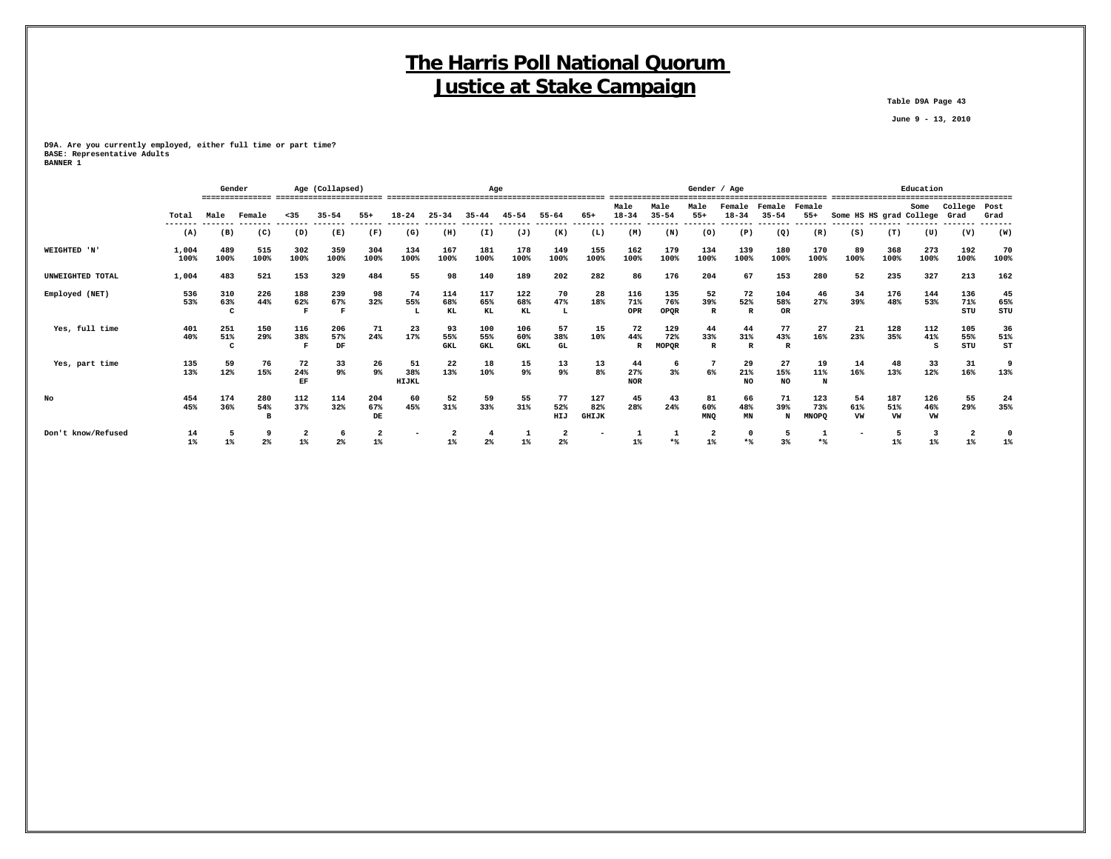**Table D9A Page 43**

 **June 9 - 13, 2010**

**D9A. Are you currently employed, either full time or part time? BASE: Representative Adults BANNER 1**

|                    |                  | Gender |                          |                  | Age (Collapsed)      |                   |                      |            | Age                                 |            |                               |              |                      |           | Gender / Age            |              |            |              |                              |      | Education |         |                 |
|--------------------|------------------|--------|--------------------------|------------------|----------------------|-------------------|----------------------|------------|-------------------------------------|------------|-------------------------------|--------------|----------------------|-----------|-------------------------|--------------|------------|--------------|------------------------------|------|-----------|---------|-----------------|
|                    |                  |        | ---------------- ------- |                  |                      |                   |                      |            |                                     |            |                               |              | Male                 | Male      | Male                    | Female       | Female     | Female       |                              |      | Some      | College | Post            |
|                    | Total<br>------- | Male   | Female<br>-------        | $35$<br>-------- | $35 - 54$<br>------- | $55+$<br>-------- | $18 - 24$<br>------- | $25 - 34$  | $35 - 44$<br>------- ------- ------ | $45 - 54$  | $55 - 64$<br>-------- ------- | $65+$        | $18 - 34$<br>------- | $35 - 54$ | $55+$                   | $18 - 34$    | $35 - 54$  | $55+$        | Some HS HS grad College Grad |      |           |         | Grad<br>------- |
|                    | (A)              | (B)    | (C)                      | (D)              | (E)                  | (F)               | (G)                  | (H)        | (I)                                 | (J)        | (K)                           | (L)          | (M)                  | (N)       | (0)                     | (P)          | (Q)        | (R)          | (S)                          | (T)  | (U)       | (V)     | (W)             |
| WEIGHTED 'N'       | 1,004            | 489    | 515                      | 302              | 359                  | 304               | 134                  | 167        | 181                                 | 178        | 149                           | 155          | 162                  | 179       | 134                     | 139          | 180        | 170          | 89                           | 368  | 273       | 192     | 70              |
|                    | 100%             | 100%   | 100%                     | 100%             | 100%                 | 100%              | 100%                 | 100%       | 100%                                | 100%       | 100%                          | 100%         | 100%                 | 100%      | 100%                    | 100%         | 100%       | 100%         | 100%                         | 100% | 100%      | 100%    | 100%            |
| UNWEIGHTED TOTAL   | 1,004            | 483    | 521                      | 153              | 329                  | 484               | 55                   | 98         | 140                                 | 189        | 202                           | 282          | 86                   | 176       | 204                     | 67           | 153        | 280          | 52                           | 235  | 327       | 213     | 162             |
| Employed (NET)     | 536              | 310    | 226                      | 188              | 239                  | 98                | 74                   | 114        | 117                                 | 122        | 70                            | 28           | 116                  | 135       | 52                      | 72           | 104        | 46           | 34                           | 176  | 144       | 136     | 45              |
|                    | 53%              | 63%    | 44%                      | 62%              | 67%                  | 32%               | 55%                  | 68%        | 65%                                 | 68%        | 47%                           | 18%          | 71%                  | 76%       | 39%                     | 52%          | 58%        | 27%          | 39%                          | 48%  | 53%       | 71%     | 65%             |
|                    |                  |        |                          |                  |                      |                   |                      | KL         | KL                                  | KL         | L                             |              | OPR                  | OPOR      | $\mathbb{R}$            | $\mathbb{R}$ | <b>OR</b>  |              |                              |      |           | STU     | STU             |
| Yes, full time     | 401              | 251    | 150                      | 116              | 206                  | 71                | 23                   | 93         | 100                                 | 106        | 57                            | 15           | 72                   | 129       | 44                      | 44           | 77         | 27           | 21                           | 128  | 112       | 105     | 36              |
|                    | 40%              | 51%    | 29%                      | 38%              | 57%                  | 24%               | 17%                  | 55%        | 55%                                 | 60%        | 38%                           | 10%          | 44%                  | 72%       | 33%                     | 31%          | 43%        | 16%          | 23%                          | 35%  | 41%       | 55%     | 51%             |
|                    |                  |        |                          |                  | DF                   |                   |                      | <b>GKL</b> | GKL                                 | <b>GKL</b> | <b>GL</b>                     |              |                      | MOPQR     | R                       | $\mathbb{R}$ | R          |              |                              |      |           | STU     | ST              |
| Yes, part time     | 135              | 59     | 76                       | 72               | 33                   | 26                | 51                   | 22         | 18                                  | 15         | 13                            | 13           | 44                   | 6         |                         | 29           | 27         | 19           | 14                           | 48   | 33        | 31      | 9               |
|                    | 13%              | 12%    | 15%                      | 24%<br>EF        | $9\%$                | 9%                | 38%<br>HIJKL         | 13%        | 10%                                 | $9\%$      | 9%                            | 8%           | 27%<br><b>NOR</b>    | 3%        | 6%                      | 21%<br>NO.   | 15%<br>NO. | 11%<br>N     | 16%                          | 13%  | 12%       | 16%     | 13%             |
| No                 | 454              | 174    | 280                      | 112              | 114                  | 204               | 60                   | 52         | 59                                  | 55         | 77                            | 127          | 45                   | 43        | 81                      | 66           | 71         | 123          | 54                           | 187  | 126       | 55      | 24              |
|                    | 45%              | 36%    | 54%                      | 37%              | 32%                  | 67%               | 45%                  | 31%        | 33%                                 | 31%        | 52%                           | 82%          | 28%                  | 24%       | 60%                     | 48%          | 39%        | 73%          | 61%                          | 51%  | 46%       | 29%     | 35%             |
|                    |                  |        |                          |                  |                      | DE                |                      |            |                                     |            | HIJ                           | <b>GHIJK</b> |                      |           | <b>MNO</b>              | MN           | N          | <b>MNOPQ</b> | VW                           | VW   | VW        |         |                 |
| Don't know/Refused | 14               |        |                          |                  |                      |                   |                      |            |                                     |            |                               |              |                      |           | $\overline{\mathbf{2}}$ | $\mathbf 0$  |            |              |                              |      |           |         |                 |
|                    | $1\%$            | $1\%$  | $2\%$                    | $1\%$            | $2\%$                | $1\%$             |                      | $1\%$      | $2\%$                               |            | 2 <sup>8</sup>                |              | 1%                   | $*$       | $1\%$                   | $*$          | 3%         | **           |                              | 1%   | $1\%$     | 1       | 1%              |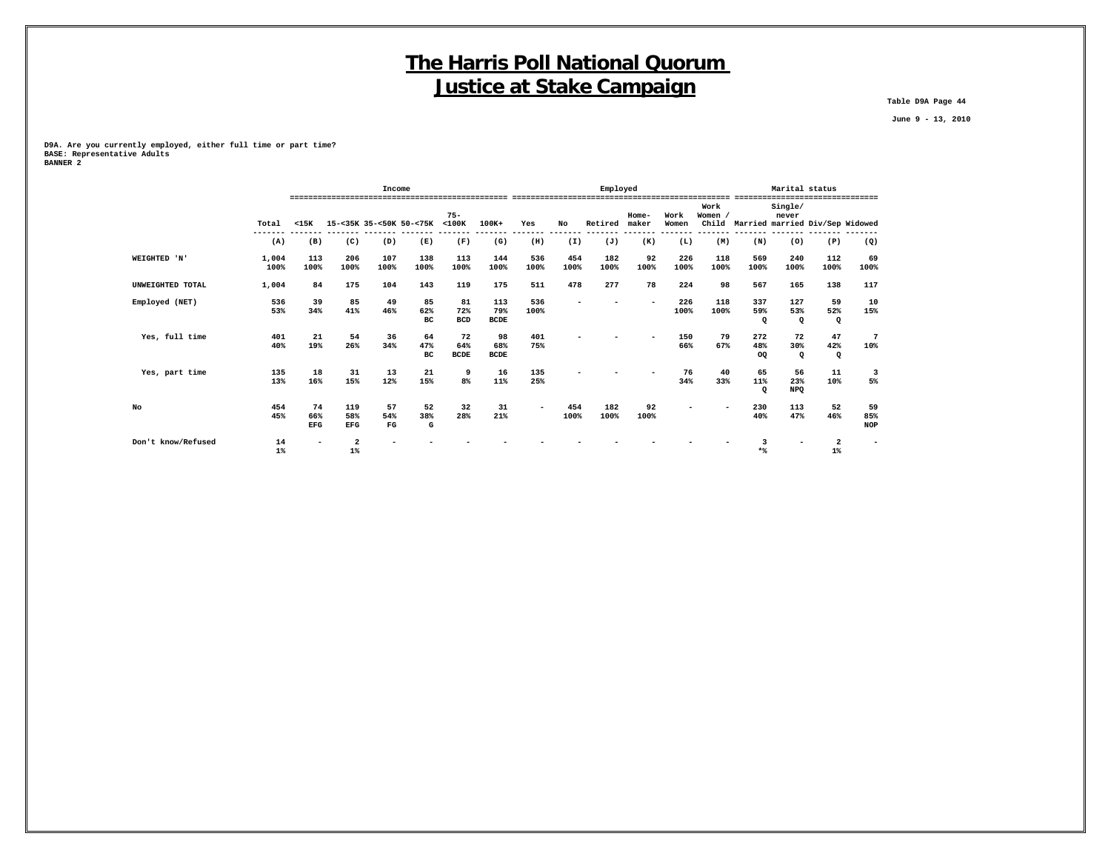**Table D9A Page 44**

 **June 9 - 13, 2010**

**D9A. Are you currently employed, either full time or part time? BASE: Representative Adults BANNER 2**

|                    |       |                          |                         | Income      |             |                       |             |                          |      | Employed |                  |               |                |                                 | Marital status |                    |                         |
|--------------------|-------|--------------------------|-------------------------|-------------|-------------|-----------------------|-------------|--------------------------|------|----------|------------------|---------------|----------------|---------------------------------|----------------|--------------------|-------------------------|
|                    |       |                          |                         |             |             |                       |             |                          |      |          |                  |               |                |                                 |                | ------------------ |                         |
|                    |       |                          |                         |             |             |                       |             |                          |      |          |                  |               | Work           |                                 | Single/        |                    |                         |
|                    | Total | $15K$                    | 15-<35K 35-<50K 50-<75K |             |             | $75 -$<br>$<$ 100 $K$ | 100K+       | Yes                      | No   | Retired  | $Home-$<br>maker | Work<br>Women | Women<br>Child | Married married Div/Sep Widowed | never          |                    |                         |
|                    |       |                          |                         |             |             |                       |             |                          |      |          |                  |               |                |                                 |                |                    |                         |
|                    | (A)   | (B)                      | (C)                     | (D)         | (E)         | (F)                   | (G)         | (H)                      | (I)  | (J)      | (K)              | (L)           | (M)            | (N)                             | (0)            | (P)                | (Q)                     |
| WEIGHTED 'N'       | 1,004 | 113                      | 206                     | 107         | 138         | 113                   | 144         | 536                      | 454  | 182      | 92               | 226           | 118            | 569                             | 240            | 112                | 69                      |
|                    | 100%  | 100%                     | 100%                    | 100%        | 100%        | 100%                  | 100%        | 100%                     | 100% | 100%     | 100%             | 100%          | 100%           | 100%                            | 100%           | 100%               | 100%                    |
| UNWEIGHTED TOTAL   | 1,004 | 84                       | 175                     | 104         | 143         | 119                   | 175         | 511                      | 478  | 277      | 78               | 224           | 98             | 567                             | 165            | 138                | 117                     |
| Employed (NET)     | 536   | 39                       | 85                      | 49          | 85          | 81                    | 113         | 536                      |      |          |                  | 226           | 118            | 337                             | 127            | 59                 | 10                      |
|                    | 53%   | 34%                      | 41%                     | 46%         | 62%         | 72%                   | 79%         | 100%                     |      |          |                  | 100%          | 100%           | 59%                             | 53%            | 52%                | 15%                     |
|                    |       |                          |                         |             | вc          | <b>BCD</b>            | <b>BCDE</b> |                          |      |          |                  |               |                | Q                               | $\mathbf{Q}$   | $\Omega$           |                         |
| Yes, full time     | 401   | 21                       | 54                      | 36          | 64          | 72                    | 98          | 401                      |      |          |                  | 150           | 79             | 272                             | 72             | 47                 | 7                       |
|                    | 40%   | 19%                      | 26%                     | 34%         | 47%         | 64%                   | 68%         | 75%                      |      |          |                  | 66%           | 67%            | 48%                             | 30%            | 42%                | 10%                     |
|                    |       |                          |                         |             | $_{\rm BC}$ | <b>BCDE</b>           | <b>BCDE</b> |                          |      |          |                  |               |                | OQ.                             | $\mathbf{Q}$   | $\mathbf Q$        |                         |
| Yes, part time     | 135   | 18                       | 31                      | 13          | 21          | 9                     | 16          | 135                      |      |          |                  | 76            | 40             | 65                              | 56             | 11                 | $\overline{\mathbf{3}}$ |
|                    | 13%   | 16%                      | 15%                     | 12%         | 15%         | 8 <sup>°</sup>        | 11%         | 25%                      |      |          |                  | 34%           | 33%            | 11%                             | 23%            | 10%                | 5%                      |
|                    |       |                          |                         |             |             |                       |             |                          |      |          |                  |               |                | Q                               | <b>NPQ</b>     |                    |                         |
| No                 | 454   | 74                       | 119                     | 57          | 52          | 32                    | 31          | $\overline{\phantom{a}}$ | 454  | 182      | 92               |               |                | 230                             | 113            | 52                 | 59                      |
|                    | 45%   | 66%                      | 58%                     | 54%         | 38%         | 28%                   | 21%         |                          | 100% | 100%     | 100%             |               |                | 40%                             | 47%            | 46%                | 85%                     |
|                    |       | EFG                      | <b>EFG</b>              | $_{\rm FG}$ | G           |                       |             |                          |      |          |                  |               |                |                                 |                |                    | <b>NOP</b>              |
| Don't know/Refused | 14    | $\overline{\phantom{a}}$ | $\mathbf{2}$            |             |             |                       |             |                          |      |          |                  |               |                |                                 |                | 2                  |                         |
|                    | $1\%$ |                          | $1\%$                   |             |             |                       |             |                          |      |          |                  |               |                | $*$                             |                | $1\%$              |                         |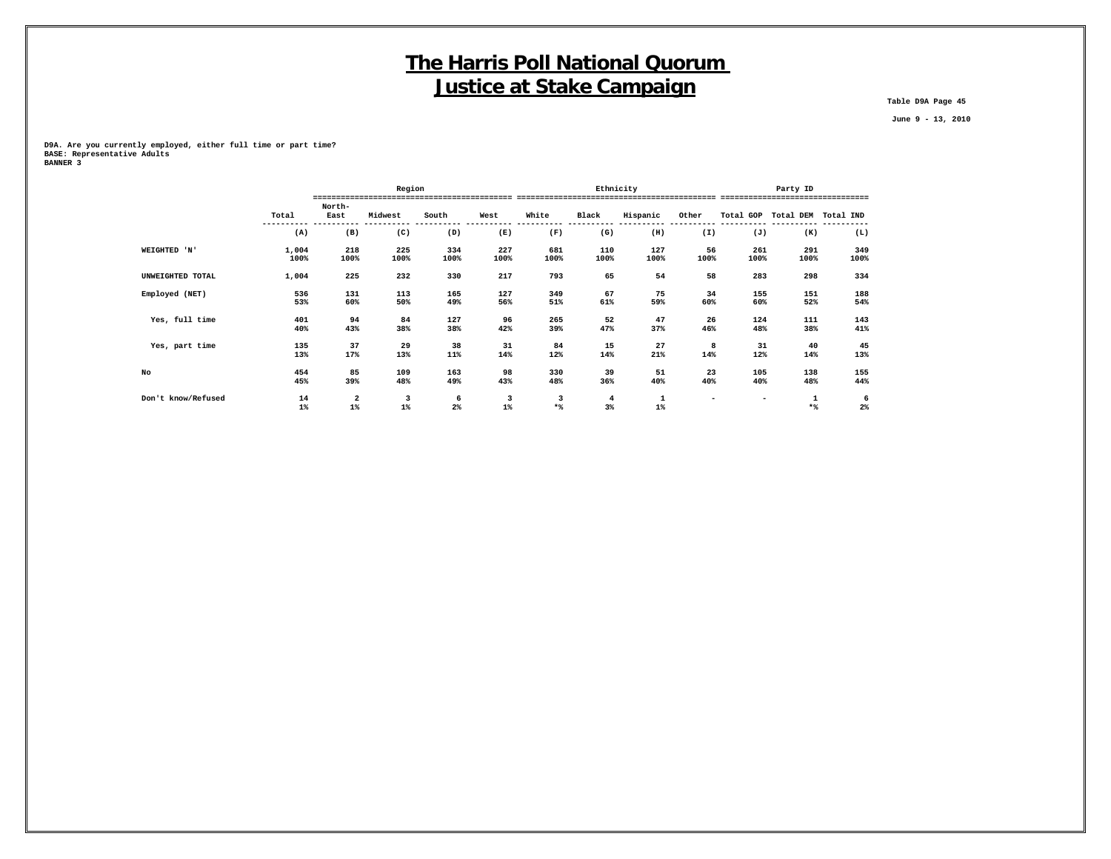**Table D9A Page 45**

 **June 9 - 13, 2010**

**D9A. Are you currently employed, either full time or part time? BASE: Representative Adults BANNER 3**

|                    |               |                | Region      |             |             |                     | Ethnicity   |                                             |            |             | Party ID                          |             |
|--------------------|---------------|----------------|-------------|-------------|-------------|---------------------|-------------|---------------------------------------------|------------|-------------|-----------------------------------|-------------|
|                    |               |                |             |             |             |                     |             |                                             |            |             | --------------------------------- |             |
|                    | Total         | North-<br>East | Midwest     | South       | West        | White               | Black       | Hispanic                                    | Other      | Total GOP   | Total DEM                         | Total IND   |
|                    | (A)           | (B)            | (C)         | (D)         | (E)         | (F)                 | (G)         | (H)                                         | (I)        | (J)         | (K)                               | (L)         |
| WEIGHTED 'N'       | 1,004<br>100% | 218<br>100%    | 225<br>100% | 334<br>100% | 227<br>100% | 681<br>100%         | 110<br>100% | 127<br>100%                                 | 56<br>100% | 261<br>100% | 291<br>100%                       | 349<br>100% |
| UNWEIGHTED TOTAL   | 1,004         | 225            | 232         | 330         | 217         | 793                 | 65          | 54                                          | 58         | 283         | 298                               | 334         |
| Employed (NET)     | 536<br>53%    | 131<br>60%     | 113<br>50%  | 165<br>49%  | 127<br>56%  | 349<br>51%          | 67<br>61%   | 75<br>59%                                   | 34<br>60%  | 155<br>60%  | 151<br>52%                        | 188<br>54%  |
| Yes, full time     | 401<br>40%    | 94<br>43%      | 84<br>38%   | 127<br>38%  | 96<br>42%   | 265<br>39%          | 52<br>47%   | 47<br>37%                                   | 26<br>46%  | 124<br>48%  | 111<br>38%                        | 143<br>41%  |
| Yes, part time     | 135<br>13%    | 37<br>17%      | 29<br>13%   | 38<br>11%   | 31<br>14%   | 84<br>12%           | 15<br>14%   | 27<br>21%                                   | 8<br>14%   | 31<br>12%   | 40<br>14%                         | 45<br>13%   |
| No                 | 454<br>45%    | 85<br>39%      | 109<br>48%  | 163<br>49%  | 98<br>43%   | 330<br>48%          | 39<br>36%   | 51<br>40%                                   | 23<br>40%  | 105<br>40%  | 138<br>48%                        | 155<br>44%  |
| Don't know/Refused | 14<br>$1\%$   | 2<br>$1\%$     | 3<br>$1\%$  | 6<br>$2\%$  | 3<br>$1\%$  | 3<br>$\star$ $\!\!$ | 4<br>$3\%$  | $\begin{smallmatrix}1\1\0\end{smallmatrix}$ |            |             | 1<br>$*$                          | 6<br>$2\%$  |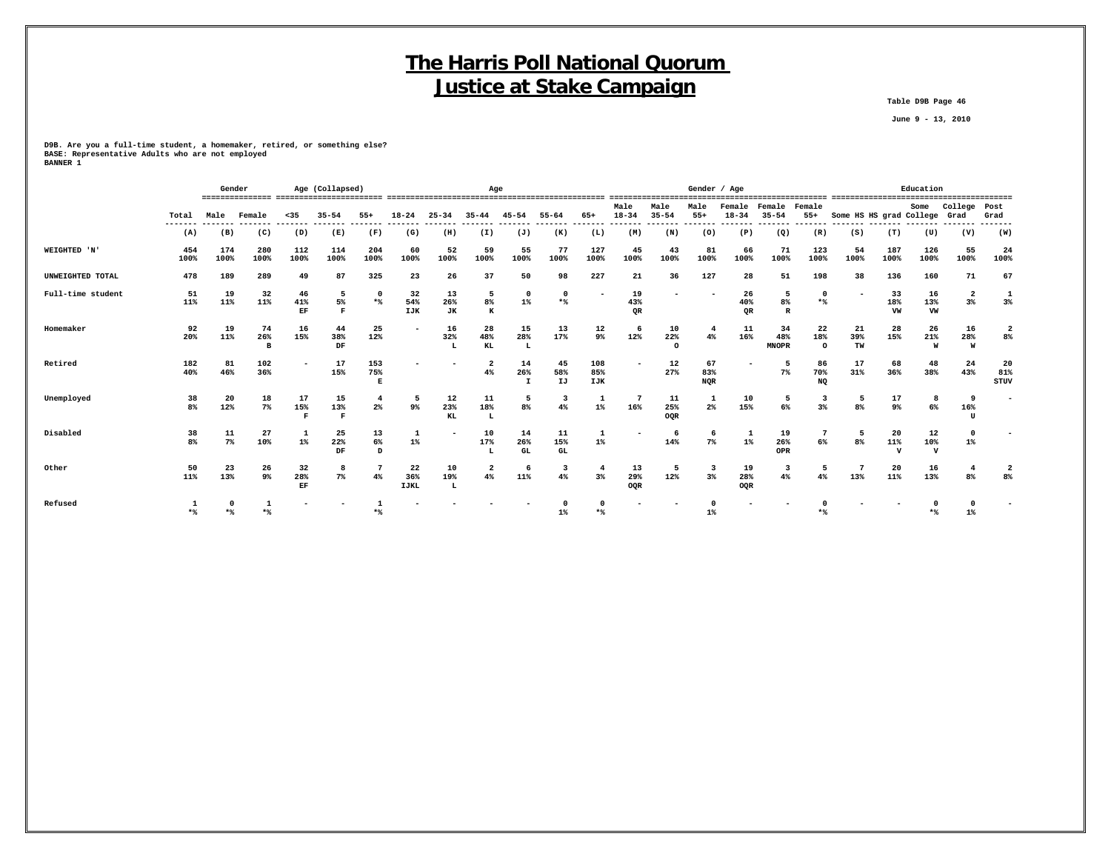**Table D9B Page 46**

 **June 9 - 13, 2010**

**D9B. Are you a full-time student, a homemaker, retired, or something else? BASE: Representative Adults who are not employed BANNER 1**

|                   |             | Gender      |                |                            | Age (Collapsed) |                         |                          | Age             |                         |                           |                               |                      |                               |                       | Gender / Age             |                          |                           |                                    |                              |                 | Education                 |                                  |                   |
|-------------------|-------------|-------------|----------------|----------------------------|-----------------|-------------------------|--------------------------|-----------------|-------------------------|---------------------------|-------------------------------|----------------------|-------------------------------|-----------------------|--------------------------|--------------------------|---------------------------|------------------------------------|------------------------------|-----------------|---------------------------|----------------------------------|-------------------|
|                   | Total       | Male        | Female         | $35$                       | $35 - 54$       | $55+$                   | $18 - 24$                | $25 - 34$       | $35 - 44$               | $45 - 54$                 | $55 - 64$                     | 65+                  | Male<br>$18 - 34$<br>-------- | Male<br>$35 - 54$     | Male<br>$55+$<br>------- | Female<br>$18 - 34$      | Female<br>$35 - 54$       | Female<br>$55+$<br>------- ------- | Some HS HS grad College Grad |                 | Some                      | College                          | Post<br>Grad      |
|                   | (A)         | (B)         | (C)            | (D)                        | (E)             | (F)                     | (G)                      | (H)             | (I)                     | (J)                       | (K)                           | (L)                  | (M)                           | (N)                   | (0)                      | (P)                      | (Q)                       | (R)                                | (S)                          | (T)             | (U)                       | (V)                              | (W)               |
| WEIGHTED 'N'      | 454<br>100% | 174<br>100% | 280<br>100%    | 112<br>100%                | 114<br>100%     | 204<br>100%             | 60<br>100%               | 52<br>100%      | 59<br>100%              | 55<br>100%                | 77<br>100%                    | 127<br>100%          | 45<br>100%                    | 43<br>100%            | 81<br>100%               | 66<br>100%               | 71<br>100%                | 123<br>100%                        | 54<br>100%                   | 187<br>100%     | 126<br>100%               | 55<br>100%                       | 24<br>100%        |
| UNWEIGHTED TOTAL  | 478         | 189         | 289            | 49                         | 87              | 325                     | 23                       | 26              | 37                      | 50                        | 98                            | 227                  | 21                            | 36                    | 127                      | 28                       | 51                        | 198                                | 38                           | 136             | 160                       | 71                               | 67                |
| Full-time student | 51<br>11%   | 19<br>11%   | 32<br>11%      | 46<br>41%<br>$\mathbf{EF}$ | -5<br>5%<br>F   | $\mathbf 0$<br>$*$      | 32<br>54%<br>IJK         | 13<br>26%<br>JК | -5<br>8%<br>к           | $\Omega$<br>$1\%$         | $\mathbf 0$<br>$*$            |                      | 19<br>43%<br>QR               |                       |                          | 26<br>40%<br>QR          | -5<br>8%<br>R             | $\mathbf 0$<br>$*$                 |                              | 33<br>18%<br>VW | 16<br>13%<br>VW           | $\overline{\mathbf{2}}$<br>$3\%$ | 1<br>3%           |
| Homemaker         | 92<br>20%   | 19<br>11%   | 74<br>26%<br>B | 16<br>15%                  | 44<br>38%<br>DF | 25<br>12%               |                          | 16<br>32%       | 28<br>48%<br>KL         | 15<br>28%<br>L            | 13<br>17%                     | 12<br>9 <sup>°</sup> | 6<br>12%                      | 10<br>22%<br>$\Omega$ | -4<br>4%                 | 11<br>16%                | 34<br>48%<br><b>MNOPR</b> | 22<br>18%<br>$\circ$               | 21<br>39%<br>TW              | 28<br>15%       | -26<br>21%<br>W           | 16<br>28%<br>W                   | 8 <sup>8</sup>    |
| Retired           | 182<br>40%  | 81<br>46%   | 102<br>36%     |                            | 17<br>15%       | 153<br>75%<br>Е         |                          |                 | $\overline{2}$<br>$4\%$ | 14<br>26%<br>$\mathbf{I}$ | 45<br>58%<br>IJ               | 108<br>85%<br>IJK    |                               | 12<br>27%             | 67<br>83%<br><b>NOR</b>  | $\overline{\phantom{a}}$ | 7%                        | 86<br>70%<br>NQ                    | 17<br>31%                    | 68<br>36%       | 48<br>38%                 | 24<br>43%                        | 20<br>81%<br>STUV |
| Unemployed        | 38<br>8%    | 20<br>12%   | 18<br>7%       | 17<br>15%<br>R             | 15<br>13%<br>Е  | $\overline{4}$<br>$2\%$ | -5<br>9%                 | 12<br>23%<br>KL | 11<br>18%<br>L          | 5<br>8%                   | $\overline{\mathbf{3}}$<br>4% | $1\%$                | 7<br>16%                      | 11<br>25%<br>OQR      | 2 <sup>°</sup>           | 10<br>15%                | 6%                        | 3<br>3%                            | 5<br>8%                      | 17<br>$9\%$     | 8<br>6%                   | 9<br>16%<br>U                    |                   |
| Disabled          | 38<br>8%    | 11<br>7%    | 27<br>10%      | $1\%$                      | 25<br>22%<br>DF | 13<br>6%<br>D           | $1\%$                    |                 | 10<br>17%<br>L          | 14<br>26%<br>GL           | 11<br>15%<br>GL               | $1\%$                |                               | -6<br>14%             | -6<br>7%                 | 1<br>1%                  | 19<br>26%<br>OPR          | 6%                                 | 5<br>8%                      | 20<br>11%       | 12<br>10%<br>$\mathbf{v}$ | $\Omega$<br>$1\%$                |                   |
| Other             | 50<br>11%   | 23<br>13%   | 26<br>9%       | 32<br>28%<br>$\mathbf{EF}$ | 8<br>$7\%$      | $\overline{7}$<br>$4\%$ | 22<br>36%<br><b>IJKL</b> | 10<br>19%<br>L  | $\overline{2}$<br>4%    | 6<br>11%                  | 3<br>4%                       | 3 <sup>8</sup>       | 13<br>29%<br>OQR              | 12%                   | -3<br>3%                 | 19<br>28%<br>OQR         | 4%                        | 5<br>4%                            | 13%                          | 20<br>11%       | 16<br>13%                 | 8 <sup>8</sup>                   | 8%                |
| Refused           | $*$ %       | $*$         | $*$            |                            |                 | $*$                     |                          |                 |                         |                           | $1\%$                         | $*$                  |                               |                       | $1\%$                    |                          |                           | **                                 |                              |                 | *%                        | $1\%$                            |                   |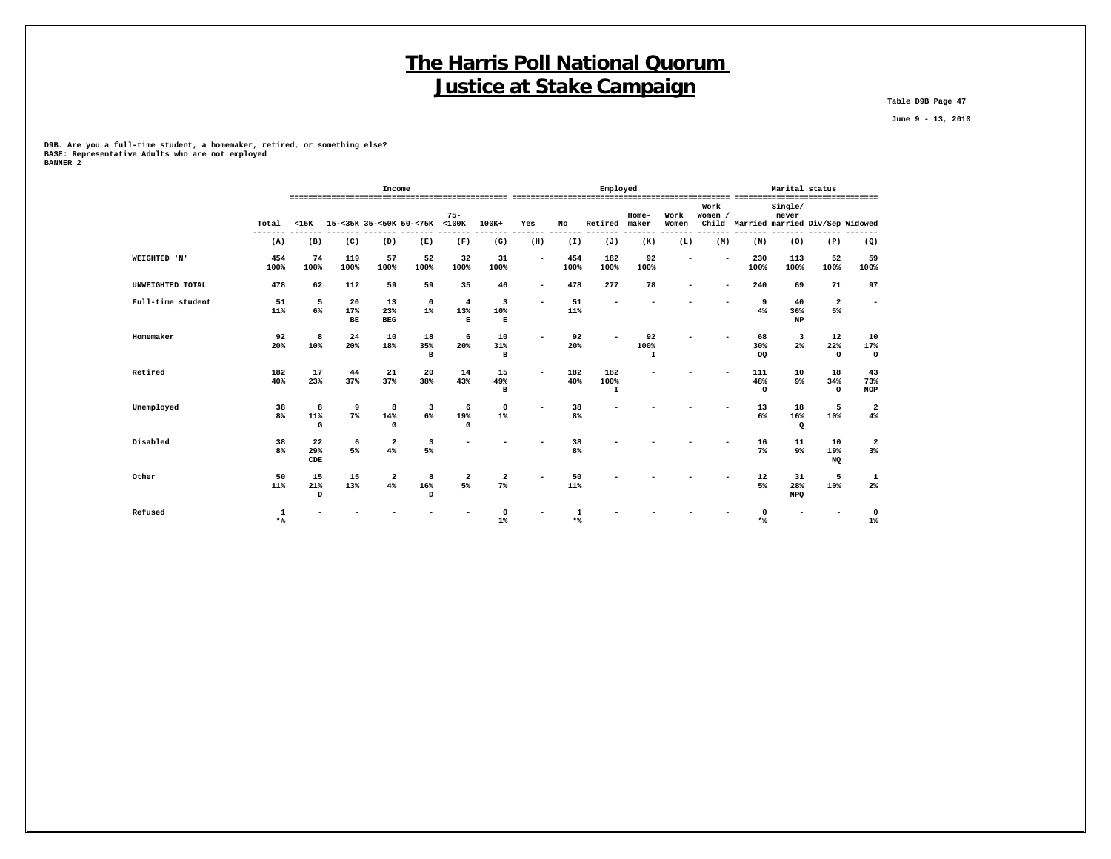**Table D9B Page 47**

 **June 9 - 13, 2010**

**D9B. Are you a full-time student, a homemaker, retired, or something else? BASE: Representative Adults who are not employed BANNER 2**

|                   |                      |                         |                          | Income                  |                           |                               |                         |                          |                      | Employed                   |                 |                          |                 |                                       | Marital status          |                      |                          |
|-------------------|----------------------|-------------------------|--------------------------|-------------------------|---------------------------|-------------------------------|-------------------------|--------------------------|----------------------|----------------------------|-----------------|--------------------------|-----------------|---------------------------------------|-------------------------|----------------------|--------------------------|
|                   | Total                | $15K$                   |                          |                         | 15-<35K 35-<50K 50-<75K   | $75 -$<br>$<$ 100 $K$         | 100K+                   | Yes                      | No                   | Retired                    | Home-<br>maker  | Work<br>Women            | Work<br>Women / | Child Married married Div/Sep Widowed | Single/<br>never        |                      | --------------           |
|                   | (A)                  | (B)                     | (C)                      | (D)                     | (E)                       | (F)                           | (G)                     | (H)                      | (I)                  | (J)                        | (K)             | (L)                      | (M)             | (N)                                   | (0)                     | (P)                  | (Q)                      |
| WEIGHTED 'N'      | 454<br>100%          | 74<br>100%              | 119<br>100%              | 57<br>100%              | 52<br>100%                | 32<br>100%                    | 31<br>100%              | $\sim$                   | 454<br>100%          | 182<br>100%                | 92<br>100%      | $\overline{\phantom{0}}$ |                 | 230<br>100%                           | 113<br>100%             | 52<br>100%           | 59<br>100%               |
| UNWEIGHTED TOTAL  | 478                  | 62                      | 112                      | 59                      | 59                        | 35                            | 46                      | $\sim$                   | 478                  | 277                        | 78              |                          | ۰               | 240                                   | 69                      | 71                   | 97                       |
| Full-time student | 51<br>11%            | 5<br>6%                 | 20<br>17%<br>$_{\rm BE}$ | 13<br>23%<br><b>BEG</b> | $\mathbf 0$<br>$1\%$      | $\overline{4}$<br>13%<br>Е    | 3<br>10%<br>E           | ۰                        | 51<br>11%            |                            |                 |                          |                 | 9<br>4%                               | 40<br>36%<br>NP         | $\mathbf{2}$<br>5%   | $\overline{\phantom{a}}$ |
| Homemaker         | 92<br>20%            | 8<br>10%                | 24<br>20%                | 10<br>18%               | 18<br>35%<br>$\, {\bf B}$ | 6<br>20%                      | 10<br>31%<br>в          | ۰                        | 92<br>20%            |                            | 92<br>100%<br>I |                          |                 | 68<br>30%<br>OQ                       | 3<br>2 <sup>°</sup>     | 12<br>22%<br>$\circ$ | 10<br>17%<br>$\circ$     |
| Retired           | 182<br>40%           | 17<br>23%               | 44<br>37%                | 21<br>37%               | 20<br>38%                 | 14<br>43%                     | 15<br>49%<br>B          | $\overline{\phantom{a}}$ | 182<br>40%           | 182<br>100%<br>$\mathbf I$ |                 |                          |                 | 111<br>48%<br>$\circ$                 | 10<br>9 <sub>8</sub>    | 18<br>34%<br>$\circ$ | 43<br>73%<br><b>NOP</b>  |
| Unemployed        | 38<br>8 <sup>°</sup> | 8<br>11%<br>$\mathbf G$ | 9<br>7%                  | 8<br>14%<br>G           | 3<br>6%                   | 6<br>19%<br>G                 | $\mathbf 0$<br>$1\%$    | $\overline{\phantom{a}}$ | 38<br>8 <sup>8</sup> |                            |                 |                          |                 | 13<br>6%                              | 18<br>16%<br>$\Omega$   | 5<br>10%             | $\mathbf{2}$<br>4%       |
| Disabled          | 38<br>8%             | 22<br>29%<br>CDE        | 6<br>5%                  | $\mathbf{2}$<br>4%      | 3<br>5%                   |                               |                         |                          | 38<br>8%             |                            |                 |                          |                 | 16<br>$7\%$                           | 11<br>9%                | 10<br>19%<br>NQ      | 2<br>3%                  |
| Other             | 50<br>11%            | 15<br>21%<br>D          | 15<br>13%                | $\overline{a}$<br>4%    | 8<br>16%<br>D             | $\overline{\mathbf{2}}$<br>5% | $\overline{a}$<br>$7\%$ |                          | 50<br>11%            |                            |                 |                          |                 | 12<br>5%                              | 31<br>28%<br><b>NPQ</b> | 5<br>10%             | 1<br>$2\%$               |
| Refused           | 1<br>$*$             |                         |                          |                         |                           |                               | $1\%$                   |                          | $\mathbf{1}$<br>$*$  |                            |                 |                          |                 | $\Omega$<br>$*$                       |                         |                      | $\mathbf 0$<br>$1\%$     |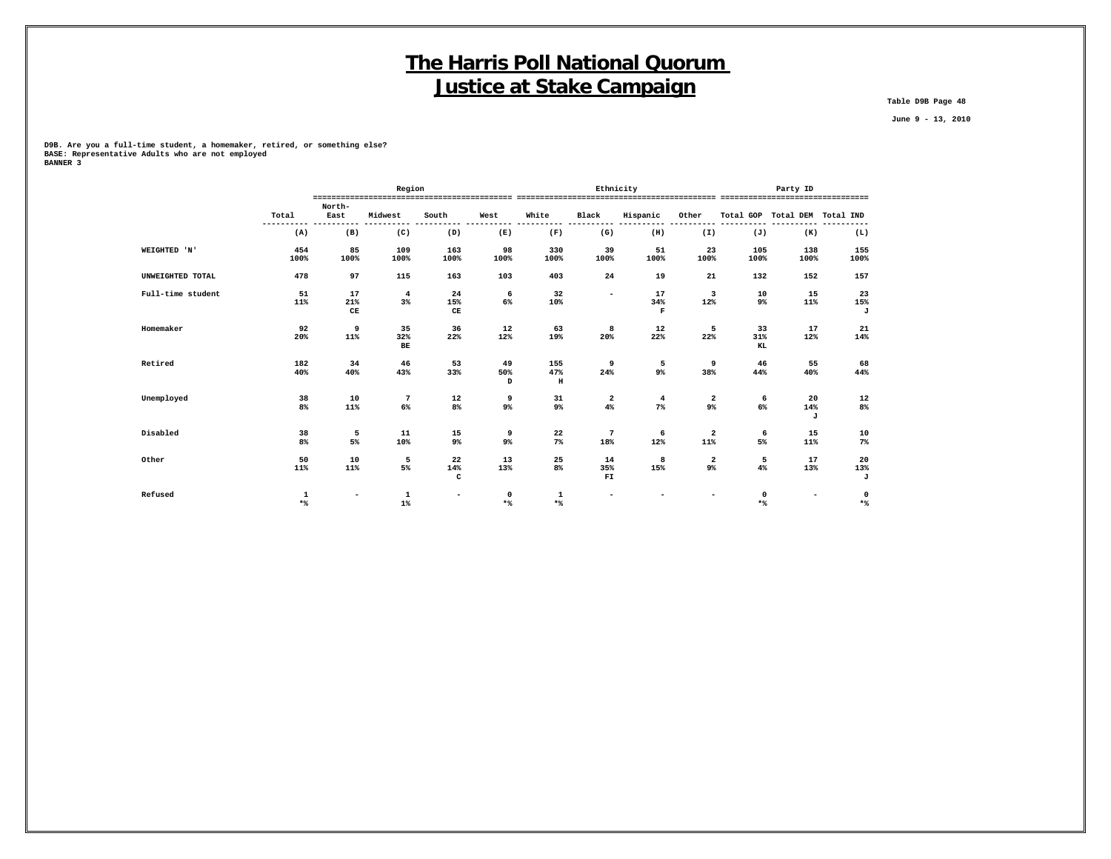**Table D9B Page 48**

 **June 9 - 13, 2010**

**D9B. Are you a full-time student, a homemaker, retired, or something else? BASE: Representative Adults who are not employed BANNER 3**

|                   |       |                          | Region         |                          |          |          | Ethnicity                |                |                          |                    | Party ID                      |       |
|-------------------|-------|--------------------------|----------------|--------------------------|----------|----------|--------------------------|----------------|--------------------------|--------------------|-------------------------------|-------|
|                   | Total | North-<br>East           | Midwest        | South                    | West     | White    | Black                    | Hispanic       | Other                    |                    | Total GOP Total DEM Total IND |       |
|                   | (A)   | (B)                      | (C)            | (D)                      | (E)      | (F)      | (G)                      | (H)            | (I)                      | (J)                | (K)                           | (L)   |
| WEIGHTED 'N'      | 454   | 85                       | 109            | 163                      | 98       | 330      | 39                       | 51             | 23                       | 105                | 138                           | 155   |
|                   | 100%  | 100%                     | 100%           | 100%                     | 100%     | 100%     | 100%                     | 100%           | 100%                     | 100%               | 100%                          | 100%  |
| UNWEIGHTED TOTAL  | 478   | 97                       | 115            | 163                      | 103      | 403      | 24                       | 19             | 21                       | 132                | 152                           | 157   |
| Full-time student | 51    | 17                       | $\overline{4}$ | 24                       | 6        | 32       | $\overline{\phantom{0}}$ | 17             | 3                        | 10                 | 15                            | 23    |
|                   | 11%   | 21%                      | 3%             | 15%                      | 6%       | 10%      |                          | 34%            | 12%                      | 9%                 | 11%                           | 15%   |
|                   |       | $\mathbf C\mathbf E$     |                | CE                       |          |          |                          | $\mathbf F$    |                          |                    |                               | J     |
| Homemaker         | 92    | 9                        | 35             | 36                       | 12       | 63       | 8                        | 12             | 5                        | 33                 | 17                            | 21    |
|                   | 20%   | 11%                      | 32%<br>BE      | 22%                      | 12%      | 19%      | 20%                      | 22%            | 22%                      | 31%<br>KL          | 12%                           | 14%   |
| Retired           | 182   | 34                       | 46             | 53                       | 49       | 155      | 9                        | 5              | 9                        | 46                 | 55                            | 68    |
|                   | 40%   | 40%                      | 43%            | 33%                      | 50%<br>D | 47%<br>н | 24%                      | 9%             | 38%                      | 44%                | 40%                           | 44%   |
| Unemployed        | 38    | 10                       | 7              | 12                       | 9        | 31       | 2                        | $\overline{4}$ | $\mathbf{2}$             | 6                  | 20                            | 12    |
|                   | $8\%$ | 11%                      | $6\%$          | $8\%$                    | 9%       | 9%       | 4%                       | $7\%$          | 9%                       | $6\%$              | 14%<br>J                      | 8%    |
| Disabled          | 38    | 5                        | 11             | 15                       | 9        | 22       | 7                        | 6              | $\mathbf{2}$             | 6                  | 15                            | 10    |
|                   | 8%    | 5%                       | 10%            | 9%                       | 9%       | $7\%$    | 18%                      | 12%            | 11%                      | 5%                 | 11%                           | $7\%$ |
| Other             | 50    | 10                       | 5              | 22                       | 13       | 25       | 14                       | 8              | $\mathbf{2}$             | 5                  | 17                            | 20    |
|                   | 11%   | 11%                      | 5%             | 14%                      | 13%      | 8%       | 35%                      | 15%            | 9%                       | 4%                 | 13%                           | 13%   |
|                   |       |                          |                | c                        |          |          | FI                       |                |                          |                    |                               | J     |
| Refused           | 1     | $\overline{\phantom{a}}$ | $\mathbf 1$    | $\overline{\phantom{0}}$ | 0        | 1        | ۰                        |                | $\overline{\phantom{0}}$ | 0                  | $\overline{\phantom{a}}$      | 0     |
|                   | $*$   |                          | $1\%$          |                          | $*$      | $*$      |                          |                |                          | $\star$ $\uparrow$ |                               | $*$   |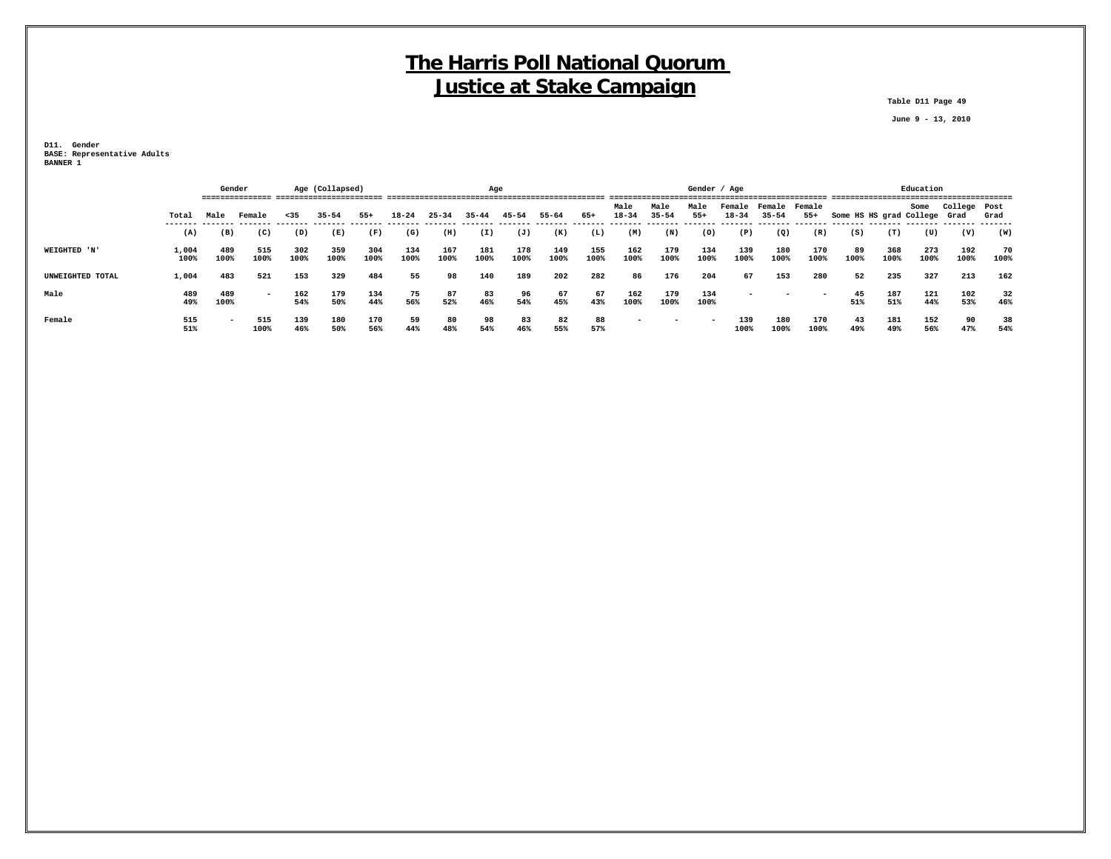**Table D11 Page 49**

 **June 9 - 13, 2010**

**D11. Gender BASE: Representative Adults BANNER 1**

|                  |               |                          | Gender      |             | Age (Collapsed) |             | Age         |             |             |             |             |             |                   |                   | Gender / Age  |                                   |                          |                          |                              |             | Education   |              |            |
|------------------|---------------|--------------------------|-------------|-------------|-----------------|-------------|-------------|-------------|-------------|-------------|-------------|-------------|-------------------|-------------------|---------------|-----------------------------------|--------------------------|--------------------------|------------------------------|-------------|-------------|--------------|------------|
|                  | Total         | Male                     | Female      | $35$        | $35 - 54$       | $55+$       | $18 - 24$   | $25 - 34$   | $35 - 44$   | 45-54       | 55-64       | 65+         | Male<br>$18 - 34$ | Male<br>$35 - 54$ | Male<br>$55+$ | Female Female Female<br>$18 - 34$ | $35 - 54$                | $55+$                    | Some HS HS grad College Grad |             | Some        | College Post | Grad       |
|                  | (A)           | (B)                      | (C)         | (D)         | (E)             | (F)         | (G)         | (H)         | (I)         | (J)         | (K)         | (L)         | (M)               | (N)               | (0)           | (P)                               | (Q)                      | (R)                      | (S)                          | (T)         | (U)         | (V)          | (W)        |
| WEIGHTED 'N'     | 1,004<br>100% | 489<br>100%              | 515<br>100% | 302<br>100% | 359<br>100%     | 304<br>100% | 134<br>100% | 167<br>100% | 181<br>100% | 178<br>100% | 149<br>100% | 155<br>100% | 162<br>100%       | 179<br>100%       | 134<br>100%   | 139<br>100%                       | 180<br>100%              | 170<br>100%              | -89<br>100%                  | 368<br>100% | 273<br>100% | 192<br>100%  | 70<br>100% |
| UNWEIGHTED TOTAL | 1,004         | 483                      | 521         | 153         | 329             | 484         | 55          | 98          | 140         | 189         | 202         | 282         | 86                | 176               | 204           | 67                                | 153                      | 280                      | 52                           | 235         | 327         | 213          | 162        |
| Male             | 489<br>49%    | 489<br>100%              | $\sim$      | 162<br>54%  | 179<br>50%      | 134<br>44%  | 75<br>56%   | 87<br>52%   | 83<br>46%   | 96<br>54%   | 67<br>45%   | 67<br>43%   | 162<br>100%       | 179<br>100%       | 134<br>100%   | $\overline{\phantom{0}}$          | $\overline{\phantom{0}}$ | $\overline{\phantom{0}}$ | 45<br>51%                    | 187<br>51%  | 121<br>44%  | 102<br>53%   | 32<br>46%  |
| Female           | 515<br>51%    | $\overline{\phantom{0}}$ | 515<br>100% | 139<br>46%  | 180<br>50%      | 170<br>56%  | 59<br>44%   | 80<br>48%   | 98<br>54%   | 83<br>46%   | 82<br>55%   | 88<br>57%   |                   |                   |               | 139<br>100%                       | 180<br>100%              | 170<br>100%              | 43<br>49%                    | 181<br>49%  | 152<br>56%  | 90<br>47%    | 38<br>54%  |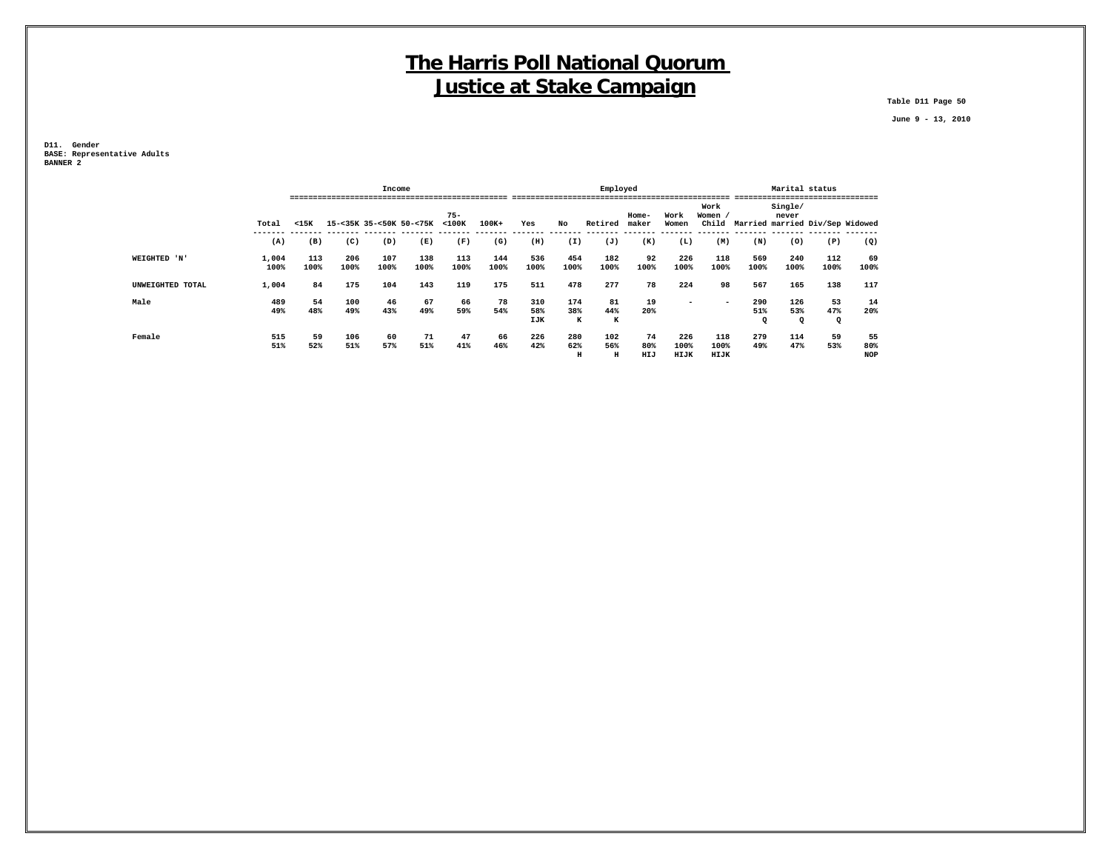**Table D11 Page 50**

 **June 9 - 13, 2010**

**D11. Gender BASE: Representative Adults BANNER 2**

|                  |               |             |             | Income      |                         |             |             |                   |                 | Employed        |                  |                     |                          |                           | Marital status         |                |                                 |
|------------------|---------------|-------------|-------------|-------------|-------------------------|-------------|-------------|-------------------|-----------------|-----------------|------------------|---------------------|--------------------------|---------------------------|------------------------|----------------|---------------------------------|
|                  |               |             |             |             |                         | $75 -$      |             |                   |                 |                 | Home-            | Work                | Work<br>Women            |                           | Single/<br>never       |                | -------                         |
|                  | Total         | $15K$       |             |             | 15-<35K 35-<50K 50-<75K | $<$ 100 $<$ | $100K+$     | Yes               | No              | Retired         | maker            | Women               | child                    |                           |                        |                | Married married Div/Sep Widowed |
|                  | (A)           | (B)         | (C)         | (D)         | (E)                     | (F)         | (G)         | (H)               | (I)             | (J)             | (K)              | (L)                 | (M)                      | (N)                       | (0)                    | (P)            | (Q)                             |
| WEIGHTED 'N'     | 1,004<br>100% | 113<br>100% | 206<br>100% | 107<br>100% | 138<br>100%             | 113<br>100% | 144<br>100% | 536<br>100%       | 454<br>100%     | 182<br>100%     | 92<br>100%       | 226<br>100%         | 118<br>100%              | 569<br>100%               | 240<br>100%            | 112<br>100%    | 69<br>100%                      |
| UNWEIGHTED TOTAL | 1,004         | 84          | 175         | 104         | 143                     | 119         | 175         | 511               | 478             | 277             | 78               | 224                 | 98                       | 567                       | 165                    | 138            | 117                             |
| Male             | 489<br>49%    | 54<br>48%   | 100<br>49%  | 46<br>43%   | 67<br>49%               | 66<br>59%   | 78<br>54%   | 310<br>58%<br>IJK | 174<br>38%<br>к | 81<br>44%<br>к  | 19<br>20%        | -                   | $\overline{\phantom{0}}$ | 290<br>51%<br>$\mathbf Q$ | 126<br>53%<br>$\Omega$ | 53<br>47%<br>Q | 14<br>20%                       |
| Female           | 515<br>51%    | 59<br>52%   | 106<br>51%  | 60<br>57%   | 71<br>51%               | 47<br>41%   | 66<br>46%   | 226<br>42%        | 280<br>62%<br>н | 102<br>56%<br>н | 74<br>80%<br>HIJ | 226<br>100%<br>HIJK | 118<br>100%<br>HIJK      | 279<br>49%                | 114<br>47%             | 59<br>53%      | 55<br>80%<br><b>NOP</b>         |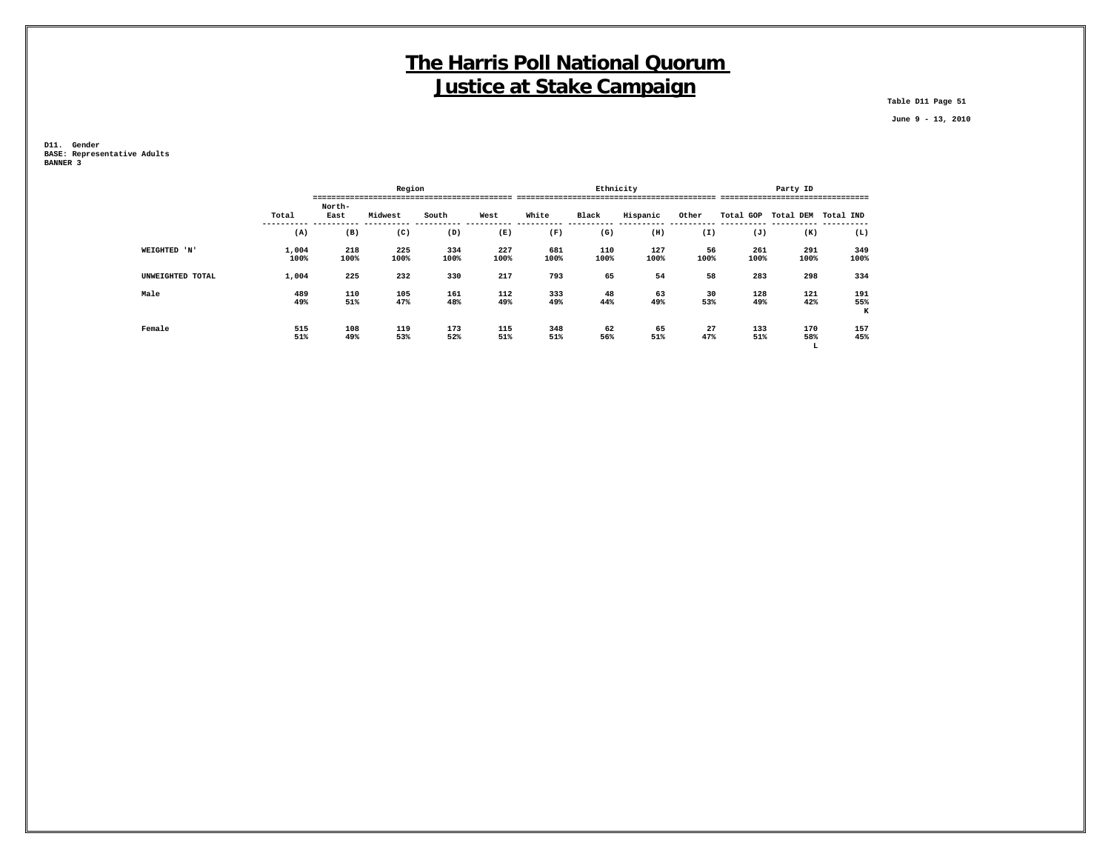**Table D11 Page 51**

 **June 9 - 13, 2010**

**D11. Gender BASE: Representative Adults BANNER 3**

|                  |               |                | Region      |             |             |             | Ethnicity   |             |            |             | Party ID            |                 |
|------------------|---------------|----------------|-------------|-------------|-------------|-------------|-------------|-------------|------------|-------------|---------------------|-----------------|
|                  | Total         | North-<br>East | Midwest     | South       | West        | White       | Black       | Hispanic    | Other      |             | Total GOP Total DEM | Total IND       |
|                  | (A)           | (B)            | (C)         | (D)         | (E)         | (F)         | (G)         | (H)         | (I)        | (J)         | (K)                 | (L)             |
| WEIGHTED 'N'     | 1,004<br>100% | 218<br>100%    | 225<br>100% | 334<br>100% | 227<br>100% | 681<br>100% | 110<br>100% | 127<br>100% | 56<br>100% | 261<br>100% | 291<br>100%         | 349<br>100%     |
| UNWEIGHTED TOTAL | 1,004         | 225            | 232         | 330         | 217         | 793         | 65          | 54          | 58         | 283         | 298                 | 334             |
| Male             | 489<br>49%    | 110<br>51%     | 105<br>47%  | 161<br>48%  | 112<br>49%  | 333<br>49%  | 48<br>44%   | 63<br>49%   | 30<br>53%  | 128<br>49%  | 121<br>42%          | 191<br>55%<br>K |
| Female           | 515<br>51%    | 108<br>49%     | 119<br>53%  | 173<br>52%  | 115<br>51%  | 348<br>51%  | 62<br>56%   | 65<br>51%   | 27<br>47%  | 133<br>51%  | 170<br>58%<br>L     | 157<br>45%      |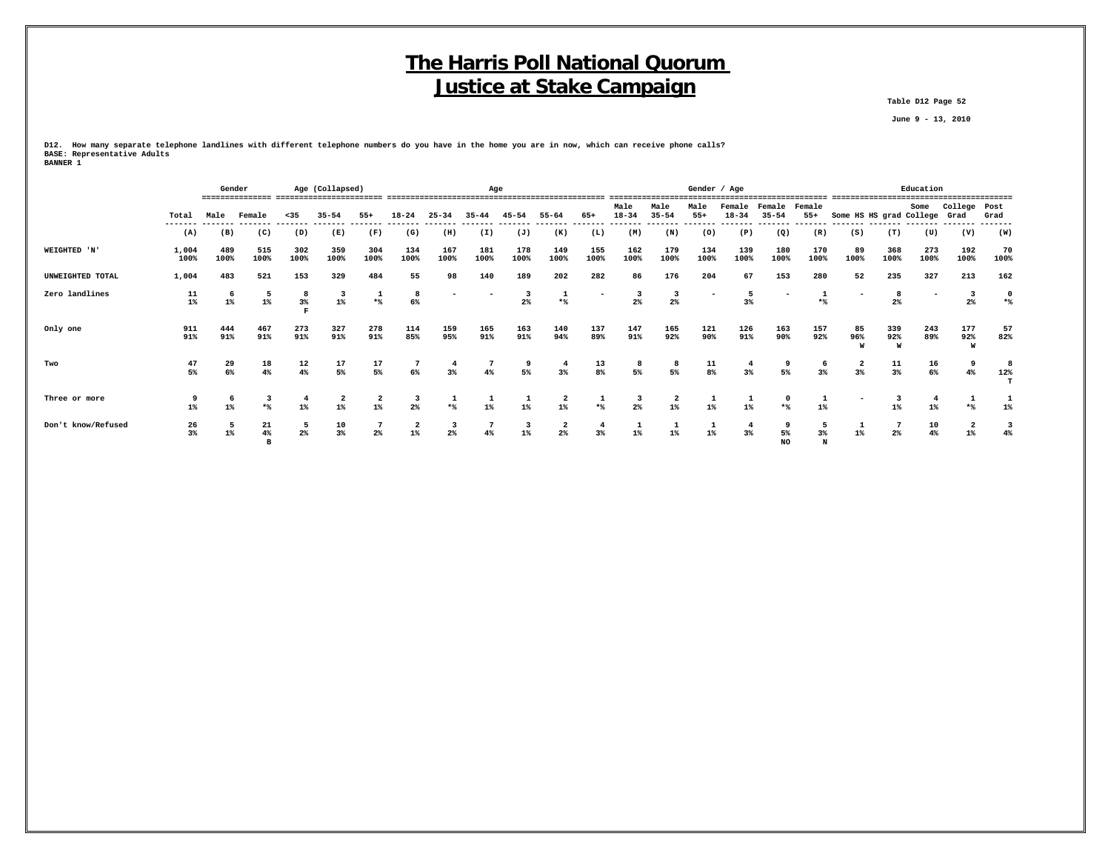**Table D12 Page 52**

 **June 9 - 13, 2010**

**D12. How many separate telephone landlines with different telephone numbers do you have in the home you are in now, which can receive phone calls? BASE: Representative Adults BANNER 1**

 **B NO N**

|                    |                | Gender           |                  |                  | Age (Collapsed)  |                                  |                                  |             | Age                                         |                                  |                               |                |                   |                       | Gender / Age     |                      |                     |                       |                         |                                          | Education                |                       |                    |
|--------------------|----------------|------------------|------------------|------------------|------------------|----------------------------------|----------------------------------|-------------|---------------------------------------------|----------------------------------|-------------------------------|----------------|-------------------|-----------------------|------------------|----------------------|---------------------|-----------------------|-------------------------|------------------------------------------|--------------------------|-----------------------|--------------------|
|                    | Total          | Male             | Female           | $35$             | $35 - 54$        | $55+$                            | $18 - 24$                        | $25 - 34$   | $35 - 44$                                   | $45 - 54$                        | $55 - 64$                     | 65+            | Male<br>$18 - 34$ | Male<br>$35 - 54$     | Male<br>$55+$    | Female<br>$18 - 34$  | Female<br>$35 - 54$ | Female<br>$55+$       | Some HS HS grad College |                                          | Some                     | College<br>Grad       | Post<br>Grad       |
|                    | -------<br>(A) | (B)              | (C)              | (D)              | (E)              | (F)                              | (G)                              | (H)         | (I)                                         | (J)                              | (K)                           | (L)            | (M)               | (N)                   | (0)              | (P)                  | (Q)                 | (R)                   | (S)                     | (T)                                      | (U)                      | (V)                   | -------<br>(W)     |
| WEIGHTED 'N'       | 1,004<br>100%  | 489<br>100%      | 515<br>100%      | 302<br>100%      | 359<br>100%      | 304<br>100%                      | 134<br>100%                      | 167<br>100% | 181<br>100%                                 | 178<br>100%                      | 149<br>100%                   | 155<br>100%    | 162<br>100%       | 179<br>100%           | 134<br>100%      | 139<br>100%          | 180<br>100%         | 170<br>100%           | 89<br>100%              | 368<br>100%                              | 273<br>100%              | 192<br>100%           | 70<br>100%         |
| UNWEIGHTED TOTAL   | 1,004          | 483              | 521              | 153              | 329              | 484                              | 55                               | 98          | 140                                         | 189                              | 202                           | 282            | 86                | 176                   | 204              | 67                   | 153                 | 280                   | 52                      | 235                                      | 327                      | 213                   | 162                |
| Zero landlines     | 11<br>$1\%$    | $1\%$            | $1\%$            | 8<br>$3\%$       | $1\%$            | $*$                              | 8<br>6%                          |             |                                             | 2%                               | $*$                           |                | $2\%$             | $2\%$                 |                  | 5<br>$3\%$           |                     | $*$                   |                         | 2%                                       | $\overline{\phantom{a}}$ | $2\%$                 | $\mathbf 0$<br>$*$ |
| Only one           | 911<br>91%     | 444<br>91%       | 467<br>91%       | 273<br>91%       | 327<br>91%       | 278<br>91%                       | 114<br>85%                       | 159<br>95%  | 165<br>91%                                  | 163<br>91%                       | 140<br>94%                    | 137<br>89%     | 147<br>91%        | 165<br>92%            | 121<br>90%       | 126<br>91%           | 163<br>90%          | 157<br>92%            | 85<br>96%               | 339<br>92%                               | 243<br>89%               | 177<br>92%<br>W       | 57<br>82%          |
| Two                | 47<br>5%       | $\frac{29}{6\%}$ | $\frac{18}{4\%}$ | $\frac{12}{4\%}$ | $\frac{17}{5\%}$ | $\frac{17}{5\%}$                 | $6\%$                            | $3\%$       | $\overline{7}$<br>4%                        | 9<br>5%                          | $\frac{4}{3}$                 | $\frac{13}{8}$ | 8<br>5%           | 8<br>5%               | $\frac{11}{8\%}$ | $\frac{4}{3}$        | 5%                  | 6<br>$3*$             | $\frac{2}{3}$           | $\begin{array}{c} 11 \\ 3\% \end{array}$ | $\frac{16}{6\%}$         | 9<br>4%               | 12%                |
| Three or more      | $1\%$          | <b>b</b><br>1%   | 3<br>$*$         | -4<br>$1\%$      | $1\%$            | $\overline{\mathbf{z}}$<br>$1\%$ | 3<br>2%                          | ı<br>$*$    | $\begin{smallmatrix}1\1\1\end{smallmatrix}$ | 1<br>$1\%$                       | $\mathbf{2}$<br>$1\%$         | 1<br>$*$       | 3<br>$2\%$        | $\mathbf{2}$<br>$1\%$ | 1<br>$1\%$       | 1<br>$1\%$           | $*$                 | $\mathbf{1}$<br>$1\%$ |                         | $1\%$                                    | $\overline{4}$<br>$1\%$  | ᆠ<br>$*$              | 1%                 |
| Don't know/Refused | 26<br>3%       | $1\%$            | 21<br>4%         | 5<br>$2\%$       | 10<br>$3\%$      | $2\%$                            | $\overline{\mathbf{2}}$<br>$1\%$ | $2\%$       | 4%                                          | $\overline{\mathbf{3}}$<br>$1\%$ | $\overline{\mathbf{2}}$<br>2% | $3\%$          | $1\%$             | $1\%$                 | ᅩ<br>$1\%$       | $\overline{4}$<br>3% | 5%                  | $3\%$                 | $1\%$                   | $2\%$                                    | 10<br>4%                 | $\mathbf{2}$<br>$1\%$ |                    |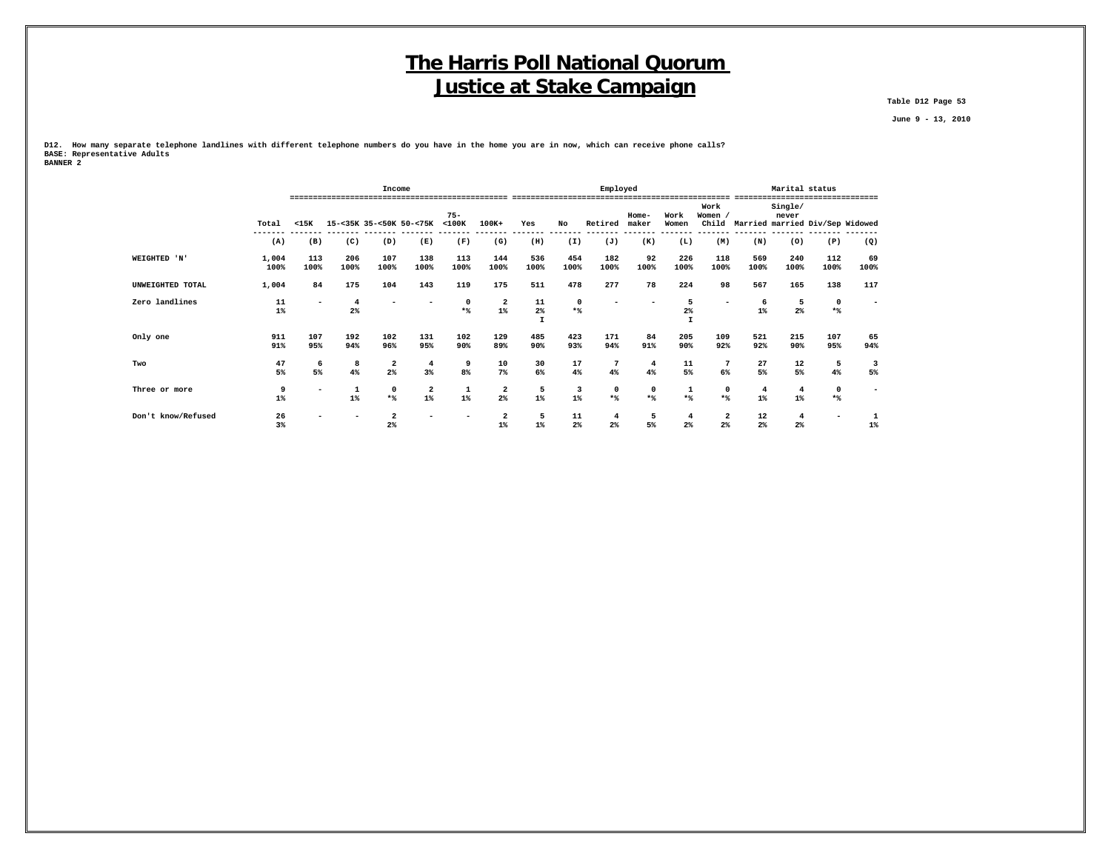**Table D12 Page 53**

 **June 9 - 13, 2010**

**D12. How many separate telephone landlines with different telephone numbers do you have in the home you are in now, which can receive phone calls? BASE: Representative Adults BANNER 2**

|                    |               |                          |             | Income                  |                         |                       |                                  |                             |                 | Employed           |                      |                     |                               |                         | Marital status   |                                 |            |
|--------------------|---------------|--------------------------|-------------|-------------------------|-------------------------|-----------------------|----------------------------------|-----------------------------|-----------------|--------------------|----------------------|---------------------|-------------------------------|-------------------------|------------------|---------------------------------|------------|
|                    | Total         | $15K$                    |             |                         | 15-<35K 35-<50K 50-<75K | $75 -$<br>$<$ 100 $K$ | 100K+                            | Yes                         | No              | Retired            | Home-<br>maker       | Work<br>Women       | Work<br><b>Women</b><br>Child |                         | Single/<br>never | Married married Div/Sep Widowed |            |
|                    | (A)           | (B)                      | (C)         | (D)                     | (E)                     | (F)                   | (G)                              | (H)                         | (I)             | (J)                | (K)                  | (L)                 | (M)                           | (N)                     | (0)              | (P)                             | (Q)        |
| WEIGHTED 'N'       | 1,004<br>100% | 113<br>100%              | 206<br>100% | 107<br>100%             | 138<br>100%             | 113<br>100%           | 144<br>100%                      | 536<br>100%                 | 454<br>100%     | 182<br>100%        | 92<br>100%           | 226<br>100%         | 118<br>100%                   | 569<br>100%             | 240<br>100%      | 112<br>100%                     | 69<br>100% |
| UNWEIGHTED TOTAL   | 1,004         | 84                       | 175         | 104                     | 143                     | 119                   | 175                              | 511                         | 478             | 277                | 78                   | 224                 | 98                            | 567                     | 165              | 138                             | 117        |
| Zero landlines     | 11<br>$1\%$   | $\overline{\phantom{a}}$ | $2\%$       |                         |                         | $*$                   | $\overline{\mathbf{2}}$<br>$1\%$ | 11<br>$2\%$<br>$\mathbf{I}$ | $*$             |                    |                      | 5<br>$2\%$          |                               | $1\%$                   | 5<br>$2\%$       | $\mathbf 0$<br>$*$              |            |
| Only one           | 911<br>91%    | 107<br>95%               | 192<br>94%  | 102<br>96%              | 131<br>95%              | 102<br>90%            | 129<br>89%                       | 485<br>90%                  | 423<br>93%      | 171<br>94%         | 84<br>91%            | 205<br>90%          | 109<br>92%                    | 521<br>92%              | 215<br>90%       | 107<br>95%                      | 65<br>94%  |
| Two                | 47<br>5%      | 6<br>$5\%$               | 8<br>4%     | $\overline{a}$<br>2%    | $\overline{4}$<br>$3\%$ | 9<br>8%               | 10<br>$7\%$                      | 30<br>6%                    | 17<br>4%        | 7<br>4%            | $\overline{4}$<br>4% | 11<br>5%            | 7<br>6%                       | 27<br>5%                | 12<br>5%         | 5<br>4%                         | 3<br>5%    |
| Three or more      | 9<br>$1\%$    | $\overline{\phantom{a}}$ | $1\%$       | $\mathbf 0$<br>$*$      | 2<br>$1\%$              | $1\%$                 | 2<br>$2\%$                       | 5<br>$1\%$                  | 3<br>$1\%$      | $\mathbf 0$<br>$*$ | $\mathbf 0$<br>$*$   | $*$                 | $\mathbf 0$<br>$*$ %          | $\overline{4}$<br>$1\%$ | 4<br>$1\%$       | $\mathbf 0$<br>$*$              |            |
| Don't know/Refused | 26<br>3%      |                          |             | $\overline{2}$<br>$2\%$ |                         |                       | $\overline{\mathbf{2}}$<br>$1\%$ | 5<br>$1\%$                  | $11\,$<br>$2\%$ | $2\%$              | 5<br>5%              | 4<br>2 <sup>°</sup> | 2<br>2%                       | 12<br>$2\%$             | 4<br>$2\%$       |                                 | $1\%$      |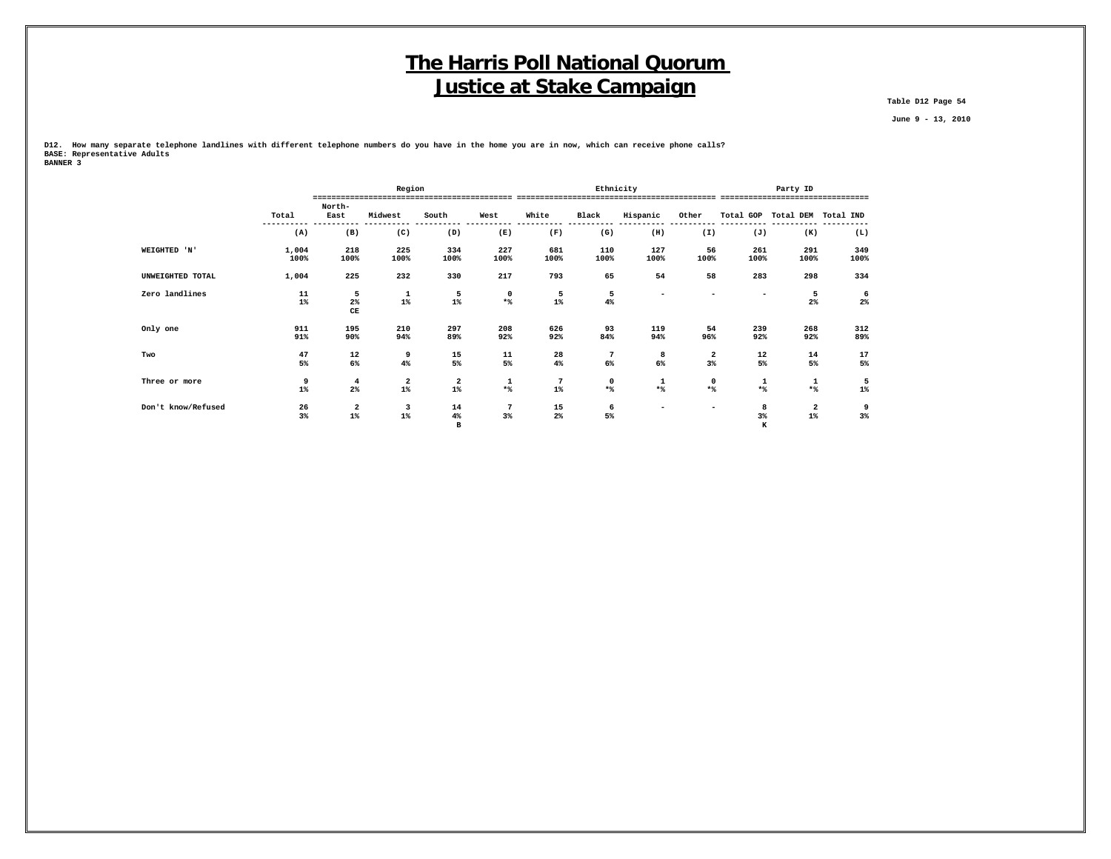**Table D12 Page 54**

 **June 9 - 13, 2010**

**D12. How many separate telephone landlines with different telephone numbers do you have in the home you are in now, which can receive phone calls? BASE: Representative Adults BANNER 3**

|                    |                |                                    | Region                                      |                                  |                                          |                  | Ethnicity                    |                          |                          |                  | Party ID                                    |                  |
|--------------------|----------------|------------------------------------|---------------------------------------------|----------------------------------|------------------------------------------|------------------|------------------------------|--------------------------|--------------------------|------------------|---------------------------------------------|------------------|
|                    | Total          | North-<br>East                     | Midwest                                     | South                            | West                                     | White            | Black                        | Hispanic                 | Other                    |                  | Total GOP Total DEM Total IND               |                  |
|                    | (A)            | (B)                                | (C)                                         | (D)                              | (E)                                      | (F)              | (G)                          | (H)                      | (I)                      | (J)              | (K)                                         | (L)              |
| WEIGHTED 'N'       | 1,004<br>100%  | 218<br>100%                        | 225<br>100%                                 | 334<br>100%                      | 227<br>100%                              | 681<br>100%      | 110<br>100%                  | 127<br>100%              | 56<br>100%               | 261<br>100%      | 291<br>100%                                 | 349<br>100%      |
| UNWEIGHTED TOTAL   | 1,004          | 225                                | 232                                         | 330                              | 217                                      | 793              | 65                           | 54                       | 58                       | 283              | 298                                         | 334              |
| Zero landlines     | 11<br>$1\%$    | 5<br>$2\%$<br>$\mathbf C\mathbf E$ | 1<br>$1\%$                                  | 5<br>$1\%$                       | 0<br>$\star$ $\!$                        | 5<br>$1\%$       | 5<br>$4\%$                   | ۰                        | $\overline{\phantom{a}}$ |                  | 5<br>$2\%$                                  | 6<br>$2\%$       |
| Only one           | 911<br>91%     | 195<br>90%                         | 210<br>94%                                  | 297<br>89%                       | 208<br>92%                               | 626<br>92%       | 93<br>84%                    | 119<br>94%               | 54<br>96%                | 239<br>92%       | 268<br>92%                                  | 312<br>89%       |
| Two                | 47<br>5%       | 12<br>6%                           | 9<br>4%                                     | 15<br>5%                         | $\begin{array}{c} 11 \\ 5\% \end{array}$ | 28<br>$4\%$      | $7\phantom{.0}$<br>$6\%$     | 8<br>6%                  | $\frac{2}{3}$            | $\frac{12}{5\%}$ | 14<br>5%                                    | $\frac{17}{5\%}$ |
| Three or more      | 9<br>$1\%$     | $\overline{4}$<br>$2\%$            | $\begin{smallmatrix}2\2\3\end{smallmatrix}$ | $\overline{\mathbf{2}}$<br>$1\%$ | 1<br>$*$ %                               | 7<br>$1\%$       | $\mathbf 0$<br>$\star$ $\!8$ | 1<br>$*$                 | 0<br>$\star$ $\!$        | 1<br>$*$         | 1<br>$*$                                    | 5<br>$1\%$       |
| Don't know/Refused | $\frac{26}{3}$ | $\frac{2}{1\%}$                    | $\overline{\mathbf{3}}$<br>$1\%$            | 14<br>4%<br>в                    | 7<br>3%                                  | $\frac{15}{2\%}$ | 6<br>5%                      | $\overline{\phantom{0}}$ |                          | 8<br>$3\%$<br>к  | $\begin{smallmatrix}2\2\3\end{smallmatrix}$ | 9<br>$3\%$       |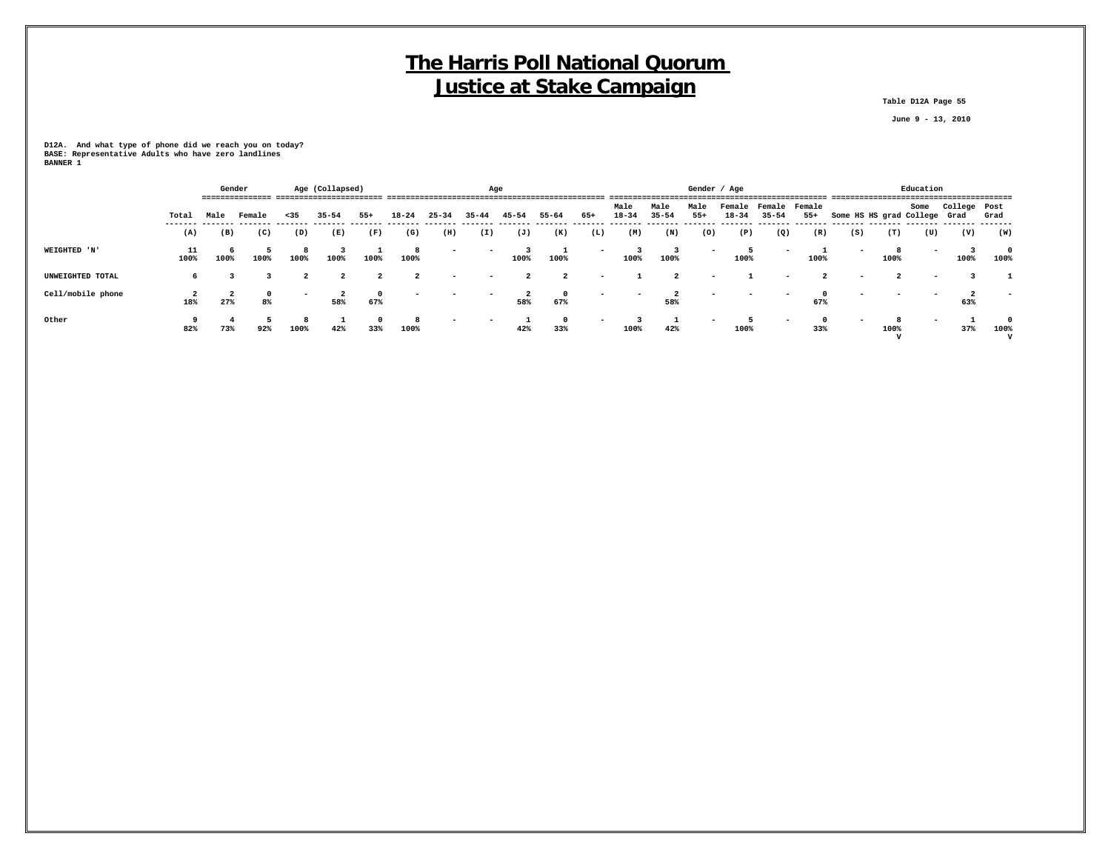**Table D12A Page 55**

 **June 9 - 13, 2010**

**D12A. And what type of phone did we reach you on today? BASE: Representative Adults who have zero landlines BANNER 1**

|                   |            |      | Gender  |                          | Age (Collapsed) |                   |                |                          | Age       |                |                    |                          |                          |                   | Gender / Age  |           |                                   |       |                              |      | Education |              |      |
|-------------------|------------|------|---------|--------------------------|-----------------|-------------------|----------------|--------------------------|-----------|----------------|--------------------|--------------------------|--------------------------|-------------------|---------------|-----------|-----------------------------------|-------|------------------------------|------|-----------|--------------|------|
|                   | Total      | Male | Female  | < 35                     | $35 - 54$       | $55+$             | $18 - 24$      | $25 - 34$                | $35 - 44$ | $45 - 54$      | $55 - 64$          | $65+$                    | Male<br>$18 - 34$        | Male<br>$35 - 54$ | Male<br>$55+$ | $18 - 34$ | Female Female Female<br>$35 - 54$ | $55+$ | Some HS HS grad College Grad |      | Some      | College Post | Grad |
|                   | (A)        | (B)  | (C)     | (D)                      | (E)             | (F)               | (G)            | (H)                      | (I)       | (J)            | (K)                | (L)                      | (M)                      | (N)               | (0)           | (P)       | (Q)                               | (R)   | (S)                          | (T)  | (U)       | (V)          | (W)  |
| WEIGHTED 'N'      | 11<br>100% | 100% | 100%    | 100%                     | 100%            | 100%              | 100%           | $\overline{\phantom{a}}$ |           | 100%           | 100%               | $\overline{\phantom{0}}$ | 100%                     | 100%              |               | 100%      | $\overline{\phantom{0}}$          | 100%  |                              | 100% |           | 100%         | 100% |
| UNWEIGHTED TOTAL  |            |      |         | $\overline{a}$           | $\overline{2}$  | $\overline{a}$    | $\overline{2}$ |                          |           | $\overline{a}$ | $\overline{a}$     | $\overline{\phantom{0}}$ |                          | $\overline{a}$    |               |           | $\overline{\phantom{0}}$          |       |                              |      |           |              |      |
| Cell/mobile phone | 18%        | 27%  | 0<br>8% | $\overline{\phantom{0}}$ | 58%             | $^{\circ}$<br>67% |                |                          |           | 58%            | $^{\circ}$<br>67%  | $\overline{\phantom{0}}$ | $\overline{\phantom{0}}$ | 58%               |               |           | $\overline{\phantom{0}}$          | 67%   |                              |      |           | 63%          |      |
| Other             | 82%        | 73%  | 92%     | 100%                     | 42%             | $^{\circ}$<br>33% | 100%           |                          |           | 42%            | $\mathbf 0$<br>33% | -                        | 100%                     | 42%               |               | 100%      | $\overline{\phantom{0}}$          | 33%   |                              | 100% |           | 37%          | 100% |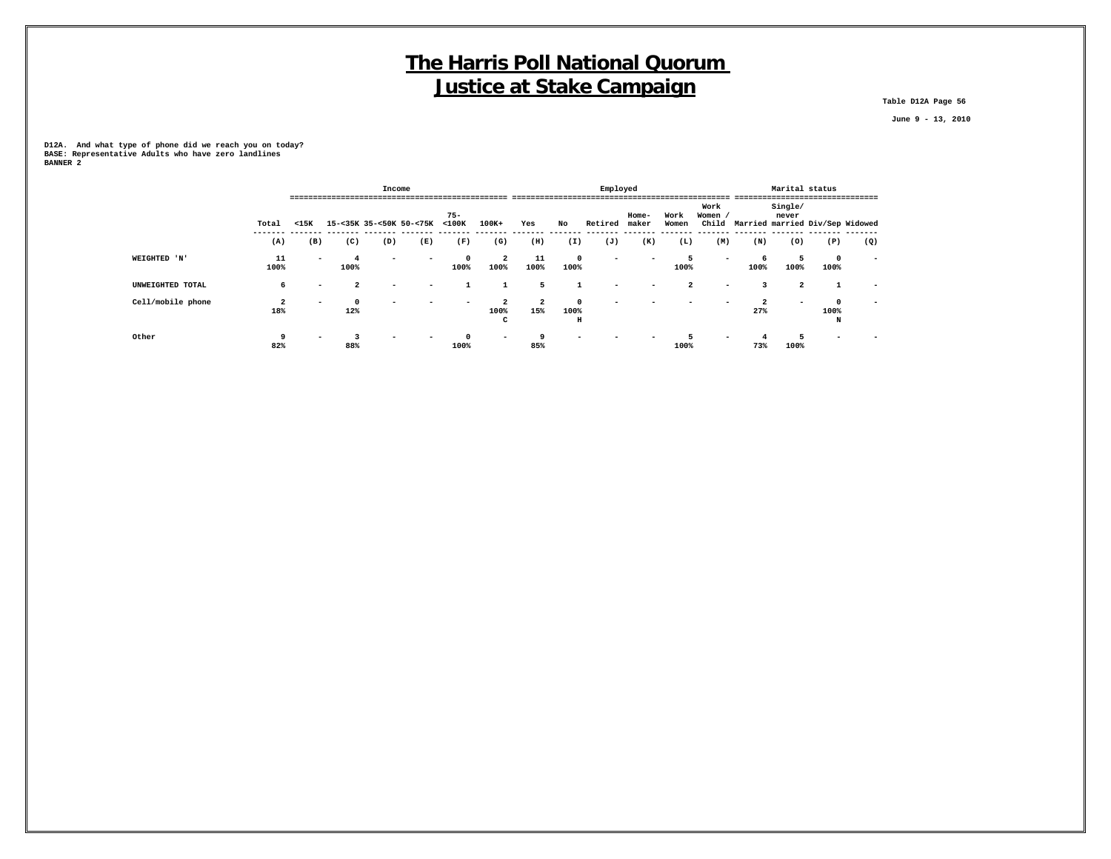**Table D12A Page 56**

 **June 9 - 13, 2010**

**D12A. And what type of phone did we reach you on today? BASE: Representative Adults who have zero landlines BANNER 2**

|                   |                                |                          |                         | Income                   |                         |                       |                             |                       |                       | Employed |                |                |                          |                       | Marital status   |                                       |                          |
|-------------------|--------------------------------|--------------------------|-------------------------|--------------------------|-------------------------|-----------------------|-----------------------------|-----------------------|-----------------------|----------|----------------|----------------|--------------------------|-----------------------|------------------|---------------------------------------|--------------------------|
|                   | Total                          | $15K$                    | ======================= |                          | 15-<35K 35-<50K 50-<75K | $75 -$<br>$<$ 100 $<$ | $100K+$                     | Yes                   | No                    | Retired  | Home-<br>maker | Work<br>Women  | Work<br>Women /          |                       | Single/<br>never | Child Married married Div/Sep Widowed |                          |
|                   | (A)                            | (B)                      | (C)                     | (D)                      | (E)                     | (F)                   | (G)                         | (H)                   | (I)                   | (J)      | (K)            | (L)            | (M)                      | (N)                   | (0)              | (P)                                   | (Q)                      |
| WEIGHTED 'N'      | 11<br>100%                     | $\overline{\phantom{0}}$ | 100%                    | $\overline{\phantom{0}}$ | -                       | $\Omega$<br>100%      | $\overline{a}$<br>100%      | 11<br>100%            | $\circ$<br>100%       | -        |                | 5<br>100%      | $\overline{\phantom{0}}$ | 6<br>100%             | 5<br>100%        | $\mathbf{0}$<br>100%                  | $\overline{\phantom{0}}$ |
| UNWEIGHTED TOTAL  | 6                              |                          | $\overline{a}$          |                          | -                       |                       |                             | 5                     |                       |          |                | $\overline{2}$ |                          | ર                     | $\overline{2}$   |                                       |                          |
| Cell/mobile phone | $\overline{\mathbf{2}}$<br>18% | $\overline{\phantom{a}}$ | 12%                     |                          |                         |                       | $\overline{2}$<br>100%<br>c | $\overline{a}$<br>15% | $\Omega$<br>100%<br>н |          |                |                |                          | $\overline{2}$<br>27% | ۰                | 100%<br>N                             |                          |
| Other             | 9<br>82%                       |                          | 88%                     |                          |                         | 100%                  |                             | 85%                   |                       |          |                | 100%           |                          | 73%                   | 100%             |                                       |                          |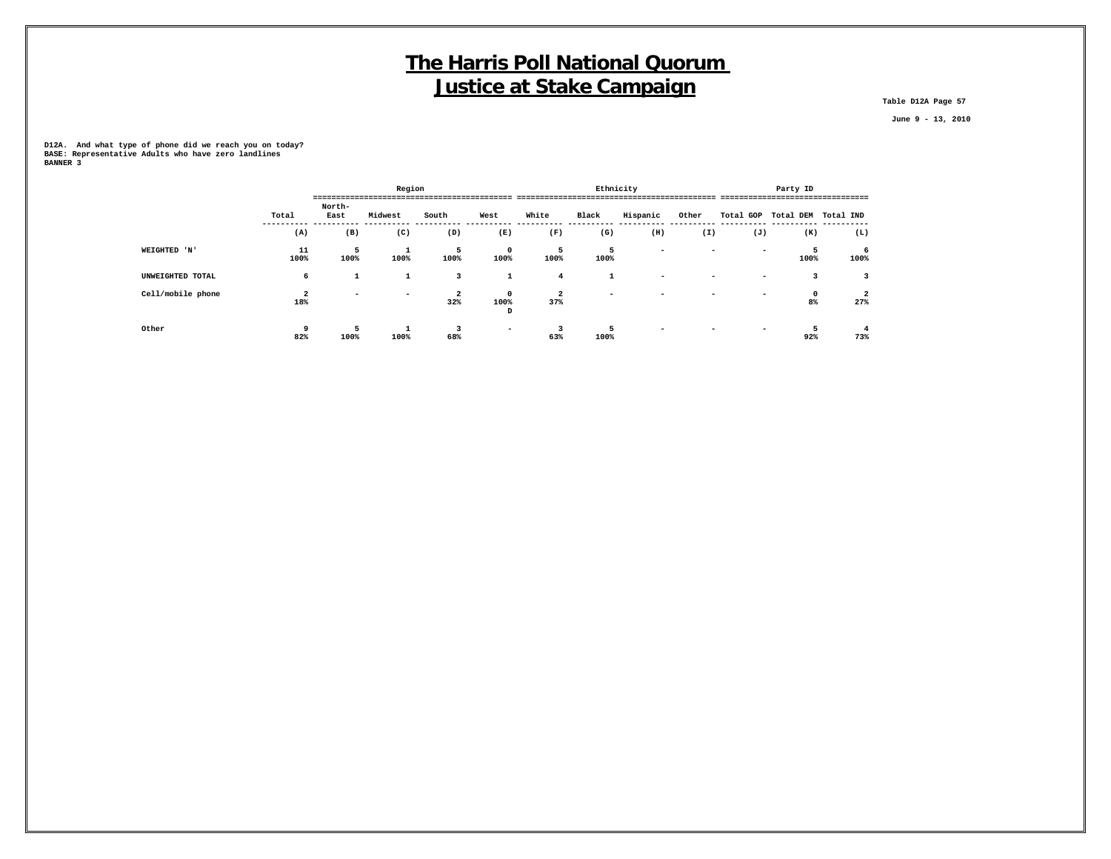**Table D12A Page 57**

 **June 9 - 13, 2010**

**D12A. And what type of phone did we reach you on today? BASE: Representative Adults who have zero landlines BANNER 3**

|                   |                       |                | Region                   |                       |                          |                                | Ethnicity |                          |                          |                          | Party ID                      |                       |
|-------------------|-----------------------|----------------|--------------------------|-----------------------|--------------------------|--------------------------------|-----------|--------------------------|--------------------------|--------------------------|-------------------------------|-----------------------|
|                   | Total                 | North-<br>East | Midwest                  | South                 | West                     | White                          | Black     | Hispanic                 | Other                    |                          | Total GOP Total DEM Total IND | ----------------      |
|                   | (A)                   | (B)            | (C)                      | (D)                   | (E)                      | (F)                            | (G)       | (H)                      | (I)                      | (J)                      | (K)                           | (L)                   |
| WEIGHTED 'N'      | 11<br>100%            | 5<br>100%      | ᅩ<br>100%                | 5<br>100%             | $^{\circ}$<br>100%       | 5<br>100%                      | 5<br>100% | $\overline{\phantom{0}}$ | $\overline{\phantom{a}}$ | $\overline{\phantom{0}}$ | 100%                          | 6<br>100%             |
| UNWEIGHTED TOTAL  | 6                     | <b>T</b>       | 1                        | 3                     | 1                        | $4\phantom{1}$                 | л.        | $\overline{\phantom{0}}$ | -                        | -                        |                               | 3                     |
| Cell/mobile phone | $\overline{2}$<br>18% | -              | $\overline{\phantom{0}}$ | $\overline{a}$<br>32% | $^{\circ}$<br>100%<br>D  | $\overline{\mathbf{2}}$<br>37% | -         | $\overline{\phantom{0}}$ |                          | -                        | 0<br>8%                       | $\overline{a}$<br>27% |
| Other             | q<br>82%              | 5<br>100%      | 100%                     | 3<br>68%              | $\overline{\phantom{0}}$ | 63%                            | 5<br>100% | $\overline{\phantom{0}}$ |                          | -                        | 92%                           | 73%                   |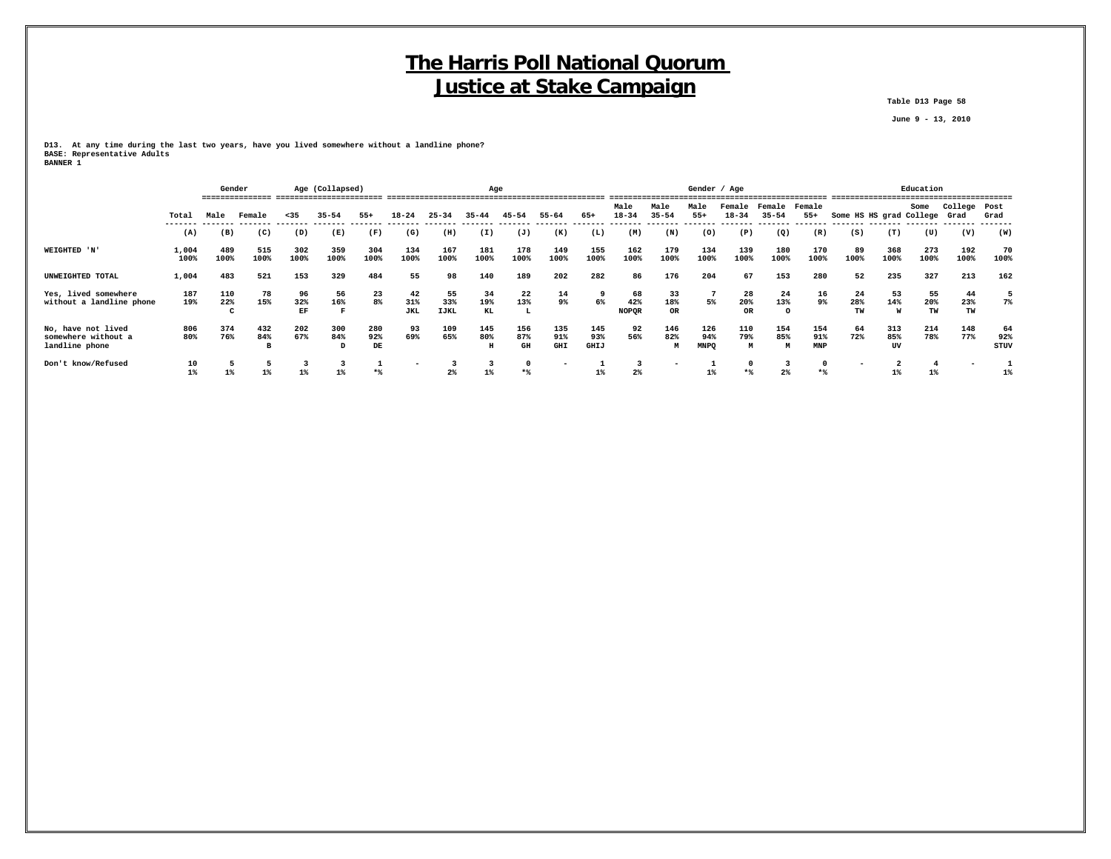**Table D13 Page 58**

 **June 9 - 13, 2010**

**D13. At any time during the last two years, have you lived somewhere without a landline phone? BASE: Representative Adults BANNER 1**

|                                                             |               |                                 | Gender          |                 | Age (Collapsed) |                  |                         |                          | Age             |                  |                   |                           |                           |                        | Gender / Age              |                        |                                 |                          |                         |                  | Education       |                      |                   |
|-------------------------------------------------------------|---------------|---------------------------------|-----------------|-----------------|-----------------|------------------|-------------------------|--------------------------|-----------------|------------------|-------------------|---------------------------|---------------------------|------------------------|---------------------------|------------------------|---------------------------------|--------------------------|-------------------------|------------------|-----------------|----------------------|-------------------|
|                                                             | Total         | Male                            | Female          | < 35            | $35 - 54$       | $55+$            | $18 - 24$               | $25 - 34$                | $35 - 44$       | $45 - 54$        | $55 - 64$         | 65+                       | Male<br>$18 - 34$         | Male<br>$35 - 54$      | Male<br>$55+$             | Female<br>18-34        | Female<br>$35 - 54$             | Female<br>$55+$          | Some HS HS grad College |                  | Some            | College Post<br>Grad | Grad              |
|                                                             | (A)           | (B)                             | (C)             | (D)             | (E)             | (F)              | (G)                     | (H)                      | (I)             | (J)              | (K)               | (L)                       | (M)                       | (N)                    | (0)                       | (P)                    | -------- ------- -------<br>(Q) | (R)                      | (S)                     | (T)              | (U)             | (V)                  | (W)               |
| WEIGHTED 'N'                                                | 1,004<br>100% | 489<br>100%                     | 515<br>100%     | 302<br>100%     | 359<br>100%     | 304<br>100%      | 134<br>100%             | 167<br>100%              | 181<br>100%     | 178<br>100%      | 149<br>100%       | 155<br>100%               | 162<br>100%               | 179<br>100%            | 134<br>100%               | 139<br>100%            | 180<br>100%                     | 170<br>100%              | 89<br>100%              | 368<br>100%      | 273<br>100%     | 192<br>100%          | 70<br>100%        |
| UNWEIGHTED TOTAL                                            | 1,004         | 483                             | 521             | 153             | 329             | 484              | 55                      | 98                       | 140             | 189              | 202               | 282                       | 86                        | 176                    | 204                       | 67                     | 153                             | 280                      | 52                      | 235              | 327             | 213                  | 162               |
| Yes, lived somewhere<br>without a landline phone            | 187<br>19%    | 110<br>22%<br>$\mathbf{r}$<br>╰ | 78<br>15%       | 96<br>32%<br>EF | 56<br>16%       | 23<br>8%         | 42<br>31%<br><b>JKL</b> | 55<br>33%<br><b>IJKL</b> | 34<br>19%<br>KL | 22<br>13%<br>L   | 14<br>9%          | 9<br>6%                   | 68<br>42%<br><b>NOPQR</b> | 33<br>18%<br><b>OR</b> | 5%                        | 28<br>20%<br><b>OR</b> | 24<br>13%<br>$\Omega$           | 16<br>9%                 | 24<br>28%<br>TW         | 53<br>14%<br>W   | 55<br>20%<br>TW | 44<br>23%<br>TW      | 7%                |
| No, have not lived<br>somewhere without a<br>landline phone | 806<br>80%    | 374<br>76%                      | 432<br>84%<br>в | 202<br>67%      | 300<br>84%<br>D | 280<br>92%<br>DE | 93<br>69%               | 109<br>65%               | 145<br>80%<br>н | 156<br>87%<br>GH | 135<br>91%<br>GHI | 145<br>93%<br><b>GHIJ</b> | 92<br>56%                 | 146<br>82%             | 126<br>94%<br><b>MNPQ</b> | 110<br>79%<br>M        | 154<br>85%<br>M                 | 154<br>91%<br><b>MNP</b> | 64<br>72%               | 313<br>85%<br>UV | 214<br>78%      | 148<br>77%           | 64<br>92%<br>STUV |
| Don't know/Refused                                          | 10<br>$1\%$   | $1\%$                           | 1%              | $1\%$           | $1\%$           | $*$              |                         | 2%                       | 3<br>$1\%$      | $*$ %            |                   | $1\%$                     | $2\%$                     |                        | 1%                        | $\mathbf 0$<br>$*$     | $2\%$                           | $*$                      |                         | $1\%$            | $1\%$           |                      | 1%                |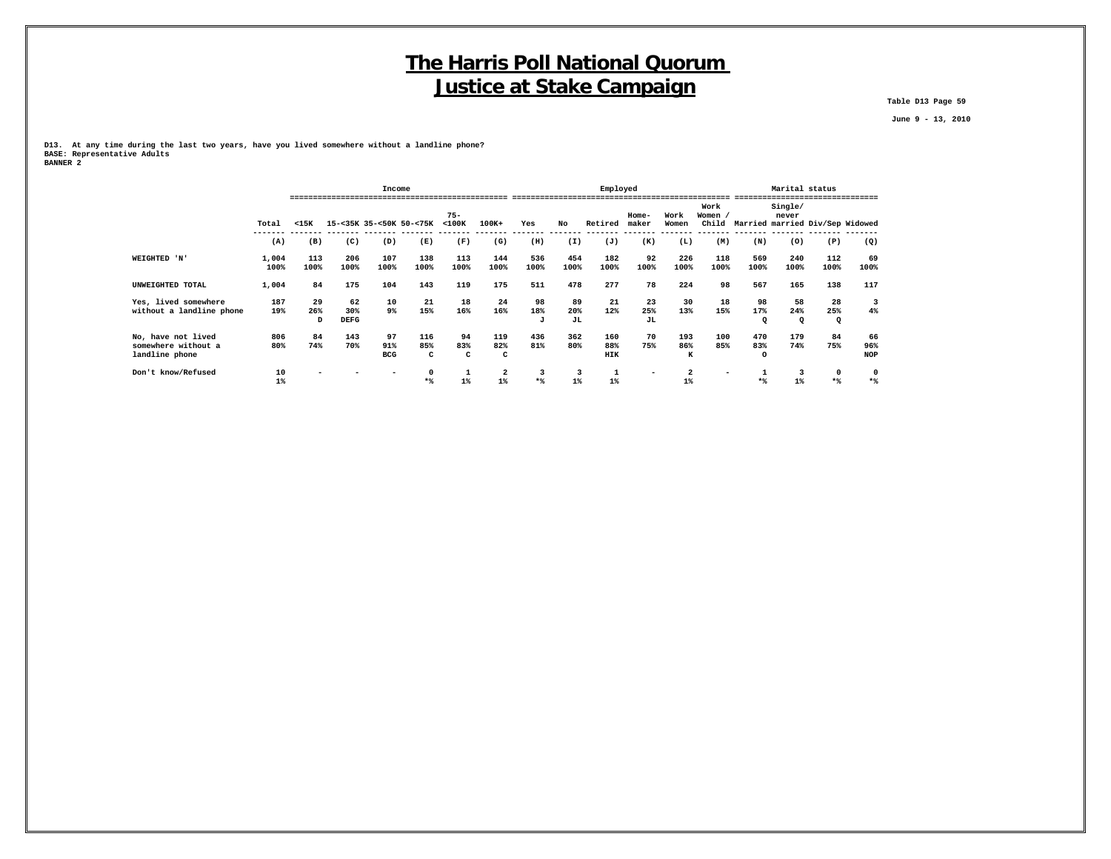**Table D13 Page 59**

 **June 9 - 13, 2010**

**D13. At any time during the last two years, have you lived somewhere without a landline phone? BASE: Representative Adults BANNER 2**

|                                                             |               |                |                          | Income                  |                         |                       |                 |                |                 | Employed          |                 |                 |                          |                        | Marital status        |                                 |                         |
|-------------------------------------------------------------|---------------|----------------|--------------------------|-------------------------|-------------------------|-----------------------|-----------------|----------------|-----------------|-------------------|-----------------|-----------------|--------------------------|------------------------|-----------------------|---------------------------------|-------------------------|
|                                                             | Total         | $15K$          |                          |                         | 15-<35K 35-<50K 50-<75K | $75 -$<br>$<$ 100 $<$ | $100K+$         | Yes            | No              | Retired           | Home-<br>maker  | Work<br>Women   | Work<br>Women /<br>Child |                        | Single/<br>never      | Married married Div/Sep Widowed |                         |
|                                                             | (A)           | (B)            | (C)                      | (D)                     | (E)                     | (F)                   | (G)             | (H)            | (I)             | (J)               | (K)             | (L)             | (M)                      | (N)                    | (0)                   | (P)                             | (Q)                     |
| WEIGHTED 'N'                                                | 1,004<br>100% | 113<br>100%    | 206<br>100%              | 107<br>100%             | 138<br>100%             | 113<br>100%           | 144<br>100%     | 536<br>100%    | 454<br>100%     | 182<br>100%       | 92<br>100%      | 226<br>100%     | 118<br>100%              | 569<br>100%            | 240<br>100%           | 112<br>100%                     | 69<br>100%              |
| UNWEIGHTED TOTAL                                            | 1,004         | 84             | 175                      | 104                     | 143                     | 119                   | 175             | 511            | 478             | 277               | 78              | 224             | 98                       | 567                    | 165                   | 138                             | 117                     |
| Yes, lived somewhere<br>without a landline phone            | 187<br>19%    | 29<br>26%<br>D | 62<br>30%<br><b>DEFG</b> | 10<br>9%                | 21<br>15%               | 18<br>16%             | 24<br>16%       | 98<br>18%<br>J | 89<br>20%<br>JL | 21<br>12%         | 23<br>25%<br>JL | 30<br>13%       | 18<br>15%                | 98<br>17%<br>$\Omega$  | 58<br>24%<br>$\Omega$ | 28<br>25%<br>$\Omega$           | 3<br>4%                 |
| No, have not lived<br>somewhere without a<br>landline phone | 806<br>80%    | 84<br>74%      | 143<br>70%               | 97<br>91%<br><b>BCG</b> | 116<br>85%<br>c         | 94<br>83%<br>c        | 119<br>82%<br>c | 436<br>81%     | 362<br>80%      | 160<br>88%<br>HIK | 70<br>75%       | 193<br>86%<br>к | 100<br>85%               | 470<br>83%<br>$\Omega$ | 179<br>74%            | 84<br>75%                       | 66<br>96%<br><b>NOP</b> |
| Don't know/Refused                                          | 10<br>1%      |                |                          |                         | **                      | $1$ <sup>*</sup>      | 2<br>$1\%$      | 3<br>$*$ %     | $1\%$           | $1\%$             |                 | 2<br>1%         |                          |                        |                       | 0<br>$*$                        | 0<br>$*$                |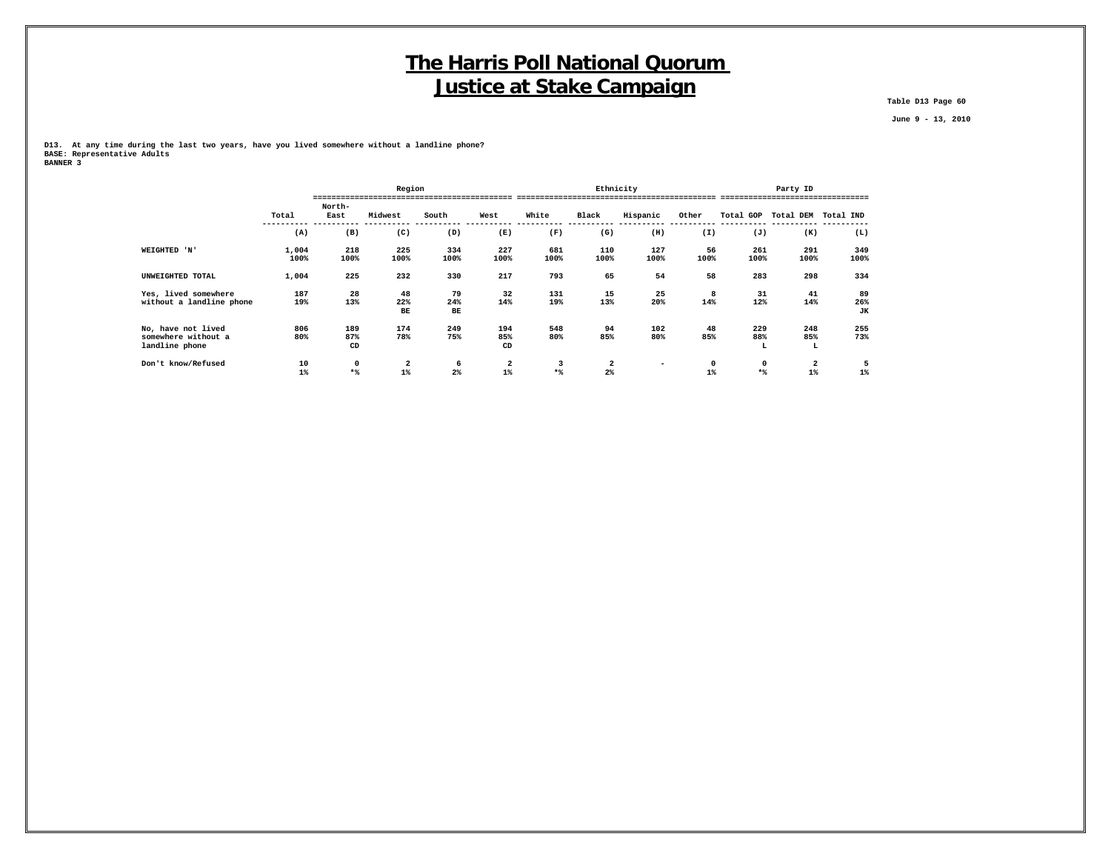**Table D13 Page 60**

 **June 9 - 13, 2010**

**D13. At any time during the last two years, have you lived somewhere without a landline phone? BASE: Representative Adults BANNER 3**

|                                                             |               |                  | Region          |                     |                       |             |                     | Ethnicity                |                       |                 | Party ID                      |                 |
|-------------------------------------------------------------|---------------|------------------|-----------------|---------------------|-----------------------|-------------|---------------------|--------------------------|-----------------------|-----------------|-------------------------------|-----------------|
|                                                             | Total         | North-<br>East   | Midwest         | South               | West                  | White       | Black               | Hispanic                 | Other                 |                 | Total GOP Total DEM Total IND |                 |
|                                                             | (A)           | (B)              | (C)             | (D)                 | (E)                   | (F)         | (G)                 | (H)                      | (I)                   | (J)             | (K)                           | (L)             |
| WEIGHTED 'N'                                                | 1,004<br>100% | 218<br>100%      | 225<br>100%     | 334<br>100%         | 227<br>100%           | 681<br>100% | 110<br>100%         | 127<br>100%              | 56<br>100%            | 261<br>100%     | 291<br>100%                   | 349<br>100%     |
| UNWEIGHTED TOTAL                                            | 1,004         | 225              | 232             | 330                 | 217                   | 793         | 65                  | 54                       | 58                    | 283             | 298                           | 334             |
| Yes, lived somewhere<br>without a landline phone            | 187<br>19%    | 28<br>13%        | 48<br>22%<br>BЕ | 79<br>24%<br>BE     | 32<br>14%             | 131<br>19%  | 15<br>13%           | 25<br>20%                | 8<br>14%              | 31<br>12%       | 41<br>14%                     | 89<br>26%<br>JK |
| No, have not lived<br>somewhere without a<br>landline phone | 806<br>80%    | 189<br>87%<br>CD | 174<br>78%      | 249<br>75%          | 194<br>85%<br>CD      | 548<br>80%  | 94<br>85%           | 102<br>80%               | 48<br>85%             | 229<br>88%<br>L | 248<br>85%<br>L               | 255<br>73%      |
| Don't know/Refused                                          | 10<br>$1\%$   | 0<br>$*$         | 2<br>1%         | 6<br>2 <sup>8</sup> | $\mathbf{2}$<br>$1\%$ | $*$         | 2<br>2 <sup>8</sup> | $\overline{\phantom{0}}$ | $\mathbf{o}$<br>$1\%$ | 0<br>$*$        | 2<br>$1\%$                    | 5<br>1%         |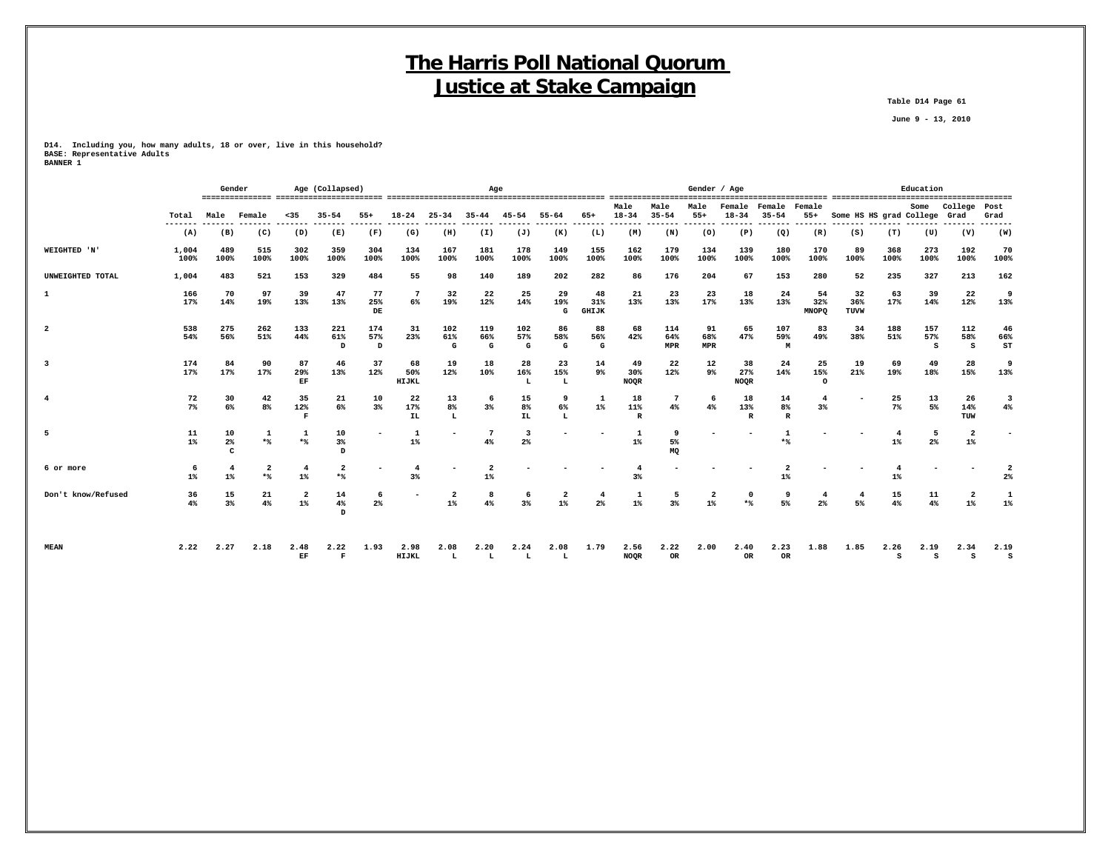**Table D14 Page 61**

 **June 9 - 13, 2010**

**D14. Including you, how many adults, 18 or over, live in this household? BASE: Representative Adults BANNER 1**

|                         |               | Gender           |                                |                         | Age (Collapsed)       |                     |                           |                         | Age             |                       |                      |                           |                           |                          | Gender / Age     |                          |                          |                           |                         |                         | Education       |                                  |                 |
|-------------------------|---------------|------------------|--------------------------------|-------------------------|-----------------------|---------------------|---------------------------|-------------------------|-----------------|-----------------------|----------------------|---------------------------|---------------------------|--------------------------|------------------|--------------------------|--------------------------|---------------------------|-------------------------|-------------------------|-----------------|----------------------------------|-----------------|
|                         | Total         | Male             | Female                         | $35$                    | $35 - 54$             | $55+$               | $18 - 24$                 | $25 - 34$               | $35 - 44$       | $45 - 54$             | $55 - 64$            | $65+$                     | Male<br>$18 - 34$         | Male<br>$35 - 54$        | Male<br>$55+$    | Female<br>$18 - 34$      | Female<br>$35 - 54$      | Female<br>$55+$           | Some HS HS grad College |                         | Some            | College<br>Grad                  | Post<br>Grad    |
|                         | (A)           | (B)              | (C)                            | (D)                     | (E)                   | (F)                 | (G)                       | (H)                     | (I)             | (J)                   | (K)                  | (L)                       | (M)                       | ------<br>(N)            | -------<br>(0)   | (P)                      | --------<br>(Q)          | --------<br>(R)           | (S)                     | (T)                     | (U)             | (V)                              | -------<br>(W)  |
| WEIGHTED 'N'            | 1,004<br>100% | 489<br>100%      | 515<br>100%                    | 302<br>100%             | 359<br>100%           | 304<br>100%         | 134<br>100%               | 167<br>100%             | 181<br>100%     | 178<br>100%           | 149<br>100%          | 155<br>100%               | 162<br>100%               | 179<br>100%              | 134<br>100%      | 139<br>100%              | 180<br>100%              | 170<br>100%               | 89<br>100%              | 368<br>100%             | 273<br>100%     | 192<br>100%                      | 70<br>100%      |
| UNWEIGHTED TOTAL        | 1,004         | 483              | 521                            | 153                     | 329                   | 484                 | 55                        | 98                      | 140             | 189                   | 202                  | 282                       | 86                        | 176                      | 204              | 67                       | 153                      | 280                       | 52                      | 235                     | 327             | 213                              | 162             |
| 1                       | 166<br>17%    | 70<br>14%        | 97<br>19%                      | 39<br>13%               | 47<br>13%             | 77<br>25%<br>DE     | 7<br>6%                   | 32<br>19%               | 22<br>12%       | 25<br>14%             | 29<br>19%<br>G       | 48<br>31%<br><b>GHIJK</b> | 21<br>13%                 | 23<br>13%                | 23<br>17%        | 18<br>13%                | 24<br>13%                | 54<br>32%<br><b>MNOPQ</b> | 32<br>36%<br>TUVW       | 63<br>17%               | 39<br>14%       | 22<br>12%                        | 9<br>13%        |
| $\overline{a}$          | 538<br>54%    | 275<br>56%       | 262<br>51%                     | 133<br>44%              | 221<br>61%<br>D       | 174<br>57%<br>D     | 31<br>23%                 | 102<br>61%<br>G         | 119<br>66%<br>G | 102<br>57%<br>G       | 86<br>58%<br>G       | 88<br>56%<br>G            | 68<br>42%                 | 114<br>64%<br>MPR        | 91<br>68%<br>MPR | 65<br>47%                | 107<br>59%<br>м          | 83<br>49%                 | 34<br>38%               | 188<br>51%              | 157<br>57%<br>s | 112<br>58%<br>s                  | 46<br>66%<br>ST |
| $\overline{\mathbf{3}}$ | 174<br>17%    | 84<br>17%        | 90<br>17%                      | 87<br>29%<br>EF         | 46<br>13%             | 37<br>12%           | 68<br>50%<br><b>HIJKL</b> | 19<br>12%               | 18<br>10%       | 28<br>16%<br>L        | 23<br>15%<br>L       | 14<br>9%                  | 49<br>30%<br><b>NOQR</b>  | 22<br>12%                | 12<br>9%         | 38<br>27%<br><b>NOQR</b> | 24<br>14%                | 25<br>15%<br>$\Omega$     | 19<br>21%               | 69<br>19%               | 49<br>18%       | 28<br>15%                        | 9<br>13%        |
| $\overline{4}$          | 72<br>7%      | 30<br>6%         | 42<br>8%                       | 35<br>12%<br>F          | 21<br>6%              | 10<br>$3\%$         | 22<br>17%<br>IL           | 13<br>8%<br>L           | 6<br>3%         | 15<br>8%<br><b>IL</b> | 9<br>6%<br>L         | 1<br>$1\%$                | 18<br>11%<br>$\mathbb{R}$ | $7\phantom{.0}$<br>$4\%$ | -6<br>4%         | 18<br>13%<br>R           | 14<br>8%<br>$\mathbb{R}$ | $\overline{4}$<br>$3\%$   |                         | 25<br>7%                | 13<br>5%        | 26<br>14%<br>TUW                 | 3<br>4%         |
| 5                       | 11<br>$1\%$   | 10<br>$2\%$<br>C | 1<br>*%                        | 1<br>$*$                | 10<br>$3\%$<br>D      |                     | $\mathbf{1}$<br>$1\%$     |                         | 7<br>4%         | 3<br>2 <sup>8</sup>   |                      |                           | $\mathbf{1}$<br>$1\%$     | 9<br>5%<br>MQ            |                  |                          | $*$                      |                           |                         | $\overline{4}$<br>$1\%$ | 5<br>$2\%$      | $\overline{\mathbf{2}}$<br>$1\%$ |                 |
| 6 or more               | -6<br>$1\%$   | 4<br>$1\%$       | $\overline{\mathbf{2}}$<br>$*$ | 4<br>$1\%$              | $\overline{2}$<br>$*$ |                     | 3%                        |                         | $1\%$           |                       |                      |                           | 3%                        |                          |                  |                          | $1\%$                    |                           |                         | $1\%$                   |                 |                                  | 2<br>$2\%$      |
| Don't know/Refused      | 36<br>4%      | 15<br>3%         | 21<br>4%                       | $\overline{a}$<br>$1\%$ | 14<br>4%<br>D         | 6<br>2 <sup>8</sup> |                           | $\overline{2}$<br>$1\%$ | 8<br>4%         | -6<br>3%              | $\overline{2}$<br>1% | 4<br>2 <sup>8</sup>       | $\mathbf{1}$<br>$1\%$     | 5<br>3%                  | 2<br>$1\%$       | $\mathbf 0$<br>$*$       | 9<br>5%                  | 4<br>2%                   | 4<br>5%                 | 15<br>4%                | 11<br>4%        | $\overline{a}$<br>$1\%$          | 1<br>$1\%$      |
| <b>MEAN</b>             | 2.22          | 2.27             | 2.18                           | 2.48<br>EF              | 2.22<br>$\mathbf{F}$  | 1.93                | 2.98<br>HIJKL             | 2.08<br>L               | 2.20<br>L       | 2.24<br>L             | 2.08<br>L            | 1.79                      | 2.56<br><b>NOQR</b>       | 2.22<br>OR               | 2.00             | 2.40<br>OR               | 2.23<br>OR.              | 1.88                      | 1.85                    | 2.26<br>s               | 2.19<br>s       | 2.34<br>s                        | 2.19<br>s       |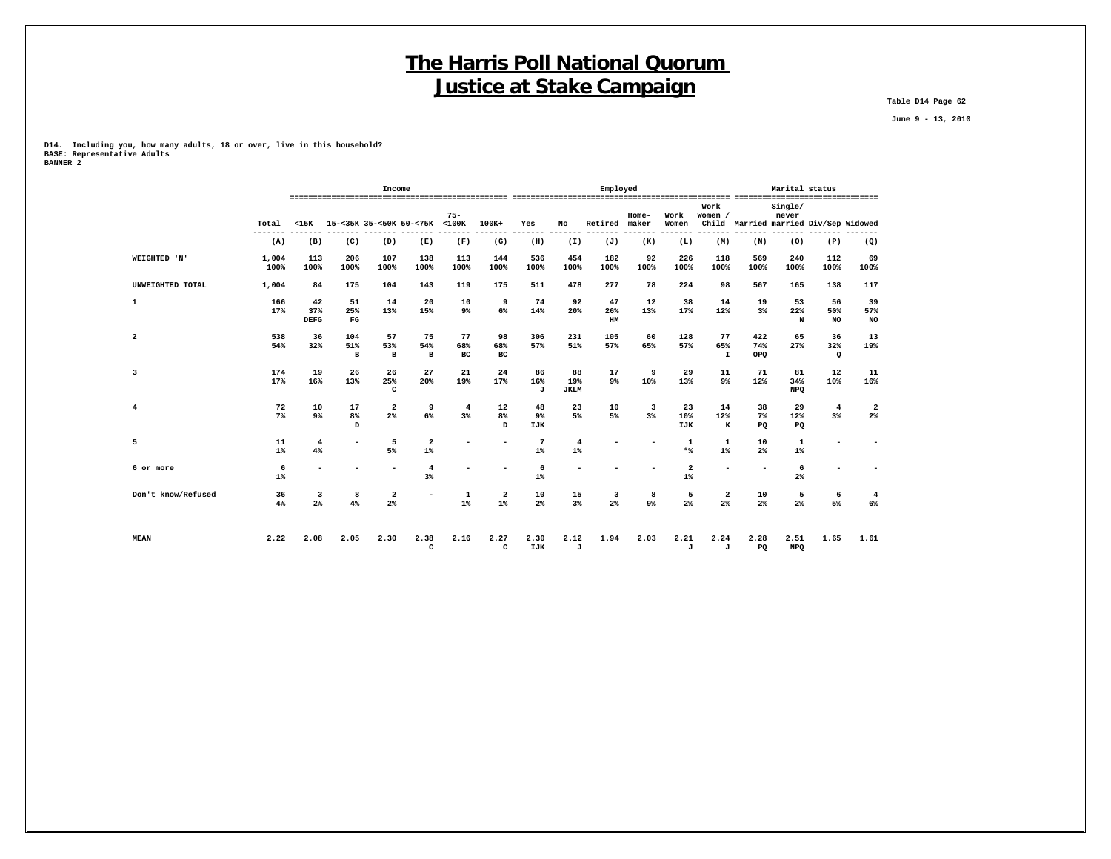**Table D14 Page 62**

 **June 9 - 13, 2010**

**D14. Including you, how many adults, 18 or over, live in this household? BASE: Representative Adults BANNER 2**

|                         |               |                          |                            | Income                        |                                  |                 |                  |                          |                          | Employed                                  |                     |                                  |                           |                          | Marital status          |                                       |                        |
|-------------------------|---------------|--------------------------|----------------------------|-------------------------------|----------------------------------|-----------------|------------------|--------------------------|--------------------------|-------------------------------------------|---------------------|----------------------------------|---------------------------|--------------------------|-------------------------|---------------------------------------|------------------------|
|                         | Total         | $15K$                    |                            |                               | 15-<35K 35-<50K 50-<75K <100K    | $75 -$          | $100K+$          | Yes                      | No                       | Retired                                   | Home-<br>maker      | Work<br>Women                    | Work<br>Women /           |                          | Single/<br>never        | Child Married married Div/Sep Widowed |                        |
|                         | (A)           | (B)                      | (C)                        | (D)                           | (E)                              | (F)             | (G)              | (H)                      | (I)                      | (J)                                       | -----<br>(K)        | ------<br>(L)                    | (M)                       | (N)                      | (0)                     | (P)                                   | (Q)                    |
| WEIGHTED 'N'            | 1,004<br>100% | 113<br>100%              | 206<br>100%                | 107<br>100%                   | 138<br>100%                      | 113<br>100%     | 144<br>100%      | 536<br>100%              | 454<br>100%              | 182<br>100%                               | 92<br>100%          | 226<br>100%                      | 118<br>100%               | 569<br>100%              | 240<br>100%             | 112<br>100%                           | 69<br>100%             |
| UNWEIGHTED TOTAL        | 1,004         | 84                       | 175                        | 104                           | 143                              | 119             | 175              | 511                      | 478                      | 277                                       | 78                  | 224                              | 98                        | 567                      | 165                     | 138                                   | 117                    |
| 1                       | 166<br>17%    | 42<br>37%<br><b>DEFG</b> | 51<br>25%<br>$_{\rm FG}$   | 14<br>13%                     | 20<br>15%                        | 10<br>9%        | 9<br>6%          | 74<br>14%                | 92<br>20%                | 47<br>26%<br>HM                           | 12<br>13%           | 38<br>17%                        | 14<br>12%                 | 19<br>3%                 | 53<br>22%<br>N          | 56<br>50%<br><b>NO</b>                | 39<br>57%<br><b>NO</b> |
| 2                       | 538<br>54%    | 36<br>32%                | 104<br>51%<br>$\mathbf{B}$ | 57<br>53%<br>$\mathbf{B}$     | 75<br>54%<br>$\mathbf{B}$        | 77<br>68%<br>BC | 98<br>68%<br>BC. | 306<br>57%               | 231<br>51%               | 105<br>57%                                | 60<br>65%           | 128<br>57%                       | 77<br>65%<br>$\mathbf{I}$ | 422<br>74%<br>OPQ        | 65<br>27%               | 36<br>32%<br>$\mathbf Q$              | 13<br>19%              |
| $\overline{\mathbf{3}}$ | 174<br>17%    | 19<br>16%                | 26<br>13%                  | 26<br>25%<br>c                | 27<br>20%                        | 21<br>19%       | 24<br>17%        | 86<br>16%<br>J           | 88<br>19%<br><b>JKLM</b> | 17<br>9%                                  | 9<br>10%            | 29<br>13%                        | 11<br>9 <sup>°</sup>      | 71<br>12%                | 81<br>34%<br><b>NPQ</b> | 12<br>10%                             | 11<br>16%              |
| 4                       | 72<br>7%      | 10<br>9%                 | 17<br>8%<br>$\mathbf{D}$   | $\overline{\mathbf{2}}$<br>2% | 9<br>$6\%$                       | 4<br>3%         | 12<br>8%<br>D    | 48<br>9%<br><b>IJK</b>   | 23<br>5%                 | 10<br>5%                                  | 3<br>3%             | 23<br>10%<br><b>IJK</b>          | 14<br>12%<br>$\,$ K       | 38<br>$7\%$<br>PQ        | 29<br>12%<br>PQ         | $\overline{4}$<br>$3*$                | 2<br>$2\%$             |
| 5                       | 11<br>$1\%$   | $\overline{4}$<br>4%     |                            | 5<br>5%                       | $\overline{\mathbf{2}}$<br>$1\%$ |                 | ۰                | $7\phantom{.0}$<br>$1\%$ | $\overline{4}$<br>$1\%$  |                                           |                     | 1<br>$*$                         | 1<br>$1\%$                | 10<br>2 <sup>°</sup>     | 1<br>$1\%$              |                                       |                        |
| 6 or more               | 6<br>1%       | ۰                        |                            |                               | $\overline{\mathbf{4}}$<br>3%    |                 | ٠                | 6<br>$1\%$               | $\overline{\phantom{a}}$ |                                           |                     | $\overline{\mathbf{2}}$<br>$1\%$ |                           | $\overline{\phantom{a}}$ | 6<br>2 <sup>8</sup>     |                                       |                        |
| Don't know/Refused      | 36<br>4%      | 3<br>2%                  | 8<br>4%                    | 2<br>$2\%$                    | $\overline{\phantom{a}}$         | 1<br>$1\%$      | 2<br>$1\%$       | 10<br>$2\%$              | 15<br>3%                 | $\overline{\mathbf{3}}$<br>2 <sup>°</sup> | 8<br>9 <sup>°</sup> | 5<br>2%                          | 2<br>2%                   | 10<br>$2\%$              | 5<br>2 <sup>8</sup>     | 6<br>5%                               | 4<br>6%                |
| <b>MEAN</b>             | 2.22          | 2.08                     | 2.05                       | 2.30                          | 2.38<br>$\mathtt{C}$             | 2.16            | 2.27<br>c        | 2.30<br>IJK              | 2.12<br>J                | 1.94                                      | 2.03                | 2.21<br>J                        | 2.24<br>J                 | 2.28<br>PQ               | 2.51<br><b>NPQ</b>      | 1.65                                  | 1.61                   |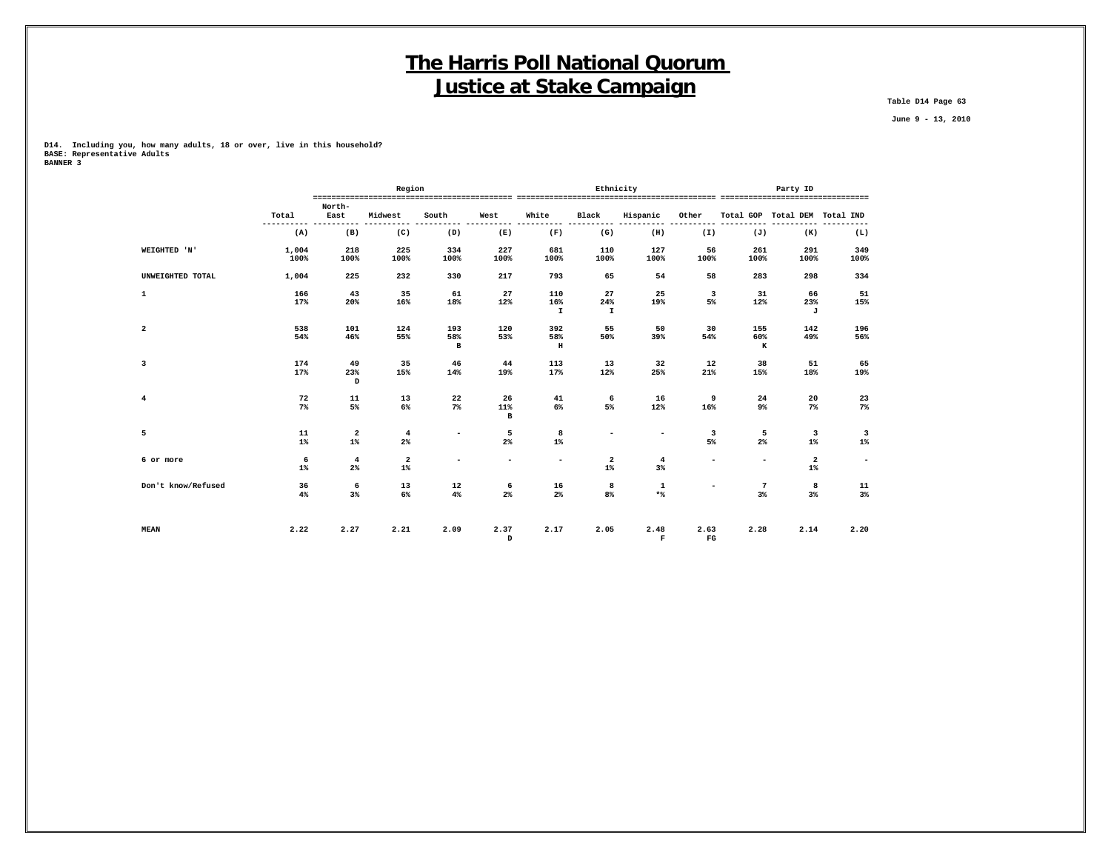**Table D14 Page 63**

 **June 9 - 13, 2010**

**D14. Including you, how many adults, 18 or over, live in this household? BASE: Representative Adults BANNER 3**

|                    |               |                      | Region                  |                            |                           |                            | Ethnicity                 |                          |                          |                      | Party ID                         |             |
|--------------------|---------------|----------------------|-------------------------|----------------------------|---------------------------|----------------------------|---------------------------|--------------------------|--------------------------|----------------------|----------------------------------|-------------|
|                    | Total         | North-<br>East       | Midwest                 | South                      | West                      | White                      | Black                     | Hispanic                 | Other                    |                      | Total GOP Total DEM Total IND    |             |
|                    | -----<br>(A)  | (B)                  | (C)                     | (D)                        | (E)                       | (F)                        | (G)                       | (H)                      | (I)                      | (J)                  | (K)                              | (L)         |
| WEIGHTED 'N'       | 1,004<br>100% | 218<br>100%          | 225<br>100%             | 334<br>100%                | 227<br>100%               | 681<br>100%                | 110<br>100%               | 127<br>100%              | 56<br>100%               | 261<br>100%          | 291<br>100%                      | 349<br>100% |
| UNWEIGHTED TOTAL   | 1,004         | 225                  | 232                     | 330                        | 217                       | 793                        | 65                        | 54                       | 58                       | 283                  | 298                              | 334         |
| $\mathbf 1$        | 166<br>17%    | 43<br>20%            | 35<br>16%               | 61<br>18%                  | 27<br>12%                 | 110<br>16%<br>$\mathbf{I}$ | 27<br>24%<br>$\mathbf{I}$ | 25<br>19%                | 3<br>5%                  | 31<br>12%            | 66<br>23%<br>J                   | 51<br>15%   |
| $\overline{a}$     | 538<br>54%    | 101<br>46%           | 124<br>55%              | 193<br>58%<br>$\, {\bf B}$ | 120<br>53%                | 392<br>58%<br>$\, {\bf H}$ | 55<br>50%                 | 50<br>39%                | 30<br>54%                | 155<br>60%<br>к      | 142<br>49%                       | 196<br>56%  |
| 3                  | 174<br>17%    | 49<br>23%<br>D       | 35<br>15%               | 46<br>14%                  | 44<br>19%                 | 113<br>17%                 | 13<br>12%                 | 32<br>25%                | 12<br>21%                | 38<br>15%            | 51<br>18%                        | 65<br>19%   |
| $\overline{4}$     | 72<br>$7\%$   | 11<br>5%             | 13<br>6%                | 22<br>$7\%$                | 26<br>11%<br>$\mathbf{B}$ | 41<br>6%                   | 6<br>5%                   | 16<br>12%                | 9<br>16%                 | 24<br>9%             | 20<br>$7\%$                      | 23<br>$7\%$ |
| 5                  | 11<br>$1\%$   | 2<br>$1\%$           | $\overline{4}$<br>$2\%$ | $\sim$                     | 5<br>2%                   | 8<br>$1\%$                 | $\overline{\phantom{a}}$  | $\overline{\phantom{a}}$ | 3<br>5%                  | 5<br>$2\%$           | $\overline{\mathbf{3}}$<br>$1\%$ | 3<br>$1\%$  |
| 6 or more          | 6<br>$1\%$    | $\overline{4}$<br>2% | $\mathbf{2}$<br>$1\%$   | $\sim$                     | ۰.                        | $\overline{\phantom{a}}$   | 2<br>$1\%$                | $\overline{4}$<br>$3\%$  | $\blacksquare$           | $\sim$               | $\overline{a}$<br>$1\%$          | $\sim$      |
| Don't know/Refused | 36<br>4%      | 6<br>$3\%$           | 13<br>6%                | 12<br>4%                   | 6<br>2%                   | 16<br>$2\%$                | 8<br>8%                   | $\mathbf 1$<br>$*$       | $\overline{\phantom{0}}$ | $\overline{7}$<br>3% | 8<br>3%                          | 11<br>$3\%$ |
| <b>MEAN</b>        | 2.22          | 2.27                 | 2.21                    | 2.09                       | 2.37<br>D                 | 2.17                       | 2.05                      | 2.48<br>$\mathbf F$      | 2.63<br>$_{\rm FG}$      | 2.28                 | 2.14                             | 2.20        |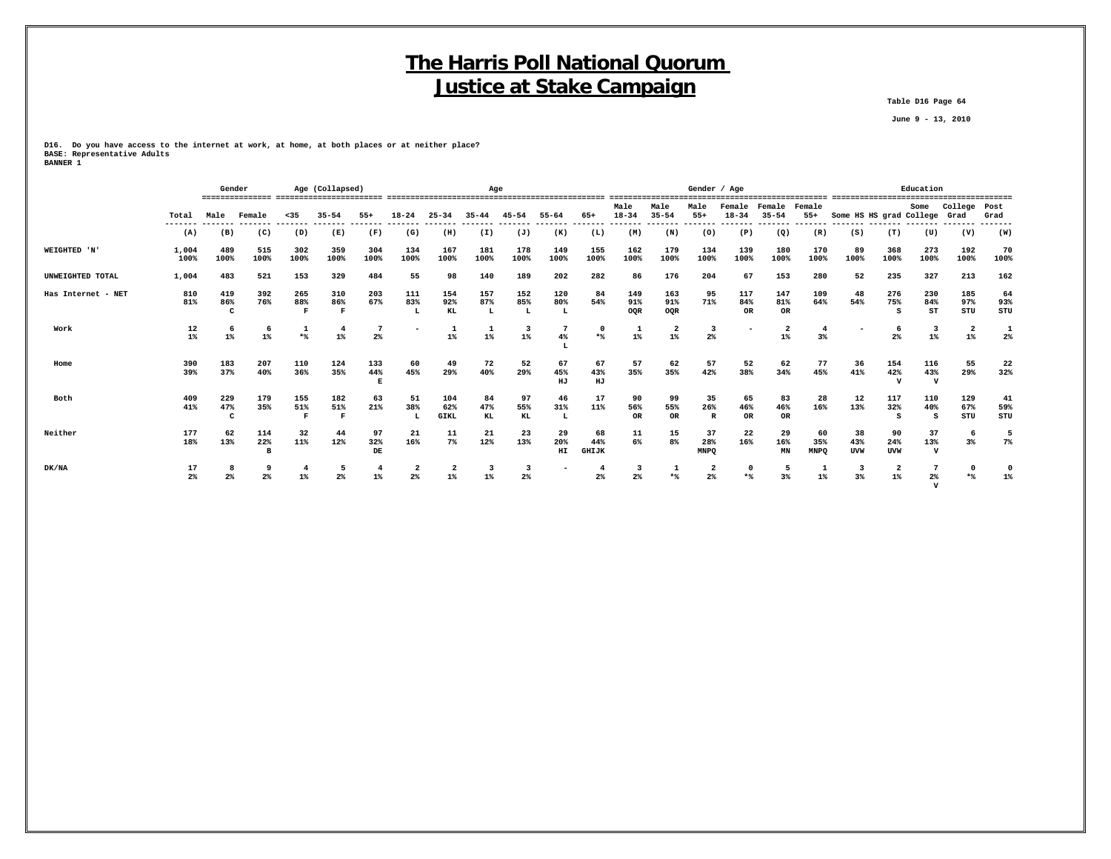**Table D16 Page 64**

 **June 9 - 13, 2010**

**D16. Do you have access to the internet at work, at home, at both places or at neither place? BASE: Representative Adults BANNER 1**

|                    |                | Gender |                |             | Age (Collapsed) |          |                |                         | Age       |                |                          |              | Male           | Male                    | Gender / Age<br>Male    | Female      | Female         | Female      |                              |            | Education<br>Some  | College        | Post           |
|--------------------|----------------|--------|----------------|-------------|-----------------|----------|----------------|-------------------------|-----------|----------------|--------------------------|--------------|----------------|-------------------------|-------------------------|-------------|----------------|-------------|------------------------------|------------|--------------------|----------------|----------------|
|                    | Total          | Male   | Female         | $35$        | $35 - 54$       | $55+$    | $18 - 24$      | $25 - 34$               | $35 - 44$ | $45 - 54$      | $55 - 64$                | 65+          | $18 - 34$      | $35 - 54$               | $55+$                   | $18 - 34$   | $35 - 54$      | $55+$       | Some HS HS grad College Grad |            |                    |                | Grad           |
|                    | -------<br>(A) | (B)    | (C)            | (D)         | (E)             | (F)      | (G)            | (H)                     | (I)       | (J)            | (K)                      | (L)          | (M)            | (N)                     | (0)                     | (P)         | (Q)            | (R)         | (S)                          | (T)        | (U)                | (V)            | ------<br>(W)  |
| WEIGHTED 'N'       | 1,004          | 489    | 515            | 302         | 359             | 304      | 134            | 167                     | 181       | 178            | 149                      | 155          | 162            | 179                     | 134                     | 139         | 180            | 170         | 89                           | 368        | 273                | 192            | 70             |
|                    | 100%           | 100%   | 100%           | 100%        | 100%            | 100%     | 100%           | 100%                    | 100%      | 100%           | 100%                     | 100%         | 100%           | 100%                    | 100%                    | 100%        | 100%           | 100%        | 100%                         | 100%       | 100%               | 100%           | 100%           |
| UNWEIGHTED TOTAL   | 1,004          | 483    | 521            | 153         | 329             | 484      | 55             | 98                      | 140       | 189            | 202                      | 282          | 86             | 176                     | 204                     | 67          | 153            | 280         | 52                           | 235        | 327                | 213            | 162            |
| Has Internet - NET | 810            | 419    | 392            | 265         | 310             | 203      | 111            | 154                     | 157       | 152            | 120                      | 84           | 149            | 163                     | 95                      | 117         | 147            | 109         | 48                           | 276        | 230                | 185            | 64             |
|                    | 81%            | 86%    | 76%            | 88%         | 86%             | 67%      | 83%            | 92%                     | 87%       | 85%            | 80%                      | 54%          | 91%            | 91%                     | 71%                     | 84%         | 81%            | 64%         | 54%                          | 75%        | 84%                | 97%            | 93%            |
|                    |                | C      |                | $\mathbf F$ | $\mathbf{F}$    |          | L              | KL                      | L         | L              | L                        |              | OOR            | OQR                     |                         | OR          | OR             |             |                              | s          | ST                 | STU            | STU            |
| Work               | 12             | -6     | 6              | 1           | $\overline{4}$  |          |                |                         | 1         |                |                          | $\Omega$     |                | $\overline{\mathbf{2}}$ | 3                       |             | $\overline{2}$ | 4           |                              |            | 3                  | $\overline{2}$ |                |
|                    | 1%             | $1\%$  | $1\%$          | $*$         | $1\%$           | $2\%$    |                | $1\%$                   | $1\%$     | $1\%$          | 4%                       | $*$          | $1\%$          | $1\%$                   | $2\%$                   |             | $1\%$          | 3%          |                              | 2%         | $1\%$              | 1%             | 2 <sup>°</sup> |
| Home               | 390            | 183    | 207            | 110         | 124             | 133      | 60             | 49                      | 72        | 52             | 67                       | 67           | 57             | 62                      | 57                      | 52          | 62             | 77          | 36                           | 154        | 116                | 55             | 22             |
|                    | 39%            | 37%    | 40%            | 36%         | 35%             | 44%<br>E | 45%            | 29%                     | 40%       | 29%            | 45%<br>HJ                | 43%<br>HJ    | 35%            | 35%                     | 42%                     | 38%         | 34%            | 45%         | 41%                          | 42%        | 43%<br>$\mathbf v$ | 29%            | 32%            |
| Both               | 409            | 229    | 179            | 155         | 182             | 63       | 51             | 104                     | 84        | 97             | 46                       | 17           | 90             | 99                      | 35                      | 65          | 83             | 28          | 12                           | 117        | 110                | 129            | 41             |
|                    | 41%            | 47%    | 35%            | 51%         | 51%             | 21%      | 38%            | 62%                     | 47%       | 55%            | 31%                      | 11%          | 56%            | 55%                     | 26%                     | 46%         | 46%            | 16%         | 13%                          | 32%        | 40%                | 67%            | 59%            |
|                    |                | c      |                | R           | F               |          |                | <b>GIKL</b>             | KL        | KL             | L                        |              | <b>OR</b>      | <b>OR</b>               | R                       | <b>OR</b>   | <b>OR</b>      |             |                              |            | s                  | STU            | STU            |
| Neither            | 177            | 62     | 114            | 32          | 44              | 97       | 21             | 11                      | 21        | 23             | 29                       | 68           | 11             | 15                      | 37                      | 22          | 29             | 60          | 38                           | 90         | 37                 | 6              | 5              |
|                    | 18%            | 13%    | 22%            | 11%         | 12%             | 32%      | 16%            | $7\%$                   | 12%       | 13%            | 20%                      | 44%          | 6%             | 8 <sup>°</sup>          | 28%                     | 16%         | 16%            | 35%         | 43%                          | 24%        | 13%                | $3\%$          | $7\%$          |
|                    |                |        |                |             |                 | DE       |                |                         |           |                | HI                       | <b>GHIJK</b> |                |                         | <b>MNPO</b>             |             | MN             | <b>MNPO</b> | <b>UVW</b>                   | <b>UVW</b> | $\mathbf{v}$       |                |                |
| DK/NA              | 17             |        |                | 4           | 5               | 4        |                | $\overline{\mathbf{2}}$ | 3         |                | $\overline{\phantom{a}}$ |              |                |                         | $\overline{\mathbf{2}}$ | $\mathbf 0$ |                | 1           | 3                            |            |                    | $\Omega$       |                |
|                    | $2\%$          | $2\%$  | 2 <sup>°</sup> | $1\%$       | 2 <sup>°</sup>  | $1\%$    | 2 <sup>8</sup> | $1\%$                   | $1\%$     | 2 <sup>°</sup> |                          | $2\%$        | 2 <sup>°</sup> | $*$                     | 2%                      | $*$         | 3%             | $1\%$       | 3%                           | $1\%$      | 2%                 |                | 1%             |

 **V**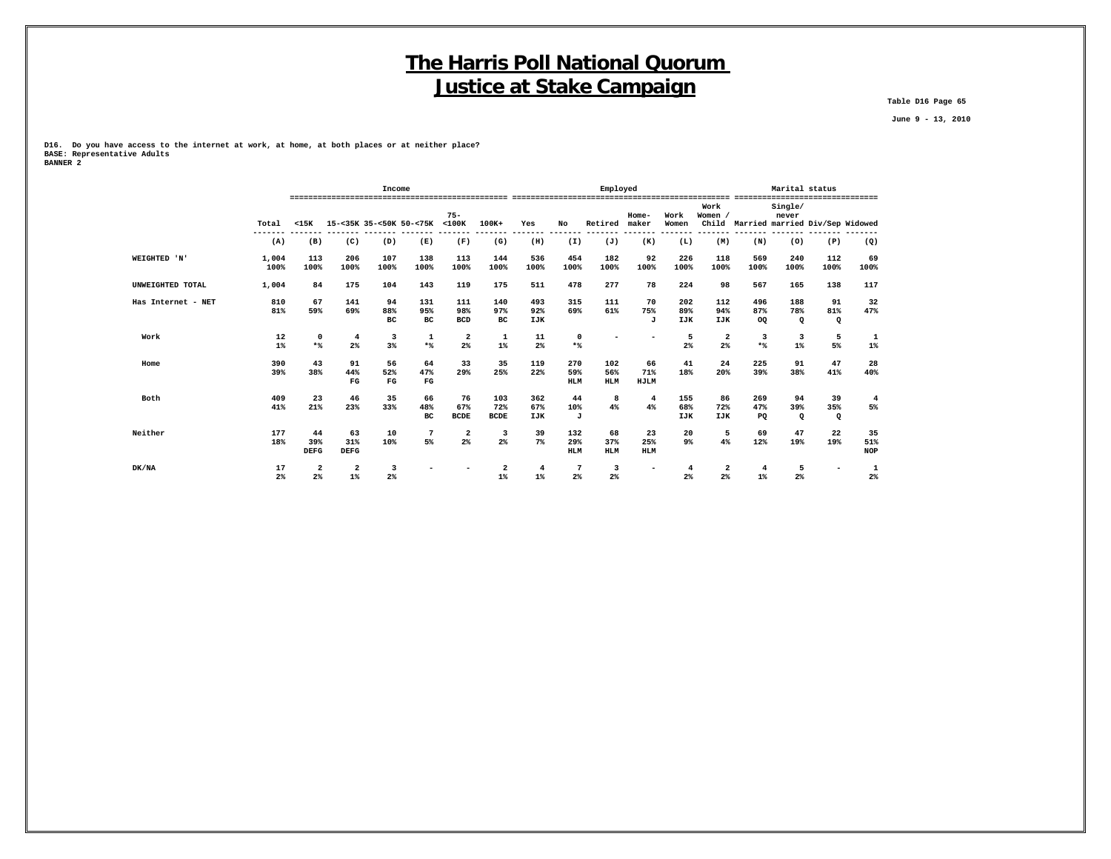**Table D16 Page 65**

 **June 9 - 13, 2010**

**D16. Do you have access to the internet at work, at home, at both places or at neither place? BASE: Representative Adults BANNER 2**

|                    |               |                               |                          | Income                   |                          |                                  |                                  |                         |                          | Employed                 |                          |                          |                                  |                                | Marital status             |                                       |                         |
|--------------------|---------------|-------------------------------|--------------------------|--------------------------|--------------------------|----------------------------------|----------------------------------|-------------------------|--------------------------|--------------------------|--------------------------|--------------------------|----------------------------------|--------------------------------|----------------------------|---------------------------------------|-------------------------|
|                    | Total         | $15K$                         | 15-<35K 35-<50K 50-<75K  |                          |                          | $75 -$<br>$<$ 100 $<$            | $100K+$                          | Yes                     | No                       | Retired                  | Home-<br>maker           | Work<br>Women            | Work<br>Women /                  |                                | Single/<br>never           | Child Married married Div/Sep Widowed |                         |
|                    | (A)           | (B)                           | (C)                      | (D)                      | (E)                      | (F)                              | (G)                              | (H)                     | (I)                      | (J)                      | (K)                      | (L)                      | (M)                              | (N)                            | (0)                        | (P)                                   | (Q)                     |
| WEIGHTED 'N'       | 1,004<br>100% | 113<br>100%                   | 206<br>100%              | 107<br>100%              | 138<br>100%              | 113<br>100%                      | 144<br>100%                      | 536<br>100%             | 454<br>100%              | 182<br>100%              | 92<br>100%               | 226<br>100%              | 118<br>100%                      | 569<br>100%                    | 240<br>100%                | 112<br>100%                           | 69<br>100%              |
| UNWEIGHTED TOTAL   | 1,004         | 84                            | 175                      | 104                      | 143                      | 119                              | 175                              | 511                     | 478                      | 277                      | 78                       | 224                      | 98                               | 567                            | 165                        | 138                                   | 117                     |
| Has Internet - NET | 810<br>81%    | 67<br>59%                     | 141<br>69%               | 94<br>88%<br>вc          | 131<br>95%<br>вc         | 111<br>98%<br><b>BCD</b>         | 140<br>97%<br>вc                 | 493<br>92%<br>IJK       | 315<br>69%               | 111<br>61%               | 70<br>75%<br>J           | 202<br>89%<br>IJK        | 112<br>94%<br><b>IJK</b>         | 496<br>87%<br><b>OQ</b>        | 188<br>78%<br>$\mathbf{Q}$ | 91<br>81%<br>$\mathbf{Q}$             | 32<br>47%               |
| Work               | 12<br>$1\%$   | $\mathbf 0$<br>$*$            | $\overline{4}$<br>2%     | 3<br>3%                  | 1<br>$*$                 | $\overline{a}$<br>$2\%$          | 1<br>$1\%$                       | 11<br>2%                | $\mathbf 0$<br>$*$       |                          | -                        | 5<br>2%                  | $\overline{a}$<br>2%             | $\overline{\mathbf{3}}$<br>$*$ | 3<br>$1\%$                 | - 5<br>5%                             | 1<br>$1\%$              |
| Home               | 390<br>39%    | 43<br>38%                     | 91<br>44%<br>$_{\rm FG}$ | 56<br>52%<br>$_{\rm FG}$ | 64<br>47%<br>$_{\rm FG}$ | 33<br>29%                        | 35<br>25%                        | 119<br>22%              | 270<br>59%<br><b>HLM</b> | 102<br>56%<br><b>HLM</b> | 66<br>71%<br>HJLM        | 41<br>18%                | 24<br>20%                        | 225<br>39%                     | 91<br>38%                  | 47<br>41%                             | 28<br>40%               |
| Both               | 409<br>41%    | 23<br>21%                     | 46<br>23%                | 35<br>33%                | 66<br>48%<br>BC          | 76<br>67%<br><b>BCDE</b>         | 103<br>72%<br><b>BCDE</b>        | 362<br>67%<br>IJK       | 44<br>10%<br>J           | 8<br>4%                  | 4<br>4%                  | 155<br>68%<br><b>IJK</b> | 86<br>72%<br><b>IJK</b>          | 269<br>47%<br>PQ               | 94<br>39%<br>$\Omega$      | 39<br>35%<br>$\mathbf{Q}$             | $\overline{4}$<br>5%    |
| Neither            | 177<br>18%    | 44<br>39%<br><b>DEFG</b>      | 63<br>31%<br><b>DEFG</b> | 10<br>10%                | 7<br>5%                  | $\overline{\mathbf{2}}$<br>$2\%$ | 3<br>$2\%$                       | 39<br>$7\%$             | 132<br>29%<br><b>HLM</b> | 68<br>37%<br><b>HLM</b>  | 23<br>25%<br><b>HLM</b>  | 20<br>9%                 | 5<br>4%                          | 69<br>12%                      | 47<br>19%                  | 22<br>19%                             | 35<br>51%<br><b>NOP</b> |
| DK/NA              | 17<br>2%      | $\overline{\mathbf{2}}$<br>2% | 2<br>$1\%$               | 3<br>2%                  |                          |                                  | $\overline{\mathbf{2}}$<br>$1\%$ | $\overline{4}$<br>$1\%$ | -7<br>2%                 | 3<br>2%                  | $\overline{\phantom{0}}$ | $\overline{4}$<br>2%     | $\overline{a}$<br>2 <sup>8</sup> | $\overline{4}$<br>$1\%$        | 5<br>2%                    |                                       | $\mathbf{1}$<br>2%      |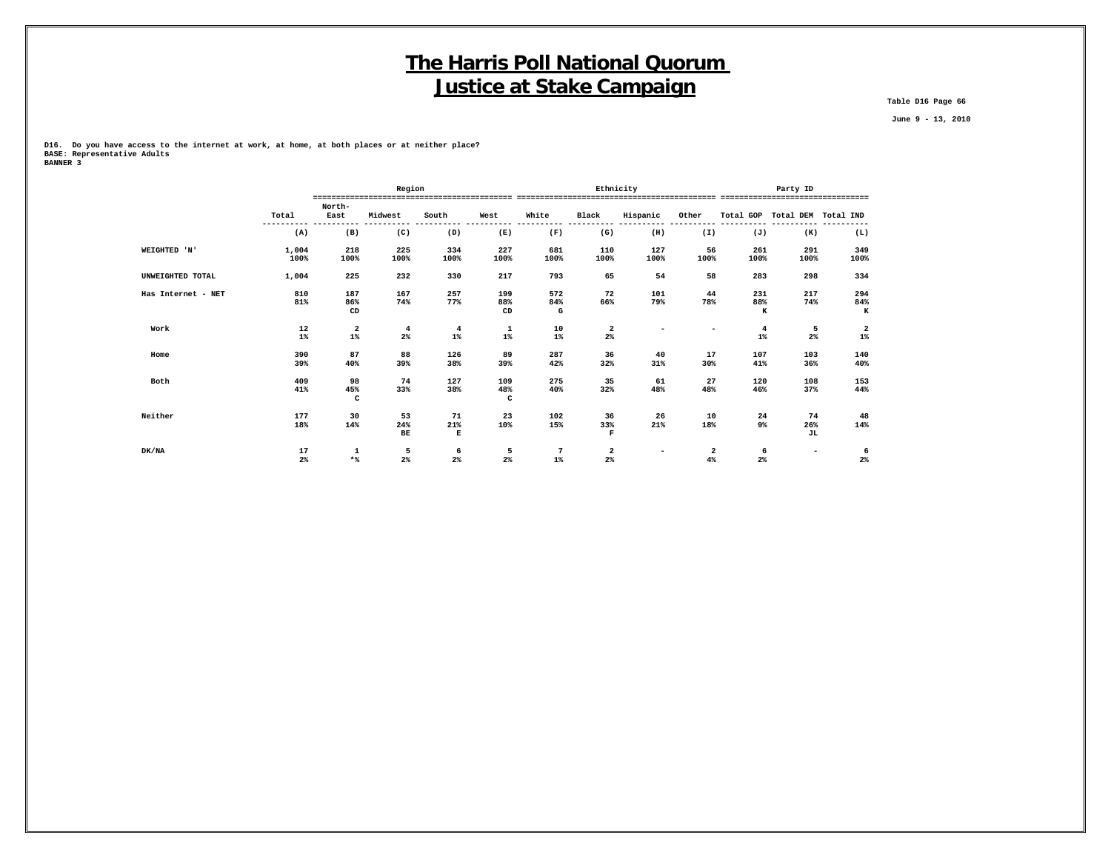**Table D16 Page 66**

 **June 9 - 13, 2010**

**D16. Do you have access to the internet at work, at home, at both places or at neither place? BASE: Representative Adults**

| BANNER 3 |  |
|----------|--|
|          |  |

|                    |               |                           | Region                  |                |                  |                 |                          | Ethnicity                | Party ID                 |                   |                               |                 |  |
|--------------------|---------------|---------------------------|-------------------------|----------------|------------------|-----------------|--------------------------|--------------------------|--------------------------|-------------------|-------------------------------|-----------------|--|
|                    |               | North-                    |                         |                |                  |                 |                          |                          |                          |                   |                               |                 |  |
|                    | Total         | East                      | Midwest                 | South          | West             | White           | Black                    | Hispanic                 | Other                    |                   | Total GOP Total DEM Total IND |                 |  |
|                    | (A)           | (B)                       | (C)                     | (D)            | (E)              | (F)             | (G)                      | (H)                      | (I)                      | ----------<br>(J) | (K)                           | (L)             |  |
| WEIGHTED 'N'       | 1,004<br>100% | 218<br>100%               | 225<br>100%             | 334<br>100%    | 227<br>100%      | 681<br>100%     | 110<br>100%              | 127<br>100%              | 56<br>100%               | 261<br>100%       | 291<br>100%                   | 349<br>100%     |  |
| UNWEIGHTED TOTAL   | 1,004         | 225                       | 232                     | 330            | 217              | 793             | 65                       | 54                       | 58                       | 283               | 298                           | 334             |  |
| Has Internet - NET | 810<br>81%    | 187<br>86%<br>CD          | 167<br>74%              | 257<br>77%     | 199<br>88%<br>CD | 572<br>84%<br>G | 72<br>66%                | 101<br>79%               | 44<br>78%                | 231<br>88%<br>к   | 217<br>74%                    | 294<br>84%<br>к |  |
| Work               | 12<br>$1\%$   | 2<br>$1\%$                | $\overline{4}$<br>$2\%$ | 4<br>$1\%$     | 1<br>$1\%$       | 10<br>$1\%$     | 2<br>$2\%$               | $\overline{\phantom{0}}$ | $\overline{\phantom{0}}$ | 4<br>$1\%$        | 5<br>$2\%$                    | 2<br>$1\%$      |  |
| Home               | 390<br>39%    | 87<br>40%                 | 88<br>39%               | 126<br>38%     | 89<br>39%        | 287<br>42%      | 36<br>32%                | 40<br>31%                | 17<br>30%                | 107<br>41%        | 103<br>36%                    | 140<br>40%      |  |
| Both               | 409<br>41%    | 98<br>45%<br>$\mathtt{C}$ | 74<br>33%               | 127<br>38%     | 109<br>48%<br>c  | 275<br>40%      | 35<br>32%                | 61<br>48%                | 27<br>48%                | 120<br>46%        | 108<br>37%                    | 153<br>44%      |  |
| Neither            | 177<br>18%    | 30<br>14%                 | 53<br>24%<br><b>BE</b>  | 71<br>21%<br>Е | 23<br>10%        | 102<br>15%      | 36<br>33%<br>$\mathbf F$ | 26<br>21%                | 10<br>18%                | 24<br>9%          | 74<br>26%<br>JL               | 48<br>14%       |  |
| DK/NA              | 17<br>2%      | 1<br>$*$                  | 5<br>$2\%$              | 6<br>$2\%$     | 5<br>2%          | 7<br>$1\%$      | 2<br>$2\%$               | $\overline{\phantom{a}}$ | 2<br>4%                  | 6<br>$2\%$        | $\overline{\phantom{a}}$      | 6<br>$2\%$      |  |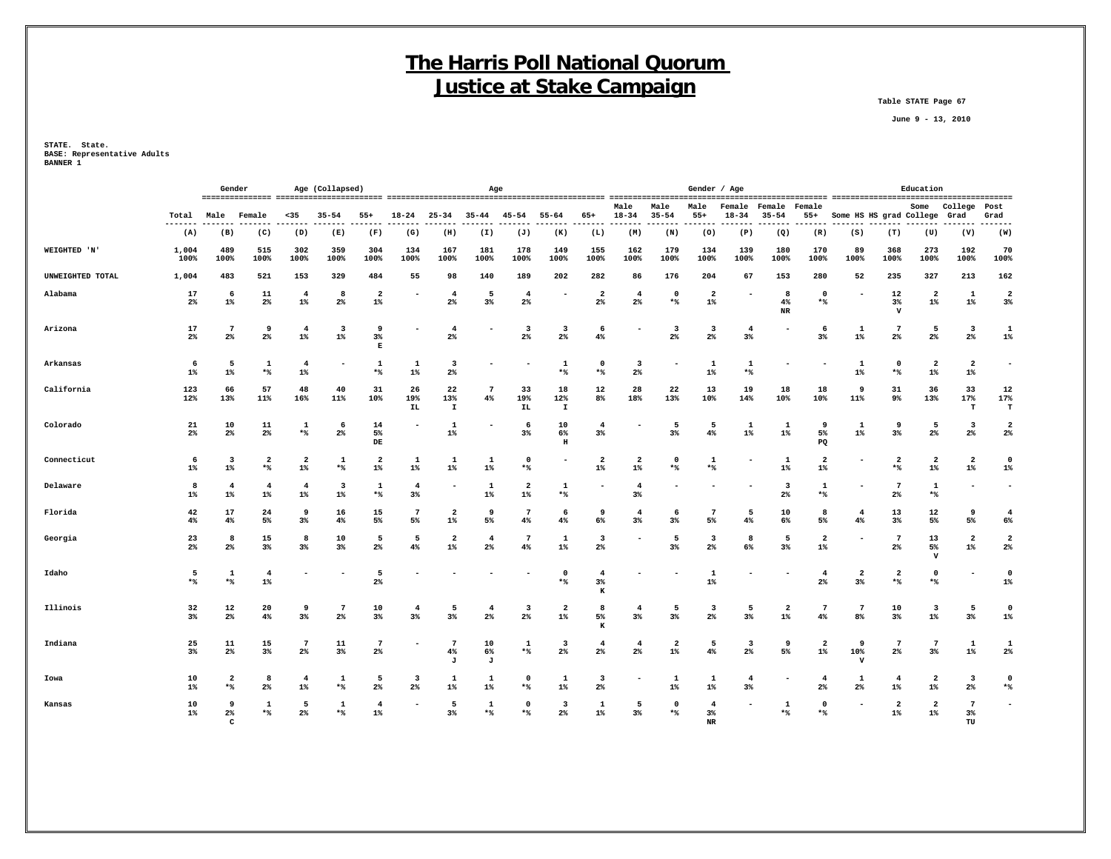**Table STATE Page 67**

 **June 9 - 13, 2010**

**STATE. State. BASE: Representative Adults BANNER 1**

|                  |                |                                  | Gender                           | Age (Collapsed)         |                                  |                          | Age                     |                           |                                  |                         |                                  |                                  | Gender / Age                     |                                  |                                  |                          |                         |                                   | Education                     |                            |                                  |                                  |                                  |
|------------------|----------------|----------------------------------|----------------------------------|-------------------------|----------------------------------|--------------------------|-------------------------|---------------------------|----------------------------------|-------------------------|----------------------------------|----------------------------------|----------------------------------|----------------------------------|----------------------------------|--------------------------|-------------------------|-----------------------------------|-------------------------------|----------------------------|----------------------------------|----------------------------------|----------------------------------|
|                  | Total<br>$- -$ | Male                             | Female                           | $35$                    | $35 - 54$                        | $55+$                    | $18 - 24$               | $25 - 34$                 | $35 - 44$                        | $45 - 54$               | $55 - 64$                        | 65+                              | Male<br>$18 - 34$                | Male<br>$35 - 54$                | Male<br>$55+$                    | Female<br>$18 - 34$      | Female<br>$35 - 54$     | Female<br>$55+$                   | Some HS HS grad College       |                            | Some                             | College<br>Grad                  | Post<br>Grad<br>-----            |
|                  | (A)            | (B)                              | (C)                              | (D)                     | (E)                              | (F)                      | (G)                     | (H)                       | (I)                              | (J)                     | (K)                              | (L)                              | (M)                              | (N)                              | (0)                              | (P)                      | $\left( Q\right)$       | (R)                               | (S)                           | (T)                        | (U)                              | (V)                              | (W)                              |
| WEIGHTED 'N'     | 1,004<br>100%  | 489<br>100%                      | 515<br>100%                      | 302<br>100%             | 359<br>100%                      | 304<br>100%              | 134<br>100%             | 167<br>100%               | 181<br>100%                      | 178<br>100%             | 149<br>100%                      | 155<br>100%                      | 162<br>100%                      | 179<br>100%                      | 134<br>100%                      | 139<br>100%              | 180<br>100%             | 170<br>100%                       | 89<br>100%                    | 368<br>100%                | 273<br>100%                      | 192<br>100%                      | 70<br>100%                       |
| UNWEIGHTED TOTAL | 1,004          | 483                              | 521                              | 153                     | 329                              | 484                      | 55                      | 98                        | 140                              | 189                     | 202                              | 282                              | 86                               | 176                              | 204                              | 67                       | 153                     | 280                               | 52                            | 235                        | 327                              | 213                              | 162                              |
| Alabama          | 17<br>$2\%$    | 6<br>$1\%$                       | 11<br>$2\%$                      | $\overline{4}$<br>$1\%$ | 8<br>2%                          | $\overline{2}$<br>$1\%$  |                         | $\overline{4}$<br>2%      | 5<br>3%                          | $\overline{4}$<br>$2\%$ |                                  | $\overline{\mathbf{2}}$<br>$2\%$ | $\overline{4}$<br>$2\%$          | $^{\circ}$<br>$*$                | $\overline{a}$<br>$1\%$          |                          | -8<br>4%<br>$_{\rm NR}$ | $\mathbf 0$<br>$\star$ $\uparrow$ |                               | 12<br>$3\%$<br>$\mathbf v$ | $\overline{\mathbf{2}}$<br>$1\%$ | 1<br>$1\%$                       | $\overline{2}$<br>3%             |
| Arizona          | 17<br>$2\%$    | $\overline{7}$<br>$2\%$          | 9<br>$2\%$                       | $\overline{4}$<br>$1\%$ | $\overline{\mathbf{3}}$<br>$1\%$ | 9<br>$3\%$<br>E          |                         | $\overline{4}$<br>2%      | ٠                                | 3<br>$2\%$              | 3<br>$2\%$                       | 6<br>4%                          |                                  | 3<br>$2\%$                       | $\overline{\mathbf{3}}$<br>$2\%$ | $\overline{4}$<br>3%     |                         | 6<br>$3\%$                        | 1<br>$1\%$                    | -7<br>$2\%$                | 5<br>$2\%$                       | $\overline{\mathbf{3}}$<br>$2\%$ | $\mathbf{1}$<br>$1\%$            |
| Arkansas         | - 6<br>$1\%$   | 5<br>$1\%$                       | 1<br>$*$                         | $\overline{4}$<br>$1\%$ |                                  | 1<br>$*$                 | 1<br>$1\%$              | 3<br>$2\%$                |                                  |                         | 1<br>$*$ %                       | $\mathbf 0$<br>*%                | 3<br>$2\%$                       |                                  | 1<br>$1\%$                       | 1<br>$*$                 |                         |                                   | 1<br>$1\%$                    | $\mathbf 0$<br>$*$ %       | $\overline{\mathbf{2}}$<br>$1\%$ | $\overline{a}$<br>$1\%$          | $\overline{a}$                   |
| California       | 123<br>12%     | 66<br>13%                        | 57<br>11%                        | 48<br>16%               | 40<br>11%                        | 31<br>10%                | 26<br>19%<br><b>IL</b>  | 22<br>13%<br>$\mathbf{I}$ | $\overline{7}$<br>4%             | 33<br>19%<br>IL.        | 18<br>12%<br>$\mathbf I$         | 12<br>8 <sup>°</sup>             | 28<br>18%                        | 22<br>13%                        | 13<br>10%                        | 19<br>14%                | 18<br>10%               | 18<br>10%                         | 9<br>11%                      | 31<br>9%                   | 36<br>13%                        | 33<br>17%<br>т                   | 12<br>17%<br>T                   |
| Colorado         | 21<br>2%       | 10<br>2%                         | 11<br>$2\%$                      | 1<br>$*$                | 6<br>2 <sup>°</sup>              | 14<br>5%<br>DE           |                         | 1<br>$1\%$                | $\overline{\phantom{0}}$         | 6<br>3%                 | 10<br>6%<br>$\, {\bf H}$         | $\overline{4}$<br>3 <sup>8</sup> |                                  | 5<br>$3\%$                       | 5<br>4%                          | 1<br>$1\%$               | $\mathbf{1}$<br>$1\%$   | 9<br>5%<br>PQ                     | 1<br>$1\%$                    | 9<br>3%                    | 5<br>2 <sup>°</sup>              | $\overline{\mathbf{3}}$<br>2%    | $\overline{2}$<br>2 <sup>°</sup> |
| Connecticut      | 6<br>$1\%$     | $\overline{\mathbf{3}}$<br>$1\%$ | $\overline{a}$<br>$*$            | $\overline{a}$<br>$1\%$ | 1<br>$*$                         | $\overline{a}$<br>$1\%$  | 1<br>$1\%$              | -1<br>$1\%$               | $\mathbf{1}$<br>$1\%$            | $\mathbf 0$<br>$*$      |                                  | $\overline{2}$<br>$1\%$          | 2<br>$1\%$                       | $\mathbf 0$<br>$*$               | $\mathbf{1}$<br>$*$              | $\overline{\phantom{a}}$ | 1<br>$1\%$              | $\mathbf{2}$<br>$1\%$             |                               | $\overline{a}$<br>$*$      | $\overline{\mathbf{2}}$<br>$1\%$ | $\overline{a}$<br>$1\%$          | $\mathbf 0$<br>$1\%$             |
| Delaware         | 8<br>$1\%$     | $\overline{4}$<br>$1\%$          | $\overline{\mathbf{4}}$<br>$1\%$ | $\overline{4}$<br>$1\%$ | 3<br>$1\%$                       | 1<br>$*$                 | $\overline{4}$<br>3%    |                           | 1<br>$1\%$                       | $\overline{a}$<br>$1\%$ | -1<br>$*$ %                      | ۰                                | $\overline{4}$<br>$3\%$          |                                  | ۰                                | $\overline{\phantom{0}}$ | 3<br>$2\%$              | 1<br>$*$                          |                               | 7<br>2%                    | 1<br>$*$                         | ۰                                | $\overline{\phantom{a}}$         |
| Florida          | 42<br>4%       | 17<br>$4\%$                      | 24<br>5%                         | 9<br>$3\%$              | 16<br>4%                         | 15<br>5%                 | 7<br>5%                 | $\overline{2}$<br>$1\%$   | 9<br>5%                          | 7<br>4%                 | -6<br>4%                         | 9<br>6%                          | $4\phantom{1}$<br>3%             | -6<br>$3\%$                      | 7<br>5%                          | 5<br>4%                  | 10<br>6%                | 8<br>5%                           | $\overline{4}$<br>4%          | 13<br>3%                   | $12 \overline{ }$<br>5%          | 9<br>5%                          | $\overline{4}$<br>6%             |
| Georgia          | 23<br>$2\%$    | 8<br>$2\%$                       | 15<br>$3\%$                      | 8<br>$3\%$              | 10<br>3%                         | 5<br>$2\%$               | 5<br>4%                 | $\overline{2}$<br>$1\%$   | $\overline{4}$<br>2 <sup>°</sup> | $7\overline{ }$<br>4%   | 1<br>$1\%$                       | $\overline{\mathbf{3}}$<br>$2\%$ |                                  | 5<br>3%                          | $\overline{\mathbf{3}}$<br>$2\%$ | 8<br>6%                  | 5<br>$3\%$              | $\mathbf{2}$<br>$1\%$             |                               | 7<br>$2\%$                 | 13<br>5%<br>$\mathbf v$          | $\overline{a}$<br>$1\%$          | $\overline{2}$<br>2%             |
| Idaho            | 5<br>$*$       | 1<br>*%                          | $\overline{4}$<br>$1\%$          |                         |                                  | 5<br>$2\%$               |                         |                           |                                  |                         | $\mathbf 0$<br>$*$               | $\overline{4}$<br>3%<br>K        |                                  |                                  | 1<br>$1\%$                       |                          |                         | $\overline{4}$<br>$2\%$           | $\overline{\mathbf{2}}$<br>3% | $\overline{a}$<br>$*$ %    | $\mathbf 0$<br>$\star$ $\!8$     |                                  | $\mathbf 0$<br>$1\%$             |
| Illinois         | 32<br>$3\%$    | 12<br>$2\%$                      | 20<br>4%                         | 9<br>$3\%$              | $7\phantom{.0}$<br>2%            | 10<br>$3\%$              | $\overline{4}$<br>$3\%$ | 5<br>3%                   | $\overline{4}$<br>2%             | 3<br>$2\%$              | $\overline{\mathbf{2}}$<br>$1\%$ | 8<br>5%<br>K                     | $\overline{4}$<br>$3\%$          | 5<br>3%                          | $\overline{\mathbf{3}}$<br>$2\%$ | 5<br>$3\%$               | $\overline{a}$<br>$1\%$ | $7\phantom{.0}$<br>4%             | 7<br>8%                       | 10<br>$3\%$                | $\overline{\mathbf{3}}$<br>$1\%$ | 5<br>$3\%$                       | $\Omega$<br>$1\%$                |
| Indiana          | 25<br>3%       | 11<br>$2\%$                      | 15<br>$3\%$                      | $\overline{7}$<br>$2\%$ | 11<br>$3\%$                      | $7\phantom{.0}$<br>$2\%$ |                         | 7<br>4%<br>J              | 10<br>6%<br>J                    | 1<br>*%                 | $\overline{\mathbf{3}}$<br>$2\%$ | $\overline{4}$<br>2 <sup>°</sup> | $\overline{\mathbf{4}}$<br>$2\%$ | $\overline{\mathbf{2}}$<br>$1\%$ | 5<br>$4\%$                       | 3<br>$2\%$               | 9<br>5%                 | $\overline{\mathbf{2}}$<br>$1\%$  | 9<br>10%<br>$\mathbf v$       | $\overline{7}$<br>$2\%$    | $7\phantom{.0}$<br>3%            | 1<br>$1\%$                       | $\mathbf{1}$<br>$2\%$            |
| Iowa             | 10<br>$1\%$    | $\overline{\mathbf{2}}$<br>$*$   | 8<br>$2\%$                       | $\overline{4}$<br>$1\%$ | 1<br>$*$                         | 5<br>$2\%$               | 3<br>$2\%$              | 1<br>$1\%$                | 1<br>$1\%$                       | $\mathbf 0$<br>$*$      | 1<br>$1\%$                       | $\overline{\mathbf{3}}$<br>$2\%$ |                                  | 1<br>$1\%$                       | 1<br>$1\%$                       | 4<br>3%                  |                         | $\overline{4}$<br>$2\%$           | 1<br>2%                       | 4<br>$1\%$                 | $\overline{\mathbf{2}}$<br>$1\%$ | $\overline{\mathbf{3}}$<br>$2\%$ | $\mathbf 0$<br>$\star$ $\!8$     |
| Kansas           | 10<br>$1\%$    | 9<br>2%                          | $\mathbf{1}$<br>$*$              | 5<br>2%                 | <sup>1</sup><br>$*$              | 4<br>$1\%$               |                         | -5<br>3%                  | 1<br>$*$                         | $\Omega$<br>**          | -3<br>2%                         | 1<br>$1\%$                       | 5<br>$3\%$                       | $\Omega$<br>$*$                  | $\overline{4}$<br>3%             |                          | $\mathbf{1}$<br>$*$     | $\Omega$<br>$*$                   |                               | $\overline{2}$<br>$1\%$    | $\overline{2}$<br>1%             | 7<br>3%                          |                                  |

 **C NR TU**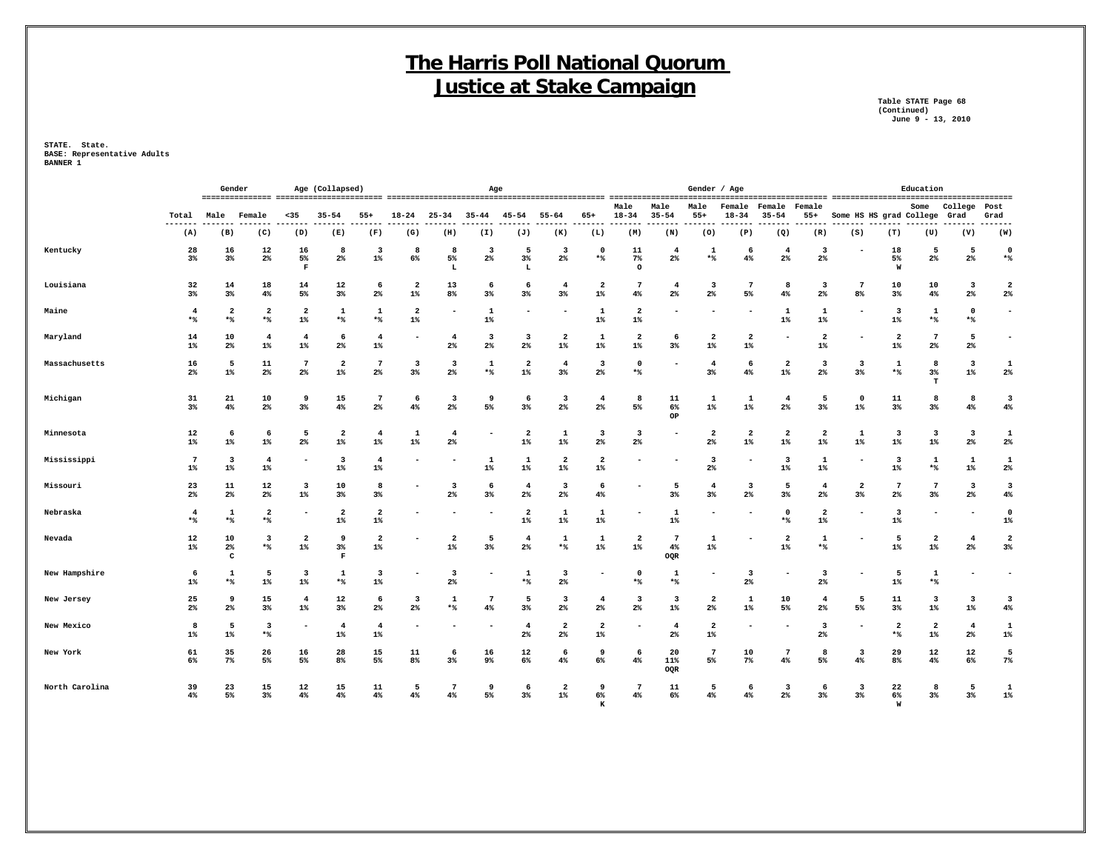**Table STATE Page 68 (Continued) June 9 - 13, 2010**

|                |                         | Gender<br>Age (Collapsed)                                 |                                  |                                  |                                  |                                  |                               |                         | Age                      |                                  |                                  |                                  |                         |                                  | Gender / Age                     |                                  |                                  |                                  |                                  |                                  | Education                |                         |                                  |
|----------------|-------------------------|-----------------------------------------------------------|----------------------------------|----------------------------------|----------------------------------|----------------------------------|-------------------------------|-------------------------|--------------------------|----------------------------------|----------------------------------|----------------------------------|-------------------------|----------------------------------|----------------------------------|----------------------------------|----------------------------------|----------------------------------|----------------------------------|----------------------------------|--------------------------|-------------------------|----------------------------------|
|                | Total                   | Male<br>$35$<br>$35 - 54$<br>$55+$<br>Female<br>$- - - -$ |                                  |                                  |                                  | $18 - 24$                        | $25 - 34$                     | $35 - 44$               | $45 - 54$                | $55 - 64$                        | $65+$                            | Male<br>$18 - 34$                | Male<br>$35 - 54$       | Male<br>$55+$                    | Female<br>$18 - 34$              | Female<br>$35 - 54$              | Female<br>$55+$                  | Some HS HS grad College<br>----- |                                  | Some                             | College<br>Grad          | Post<br>Grad            |                                  |
|                | (A)                     | (B)                                                       | (C)                              | (D)                              | (E)                              | (F)                              | (G)                           | (H)                     | (I)                      | (J)                              | (K)                              | (L)                              | (M)                     | (N)                              | (0)                              | (P)                              | (Q)                              | (R)                              | (S)                              | (T)                              | (U)                      | (V)                     | -----<br>(W)                     |
| Kentucky       | 28<br>3%                | 16<br>$3\%$                                               | 12<br>$2\%$                      | 16<br>5%<br>$\mathbf F$          | 8<br>2%                          | 3<br>$1\%$                       | 8<br>6%                       | 8<br>5%<br>L            | 3<br>2%                  | 5<br>$3\%$<br>L                  | 3<br>2%                          | $\mathbf 0$<br>*%                | 11<br>$7\%$<br>$\circ$  | $\overline{4}$<br>$2\%$          | 1<br>*%                          | 6<br>4%                          | $\overline{4}$<br>$2\%$          | 3<br>$2\%$                       |                                  | 18<br>5%<br>W                    | 5<br>$2\%$               | 5<br>$2\%$              | $\mathbf 0$<br>$\star$ $\!8$     |
| Louisiana      | 32<br>3%                | 14<br>$3\%$                                               | 18<br>$4\%$                      | 14<br>5%                         | 12<br>$3\%$                      | 6<br>$2\%$                       | $\overline{a}$<br>$1\%$       | 13<br>8%                | 6<br>3%                  | 6<br>3%                          | $\overline{4}$<br>$3\%$          | $\overline{\mathbf{2}}$<br>$1\%$ | 7<br>$4\%$              | $\overline{\mathbf{4}}$<br>$2\%$ | $\overline{\mathbf{3}}$<br>$2\%$ | $7\phantom{.0}$<br>5%            | 8<br>4%                          | $\overline{\mathbf{3}}$<br>$2\%$ | 7<br>8 <sup>°</sup>              | 10<br>3%                         | 10<br>4%                 | 3<br>$2\%$              | $\overline{\mathbf{2}}$<br>$2\%$ |
| Maine          | $\overline{4}$<br>$*$   | $\overline{a}$<br>$*$                                     | $\overline{\mathbf{2}}$<br>$*$   | $\overline{\mathbf{2}}$<br>$1\%$ | 1<br>$*$                         | 1<br>$*$                         | $\overline{a}$<br>$1\%$       |                         | 1<br>$1\%$               |                                  |                                  | 1<br>$1\%$                       | $\overline{a}$<br>$1\%$ |                                  |                                  | ۰                                | 1<br>$1\%$                       | 1<br>$1\%$                       |                                  | $\overline{\mathbf{3}}$<br>$1\%$ | $\mathbf{1}$<br>$*$      | $\mathbf 0$<br>$*$      | $\blacksquare$                   |
| Maryland       | 14<br>$1\%$             | 10<br>2 <sup>8</sup>                                      | $\overline{\mathbf{4}}$<br>$1\%$ | $\overline{4}$<br>$1\%$          | 6<br>2%                          | $\overline{4}$<br>$1\%$          |                               | $\overline{4}$<br>2%    | 3<br>2%                  | 3<br>$2\%$                       | $\overline{\mathbf{2}}$<br>$1\%$ | 1<br>$1\%$                       | $\mathbf{2}$<br>$1\%$   | 6<br>3%                          | $\overline{\mathbf{2}}$<br>$1\%$ | $\overline{2}$<br>$1\%$          | $\overline{\phantom{a}}$         | $\overline{\mathbf{2}}$<br>$1\%$ |                                  | $\overline{2}$<br>$1\%$          | 7<br>$2\%$               | 5<br>$2\%$              | $\overline{\phantom{a}}$         |
| Massachusetts  | 16<br>2 <sup>8</sup>    | 5<br>$1\%$                                                | 11<br>2 <sup>°</sup>             | $7\phantom{.0}$<br>$2\%$         | $\overline{\mathbf{2}}$<br>$1\%$ | 7<br>2 <sup>°</sup>              | $\overline{\mathbf{3}}$<br>3% | 3<br>2%                 | 1<br>$*$                 | 2<br>$1\%$                       | $\overline{4}$<br>3%             | 3<br>2 <sup>8</sup>              | 0<br>$*$                |                                  | $\overline{4}$<br>$3\%$          | 6<br>4%                          | $\overline{\mathbf{2}}$<br>$1\%$ | 3<br>2%                          | 3<br>3%                          | 1<br>$*$                         | 8<br>3%<br>T             | 3<br>$1\%$              | 1<br>$2\%$                       |
| Michigan       | 31<br>$3\%$             | 21<br>4%                                                  | 10<br>$2\%$                      | 9<br>3%                          | 15<br>4%                         | $\overline{7}$<br>2 <sup>°</sup> | 6<br>4%                       | 3<br>2%                 | 9<br>5%                  | 6<br>3%                          | 3<br>2%                          | $\overline{4}$<br>2 <sup>8</sup> | 8<br>5%                 | 11<br>6%<br>OP                   | 1<br>$1\%$                       | 1<br>$1\%$                       | $\overline{4}$<br>2%             | 5<br>3%                          | $\mathbf 0$<br>$1\%$             | 11<br>3%                         | 8<br>$3\%$               | -8<br>4%                | 3<br>4%                          |
| Minnesota      | 12<br>$1\%$             | 6<br>$1\%$                                                | 6<br>$1\%$                       | 5<br>2%                          | $\overline{2}$<br>$1\%$          | $\overline{4}$<br>$1\%$          | 1<br>$1\%$                    | $\overline{4}$<br>2%    |                          | $\mathbf{2}$<br>$1\%$            | 1<br>$1\%$                       | 3<br>2 <sup>8</sup>              | 3<br>$2\%$              |                                  | $\mathbf{2}$<br>2%               | $\overline{\mathbf{2}}$<br>$1\%$ | $\overline{2}$<br>$1\%$          | $\overline{a}$<br>$1\%$          | 1<br>$1\%$                       | $\overline{\mathbf{3}}$<br>$1\%$ | 3<br>$1\%$               | 3<br>2%                 | 1<br>$2\%$                       |
| Mississippi    | $\overline{7}$<br>$1\%$ | 3<br>$1\%$                                                | $\overline{\mathbf{4}}$<br>$1\%$ |                                  | 3<br>$1\%$                       | $\overline{\mathbf{4}}$<br>$1\%$ |                               |                         | 1<br>$1\%$               | 1<br>$1\%$                       | $\overline{\mathbf{2}}$<br>$1\%$ | $\overline{a}$<br>$1\%$          |                         |                                  | $\overline{\mathbf{3}}$<br>$2\%$ | $\overline{a}$                   | $\overline{\mathbf{3}}$<br>$1\%$ | 1<br>$1\%$                       |                                  | -3<br>$1\%$                      | 1<br>$*$                 | 1<br>$1\%$              | 1<br>$2\%$                       |
| Missouri       | 23<br>$2\%$             | 11<br>$2\%$                                               | 12<br>$2\%$                      | $\overline{\mathbf{3}}$<br>$1\%$ | 10<br>$3\%$                      | 8<br>$3\%$                       |                               | -3<br>2%                | 6<br>$3\%$               | $\overline{\mathbf{4}}$<br>$2\%$ | 3<br>2%                          | 6<br>4%                          |                         | 5<br>$3\%$                       | $\overline{4}$<br>$3\%$          | $\overline{\mathbf{3}}$<br>2%    | 5<br>$3\%$                       | $\overline{4}$<br>2%             | $\overline{\mathbf{2}}$<br>$3\%$ | $\overline{7}$<br>2%             | $\overline{7}$<br>$3\%$  | 3<br>$2\%$              | 3<br>4%                          |
| Nebraska       | $\overline{4}$<br>$*$   | -1<br>$*$                                                 | $\overline{\mathbf{2}}$<br>$*$   |                                  | $\overline{2}$<br>$1\%$          | $\overline{a}$<br>$1\%$          |                               |                         |                          | $\mathbf{2}$<br>$1\%$            | 1<br>$1\%$                       | 1<br>$1\%$                       |                         | $\mathbf{1}$<br>$1\%$            |                                  |                                  | $\mathbf 0$<br>$*$               | $\overline{a}$<br>$1\%$          |                                  | $\overline{\mathbf{3}}$<br>$1\%$ | $\overline{\phantom{0}}$ |                         | $\mathbf 0$<br>$1\%$             |
| Nevada         | 12<br>$1\%$             | 10<br>$2\%$<br>c                                          | 3<br>$*$                         | $\overline{a}$<br>$1\%$          | 9<br>3%<br>$\mathbf F$           | $\overline{2}$<br>$1\%$          |                               | $\overline{a}$<br>$1\%$ | 5<br>3%                  | $\overline{4}$<br>$2\%$          | 1<br>$*$ %                       | 1<br>$1\%$                       | $\overline{2}$<br>$1\%$ | 7<br>$4\%$<br>OQR                | 1<br>$1\%$                       |                                  | $\overline{\mathbf{2}}$<br>$1\%$ | 1<br>*%                          |                                  | 5<br>$1\%$                       | $\mathbf{2}$<br>$1\%$    | $\overline{4}$<br>$2\%$ | $\overline{\mathbf{2}}$<br>3%    |
| New Hampshire  | 6<br>$1\%$              | 1<br>$*$                                                  | 5<br>$1\%$                       | $\overline{\mathbf{3}}$<br>$1\%$ | 1<br>$*$                         | 3<br>$1\%$                       |                               | 3<br>2%                 |                          | $\mathbf{1}$<br>$*$ %            | 3<br>2%                          |                                  | $\mathbf 0$<br>$*$      | 1<br>$*$                         |                                  | 3<br>2%                          | $\overline{\phantom{a}}$         | $\overline{\mathbf{3}}$<br>$2\%$ |                                  | 5<br>$1\%$                       | 1<br>$*$                 |                         | $\blacksquare$                   |
| New Jersey     | 25<br>$2\%$             | 9<br>2%                                                   | 15<br>3%                         | $\overline{4}$<br>$1\%$          | 12<br>3%                         | 6<br>$2\%$                       | 3<br>2%                       | 1<br>$*$                | 7<br>4%                  | 5<br>3%                          | 3<br>2%                          | $\overline{4}$<br>2 <sup>°</sup> | 3<br>2%                 | 3<br>$1\%$                       | $\overline{\mathbf{2}}$<br>2%    | 1<br>$1\%$                       | 10<br>5%                         | $4\overline{ }$<br>2%            | 5<br>5%                          | 11<br>3%                         | 3<br>$1\%$               | 3<br>$1\%$              | 3<br>4%                          |
| New Mexico     | 8<br>$1\%$              | 5<br>1%                                                   | 3<br>$*$                         | $\overline{\phantom{a}}$         | $\overline{4}$<br>$1\%$          | $\overline{4}$<br>$1\%$          |                               |                         | $\overline{\phantom{a}}$ | $\overline{4}$<br>$2\%$          | $\overline{a}$<br>$2\%$          | $\overline{\mathbf{2}}$<br>$1\%$ | ۰                       | $\overline{4}$<br>$2\%$          | $\mathbf{2}$<br>$1\%$            | ۰                                | -                                | 3<br>$2\%$                       |                                  | $\overline{2}$<br>*%             | 2<br>1%                  | $\overline{4}$<br>$2\%$ | $\mathbf{1}$<br>$1\%$            |
| New York       | 61<br>6%                | 35<br>$7\%$                                               | 26<br>5%                         | 16<br>5%                         | 28<br>8%                         | 15<br>5%                         | 11<br>8%                      | 6<br>3%                 | 16<br>9%                 | 12<br>6%                         | 6<br>4%                          | 9<br>$6\%$                       | 6<br>4%                 | 20<br>11%<br>OQR                 | $7\phantom{.0}$<br>5%            | 10<br>$7\%$                      | $\overline{7}$<br>$4\%$          | 8<br>5%                          | 3<br>4%                          | 29<br>8%                         | 12<br>$4\%$              | 12<br>6%                | 5<br>$7\%$                       |
| North Carolina | 39<br>4%                | 23<br>5%                                                  | 15<br>$3\%$                      | 12<br>4%                         | 15<br>4%                         | 11<br>$4\%$                      | - 5<br>4%                     | 7<br>4%                 | 9<br>5%                  | 6<br>$3\%$                       | $\overline{a}$<br>$1\%$          | 9<br>6%<br>ĸ                     | 7<br>4%                 | 11<br>6%                         | -5<br>4%                         | 6<br>4%                          | 3<br>2%                          | 6<br>3%                          | 3<br>3%                          | 22<br>$6\%$<br>W                 | 8<br>3%                  | -5<br>3%                | $\mathbf{1}$<br>$1\%$            |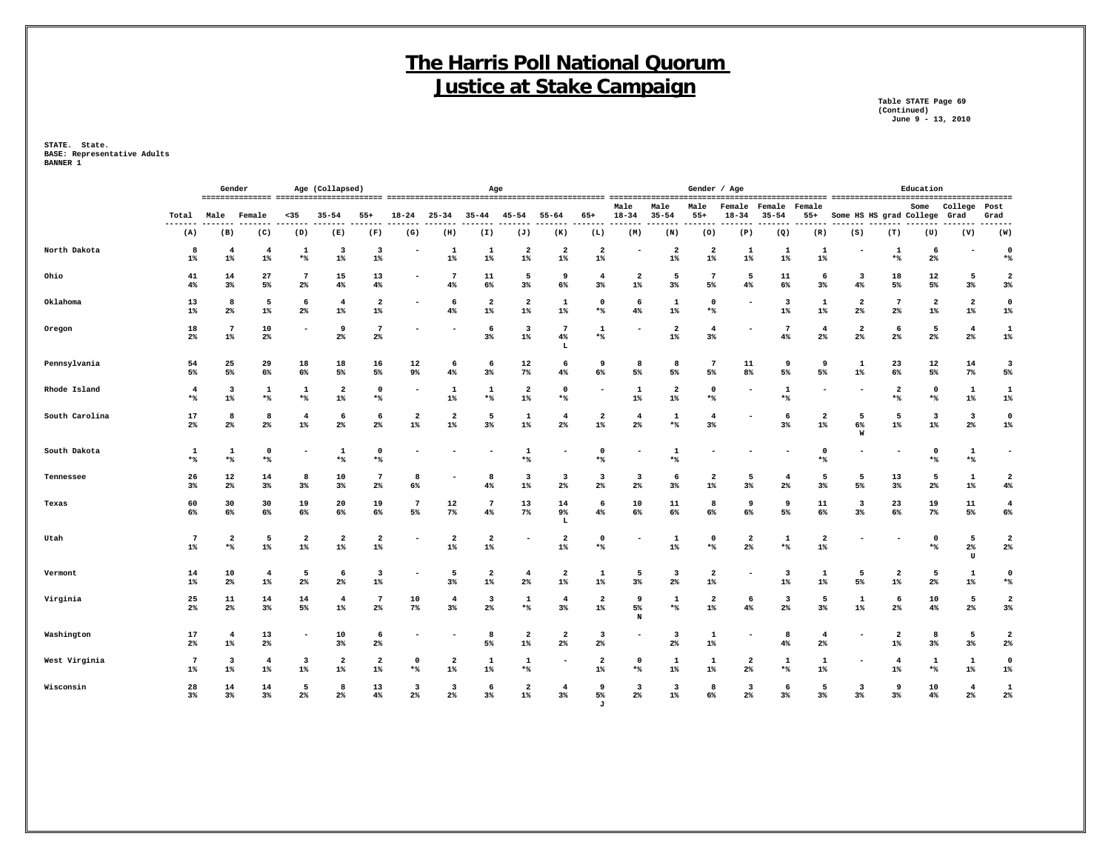**Table STATE Page 69 (Continued) June 9 - 13, 2010**

|                |                                                                | Gender<br>Age (Collapsed)        |                             |                                  |                                  |                                  |                                  |                                  | Age                              |                                  |                            |                                           |                                  |                                  | Gender / Age            |                               |                         |                                  |                                  |                                  | Education                        |                                  |                          |
|----------------|----------------------------------------------------------------|----------------------------------|-----------------------------|----------------------------------|----------------------------------|----------------------------------|----------------------------------|----------------------------------|----------------------------------|----------------------------------|----------------------------|-------------------------------------------|----------------------------------|----------------------------------|-------------------------|-------------------------------|-------------------------|----------------------------------|----------------------------------|----------------------------------|----------------------------------|----------------------------------|--------------------------|
|                | Total<br>Male<br>$35$<br>$35 - 54$<br>$55+$<br>Female<br>$---$ |                                  |                             |                                  |                                  |                                  | $18 - 24$                        | $25 - 34$                        | $35 - 44$                        | $45 - 54$                        | $55 - 64$                  | $65+$                                     | Male<br>$18 - 34$                | Male<br>$35 - 54$                | Male<br>$55+$           | Female<br>$18 - 34$           | Female<br>$35 - 54$     | Female<br>$55+$                  | Some HS HS grad College          |                                  | Some                             | College<br>Grad                  | Post<br>Grad             |
|                | (A)                                                            | (B)                              | (C)                         | (D)                              | (E)                              | (F)                              | (G)                              | (H)                              | (I)                              | (J)                              | (K)                        | (L)                                       | (M)                              | (N)                              | (0)                     | (P)                           | (Q)                     | (R)                              | (S)                              | (T)                              | (U)                              | (V)                              | .<br>(W)                 |
| North Dakota   | 8<br>$1\%$                                                     | 4<br>$1\%$                       | -4<br>$1\%$                 | 1<br>$*$ %                       | $\overline{\mathbf{3}}$<br>$1\%$ | 3<br>$1\%$                       |                                  | -1<br>$1\%$                      | 1<br>$1\%$                       | $\overline{a}$<br>$1\%$          | $\mathbf{2}$<br>$1\%$      | $\overline{2}$<br>$1\%$                   |                                  | $\overline{\mathbf{2}}$<br>$1\%$ | $\overline{a}$<br>$1\%$ | 1<br>$1\%$                    | 1<br>$1\%$              | 1<br>$1\%$                       |                                  | 1<br>$*$                         | 6<br>$2\%$                       |                                  | $\mathbf 0$<br>$*$ %     |
| Ohio           | 41<br>4%                                                       | 14<br>$3\%$                      | 27<br>5%                    | $7\phantom{.0}$<br>$2\%$         | 15<br>4%                         | 13<br>4%                         |                                  | 4%                               | 11<br>6%                         | 5<br>$3\%$                       | 9<br>6%                    | $\overline{4}$<br>3%                      | $\overline{\mathbf{2}}$<br>$1\%$ | 5<br>3%                          | 7<br>5%                 | 5<br>4%                       | 11<br>6%                | 6<br>$3\%$                       | 3<br>4%                          | 18<br>5%                         | 12<br>5%                         | 5<br>$3\%$                       | $\overline{2}$<br>3%     |
| Oklahoma       | 13<br>$1\%$                                                    | 8<br>$2\%$                       | 5<br>$1\%$                  | 6<br>$2\%$                       | 4<br>$1\%$                       | $\overline{\mathbf{2}}$<br>$1\%$ |                                  | 6<br>4%                          | $\overline{\mathbf{2}}$<br>$1\%$ | $\overline{a}$<br>$1\%$          | 1<br>$1\%$                 | $\mathbf 0$<br>*%                         | 6<br>4%                          | 1<br>$1\%$                       | $\Omega$<br>$*$         | ٠                             | -3<br>$1\%$             | 1<br>$1\%$                       | $\overline{\mathbf{2}}$<br>2%    | 7<br>$2\%$                       | $\overline{\mathbf{2}}$<br>$1\%$ | $\overline{2}$<br>$1\%$          | $\mathbf 0$<br>$1\%$     |
| Oregon         | 18<br>$2\%$                                                    | $\overline{7}$<br>$1\%$          | 10<br>$2\%$                 |                                  | 9<br>$2\%$                       | $\overline{7}$<br>$2\%$          |                                  |                                  | 6<br>3%                          | $\overline{\mathbf{3}}$<br>$1\%$ | $7\phantom{.0}$<br>4%<br>L | 1<br>*%                                   |                                  | $\overline{\mathbf{2}}$<br>1%    | $\overline{4}$<br>3%    |                               | 7<br>$4\%$              | $\overline{4}$<br>$2\%$          | $\overline{\mathbf{2}}$<br>$2\%$ | 6<br>$2\%$                       | 5<br>$2\%$                       | $\overline{4}$<br>$2\%$          | $\mathbf{1}$<br>$1\%$    |
| Pennsylvania   | 54<br>5%                                                       | 25<br>5%                         | 29<br>6%                    | 18<br>6%                         | 18<br>5%                         | 16<br>5%                         | 12<br>9%                         | 6<br>4%                          | 6<br>3%                          | 12<br>7%                         | 6<br>4%                    | 9<br>6%                                   | 8<br>5%                          | 8<br>5%                          | $7\phantom{.0}$<br>5%   | 11<br>8%                      | 9<br>5%                 | 9<br>5%                          | 1<br>$1\%$                       | 23<br>6%                         | 12<br>5%                         | 14<br>$7\%$                      | 3<br>5%                  |
| Rhode Island   | $\overline{4}$<br>*%                                           | 3<br>$1\%$                       | 1<br>$*$                    | 1<br>$*$ %                       | $\overline{2}$<br>$1\%$          | $\Omega$<br>$*$ %                |                                  | 1<br>$1\%$                       | 1<br>*%                          | $\overline{a}$<br>$1\%$          | $\mathbf 0$<br>$*$ %       |                                           | 1<br>$1\%$                       | $\overline{\mathbf{2}}$<br>$1\%$ | $\mathbf 0$<br>$*$ %    |                               | 1<br>$*$ %              |                                  |                                  | $\overline{\mathbf{2}}$<br>$*$   | $\mathbf 0$<br>$*$ %             | 1<br>$1\%$                       | 1<br>$1\%$               |
| South Carolina | 17<br>$2\%$                                                    | 8<br>$2\%$                       | -8<br>$2\%$                 | $\overline{4}$<br>$1\%$          | 6<br>$2\%$                       | 6<br>$2\%$                       | $\overline{a}$<br>$1\%$          | $\overline{2}$<br>$1\%$          | 5<br>3%                          | 1<br>$1\%$                       | $\overline{4}$<br>$2\%$    | $\overline{2}$<br>$1\%$                   | $\overline{4}$<br>$2\%$          | 1<br>$*$                         | $\overline{4}$<br>$3\%$ |                               | -6<br>$3\%$             | $\mathbf{2}$<br>1%               | 5<br>6%<br>W                     | 5<br>$1\%$                       | $\overline{\mathbf{3}}$<br>$1\%$ | $\overline{\mathbf{3}}$<br>$2\%$ | $\Omega$<br>$1\%$        |
| South Dakota   | 1<br>$*$                                                       | 1<br>$*$                         | $\Omega$<br>$*$             |                                  | 1<br>*%                          | $\mathbf 0$<br>$*$ %             |                                  |                                  |                                  | $\mathbf{1}$<br>$*$ %            |                            | $\mathbf 0$<br>$*$ %                      |                                  | 1<br>$*$                         |                         |                               |                         | $\mathbf 0$<br>$*$               |                                  |                                  | $\Omega$<br>$*$                  | 1<br>$*$                         | $\overline{\phantom{0}}$ |
| Tennessee      | 26<br>$3\%$                                                    | 12<br>2%                         | 14<br>$3\%$                 | 8<br>$3\%$                       | 10<br>3%                         | $\overline{7}$<br>$2\%$          | 8<br>6%                          |                                  | 8<br>4%                          | 3<br>$1\%$                       | 3<br>2%                    | $\overline{\mathbf{3}}$<br>$2\%$          | 3<br>$2\%$                       | 6<br>$3\%$                       | $\overline{2}$<br>$1\%$ | 5<br>$3\%$                    | $\overline{4}$<br>$2\%$ | 5<br>$3\%$                       | 5<br>5%                          | 13<br>$3\%$                      | 5<br>$2\%$                       | $\mathbf{1}$<br>$1\%$            | $\overline{2}$<br>4%     |
| Texas          | 60<br>6%                                                       | 30<br>6%                         | 30<br>6%                    | 19<br>6%                         | 20<br>6%                         | 19<br>6%                         | $7\phantom{.0}$<br>5%            | 12<br>$7\%$                      | $\overline{7}$<br>4%             | 13<br>$7\%$                      | 14<br>9%<br>L              | 6<br>4%                                   | 10<br>6%                         | 11<br>6%                         | 8<br>6%                 | 9<br>6%                       | 9<br>5%                 | 11<br>6%                         | 3<br>3%                          | 23<br>6%                         | 19<br>$7\%$                      | 11<br>$5\%$                      | $\overline{4}$<br>6%     |
| Utah           | $7\phantom{.0}$<br>$1\%$                                       | $\overline{a}$<br>**             | 5<br>$1\%$                  | $\overline{a}$<br>$1\%$          | $\overline{2}$<br>$1\%$          | $\overline{a}$<br>$1\%$          |                                  | $\overline{2}$<br>$1\%$          | $\overline{2}$<br>$1\%$          |                                  | $\overline{a}$<br>$1\%$    | $\mathbf 0$<br>$*$ %                      |                                  | 1<br>$1\%$                       | $\mathbf 0$<br>*%       | $\overline{\mathbf{2}}$<br>2% | $\mathbf{1}$<br>$*$     | $\overline{\mathbf{2}}$<br>$1\%$ |                                  |                                  | $\mathbf 0$<br>$*$ %             | 5<br>$2\%$<br>$\mathtt{U}$       | $\overline{2}$<br>$2\%$  |
| Vermont        | 14<br>$1\%$                                                    | 10<br>$2\%$                      | $\overline{4}$<br>$1\%$     | 5<br>$2\%$                       | 6<br>$2\%$                       | 3<br>$1\%$                       |                                  | 5<br>$3\%$                       | $\overline{\mathbf{2}}$<br>$1\%$ | $\overline{4}$<br>2%             | $\mathbf{2}$<br>$1\%$      | 1<br>$1\%$                                | 5<br>$3\%$                       | 3<br>$2\%$                       | $\overline{2}$<br>$1\%$ | $\overline{\phantom{a}}$      | 3<br>$1\%$              | 1<br>$1\%$                       | 5<br>5%                          | 2<br>$1\%$                       | 5<br>$2\%$                       | 1<br>$1\%$                       | $\mathbf 0$<br>$*$ %     |
| Virginia       | 25<br>$2\%$                                                    | 11<br>$2\%$                      | 14<br>3%                    | 14<br>5%                         | $\overline{4}$<br>$1\%$          | 7<br>$2\%$                       | 10<br>$7\%$                      | $\overline{4}$<br>3%             | -3<br>2%                         | 1<br>*%                          | $\overline{4}$<br>3%       | $\overline{\mathbf{2}}$<br>$1\%$          | 9<br>5%<br>N                     | 1<br>$*$                         | 2<br>$1\%$              | 6<br>$4\%$                    | 3<br>2%                 | 5<br>3%                          | 1<br>$1\%$                       | 6<br>2%                          | 10<br>4%                         | 5<br>$2\%$                       | $\overline{2}$<br>$3\%$  |
| Washington     | 17<br>$2\%$                                                    | $\overline{4}$<br>$1\%$          | 13<br>$2\%$                 |                                  | 10<br>3%                         | 6<br>$2\%$                       |                                  |                                  | 8<br>5%                          | $\overline{a}$<br>$1\%$          | $\mathbf{2}$<br>2%         | $\overline{\mathbf{3}}$<br>2 <sup>°</sup> |                                  | 3<br>$2\%$                       | 1<br>$1\%$              |                               | -8<br>4%                | $\overline{4}$<br>$2\%$          |                                  | $\overline{\mathbf{2}}$<br>$1\%$ | 8<br>$3\%$                       | - 5<br>$3\%$                     | $\overline{2}$<br>$2\%$  |
| West Virginia  | $7\phantom{.0}$<br>$1\%$                                       | $\overline{\mathbf{3}}$<br>$1\%$ | $\overline{\bf 4}$<br>$1\%$ | $\overline{\mathbf{3}}$<br>$1\%$ | $\overline{2}$<br>$1\%$          | $\overline{a}$<br>$1\%$          | $^{\circ}$<br>*%                 | $\overline{2}$<br>$1\%$          | 1<br>$1\%$                       | 1<br>*%                          |                            | $\overline{2}$<br>$1\%$                   | $\Omega$<br>*%                   | 1<br>$1\%$                       | 1<br>$1\%$              | $\mathbf{2}$<br>$2\%$         | 1<br>*%                 | 1<br>$1\%$                       |                                  | $\overline{4}$<br>$1\%$          | 1<br>$*$                         | 1<br>$1\%$                       | $\mathbf 0$<br>$1\%$     |
| Wisconsin      | 28<br>3%                                                       | 14<br>3%                         | 14<br>$3\%$                 | - 5<br>$2\%$                     | 8<br>$2\%$                       | 13<br>$4\%$                      | $\overline{\mathbf{3}}$<br>$2\%$ | $\overline{\mathbf{3}}$<br>$2\%$ | -6<br>3%                         | $\overline{a}$<br>$1\%$          | $\overline{4}$<br>3%       | 9<br>5%<br>J                              | 3<br>$2\%$                       | $\overline{\mathbf{3}}$<br>$1\%$ | 8<br>6%                 | $\overline{\mathbf{3}}$<br>2% | 6<br>3%                 | 5<br>$3\%$                       | $\overline{\mathbf{3}}$<br>$3\%$ | 9<br>3%                          | 10<br>4%                         | $\overline{4}$<br>$2\%$          | 1<br>2%                  |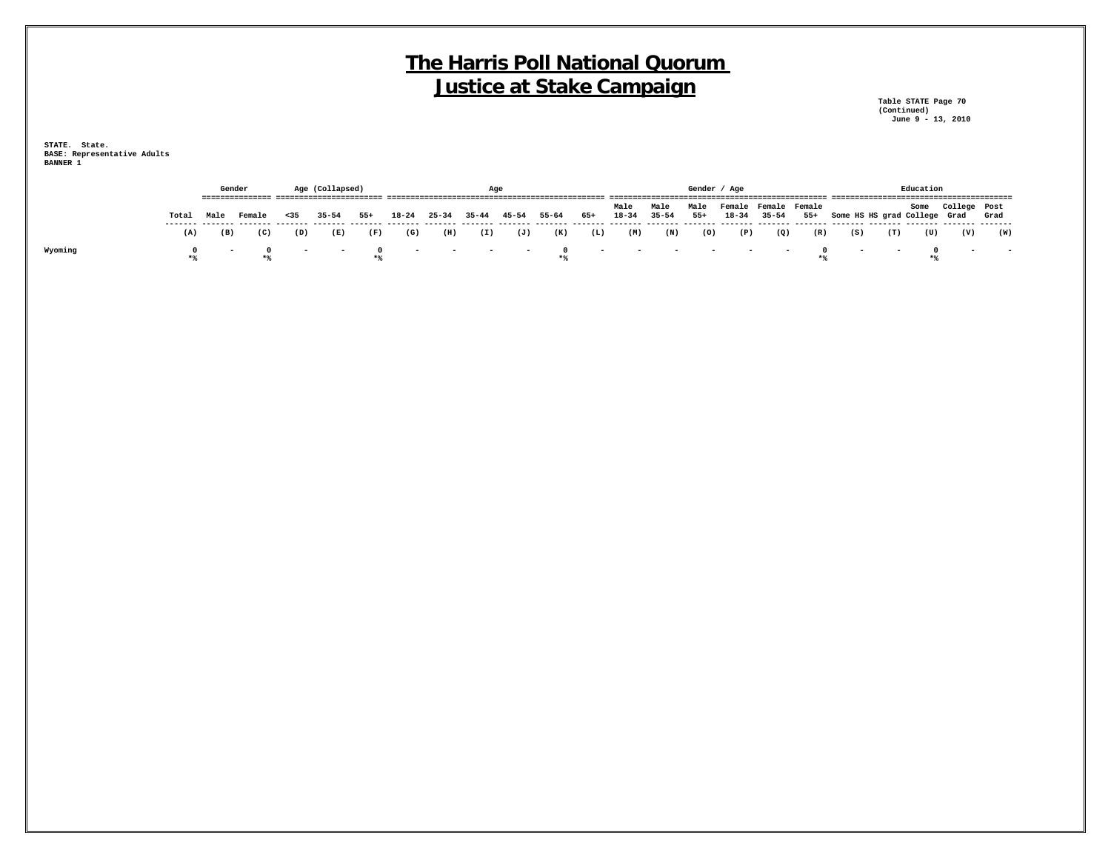**Table STATE Page 70 (Continued) June 9 - 13, 2010**

|         |       |      | Gender                          |      | Age (Collapsed)<br>------------------------ |                     |                            |           | Aqe                                         |       |                   |                         |                   |                                                                                                                                                                                                                               | Gender / Age  |                                   |           |       |                              |     | Education |              |        |
|---------|-------|------|---------------------------------|------|---------------------------------------------|---------------------|----------------------------|-----------|---------------------------------------------|-------|-------------------|-------------------------|-------------------|-------------------------------------------------------------------------------------------------------------------------------------------------------------------------------------------------------------------------------|---------------|-----------------------------------|-----------|-------|------------------------------|-----|-----------|--------------|--------|
|         | Tota. | Male | ---------------<br>Female       | < 35 | $35 - 54$                                   | $55+$               | $18 - 24$                  | $25 - 34$ | $35 - 44$                                   | 45-54 | 55-64             | 65+                     | Male<br>$18 - 34$ | Male<br>$35 - 54$                                                                                                                                                                                                             | Male<br>$55+$ | Female Female Female<br>$18 - 34$ | $35 - 54$ | $55+$ | Some HS HS grad College Grad |     | Some      | College Post | Grad   |
|         | (A)   | (B)  | (C)                             | (D)  | (E)                                         | (F)                 | (G)                        | (H)       | (I)                                         | (J)   | (K)               | (L)                     | (M)               | (N)                                                                                                                                                                                                                           | (O)           | (P)                               | (Q)       | (R)   | (S)                          | (T) | (U)       | (V)          | (W)    |
| Wyoming | $*$   |      | $\overline{\phantom{0}}$<br>$*$ |      | $\sim$                                      | $\sqrt{2}$<br>$*$ % | and the state of the state |           | the company's company's company's company's |       | $\Omega$<br>$*$ % | and the contract of the |                   | the company of the company of the company of the company of the company of the company of the company of the company of the company of the company of the company of the company of the company of the company of the company |               |                                   | $-$       |       | $\overline{\phantom{0}}$     |     |           | $\sim$       | $\sim$ |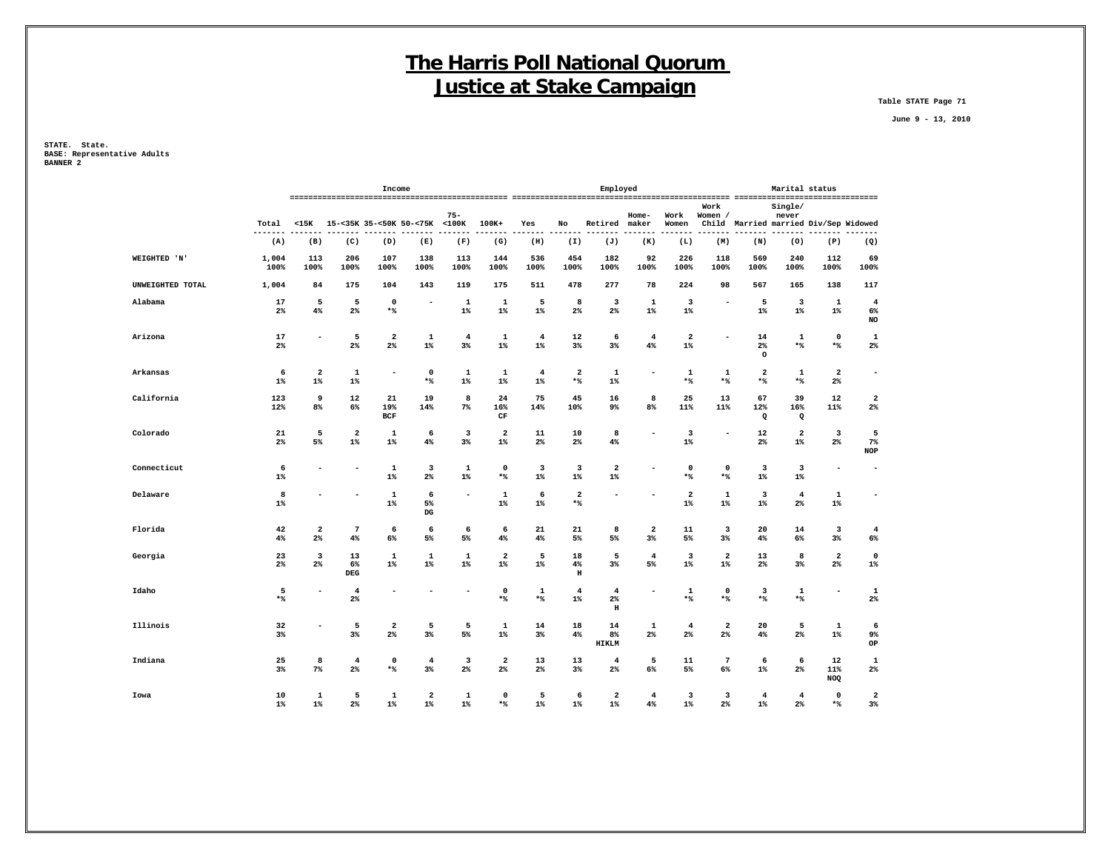**Table STATE Page 71**

 **June 9 - 13, 2010**

|                  |                   |                              |                                  | Income                           |                               |                                           |                                  |                                  |                                  | Employed                                |                                  |                         |                       |                                          | Marital status                   |                          |                                  |
|------------------|-------------------|------------------------------|----------------------------------|----------------------------------|-------------------------------|-------------------------------------------|----------------------------------|----------------------------------|----------------------------------|-----------------------------------------|----------------------------------|-------------------------|-----------------------|------------------------------------------|----------------------------------|--------------------------|----------------------------------|
|                  | Total             | $15K$                        |                                  |                                  | 15-<35K 35-<50K 50-<75K <100K | $75 -$                                    | 100K+                            | Yes                              | No                               | Retired                                 | Home-<br>maker                   | Work<br>Women           | Work<br>Women /       | Child Married married Div/Sep Widowed    | Single/<br>never                 |                          |                                  |
|                  | (A)               | (B)                          | (C)                              | (D)                              | (E)                           | (F)                                       | (G)                              | (H)                              | (I)                              | (J)                                     | (K)                              | (L)                     | (M)                   | (N)                                      | (0)                              | (P)                      | (Q)                              |
| WEIGHTED 'N'     | 1,004<br>100%     | 113<br>100%                  | 206<br>100%                      | 107<br>100%                      | 138<br>100%                   | 113<br>100%                               | 144<br>100%                      | 536<br>100%                      | 454<br>100%                      | 182<br>100%                             | 92<br>100%                       | 226<br>100%             | 118<br>100%           | 569<br>100%                              | 240<br>100%                      | 112<br>100%              | 69<br>100%                       |
| UNWEIGHTED TOTAL | 1,004             | 84                           | 175                              | 104                              | 143                           | 119                                       | 175                              | 511                              | 478                              | 277                                     | 78                               | 224                     | 98                    | 567                                      | 165                              | 138                      | 117                              |
| Alabama          | 17<br>$2\%$       | 5<br>4%                      | 5<br>$2\%$                       | $\mathbf 0$<br>$*$ %             | $\overline{a}$                | 1<br>$1\%$                                | 1<br>$1\%$                       | 5<br>$1\%$                       | 8<br>$2\%$                       | 3<br>$2\%$                              | 1<br>$1\%$                       | 3<br>$1\%$              |                       | 5<br>$1\%$                               | 3<br>$1\%$                       | 1<br>$1\%$               | $\overline{4}$<br>6%<br>NO       |
| Arizona          | 17<br>$2\%$       | $\qquad \qquad \blacksquare$ | 5<br>$2\%$                       | $\overline{\mathbf{2}}$<br>$2\%$ | 1<br>$1\%$                    | 4<br>3%                                   | 1<br>$1\%$                       | $\overline{4}$<br>$1\%$          | 12<br>3 <sup>8</sup>             | 6<br>$3\%$                              | $\overline{4}$<br>4%             | 2<br>$1\%$              |                       | 14<br>$2\%$<br>$\circ$                   | 1<br>$*$                         | 0<br>$*$                 | 1<br>$2\%$                       |
| Arkansas         | 6<br>$1\%$        | $\mathbf{2}$<br>$1\%$        | 1<br>$1\%$                       |                                  | 0<br>$\star$ $\!8$            | $\mathbf{1}$<br>$1\%$                     | 1<br>$1\%$                       | $\overline{4}$<br>$1\%$          | $\mathbf{2}$<br>$*$              | 1<br>$1\%$                              | ۰                                | $\mathbf 1$<br>$*$      | 1<br>$*$ %            | $\overline{\mathbf{2}}$<br>$\star$ $\!8$ | $\mathbf 1$<br>$*$               | $\mathbf{2}$<br>$2\%$    | $\overline{\phantom{a}}$         |
| California       | 123<br>12%        | 9<br>8%                      | 12<br>6%                         | 21<br>19%<br><b>BCF</b>          | 19<br>14%                     | 8<br>$7\%$                                | 24<br>16%<br>$\rm CF$            | 75<br>14%                        | 45<br>10%                        | 16<br>9%                                | 8<br>8%                          | 25<br>11%               | 13<br>11%             | 67<br>12%<br>Q                           | 39<br>16%<br>$\Omega$            | 12<br>11%                | $\overline{\mathbf{2}}$<br>$2\%$ |
| Colorado         | 21<br>2%          | 5<br>5%                      | $\overline{\mathbf{2}}$<br>$1\%$ | 1<br>$1\%$                       | 6<br>4%                       | 3<br>3%                                   | $\overline{\mathbf{2}}$<br>$1\%$ | 11<br>$2\%$                      | 10<br>$2\%$                      | 8<br>4%                                 | ۰                                | 3<br>$1\%$              | $\blacksquare$        | 12<br>$2\%$                              | $\overline{\mathbf{2}}$<br>$1\%$ | 3<br>$2\%$               | 5<br>7%<br><b>NOP</b>            |
| Connecticut      | 6<br>$1\%$        | $\overline{\phantom{a}}$     |                                  | $\mathbf 1$<br>$1\%$             | 3<br>$2\%$                    | 1<br>$1\%$                                | $\mathbf 0$<br>$*$               | $\overline{\mathbf{3}}$<br>$1\%$ | $\overline{\mathbf{3}}$<br>$1\%$ | $\overline{\mathbf{2}}$<br>$1\%$        | ۰                                | $\mathbf 0$<br>$*$      | 0<br>*%               | $\overline{\mathbf{3}}$<br>$1\%$         | $\overline{\mathbf{3}}$<br>$1\%$ | $\overline{\phantom{a}}$ | $\overline{\phantom{a}}$         |
| Delaware         | 8<br>$1\%$        | $\overline{\phantom{a}}$     |                                  | $\mathbf{1}$<br>$1\%$            | 6<br>5%<br>$_{\rm DG}$        | $\overline{\phantom{a}}$                  | $\mathbf 1$<br>$1\%$             | 6<br>$1\%$                       | $\mathbf{2}$<br>$*$ %            | $\overline{\phantom{a}}$                | $\overline{a}$                   | $\overline{a}$<br>$1\%$ | $\mathbf 1$<br>$1\%$  | 3<br>$1\%$                               | $\overline{4}$<br>$2\%$          | $\mathbf 1$<br>$1\%$     | $\overline{\phantom{a}}$         |
| Florida          | 42<br>4%          | $\mathbf{2}$<br>2%           | $7\phantom{.0}$<br>4%            | 6<br>6%                          | 6<br>$5\%$                    | 6<br>5%                                   | 6<br>$4\%$                       | 21<br>4%                         | 21<br>5%                         | 8<br>5%                                 | $\overline{\mathbf{2}}$<br>$3\%$ | 11<br>5%                | 3<br>$3\%$            | 20<br>$4\%$                              | 14<br>6%                         | 3<br>$3\%$               | $\overline{4}$<br>6%             |
| Georgia          | 23<br>$2\%$       | 3<br>2%                      | 13<br>6%<br><b>DEG</b>           | 1<br>$1\%$                       | 1<br>$1\%$                    | 1<br>$1\%$                                | $\overline{\mathbf{2}}$<br>$1\%$ | 5<br>$1\%$                       | 18<br>$4\%$<br>$\, {\bf H}$      | 5<br>3%                                 | $\overline{4}$<br>5%             | 3<br>$1\%$              | 2<br>$1\%$            | 13<br>$2\%$                              | 8<br>3%                          | 2<br>$2\%$               | 0<br>$1\%$                       |
| Idaho            | 5<br>$\star$ $\!$ | $\overline{\phantom{a}}$     | $\overline{4}$<br>$2\%$          |                                  |                               |                                           | $\mathbf 0$<br>$*$               | 1<br>$\star$ $\!\!$              | $\overline{4}$<br>$1\%$          | $\overline{4}$<br>$2\%$<br>$\, {\rm H}$ | $\overline{\phantom{a}}$         | 1<br>$*$                | $\mathbf 0$<br>$*$ %  | 3<br>$\star$ $\!8$                       | $\mathbf{1}$<br>$*$              | $\overline{\phantom{a}}$ | 1<br>$2\%$                       |
| Illinois         | 32<br>$3\%$       |                              | 5<br>3%                          | $\overline{\mathbf{2}}$<br>$2\%$ | 5<br>$3\%$                    | 5<br>5%                                   | 1<br>$1\%$                       | 14<br>$3\%$                      | 18<br>4%                         | 14<br>8%<br><b>HIKLM</b>                | 1<br>$2\%$                       | 4<br>$2\%$              | 2<br>$2\%$            | 20<br>$4\%$                              | 5<br>$2\%$                       | $\mathbf{1}$<br>$1\%$    | 6<br>9%<br>OP                    |
| Indiana          | 25<br>3%          | 8<br>$7\%$                   | $\overline{4}$<br>$2\%$          | $\mathbf 0$<br>$*$               | $\overline{4}$<br>$3\%$       | $\overline{\mathbf{3}}$<br>2 <sup>8</sup> | $\overline{\mathbf{2}}$<br>$2\%$ | 13<br>$2\%$                      | 13<br>3%                         | $\overline{\mathbf{4}}$<br>$2\%$        | 5<br>6%                          | 11<br>5%                | $7\phantom{.0}$<br>6% | 6<br>$1\%$                               | 6<br>$2\%$                       | 12<br>11%<br>NOQ         | 1<br>$2\%$                       |
| Iowa             | 10<br>$1\%$       | 1<br>$1\%$                   | 5<br>2%                          | 1<br>$1\%$                       | 2<br>$1\%$                    | 1<br>$1\%$                                | 0<br>$*$                         | 5<br>$1\%$                       | 6<br>$1\%$                       | $\overline{\mathbf{2}}$<br>$1\%$        | $\overline{4}$<br>4%             | 3<br>$1\%$              | 3<br>2%               | $\overline{4}$<br>$1\%$                  | $\overline{4}$<br>2 <sup>8</sup> | 0<br>$*$                 | $\overline{\mathbf{2}}$<br>$3\%$ |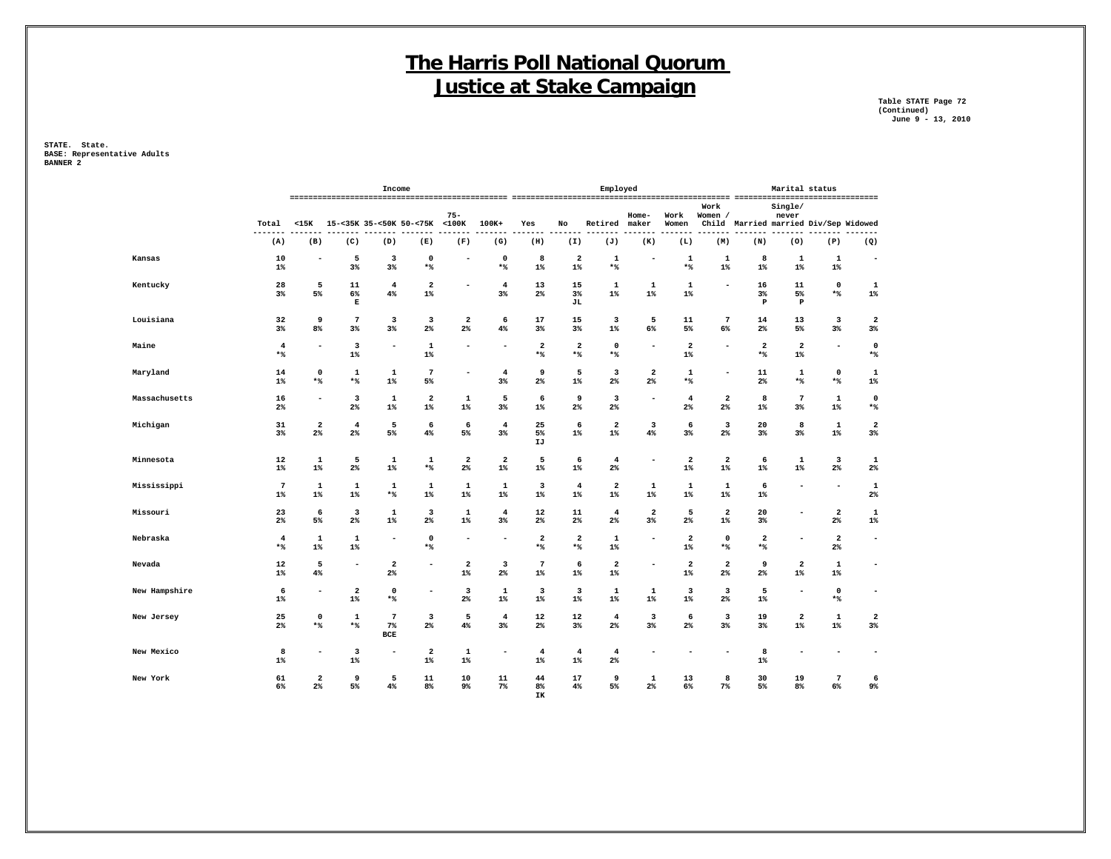**Table STATE Page 72 (Continued) June 9 - 13, 2010**

**STATE. State. BASE: Representative Adults BANNER 2**

|        |               |                         |                                  |                                  | Income                              |                                  |                       |                                  |                                |                                  | Employed                         |                                  |                                  |                                  |                                       | Marital status                   |                                           |                                  |
|--------|---------------|-------------------------|----------------------------------|----------------------------------|-------------------------------------|----------------------------------|-----------------------|----------------------------------|--------------------------------|----------------------------------|----------------------------------|----------------------------------|----------------------------------|----------------------------------|---------------------------------------|----------------------------------|-------------------------------------------|----------------------------------|
|        |               | Total<br>---            | $<$ 15K                          | 15-<35K 35-<50K 50-<75K <100K    |                                     |                                  | $75 -$                | 100K+                            | Yes                            | No                               | Retired                          | Home-<br>maker                   | Work<br>Women                    | Work<br>Women /                  | Child Married married Div/Sep Widowed | Single/<br>never                 |                                           | .                                |
|        |               | (A)                     | (B)                              | (C)                              | (D)                                 | (E)                              | (F)                   | (G)                              | (H)                            | (I)                              | (J)                              | (K)                              | (L)                              | (M)                              | (N)                                   | (0)                              | (P)                                       | (Q)                              |
| Kansas |               | 10<br>1%                | ۰                                | 5<br>3%                          | 3<br>3%                             | $\mathbf 0$<br>$*$               |                       | $\mathbf 0$<br>$*$               | 8<br>$1\%$                     | $\overline{\mathbf{2}}$<br>$1\%$ | $\mathbf 1$<br>$*$ %             |                                  | 1<br>$*$ %                       | 1<br>$1\%$                       | 8<br>$1\%$                            | 1<br>$1\%$                       | 1<br>$1\%$                                | ٠                                |
|        | Kentucky      | 28<br>$3\%$             | 5<br>5%                          | $11\,$<br>6%<br>$\mathbf E$      | $\overline{4}$<br>4%                | $\overline{\mathbf{2}}$<br>$1\%$ |                       | $\overline{4}$<br>3%             | 13<br>$2\%$                    | 15<br>3%<br>JL                   | $\mathbf{1}$<br>$1\%$            | $\mathbf 1$<br>$1\%$             | $\mathbf{1}$<br>$1\%$            |                                  | 16<br>$3\%$<br>$\, {\bf P}$           | 11<br>5%<br>$\, {\bf P}$         | $\mathbf 0$<br>$*$                        | $\mathbf{1}$<br>$1\%$            |
|        | Louisiana     | 32<br>3%                | 9<br>8%                          | 7<br>$3\%$                       | 3<br>3%                             | 3<br>$2\%$                       | 2<br>2 <sup>8</sup>   | 6<br>4%                          | 17<br>$3\%$                    | 15<br>3%                         | 3<br>$1\%$                       | 5<br>6%                          | 11<br>5%                         | 7<br>6%                          | 14<br>$2\%$                           | 13<br>5%                         | 3<br>3%                                   | $\mathbf 2$<br>$3\%$             |
| Maine  |               | $\overline{4}$<br>$*$   | ۰                                | 3<br>$1\%$                       | $\sim$                              | 1<br>$1\%$                       |                       |                                  | $\overline{\mathbf{2}}$<br>$*$ | $\overline{a}$<br>$*$            | $\mathbf 0$<br>$*$               | ۰                                | $\overline{\mathbf{2}}$<br>$1\%$ | ۰                                | $\mathbf{2}$<br>$*$                   | $\overline{\mathbf{2}}$<br>$1\%$ | ۰                                         | 0<br>$*$                         |
|        | Maryland      | 14<br>$1\%$             | $\mathbf 0$<br>$*$               | $\mathbf 1$<br>$*$ %             | 1<br>$1\%$                          | 7<br>$5\%$                       | ۰                     | $\overline{4}$<br>$3\%$          | 9<br>$2\%$                     | 5<br>$1\%$                       | 3<br>2%                          | $\overline{\mathbf{2}}$<br>$2\%$ | $\mathbf{1}$<br>$*$ %            | ۰                                | 11<br>$2\%$                           | 1<br>$*$ %                       | $\mathbf 0$<br>$*$                        | $\mathbf{1}$<br>$1\%$            |
|        | Massachusetts | 16<br>2%                | $\overline{a}$                   | 3<br>$2\%$                       | 1<br>$1\%$                          | $\overline{\mathbf{2}}$<br>$1\%$ | $\mathbf{1}$<br>$1\%$ | 5<br>$3\%$                       | 6<br>$1\%$                     | 9<br>2%                          | 3<br>$2\%$                       |                                  | $\overline{4}$<br>2%             | 2<br>2%                          | 8<br>$1\%$                            | $7\phantom{.0}$<br>$3\%$         | $\mathbf 1$<br>$1\%$                      | $\mathbf 0$<br>$*$               |
|        | Michigan      | 31<br>3%                | $\overline{\mathbf{2}}$<br>2%    | $\overline{4}$<br>2 <sup>°</sup> | 5<br>5%                             | 6<br>4%                          | 6<br>5%               | $\overline{4}$<br>$3\%$          | 25<br>5%<br>IJ                 | 6<br>$1\%$                       | $\mathbf{2}$<br>$1\%$            | 3<br>4%                          | 6<br>3%                          | 3<br>2%                          | 20<br>3%                              | 8<br>3%                          | $\mathbf 1$<br>$1\%$                      | $\overline{\mathbf{2}}$<br>$3\%$ |
|        | Minnesota     | 12<br>$1\%$             | $\mathbf 1$<br>$1\%$             | 5<br>$2\%$                       | $\mathbf{1}$<br>$1\%$               | $\mathbf{1}$<br>$\star$ $\!8$    | $\mathbf{2}$<br>$2\%$ | $\overline{\mathbf{2}}$<br>$1\%$ | 5<br>$1\%$                     | 6<br>$1\%$                       | $\overline{4}$<br>$2\%$          | $\overline{a}$                   | $\overline{\mathbf{2}}$<br>$1\%$ | 2<br>$1\%$                       | 6<br>$1\%$                            | $\mathbf 1$<br>$1\%$             | 3<br>$2\%$                                | $\mathbf{1}$<br>$2\%$            |
|        | Mississippi   | $\overline{7}$<br>$1\%$ | $\mathbf{1}$<br>$1\%$            | $\mathbf 1$<br>$1\%$             | $\mathbf 1$<br>$*$                  | $\mathbf{1}$<br>$1\%$            | $\mathbf{1}$<br>$1\%$ | $\mathbf 1$<br>$1\%$             | 3<br>$1\%$                     | $\overline{4}$<br>$1\%$          | $\overline{\mathbf{2}}$<br>$1\%$ | $\mathbf 1$<br>$1\%$             | $\mathbf{1}$<br>$1\%$            | $\mathbf{1}$<br>$1\%$            | 6<br>$1\%$                            |                                  | ٠                                         | $\mathbf{1}$<br>$2\%$            |
|        | Missouri      | 23<br>$2\%$             | 6<br>5%                          | 3<br>$2\%$                       | $\mathbf 1$<br>$1\%$                | 3<br>$2\%$                       | $\mathbf{1}$<br>$1\%$ | $\overline{4}$<br>$3\%$          | 12<br>$2\%$                    | 11<br>2%                         | $\overline{\mathbf{4}}$<br>2%    | $\overline{\mathbf{2}}$<br>$3\%$ | 5<br>2 <sup>°</sup>              | $\mathbf{2}$<br>$1\%$            | 20<br>$3\%$                           | $\overline{\phantom{0}}$         | $\overline{\mathbf{2}}$<br>$2\%$          | $\mathbf{1}$<br>1%               |
|        | Nebraska      | $\overline{4}$<br>$*$ % | $\mathbf{1}$<br>$1\%$            | 1<br>$1\%$                       |                                     | $\mathbf{o}$<br>$*$              |                       |                                  | $\overline{\mathbf{2}}$<br>$*$ | 2<br>$*$                         | 1<br>$1\%$                       | $\overline{\phantom{a}}$         | $\overline{\mathbf{2}}$<br>$1\%$ | $\Omega$<br>$*$                  | 2<br>$*$                              |                                  | $\overline{\mathbf{2}}$<br>2 <sup>8</sup> | $\overline{\phantom{a}}$         |
| Nevada |               | 12<br>$1\%$             | 5<br>4%                          |                                  | $\mathbf{2}$<br>$2\%$               | $\overline{a}$                   | 2<br>$1\%$            | 3<br>$2\%$                       | $7\phantom{.0}$<br>$1\%$       | 6<br>$1\%$                       | $\mathbf{2}$<br>$1\%$            |                                  | $\overline{\mathbf{2}}$<br>$1\%$ | 2<br>2%                          | 9<br>$2\%$                            | $\overline{\mathbf{2}}$<br>$1\%$ | 1<br>$1\%$                                | $\overline{\phantom{a}}$         |
|        | New Hampshire | 6<br>$1\%$              | ۰                                | $\overline{\mathbf{2}}$<br>$1\%$ | $\mathbf 0$<br>$*$ %                | ۰                                | 3<br>$2\%$            | 1<br>$1\%$                       | 3<br>$1\%$                     | 3<br>$1\%$                       | $\mathbf 1$<br>$1\%$             | 1<br>$1\%$                       | 3<br>$1\%$                       | $\overline{\mathbf{3}}$<br>$2\%$ | 5<br>$1\%$                            | $\overline{\phantom{a}}$         | $\mathbf 0$<br>$\star$ $\!8$              | $\overline{\phantom{a}}$         |
|        | New Jersey    | 25<br>2%                | $\mathbf 0$<br>$*$               | $\mathbf{1}$<br>$*$ %            | $7\phantom{.0}$<br>7%<br><b>BCE</b> | $\overline{\mathbf{3}}$<br>$2\%$ | 5<br>$4\%$            | $\overline{4}$<br>$3\%$          | 12<br>$2\%$                    | 12<br>3%                         | $\overline{4}$<br>2%             | $\overline{\mathbf{3}}$<br>$3\%$ | 6<br>2%                          | 3<br>3%                          | 19<br>$3\%$                           | $\overline{\mathbf{2}}$<br>$1\%$ | $\mathbf 1$<br>$1\%$                      | $\overline{\mathbf{2}}$<br>$3\%$ |
|        | New Mexico    | 8<br>$1\%$              | $\overline{\phantom{a}}$         | 3<br>$1\%$                       | $\overline{\phantom{a}}$            | $\overline{\mathbf{2}}$<br>$1\%$ | $\mathbf 1$<br>$1\%$  |                                  | $\overline{4}$<br>$1\%$        | $\overline{4}$<br>$1\%$          | $\overline{4}$<br>2%             |                                  |                                  | ۰                                | 8<br>$1\%$                            |                                  |                                           | ٠                                |
|        | New York      | 61<br>6%                | $\overline{a}$<br>2 <sup>8</sup> | 9<br>5%                          | 5<br>4%                             | 11<br>8 <sup>°</sup>             | 10<br>9%              | 11<br>$7\%$                      | 44<br>8%                       | 17<br>4%                         | 9<br>5%                          | 1<br>2 <sup>°</sup>              | 13<br>6%                         | 8<br>$7\%$                       | 30<br>5%                              | 19<br>8%                         | $\overline{7}$<br>6%                      | 6<br>9%                          |

 **IK**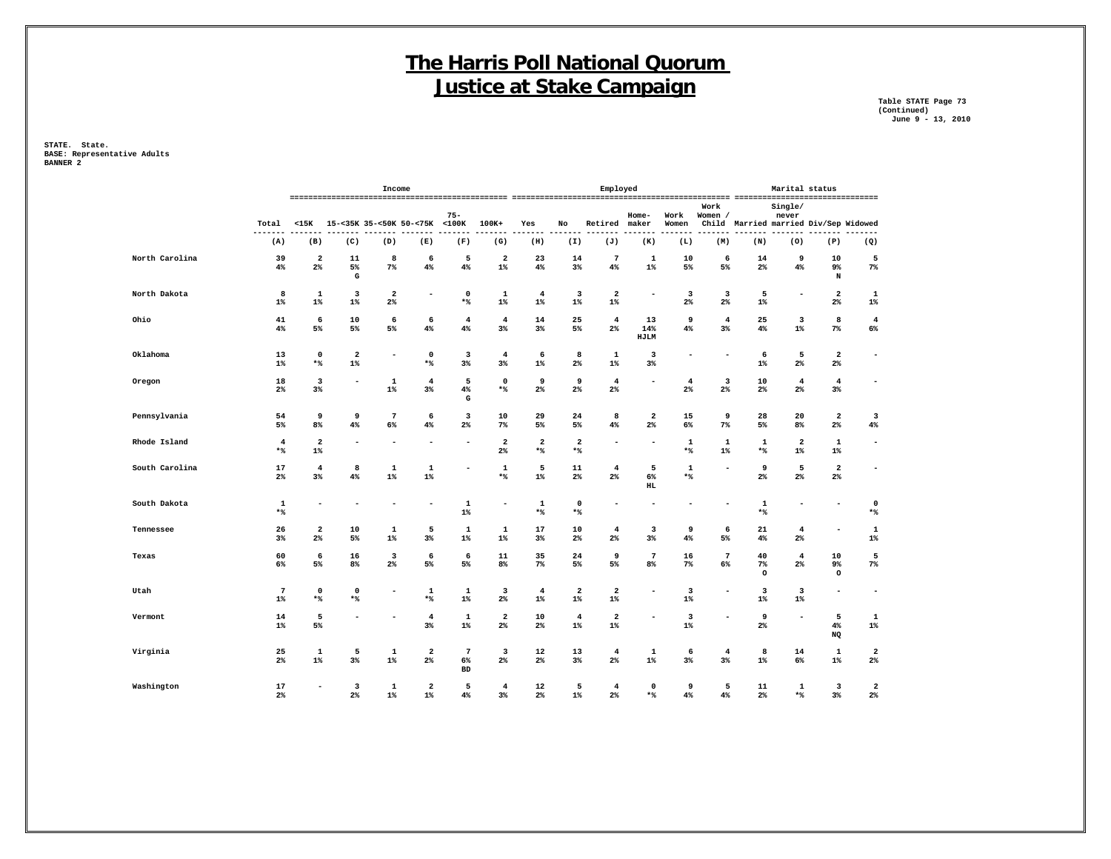**Table STATE Page 73 (Continued) June 9 - 13, 2010**

|                |                                |                                  |                                  | Income                         |                                  |                                    |                                           |                                |                                  | Employed                         |                                  |                         |                                           |                                       | Marital status                   |                                  |                                  |
|----------------|--------------------------------|----------------------------------|----------------------------------|--------------------------------|----------------------------------|------------------------------------|-------------------------------------------|--------------------------------|----------------------------------|----------------------------------|----------------------------------|-------------------------|-------------------------------------------|---------------------------------------|----------------------------------|----------------------------------|----------------------------------|
|                | Total<br>$- - - -$             | $15K$                            |                                  |                                | 15-<35K 35-<50K 50-<75K <100K    | $75 -$                             | 100K+                                     | Yes                            | No                               | Retired                          | Home-<br>maker                   | Work<br>Women           | Work<br>Women /                           | Child Married married Div/Sep Widowed | Single/<br>never                 |                                  |                                  |
|                | (A)                            | (B)                              | (C)                              | (D)                            | (E)                              | (F)                                | (G)                                       | (H)                            | (I)                              | (J)                              | (K)                              | (L)                     | (M)                                       | (N)                                   | (0)                              | (P)                              | (Q)                              |
| North Carolina | 39<br>4%                       | $\overline{\mathbf{2}}$<br>$2\%$ | 11<br>5%<br>G                    | 8<br>$7\%$                     | 6<br>4%                          | 5<br>$4\%$                         | $\overline{2}$<br>$1\%$                   | 23<br>4%                       | 14<br>3%                         | 7<br>4%                          | 1<br>$1\%$                       | 10<br>5%                | 6<br>5%                                   | 14<br>$2\%$                           | 9<br>4%                          | 10<br>9%<br>N                    | 5<br>$7\%$                       |
| North Dakota   | 8<br>$1\%$                     | 1<br>$1\%$                       | 3<br>$1\%$                       | $\mathbf{2}$<br>2 <sup>8</sup> | $\overline{a}$                   | 0<br>$*$ %                         | 1<br>$1\%$                                | $\overline{4}$<br>$1\%$        | 3<br>$1\%$                       | $\overline{\mathbf{2}}$<br>$1\%$ | $\overline{a}$                   | 3<br>2 <sup>°</sup>     | 3<br>$2\%$                                | 5<br>$1\%$                            |                                  | $\overline{\mathbf{2}}$<br>$2\%$ | $\mathbf 1$<br>$1\%$             |
| Ohio           | 41<br>4%                       | 6<br>5%                          | 10<br>5%                         | 6<br>5%                        | 6<br>4%                          | $\overline{4}$<br>4%               | $\overline{\mathbf{4}}$<br>3%             | 14<br>$3\%$                    | 25<br>5%                         | $\overline{4}$<br>2 <sup>°</sup> | 13<br>14%<br>HJLM                | 9<br>4%                 | $\overline{\mathbf{4}}$<br>3 <sup>8</sup> | 25<br>4%                              | 3<br>$1\%$                       | 8<br>$7\%$                       | $\overline{4}$<br>$6\%$          |
| Oklahoma       | 13<br>$1\%$                    | $\mathbf 0$<br>*%                | $\overline{\mathbf{2}}$<br>$1\%$ | $\blacksquare$                 | $\mathbf 0$<br>$*$               | $\overline{\mathbf{3}}$<br>$3\%$   | $\overline{\mathbf{4}}$<br>$3\%$          | 6<br>$1\%$                     | 8<br>$2\%$                       | $\mathbf{1}$<br>$1\%$            | 3<br>3%                          |                         | ۰                                         | 6<br>$1\%$                            | 5<br>$2\%$                       | $\overline{\mathbf{2}}$<br>$2\%$ | $\overline{\phantom{a}}$         |
| Oregon         | 18<br>$2\%$                    | 3<br>$3\%$                       |                                  | $\mathbf 1$<br>$1\%$           | $\overline{\mathbf{4}}$<br>$3\%$ | 5<br>$4\%$<br>${\bf G}$            | $\mathbf 0$<br>$*$                        | 9<br>$2\%$                     | 9<br>$2\%$                       | $\overline{4}$<br>$2\%$          | ٠                                | $\overline{4}$<br>$2\%$ | 3<br>$2\%$                                | 10<br>$2\%$                           | $\overline{\mathbf{4}}$<br>$2\%$ | $\overline{4}$<br>$3\%$          | $\overline{\phantom{0}}$         |
| Pennsylvania   | 54<br>5%                       | 9<br>8%                          | 9<br>4%                          | $7\phantom{.0}$<br>6%          | 6<br>4%                          | 3<br>$2\%$                         | 10<br>$7\%$                               | 29<br>5%                       | 24<br>5%                         | 8<br>4%                          | $\overline{\mathbf{2}}$<br>$2\%$ | 15<br>6%                | 9<br>7%                                   | 28<br>5%                              | 20<br>8%                         | $\overline{\mathbf{2}}$<br>$2\%$ | 3<br>4%                          |
| Rhode Island   | $\overline{\mathbf{4}}$<br>$*$ | $\overline{\mathbf{2}}$<br>$1\%$ |                                  |                                |                                  |                                    | $\overline{\mathbf{2}}$<br>2 <sup>8</sup> | $\overline{\mathbf{2}}$<br>$*$ | $\overline{\mathbf{2}}$<br>$*$ % | ۰                                | ۰                                | 1<br>$*$                | 1<br>1%                                   | 1<br>$*$                              | $\overline{\mathbf{2}}$<br>$1\%$ | 1<br>$1\%$                       | $\overline{\phantom{a}}$         |
| South Carolina | 17<br>$2\%$                    | $\overline{4}$<br>$3\%$          | 8<br>4%                          | 1<br>$1\%$                     | $\mathbf 1$<br>$1\%$             |                                    | 1<br>$\star$ $\!8$                        | 5<br>$1\%$                     | 11<br>$2\%$                      | $\overline{4}$<br>2%             | 5<br>$6\%$<br>$_{\rm HL}$        | 1<br>$*$                |                                           | 9<br>$2\%$                            | 5<br>$2\%$                       | $\overline{\mathbf{2}}$<br>$2\%$ | ٠                                |
| South Dakota   | $\mathbf{1}$<br>$*$            |                                  |                                  |                                | $\overline{\phantom{a}}$         | 1<br>$1\%$                         |                                           | $\mathbf{1}$<br>$*$            | $\mathbf 0$<br>$*$ %             |                                  | ۰                                |                         |                                           | $\mathbf{1}$<br>$*$                   |                                  | $\overline{\phantom{a}}$         | $\mathbf 0$<br>$*$               |
| Tennessee      | 26<br>$3\%$                    | 2<br>$2\%$                       | 10<br>5%                         | 1<br>$1\%$                     | 5<br>$3\%$                       | 1<br>$1\%$                         | 1<br>$1\%$                                | 17<br>$3\%$                    | 10<br>$2\%$                      | $\overline{\mathbf{4}}$<br>$2\%$ | 3<br>$3\%$                       | 9<br>4%                 | 6<br>5%                                   | 21<br>4%                              | $\overline{\mathbf{4}}$<br>$2\%$ |                                  | 1<br>1%                          |
| Texas          | 60<br>6%                       | 6<br>5%                          | 16<br>8 <sup>°</sup>             | 3<br>2%                        | 6<br>5%                          | 6<br>5%                            | 11<br>8 <sup>8</sup>                      | 35<br>$7\%$                    | 24<br>5%                         | 9<br>5%                          | $7\phantom{.0}$<br>8%            | 16<br>$7\%$             | $7\phantom{.0}$<br>6%                     | 40<br>$7\%$<br>$\circ$                | $\overline{4}$<br>$2\%$          | 10<br>9%<br>$\circ$              | 5<br>$7\%$                       |
| Utah           | $7\phantom{.0}$<br>$1\%$       | $\mathbf 0$<br>*%                | $\Omega$<br>$*$                  | ۰                              | $\mathbf 1$<br>$*$ %             | 1<br>$1\%$                         | 3<br>$2\%$                                | $\overline{4}$<br>$1\%$        | $\overline{\mathbf{2}}$<br>$1\%$ | $\overline{\mathbf{2}}$<br>$1\%$ | $\overline{\phantom{a}}$         | 3<br>$1\%$              | ÷                                         | 3<br>$1\%$                            | 3<br>$1\%$                       | $\overline{\phantom{a}}$         | $\blacksquare$                   |
| Vermont        | 14<br>$1\%$                    | 5<br>5%                          |                                  | ۰                              | $\overline{\bf 4}$<br>3%         | 1<br>$1\%$                         | $\overline{\mathbf{2}}$<br>$2\%$          | 10<br>$2\%$                    | $\overline{4}$<br>$1\%$          | $\overline{\mathbf{2}}$<br>$1\%$ | $\overline{\phantom{a}}$         | 3<br>$1\%$              |                                           | 9<br>$2\%$                            | $\overline{\phantom{a}}$         | 5<br>4%<br>NQ                    | $\mathbf 1$<br>$1\%$             |
| Virginia       | 25<br>$2\%$                    | $\mathbf 1$<br>$1\%$             | 5<br>$3\%$                       | 1<br>$1\%$                     | $\overline{\mathbf{2}}$<br>$2\%$ | $7\phantom{.0}$<br>6%<br><b>BD</b> | 3<br>$2\%$                                | 12<br>$2\%$                    | 13<br>$3\%$                      | $\overline{4}$<br>$2\%$          | $\mathbf{1}$<br>$1\%$            | 6<br>$3\%$              | $\overline{\mathbf{4}}$<br>3%             | 8<br>$1\%$                            | 14<br>6%                         | 1<br>$1\%$                       | $\overline{\mathbf{2}}$<br>$2\%$ |
| Washington     | 17<br>$2\%$                    |                                  | $\overline{\mathbf{3}}$<br>$2\%$ | $\mathbf 1$<br>$1\%$           | $\overline{\mathbf{2}}$<br>$1\%$ | 5<br>$4\%$                         | $\overline{\mathbf{4}}$<br>$3\%$          | 12<br>$2\%$                    | 5<br>$1\%$                       | $\overline{\mathbf{4}}$<br>$2\%$ | 0<br>$*$                         | 9<br>4%                 | 5<br>4%                                   | 11<br>$2\%$                           | $\mathbf 1$<br>$*$               | 3<br>$3\%$                       | $\overline{\mathbf{2}}$<br>$2\%$ |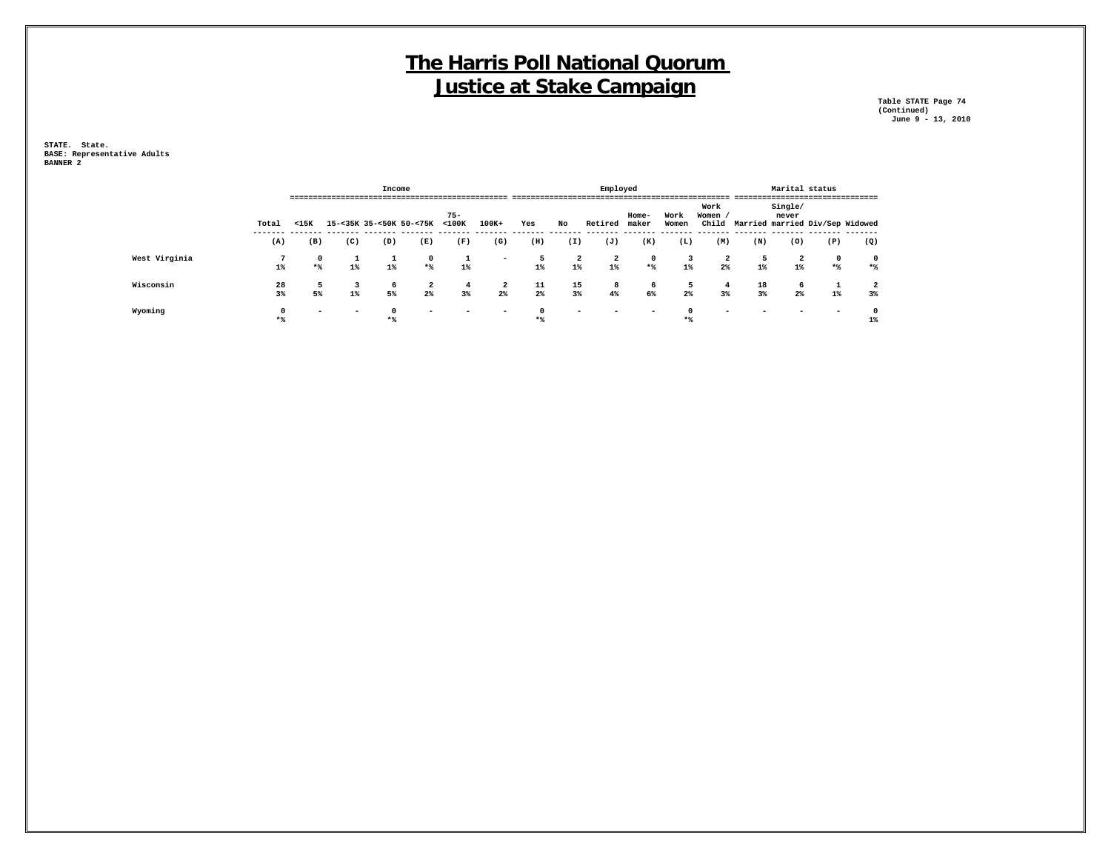**Table STATE Page 74 (Continued) June 9 - 13, 2010**

|               |          |                          |                          | Income  |                         |                       |                          |                  |                         | Employed                |                   |               |                      |             | Marital status          |                    |                                       |
|---------------|----------|--------------------------|--------------------------|---------|-------------------------|-----------------------|--------------------------|------------------|-------------------------|-------------------------|-------------------|---------------|----------------------|-------------|-------------------------|--------------------|---------------------------------------|
|               | Total    | $15K$                    | ;======================= |         | 15-<35K 35-<50K 50-<75K | $75 -$<br>$<$ 100 $<$ | $100K+$                  | Yes              | No                      | Retired                 | Home-<br>maker    | Work<br>Women | Work<br>Women /      |             | Single/<br>never        |                    | Child Married married Div/Sep Widowed |
|               | (A)      | (B)                      | (C)                      | (D)     | (E)                     | (F)                   | (G)                      | (H)              | (I)                     | (J)                     | (K)               | (L)           | (M)                  | (N)         | (0)                     | (P)                | (Q)                                   |
| West Virginia | $1\%$    | $\mathbf 0$<br>$*$       | $1\%$                    | $1\%$   | $^{\circ}$<br>$*$       | $1\%$                 | $\overline{\phantom{a}}$ | 5<br>$1\%$       | $\overline{a}$<br>$1\%$ | $\overline{a}$<br>$1\%$ | $^{\circ}$<br>$*$ | 3<br>$1\%$    | $\overline{a}$<br>2% | 5<br>$1\%$  | $\overline{a}$<br>$1\%$ | $\mathbf 0$<br>$*$ | 0<br>$*$                              |
| Wisconsin     | 28<br>3% | 5<br>5%                  | $1\%$                    | 6<br>5% | 2<br>2%                 | 4<br>3%               | $\overline{a}$<br>2%     | $\frac{11}{2\%}$ | $\frac{15}{3\%}$        | 8<br>4%                 | 6<br>6%           | 5<br>2%       | 4<br>3%              | 18<br>$3\%$ | 6<br>2%                 | $1\%$              | 2<br>3%                               |
| Wyoming       | $*$      | $\overline{\phantom{0}}$ |                          | $*$     | -                       |                       |                          | $*$ <sup>9</sup> |                         |                         |                   | $*$           |                      |             |                         |                    | $1\%$                                 |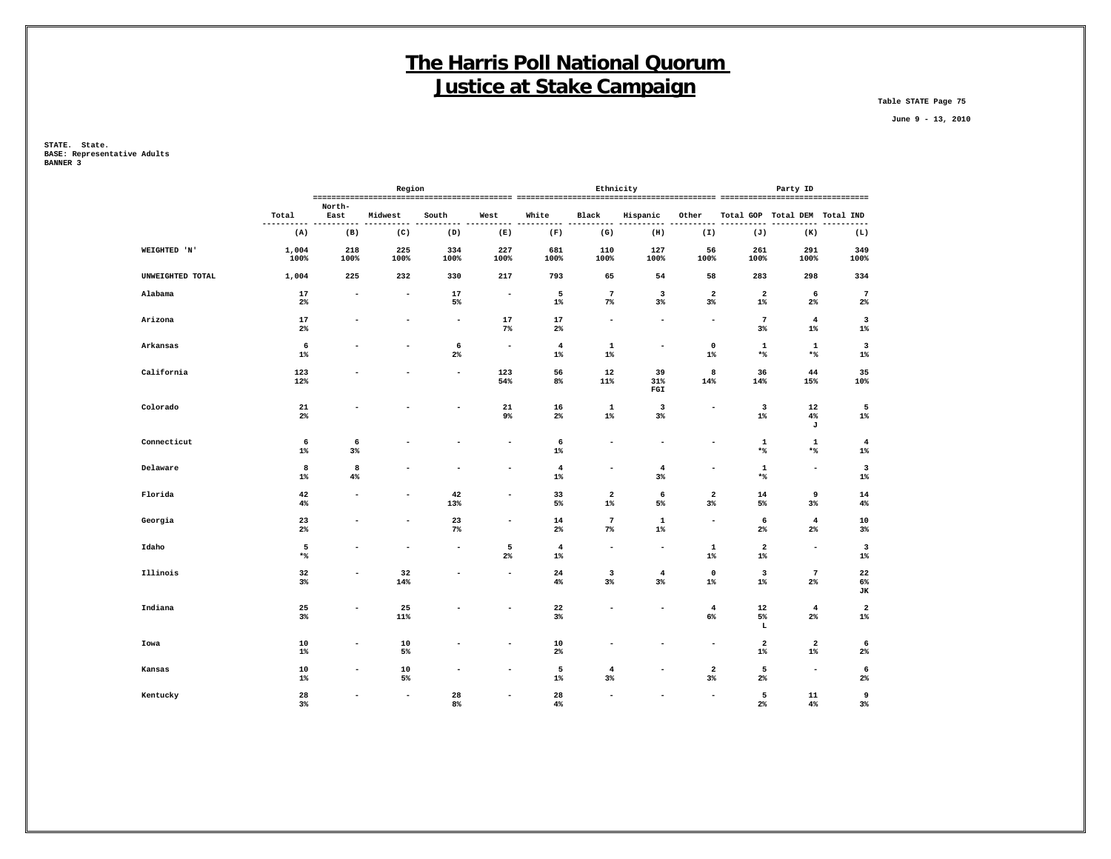**Table STATE Page 75**

 **June 9 - 13, 2010**

|          |                  |                    |                          | Region                   |                          |                          |                         | Ethnicity                     |                                  |                                                                                                                                                                                                                                                                                                                                                                                                                                  |                                  | Party ID                         |                         |
|----------|------------------|--------------------|--------------------------|--------------------------|--------------------------|--------------------------|-------------------------|-------------------------------|----------------------------------|----------------------------------------------------------------------------------------------------------------------------------------------------------------------------------------------------------------------------------------------------------------------------------------------------------------------------------------------------------------------------------------------------------------------------------|----------------------------------|----------------------------------|-------------------------|
|          |                  |                    | North-                   |                          |                          |                          |                         |                               |                                  |                                                                                                                                                                                                                                                                                                                                                                                                                                  |                                  |                                  |                         |
|          |                  | Total<br>-------   | East                     | Midwest                  | South                    | West                     | White                   | Black                         | Hispanic                         | Other                                                                                                                                                                                                                                                                                                                                                                                                                            | Total GOP                        | Total DEM Total IND              | ----                    |
|          |                  | (A)                | (B)                      | (C)                      | (D)                      | (E)                      | (F)                     | (G)                           | (H)                              | (I)                                                                                                                                                                                                                                                                                                                                                                                                                              | (J)                              | (K)                              | (L)                     |
|          | WEIGHTED 'N'     | 1,004<br>100%      | 218<br>100%              | 225<br>100%              | 334<br>100%              | 227<br>100%              | 681<br>100%             | 110<br>100%                   | 127<br>100%                      | 56<br>100%                                                                                                                                                                                                                                                                                                                                                                                                                       | 261<br>100%                      | 291<br>100%                      | 349<br>100%             |
|          | UNWEIGHTED TOTAL | 1,004              | 225                      | 232                      | 330                      | 217                      | 793                     | 65                            | 54                               | 58                                                                                                                                                                                                                                                                                                                                                                                                                               | 283                              | 298                              | 334                     |
| Alabama  |                  | 17<br>$2\%$        | $\overline{\phantom{a}}$ | $\overline{\phantom{a}}$ | 17<br>5%                 | $\overline{\phantom{a}}$ | 5<br>$1\%$              | $\overline{7}$<br>$7\%$       | $\overline{\mathbf{3}}$<br>3%    | $\overline{\mathbf{2}}$<br>$3\%$                                                                                                                                                                                                                                                                                                                                                                                                 | $\overline{\mathbf{2}}$<br>$1\%$ | 6<br>$2\%$                       | $\overline{7}$<br>$2\%$ |
| Arizona  |                  | 17<br>$2\%$        |                          | ۰                        | $\overline{\phantom{0}}$ | 17<br>$7\%$              | 17<br>$2\%$             |                               | $\overline{\phantom{0}}$         | $\overline{\phantom{a}}$                                                                                                                                                                                                                                                                                                                                                                                                         | $7\phantom{.0}$<br>$3\%$         | $\overline{4}$<br>$1\%$          | $\mathbf{3}$<br>$1\%$   |
| Arkansas |                  | 6<br>$1\%$         |                          | $\overline{a}$           | 6<br>$2\%$               | $\overline{\phantom{a}}$ | $\overline{4}$<br>$1\%$ | $\mathbf 1$<br>$1\%$          | $\overline{\phantom{a}}$         | 0<br>$1\%$                                                                                                                                                                                                                                                                                                                                                                                                                       | $\mathbf 1$<br>$\star$ $\!8$     | $\mathbf 1$<br>$*$ %             | $\mathbf{3}$<br>$1\%$   |
|          | California       | 123<br>12%         |                          |                          |                          | 123<br>54%               | 56<br>8%                | 12<br>11%                     | 39<br>31%<br>$_{\tt{FGI}}$       | 8<br>14%                                                                                                                                                                                                                                                                                                                                                                                                                         | 36<br>14%                        | 44<br>15%                        | 35<br>10%               |
| Colorado |                  | 21<br>$2\%$        |                          |                          |                          | 21<br>9%                 | 16<br>$2\%$             | $\mathbf 1$<br>$1\%$          | $\overline{\mathbf{3}}$<br>$3\%$ |                                                                                                                                                                                                                                                                                                                                                                                                                                  | 3<br>$1\%$                       | 12<br>4%<br>J                    | 5<br>$1\%$              |
|          | Connecticut      | 6<br>$1\%$         | 6<br>$3\%$               |                          |                          |                          | $\epsilon$<br>$1\%$     |                               |                                  |                                                                                                                                                                                                                                                                                                                                                                                                                                  | 1<br>$\star$ $\!$                | $\mathbf 1$<br>$\ast\$           | $\overline{4}$<br>$1\%$ |
| Delaware |                  | 8<br>$1\%$         | 8<br>$4\%$               |                          | $\overline{\phantom{0}}$ | $\blacksquare$           | $\bf{4}$<br>$1\%$       | $\overline{\phantom{a}}$      | $\overline{4}$<br>3%             | $\overline{\phantom{a}}$                                                                                                                                                                                                                                                                                                                                                                                                         | $\mathbf 1$<br>$\star$ $\!8$     | $\overline{\phantom{a}}$         | $\mathbf{3}$<br>$1\%$   |
| Florida  |                  | $\bf 42$<br>4%     | ۰                        | $\overline{\phantom{a}}$ | $\bf 42$<br>13%          | $\blacksquare$           | 33<br>5%                | $\mathbf{2}$<br>$1\%$         | $\epsilon$<br>5%                 | $\overline{\mathbf{2}}$<br>$3\%$                                                                                                                                                                                                                                                                                                                                                                                                 | 14<br>5%                         | 9<br>$3\%$                       | 14<br>4%                |
| Georgia  |                  | 23<br>$2\%$        |                          | $\overline{\phantom{a}}$ | 23<br>$7\%$              | $\blacksquare$           | 14<br>$2\%$             | $\overline{7}$<br>$7\%$       | $\mathbf 1$<br>$1\%$             | $\overline{\phantom{a}}$                                                                                                                                                                                                                                                                                                                                                                                                         | 6<br>$2\%$                       | $\overline{\mathbf{4}}$<br>$2\%$ | 10<br>3%                |
| Idaho    |                  | 5<br>$\star$ $\!8$ |                          | $\overline{\phantom{a}}$ | $\overline{\phantom{a}}$ | 5<br>$2\%$               | $\overline{4}$<br>$1\%$ | $\sim$                        | $\sim$                           | $\mathbf{1}$<br>$1\%$                                                                                                                                                                                                                                                                                                                                                                                                            | $\overline{\mathbf{2}}$<br>$1\%$ | $\blacksquare$                   | 3<br>$1\%$              |
| Illinois |                  | 32<br>$3\%$        | $\overline{\phantom{a}}$ | 32<br>14%                |                          | $\overline{\phantom{a}}$ | 24<br>4%                | 3<br>$3\%$                    | $\overline{4}$<br>$3\%$          | 0<br>$1\%$                                                                                                                                                                                                                                                                                                                                                                                                                       | 3<br>$1\%$                       | $7\phantom{.0}$<br>$2\%$         | 22<br>$6\%$<br>JК       |
| Indiana  |                  | 25<br>$3\%$        | $\overline{\phantom{a}}$ | 25<br>11%                |                          | $\blacksquare$           | 22<br>$3\%$             | ٠                             | $\blacksquare$                   | $\overline{\bf 4}$<br>6%                                                                                                                                                                                                                                                                                                                                                                                                         | 12<br>5%<br>L                    | $4\phantom{1}$<br>$2\%$          | $\mathbf{2}$<br>$1\%$   |
| Iowa     |                  | 10<br>$1\%$        |                          | 10<br>5%                 |                          | $\blacksquare$           | 10<br>$2\%$             |                               | ۰                                | $\overline{\phantom{a}}$                                                                                                                                                                                                                                                                                                                                                                                                         | $\overline{\mathbf{2}}$<br>$1\%$ | $\overline{\mathbf{2}}$<br>$1\%$ | 6<br>$2\%$              |
| Kansas   |                  | 10<br>$1\%$        |                          | 10<br>5%                 |                          |                          | 5<br>$1\%$              | $\overline{\mathbf{4}}$<br>3% |                                  | $\mathbf{2}% =\mathbf{2}+\mathbf{2}+\mathbf{3}+\mathbf{5}+\mathbf{5}+\mathbf{5}+\mathbf{6}+\mathbf{6}+\mathbf{5}+\mathbf{5}+\mathbf{6}+\mathbf{5}+\mathbf{6}+\mathbf{6}+\mathbf{5}+\mathbf{5}+\mathbf{6}+\mathbf{5}+\mathbf{6}+\mathbf{6}+\mathbf{5}+\mathbf{6}+\mathbf{6}+\mathbf{5}+\mathbf{6}+\mathbf{6}+\mathbf{6}+\mathbf{6}+\mathbf{6}+\mathbf{6}+\mathbf{6}+\mathbf{6}+\mathbf{6}+\mathbf{6}+\mathbf{6}+\mathbf$<br>$3\%$ | 5<br>$2\%$                       | $\overline{\phantom{a}}$         | 6<br>$2\%$              |
| Kentucky |                  | 28<br>$3\%$        |                          | $\overline{\phantom{a}}$ | 28<br>8 <sup>°</sup>     |                          | 28<br>4%                |                               |                                  | $\sim$                                                                                                                                                                                                                                                                                                                                                                                                                           | 5<br>$2\%$                       | 11<br>4%                         | 9<br>$3\%$              |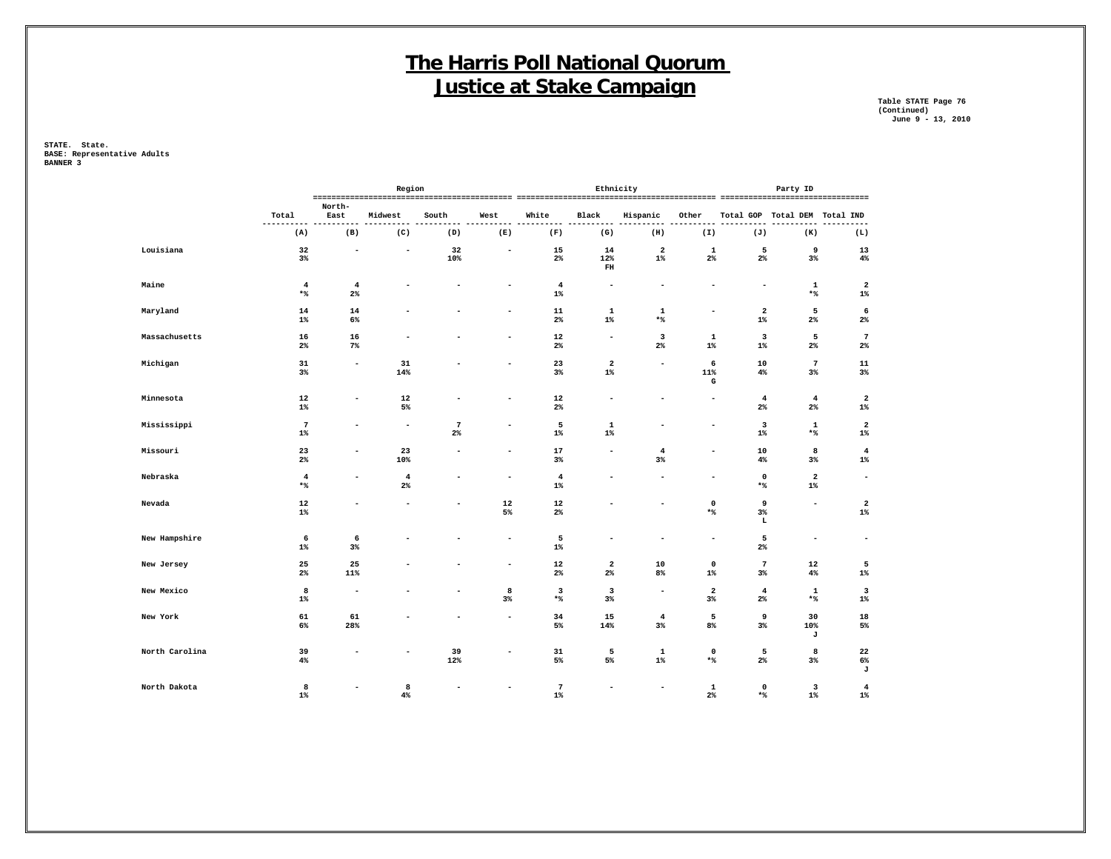**Table STATE Page 76 (Continued) June 9 - 13, 2010**

|                |                          |                          | Region                   |                          |                          |                                  | Ethnicity                                                       |                                  |                          |                                  | Party ID                          |                                  |
|----------------|--------------------------|--------------------------|--------------------------|--------------------------|--------------------------|----------------------------------|-----------------------------------------------------------------|----------------------------------|--------------------------|----------------------------------|-----------------------------------|----------------------------------|
|                | Total                    | North-<br>East           | Midwest                  | South                    | West                     | White                            | Black                                                           | Hispanic                         | Other                    |                                  | Total GOP Total DEM Total IND     |                                  |
|                | ----------<br>(A)        | (B)                      | (C)                      | (D)                      | ---<br>(E)               | ----<br>(F)                      | (G)                                                             | ---<br>(H)                       | (I)                      | (J)                              | (K)                               | .<br>(L)                         |
| Louisiana      | 32<br>$3\%$              | $\overline{\phantom{a}}$ | $\overline{\phantom{a}}$ | 32<br>10%                | $\overline{\phantom{a}}$ | 15<br>$2\%$                      | 14<br>12%<br>$\mathbf{FH}% _{C}^{\ast }=\mathbf{H}_{C}^{\ast }$ | $\overline{\mathbf{2}}$<br>$1\%$ | $\mathbf 1$<br>$2\%$     | 5<br>$2\%$                       | 9<br>$3\%$                        | 13<br>4%                         |
| Maine          | $\overline{4}$<br>$*$ %  | $\overline{4}$<br>$2\%$  |                          | ۰                        | ۰                        | $\overline{4}$<br>$1\%$          | $\overline{\phantom{a}}$                                        | $\overline{\phantom{a}}$         | $\overline{\phantom{a}}$ | $\overline{\phantom{a}}$         | $\mathbf{1}$<br>$\star$ $\!8$     | $\overline{\mathbf{2}}$<br>$1\%$ |
| Maryland       | 14<br>$1\%$              | 14<br>6%                 |                          |                          | $\blacksquare$           | $11\,$<br>$2\%$                  | $\mathbf{1}$<br>$1\%$                                           | $\mathbf 1$<br>$\star$ %         | $\overline{a}$           | $\overline{\mathbf{2}}$<br>$1\%$ | 5<br>$2\%$                        | 6<br>$2\%$                       |
| Massachusetts  | 16<br>$2\%$              | 16<br>7%                 |                          |                          | $\qquad \qquad -$        | 12<br>$2\%$                      | $\overline{\phantom{a}}$                                        | 3<br>$2\%$                       | $\mathbf{1}$<br>$1\%$    | 3<br>$1\%$                       | 5<br>$2\%$                        | $7\phantom{.0}$<br>$2\%$         |
| Michigan       | 31<br>$3\%$              | $\overline{\phantom{a}}$ | 31<br>14%                |                          | $\overline{\phantom{a}}$ | 23<br>3%                         | $\overline{a}$<br>$1\%$                                         | ٠                                | 6<br>11%<br>G            | 10<br>4%                         | $7\phantom{.0}$<br>$3\%$          | 11<br>3%                         |
| Minnesota      | 12<br>$1\%$              |                          | 12<br>5%                 |                          |                          | 12<br>$2\%$                      | $\overline{\phantom{0}}$                                        |                                  |                          | $\overline{\mathbf{4}}$<br>$2\%$ | $\overline{4}$<br>$2\%$           | $\overline{\mathbf{2}}$<br>$1\%$ |
| Mississippi    | $7\phantom{.0}$<br>$1\%$ |                          | $\overline{\phantom{a}}$ | $\overline{7}$<br>$2\%$  | ۰                        | 5<br>$1\%$                       | $\mathbf{1}$<br>$1\%$                                           |                                  | $\overline{a}$           | $\mathbf{3}$<br>$1\%$            | $\mathbf 1$<br>$*$ %              | $\overline{2}$<br>$1\%$          |
| Missouri       | 23<br>$2\%$              | ۰                        | 23<br>10%                | $\overline{\phantom{a}}$ | ۰                        | 17<br>3%                         | $\overline{\phantom{a}}$                                        | $\overline{4}$<br>3%             | ۰                        | 10<br>4%                         | 8<br>$3\%$                        | $\overline{\mathbf{4}}$<br>$1\%$ |
| Nebraska       | $\overline{4}$<br>$*$    | ۰                        | $\overline{4}$<br>$2\%$  | $\blacksquare$           | $\overline{\phantom{a}}$ | $\bf{4}$<br>1%                   | ۰                                                               |                                  | $\blacksquare$           | $\mathbf 0$<br>$*$               | $\mathbf{2}$<br>$1\%$             | $\sim$                           |
| Nevada         | 12<br>$1\%$              |                          |                          | -                        | 12<br>5%                 | 12<br>$2\%$                      |                                                                 | ۰                                | $\mathbf 0$<br>$*$ %     | 9<br>$3\%$<br>L                  | $\blacksquare$                    | $\overline{\mathbf{2}}$<br>$1\%$ |
| New Hampshire  | 6<br>$1\%$               | 6<br>$3\%$               |                          |                          | $\qquad \qquad -$        | 5<br>$1\%$                       |                                                                 |                                  | $\overline{\phantom{a}}$ | 5<br>$2\%$                       | $\overline{\phantom{0}}$          | $\overline{\phantom{a}}$         |
| New Jersey     | 25<br>$2\%$              | 25<br>11%                |                          |                          | ۰                        | 12<br>$2\%$                      | $\overline{2}$<br>$2\%$                                         | 10<br>8%                         | $\mathbf 0$<br>$1\%$     | $\overline{7}$<br>$3\%$          | 12<br>4%                          | 5<br>$1\%$                       |
| New Mexico     | 8<br>$1\%$               | $\overline{\phantom{a}}$ |                          |                          | 8<br>$3\%$               | $\overline{\mathbf{3}}$<br>$*$ % | $\overline{\mathbf{3}}$<br>$3\%$                                | $\overline{\phantom{a}}$         | $\overline{2}$<br>$3\%$  | $\overline{\mathbf{4}}$<br>$2\%$ | $\mathbf 1$<br>$\star$ $\uparrow$ | 3<br>$1\%$                       |
| New York       | 61<br>$6\%$              | 61<br>28%                |                          |                          | $\sim$                   | 34<br>5%                         | 15<br>14%                                                       | $\overline{4}$<br>$3\%$          | 5<br>8%                  | 9<br>$3\%$                       | 30<br>10%<br>J                    | 18<br>5%                         |
| North Carolina | 39<br>4%                 |                          |                          | 39<br>12%                |                          | 31<br>5%                         | 5<br>5%                                                         | $\mathbf 1$<br>$1\%$             | $\mathbf 0$<br>$*$ %     | 5<br>$2\%$                       | 8<br>$3\%$                        | 22<br>6%<br>J                    |
| North Dakota   | 8<br>$1\%$               |                          | 8<br>4%                  |                          |                          | $\overline{7}$<br>$1\%$          | $\overline{\phantom{a}}$                                        | $\overline{\phantom{a}}$         | $\mathbf{1}$<br>$2\%$    | $\mathbf 0$<br>$\star$ %         | $\overline{\mathbf{3}}$<br>$1\%$  | $\overline{\mathbf{4}}$<br>$1\%$ |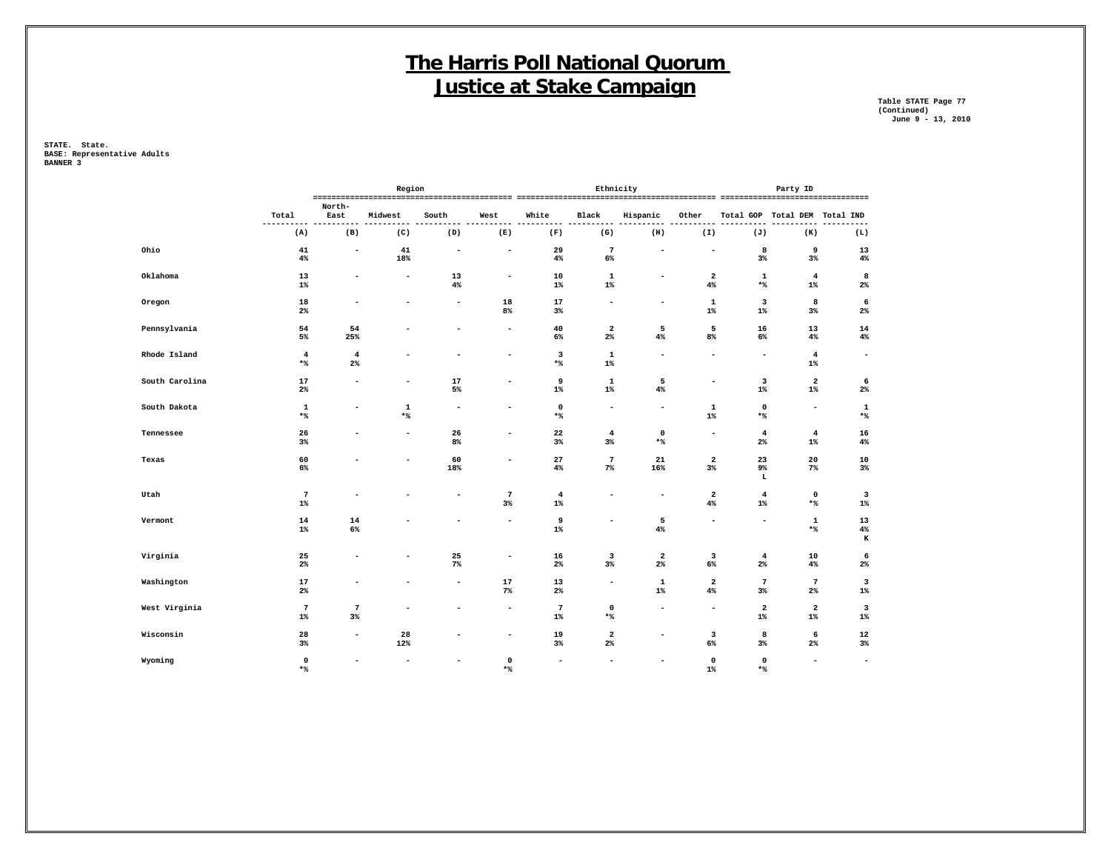**Table STATE Page 77 (Continued) June 9 - 13, 2010**

|                |                               |                          | Region                   |                          |                          |                                          |                                  | Ethnicity                        |                                  |                                  | Party ID                         |                                  |
|----------------|-------------------------------|--------------------------|--------------------------|--------------------------|--------------------------|------------------------------------------|----------------------------------|----------------------------------|----------------------------------|----------------------------------|----------------------------------|----------------------------------|
|                |                               | North-                   |                          |                          |                          |                                          |                                  |                                  |                                  |                                  |                                  |                                  |
|                | Total<br>----------           | East                     | Midwest                  | South                    | West                     | White                                    | Black                            | Hispanic                         | Other                            |                                  | Total GOP Total DEM Total IND    | .                                |
|                | (A)                           | (B)                      | (C)                      | (D)                      | (E)                      | (F)                                      | (G)                              | (H)                              | (I)                              | (J)                              | (K)                              | (L)                              |
| Ohio           | 41<br>4%                      | $\overline{\phantom{0}}$ | 41<br>18%                | $\overline{\phantom{a}}$ | $\overline{\phantom{a}}$ | 29<br>4%                                 | $7\phantom{.0}$<br>6%            | ٠                                | $\overline{\phantom{a}}$         | 8<br>3%                          | 9<br>3%                          | 13<br>$4\,$                      |
| Oklahoma       | 13<br>$1\%$                   |                          | $\overline{\phantom{a}}$ | 13<br>4%                 | $\overline{\phantom{a}}$ | 10<br>$1\%$                              | $\mathbf{1}$<br>$1\%$            | $\blacksquare$                   | $\overline{2}$<br>$4\%$          | $\mathbf 1$<br>$*$ %             | $\overline{4}$<br>$1\%$          | 8<br>$2\%$                       |
| Oregon         | 18<br>2%                      |                          |                          | $\overline{\phantom{a}}$ | 18<br>8%                 | 17<br>3%                                 | $\overline{\phantom{a}}$         | $\overline{\phantom{a}}$         | $\mathbf{1}$<br>$1\%$            | $\overline{\mathbf{3}}$<br>$1\%$ | 8<br>3%                          | 6<br>$2\%$                       |
| Pennsylvania   | 54<br>$5\%$                   | 54<br>25%                |                          | ۰                        | $\sim$                   | 40<br>6%                                 | $\overline{\mathbf{2}}$<br>2%    | 5<br>4%                          | 5<br>8%                          | 16<br>6%                         | 13<br>4%                         | 14<br>4%                         |
| Rhode Island   | $\overline{4}$<br>$*$ %       | $\overline{4}$<br>$2\%$  |                          | ۰                        | $\overline{\phantom{0}}$ | $\overline{\mathbf{3}}$<br>$\star$ $\!8$ | $\mathbf 1$<br>$1\%$             | $\overline{\phantom{a}}$         | $\blacksquare$                   | $\overline{\phantom{a}}$         | $\overline{4}$<br>$1\%$          | $\overline{\phantom{a}}$         |
| South Carolina | 17<br>$2\%$                   | $\blacksquare$           | $\overline{\phantom{a}}$ | 17<br>5%                 | $\overline{\phantom{a}}$ | 9<br>$1\%$                               | $\mathbf 1$<br>$1\%$             | 5<br>4%                          | $\overline{\phantom{a}}$         | 3<br>$1\%$                       | $\overline{\mathbf{2}}$<br>$1\%$ | 6<br>$2\%$                       |
| South Dakota   | $\mathbf 1$<br>$\star$ $\!8$  | ۰                        | $\mathbf 1$<br>$*$ %     | $\overline{\phantom{a}}$ | $\overline{\phantom{0}}$ | $\mathbf 0$<br>$\star$ $\!$              | $\overline{\phantom{a}}$         | $\overline{\phantom{a}}$         | $\mathbf 1$<br>$1\%$             | $\mathbf 0$<br>$*$               | $\overline{\phantom{a}}$         | $\mathbf 1$<br>$\star$ $\!8$     |
| Tennessee      | 26<br>3%                      |                          | $\overline{\phantom{a}}$ | 26<br>8%                 | $\overline{\phantom{a}}$ | 22<br>3%                                 | $\overline{4}$<br>3%             | $\mathbf 0$<br>$*$ %             | $\overline{\phantom{a}}$         | $\overline{4}$<br>2 <sup>°</sup> | $\overline{4}$<br>$1\%$          | 16<br>$4\%$                      |
| Texas          | 60<br>$6\%$                   |                          | $\overline{\phantom{a}}$ | 60<br>18%                | $\overline{\phantom{a}}$ | 27<br>4%                                 | $7\phantom{.0}$<br>$7\%$         | 21<br>16%                        | $\overline{2}$<br>3%             | 23<br>9%<br>L                    | 20<br>$7\%$                      | 10<br>3%                         |
| Utah           | $7\phantom{.0}$<br>$1\%$      |                          |                          | $\blacksquare$           | $\overline{7}$<br>$3\%$  | $\overline{4}$<br>$1\%$                  | ۰                                | $\overline{\phantom{a}}$         | $\overline{2}$<br>$4\%$          | $\overline{4}$<br>$1\%$          | $\mathsf 0$<br>$\star$ $\!8$     | $\overline{\mathbf{3}}$<br>$1\%$ |
| Vermont        | 14<br>$1\%$                   | 14<br>$6\%$              |                          | ۰                        | $\overline{\phantom{0}}$ | 9<br>$1\%$                               | $\overline{\phantom{a}}$         | 5<br>4%                          | $\blacksquare$                   | $\sim$                           | $\mathbf 1$<br>$\star$ $\!8$     | 13<br>$4\,$<br>$\bf K$           |
| Virginia       | 25<br>$2\%$                   |                          |                          | 25<br>$7\%$              | $\overline{\phantom{0}}$ | 16<br>$2\%$                              | 3<br>3%                          | $\overline{\mathbf{2}}$<br>$2\%$ | 3<br>6%                          | $\overline{4}$<br>$2\%$          | 10<br>4%                         | 6<br>$2\%$                       |
| Washington     | 17<br>$2\%$                   | ۰                        |                          | $\overline{\phantom{a}}$ | 17<br>7%                 | 13<br>$2\%$                              | $\overline{\phantom{a}}$         | $\mathbf 1$<br>$1\%$             | $\overline{\mathbf{2}}$<br>$4\%$ | $\overline{7}$<br>$3\%$          | $7\phantom{.0}$<br>$2\%$         | $\mathbf{3}$<br>$1\%$            |
| West Virginia  | $7\phantom{.0}$<br>$1\%$      | $\overline{7}$<br>$3\%$  |                          | ۰                        | $\overline{\phantom{a}}$ | $7\phantom{.0}$<br>$1\%$                 | $\mathbf 0$<br>$\star$ $\!8$     | ۰                                | $\overline{\phantom{a}}$         | $\overline{\mathbf{2}}$<br>$1\%$ | $\overline{\mathbf{2}}$<br>$1\%$ | 3<br>$1\%$                       |
| Wisconsin      | 28<br>$3\%$                   | $\blacksquare$           | 28<br>12%                | ۰                        | $\sim$                   | 19<br>$3\%$                              | $\overline{\mathbf{2}}$<br>$2\%$ | $\blacksquare$                   | $\overline{\mathbf{3}}$<br>6%    | 8<br>$3\%$                       | 6<br>2%                          | 12<br>3%                         |
| Wyoming        | $\mathbf 0$<br>$\star$ $\!\!$ | ۰                        |                          | $\overline{\phantom{a}}$ | 0<br>$*$                 | $\overline{\phantom{a}}$                 | $\overline{\phantom{a}}$         | $\sim$                           | $\mathbf 0$<br>$1\%$             | $\mathbf 0$<br>$*$ %             | $\overline{\phantom{a}}$         | $\overline{\phantom{a}}$         |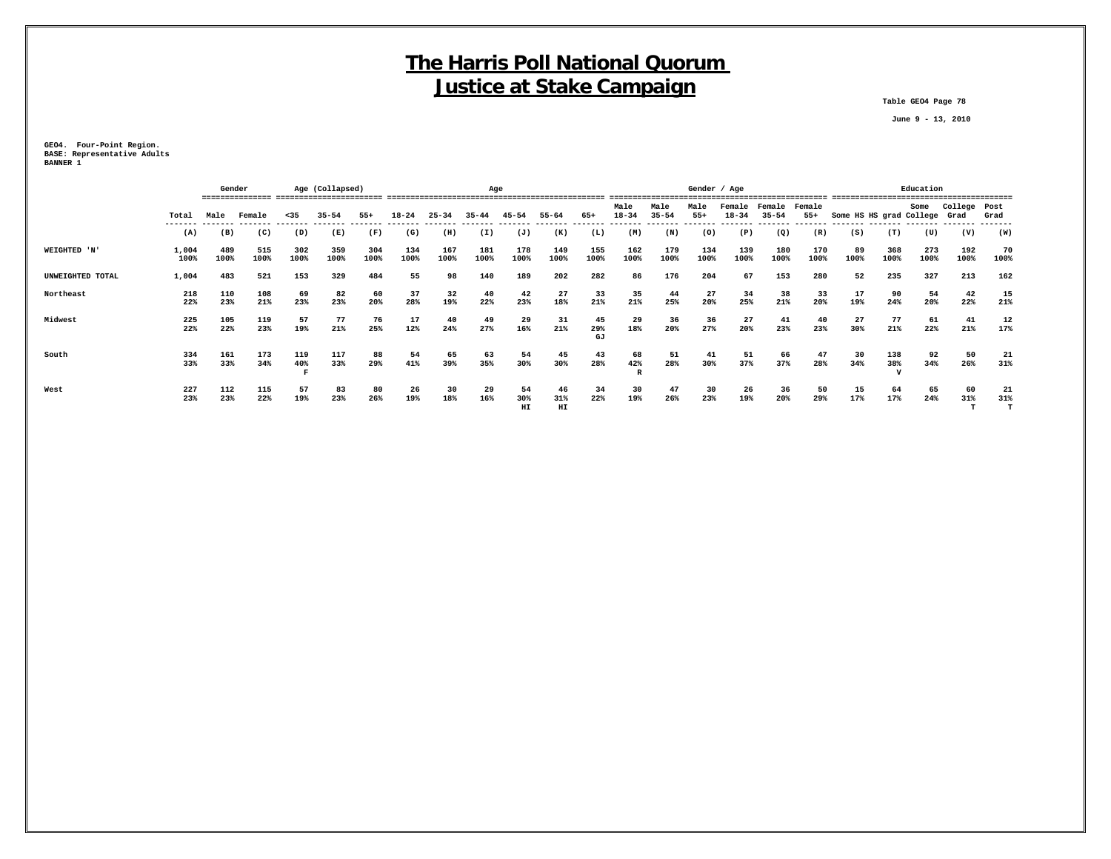**Table GEO4 Page 78**

 **June 9 - 13, 2010**

**GEO4. Four-Point Region. BASE: Representative Adults BANNER 1**

|                  |               | Gender      |             |             | Age (Collapsed) |             | Age         |             |             |                 |                 |                 |                   |                   |               | Gender / Age        |                     |                 |                              |             | Education   |              |                |
|------------------|---------------|-------------|-------------|-------------|-----------------|-------------|-------------|-------------|-------------|-----------------|-----------------|-----------------|-------------------|-------------------|---------------|---------------------|---------------------|-----------------|------------------------------|-------------|-------------|--------------|----------------|
|                  | Total         | Male        | Female      | $35$        | $35 - 54$       | $55+$       | $18 - 24$   | $25 - 34$   | $35 - 44$   | 45-54           | 55-64           | 65+             | Male<br>$18 - 34$ | Male<br>$35 - 54$ | Male<br>$55+$ | Female<br>$18 - 34$ | Female<br>$35 - 54$ | Female<br>$55+$ | Some HS HS grad College Grad |             | Some        | College Post | Grad           |
|                  | -----<br>(A)  | (B)         | (C)         | (D)         | (E)             | (F)         | (G)         | (H)         | (I)         | (J)             | (K)             | (L)             | (M)               | (N)               | (0)           | (P)                 | (Q)                 | (R)             | (S)                          | (T)         | (U)         | (V)          | (W)            |
| WEIGHTED 'N'     | 1,004<br>100% | 489<br>100% | 515<br>100% | 302<br>100% | 359<br>100%     | 304<br>100% | 134<br>100% | 167<br>100% | 181<br>100% | 178<br>100%     | 149<br>100%     | 155<br>100%     | 162<br>100%       | 179<br>100%       | 134<br>100%   | 139<br>100%         | 180<br>100%         | 170<br>100%     | 89<br>100%                   | 368<br>100% | 273<br>100% | 192<br>100%  | 70<br>100%     |
| UNWEIGHTED TOTAL | 1,004         | 483         | 521         | 153         | 329             | 484         | 55          | 98          | 140         | 189             | 202             | 282             | 86                | 176               | 204           | 67                  | 153                 | 280             | 52                           | 235         | 327         | 213          | 162            |
| Northeast        | 218<br>22%    | 110<br>23%  | 108<br>21%  | 69<br>23%   | 82<br>23%       | 60<br>20%   | 37<br>28%   | 32<br>19%   | 40<br>22%   | 42<br>23%       | 27<br>18%       | 33<br>21%       | 35<br>21%         | 44<br>25%         | 27<br>20%     | 34<br>25%           | 38<br>21%           | 33<br>20%       | 17<br>19%                    | 90<br>24%   | 54<br>20%   | 42<br>22%    | 15<br>21%      |
| Midwest          | 225<br>22%    | 105<br>22%  | 119<br>23%  | 57<br>19%   | 77<br>21%       | 76<br>25%   | 17<br>12%   | 40<br>24%   | 49<br>27%   | 29<br>16%       | 31<br>21%       | 45<br>29%<br>GJ | 29<br>18%         | 36<br>20%         | 36<br>27%     | 27<br>20%           | 41<br>23%           | 40<br>23%       | 27<br>30%                    | 77<br>21%   | 61<br>22%   | 41<br>21%    | 12<br>17%      |
| South            | 334<br>33%    | 161<br>33%  | 173<br>34%  | 119<br>40%  | 117<br>33%      | 88<br>29%   | 54<br>41%   | 65<br>39%   | 63<br>35%   | 54<br>30%       | 45<br>30%       | 43<br>28%       | 68<br>42%         | 51<br>28%         | 41<br>30%     | 51<br>37%           | 66<br>37%           | 47<br>28%       | 30<br>34%                    | 138<br>38%  | 92<br>34%   | 50<br>26%    | 21<br>31%      |
| West             | 227<br>23%    | 112<br>23%  | 115<br>22%  | 57<br>19%   | 83<br>23%       | 80<br>26%   | 26<br>19%   | 30<br>18%   | 29<br>16%   | 54<br>30%<br>HI | 46<br>31%<br>HI | 34<br>22%       | 30<br>19%         | 47<br>26%         | 30<br>23%     | 26<br>19%           | 36<br>20%           | 50<br>29%       | 15<br>17%                    | 64<br>17%   | 65<br>24%   | 60<br>31%    | 21<br>31%<br>т |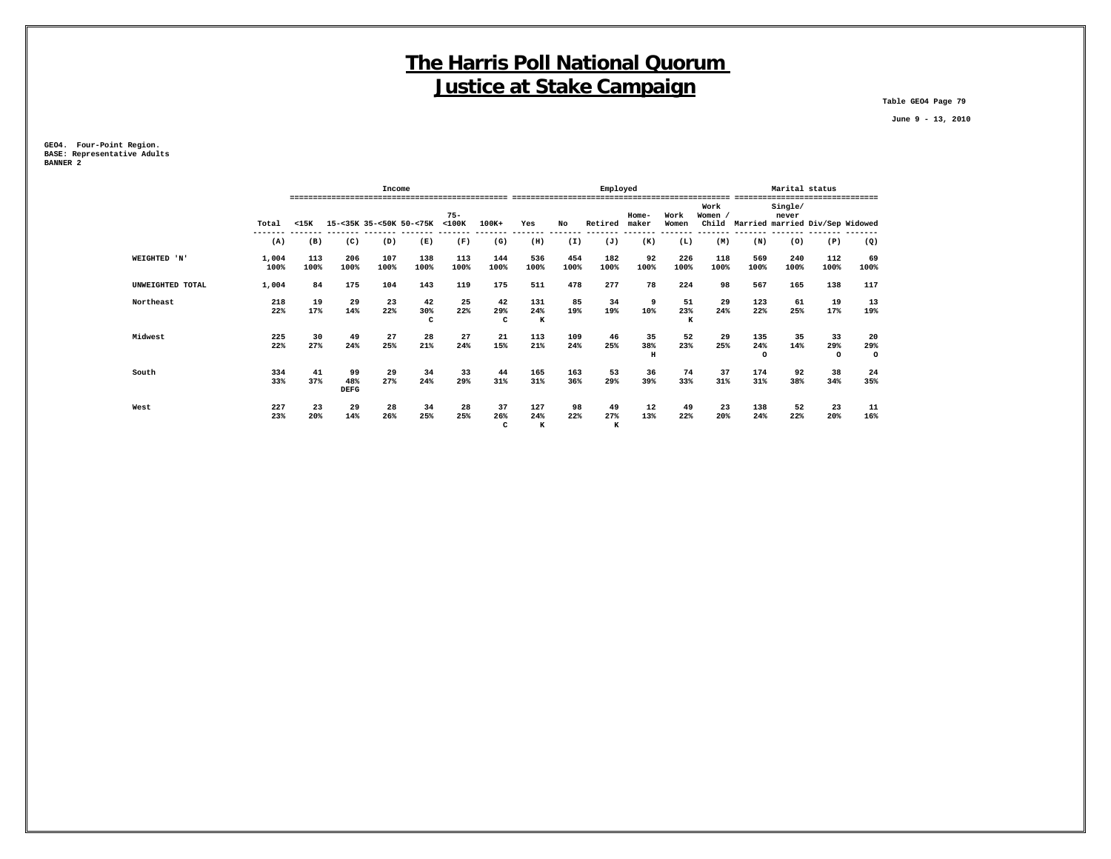**Table GEO4 Page 79**

 **June 9 - 13, 2010**

**GEO4. Four-Point Region. BASE: Representative Adults BANNER 2**

|                  |               |             |                          | Income      |                         |                       |                |                       |             | Employed       |                |                           |                          |                       | Marital status   |                      |                                             |
|------------------|---------------|-------------|--------------------------|-------------|-------------------------|-----------------------|----------------|-----------------------|-------------|----------------|----------------|---------------------------|--------------------------|-----------------------|------------------|----------------------|---------------------------------------------|
|                  | Total         | $15K$       |                          |             | 15-<35K 35-<50K 50-<75K | $75 -$<br>$<$ 100 $K$ | 100K+          | Yes                   | No          | Retired        | Home-<br>maker | Work<br>Women             | Work<br>Women ,<br>Child |                       | Single/<br>never |                      | --------<br>Married married Div/Sep Widowed |
|                  | (A)           | (B)         | (C)                      | (D)         | (E)                     | (F)                   | (G)            | (H)                   | (I)         | (J)            | (K)            | (L)                       | (M)                      | (N)                   | (0)              | (P)                  | (Q)                                         |
| WEIGHTED 'N'     | 1,004<br>100% | 113<br>100% | 206<br>100%              | 107<br>100% | 138<br>100%             | 113<br>100%           | 144<br>100%    | 536<br>100%           | 454<br>100% | 182<br>100%    | 92<br>100%     | 226<br>100%               | 118<br>100%              | 569<br>100%           | 240<br>100%      | 112<br>100%          | 69<br>100%                                  |
| UNWEIGHTED TOTAL | 1,004         | 84          | 175                      | 104         | 143                     | 119                   | 175            | 511                   | 478         | 277            | 78             | 224                       | 98                       | 567                   | 165              | 138                  | 117                                         |
| Northeast        | 218<br>22%    | 19<br>17%   | 29<br>14%                | 23<br>22%   | 42<br>30%<br>c          | 25<br>22%             | 42<br>29%<br>c | 131<br>24%<br>$\bf K$ | 85<br>19%   | 34<br>19%      | 9<br>10%       | 51<br>23%<br>$\mathbf{K}$ | 29<br>24%                | 123<br>22%            | 61<br>25%        | 19<br>17%            | 13<br>19%                                   |
| Midwest          | 225<br>22%    | 30<br>27%   | 49<br>24%                | 27<br>25%   | 28<br>21%               | 27<br>24%             | 21<br>15%      | 113<br>21%            | 109<br>24%  | 46<br>25%      | 35<br>38%<br>H | 52<br>23%                 | 29<br>25%                | 135<br>24%<br>$\circ$ | 35<br>14%        | 33<br>29%<br>$\circ$ | 20<br>29%<br>$\circ$                        |
| South            | 334<br>33%    | 41<br>37%   | 99<br>48%<br><b>DEFG</b> | 29<br>27%   | 34<br>24%               | 33<br>29%             | 44<br>31%      | 165<br>31%            | 163<br>36%  | 53<br>29%      | 36<br>39%      | 74<br>33%                 | 37<br>31%                | 174<br>31%            | 92<br>38%        | 38<br>34%            | 24<br>35%                                   |
| West             | 227<br>23%    | 23<br>20%   | 29<br>14%                | 28<br>26%   | 34<br>25%               | 28<br>25%             | 37<br>26%<br>c | 127<br>24%<br>к       | 98<br>22%   | 49<br>27%<br>к | 12<br>13%      | 49<br>22%                 | 23<br>20%                | 138<br>24%            | 52<br>22%        | 23<br>20%            | 11<br>16%                                   |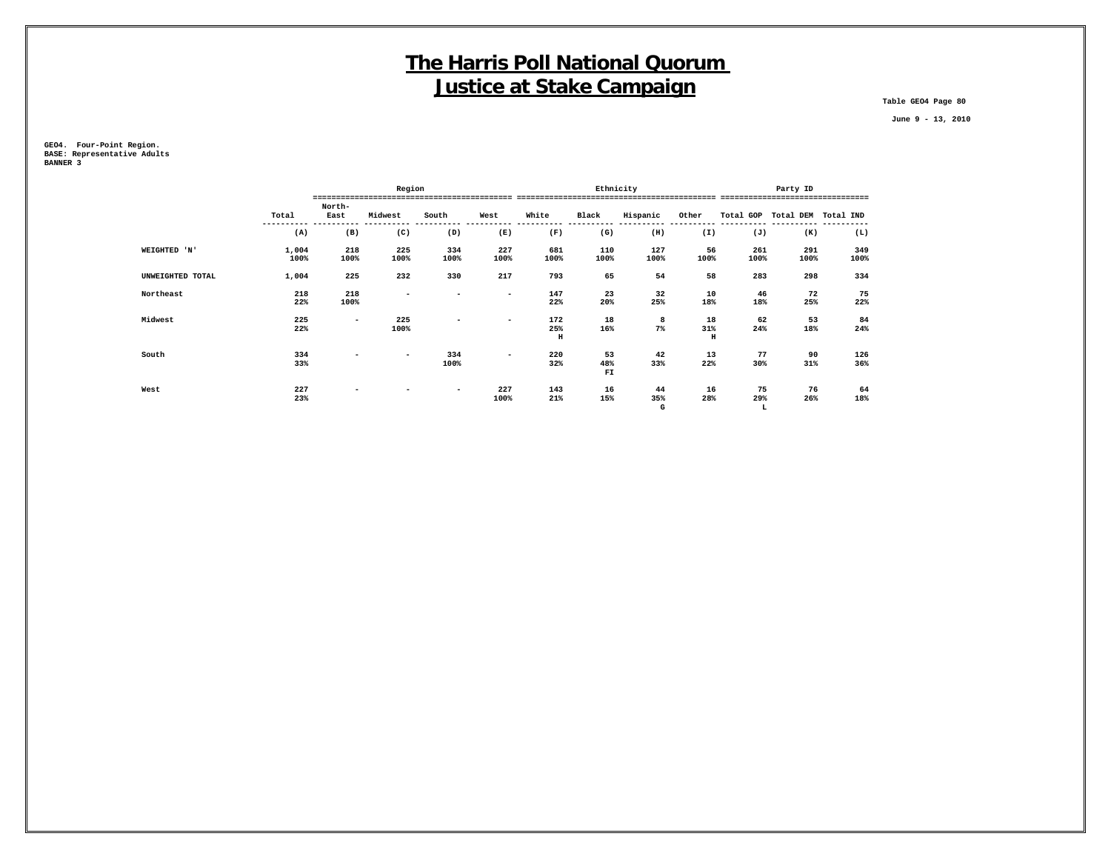**Table GEO4 Page 80**

 **June 9 - 13, 2010**

**GEO4. Four-Point Region. BASE: Representative Adults BANNER 3**

|              |                           |                          | Region                   |                          |                          |                     |           | Ethnicity | Party ID            |      |                               |      |  |
|--------------|---------------------------|--------------------------|--------------------------|--------------------------|--------------------------|---------------------|-----------|-----------|---------------------|------|-------------------------------|------|--|
|              |                           | North-                   |                          |                          |                          |                     |           |           |                     |      | -----------------------       |      |  |
|              | Total                     | East                     | Midwest                  | South                    | West                     | White               | Black     | Hispanic  | Other               |      | Total GOP Total DEM Total IND |      |  |
|              | (A)                       | (B)                      | (C)                      | (D)                      | (E)                      | (F)                 | (G)       | (H)       | (I)                 | (J)  | (K)                           | (L)  |  |
| WEIGHTED 'N' | 1,004                     | 218                      | 225                      | 334                      | 227                      | 681                 | 110       | 127       | 56                  | 261  | 291                           | 349  |  |
|              | 100%                      | 100%                     | 100%                     | 100%                     | 100%                     | 100%                | 100%      | 100%      | 100%                | 100% | 100%                          | 100% |  |
|              | 1,004<br>UNWEIGHTED TOTAL | 225                      | 232                      | 330                      | 217                      | 793                 | 65        | 54        | 58                  | 283  | 298                           | 334  |  |
| Northeast    | 218                       | 218                      | $\overline{\phantom{a}}$ | ۰                        | $\overline{\phantom{0}}$ | 147                 | 23        | 32        | 10                  | 46   | 72                            | 75   |  |
|              | 22%                       | 100%                     |                          |                          |                          | 22%                 | 20%       | 25%       | 18%                 | 18%  | 25%                           | 22%  |  |
| Midwest      | 225                       | $\overline{\phantom{0}}$ | 225                      | $\overline{\phantom{a}}$ | $\overline{\phantom{0}}$ | 172                 | 18        | 8         | 18                  | 62   | 53                            | 84   |  |
|              | 22%                       |                          | 100%                     |                          |                          | 25%<br>$\, {\bf H}$ | 16%       | $7\%$     | 31%<br>$\, {\rm H}$ | 24%  | 18%                           | 24%  |  |
| South        | 334                       | -                        | $\overline{\phantom{a}}$ | 334                      | $\overline{\phantom{a}}$ | 220                 | 53        | 42        | 13                  | 77   | 90                            | 126  |  |
|              | 33%                       |                          |                          | 100%                     |                          | 32%                 | 48%<br>FI | 33%       | 22%                 | 30%  | 31%                           | 36%  |  |
| West         | 227                       | -                        |                          | $\overline{\phantom{0}}$ | 227                      | 143                 | 16        | 44        | 16                  | 75   | 76                            | 64   |  |
|              | 23%                       |                          |                          |                          | 100%                     | 21%                 | 15%       | 35%       | 28%                 | 29%  | 26%                           | 18%  |  |
|              |                           |                          |                          |                          |                          |                     |           | G         |                     | L    |                               |      |  |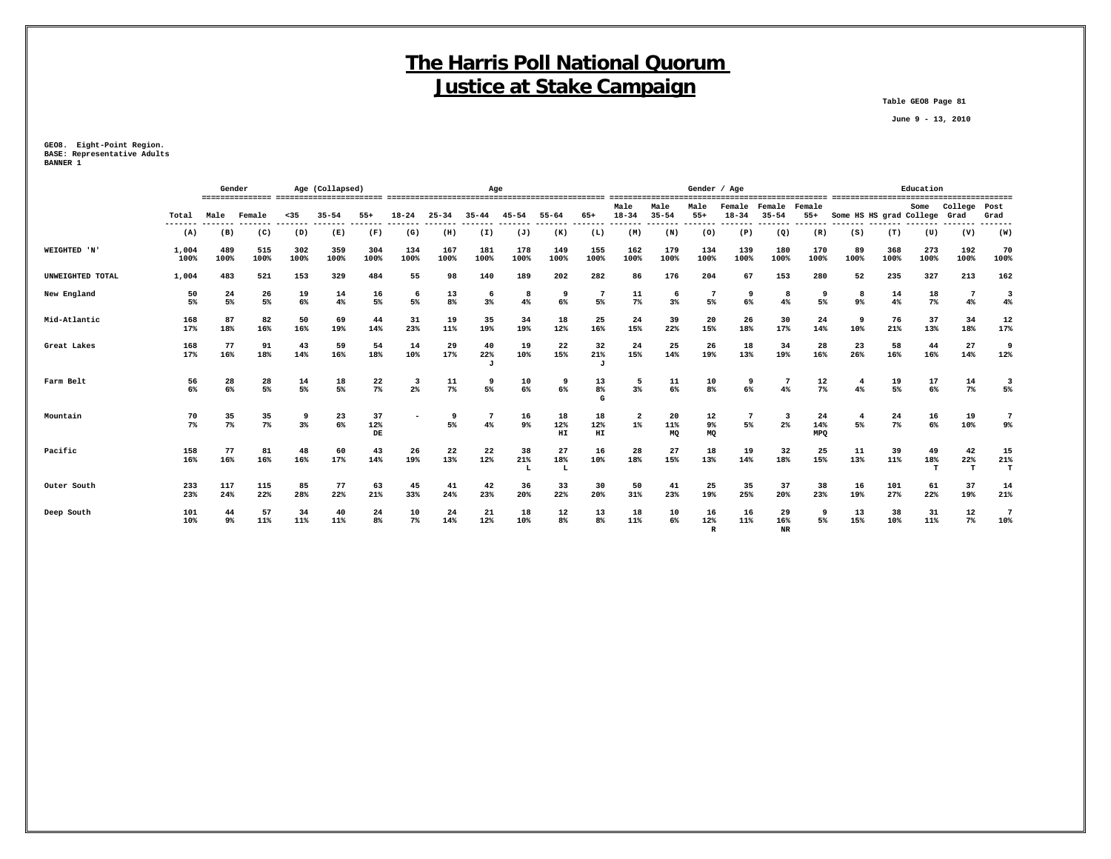**Table GEO8 Page 81**

 **June 9 - 13, 2010**

**GEO8. Eight-Point Region. BASE: Representative Adults BANNER 1**

|                  |               | Gender      |             |             | Age (Collapsed) |                 | Age         |             |                |                |                 |                           |                                  |                   | Gender / Age              |                     |                          | Education               |                              |             |                |                          |                               |
|------------------|---------------|-------------|-------------|-------------|-----------------|-----------------|-------------|-------------|----------------|----------------|-----------------|---------------------------|----------------------------------|-------------------|---------------------------|---------------------|--------------------------|-------------------------|------------------------------|-------------|----------------|--------------------------|-------------------------------|
|                  | Total         | Male        | Female      | $35$        | $35 - 54$       | $55+$           | $18 - 24$   | $25 - 34$   | $35 - 44$      | 45-54          | $55 - 64$       | 65+                       | Male<br>$18 - 34$                | Male<br>$35 - 54$ | Male<br>$55+$             | Female<br>$18 - 34$ | Female<br>$35 - 54$      | Female<br>$55+$         | Some HS HS grad College Grad |             | Some           | College                  | Post<br>Grad                  |
|                  | (A)           | (B)         | (C)         | (D)         | (E)             | (F)             | (G)         | (H)         | (I)            | (J)            | (K)             | (L)                       | (M)                              | (N)               | (0)                       | (P)                 | (Q)                      | (R)                     | (S)                          | (T)         | (U)            | (V)                      | (W)                           |
| WEIGHTED 'N'     | 1,004<br>100% | 489<br>100% | 515<br>100% | 302<br>100% | 359<br>100%     | 304<br>100%     | 134<br>100% | 167<br>100% | 181<br>100%    | 178<br>100%    | 149<br>100%     | 155<br>100%               | 162<br>100%                      | 179<br>100%       | 134<br>100%               | 139<br>100%         | 180<br>100%              | 170<br>100%             | 89<br>100%                   | 368<br>100% | 273<br>100%    | 192<br>100%              | 70<br>100%                    |
| UNWEIGHTED TOTAL | 1,004         | 483         | 521         | 153         | 329             | 484             | 55          | 98          | 140            | 189            | 202             | 282                       | 86                               | 176               | 204                       | 67                  | 153                      | 280                     | 52                           | 235         | 327            | 213                      | 162                           |
| New England      | 50<br>5%      | 24<br>5%    | 26<br>5%    | 19<br>6%    | 14<br>4%        | 16<br>5%        | 6<br>5%     | 13<br>8%    | 6<br>3%        | 8<br>4%        | 9<br>6%         | 7<br>5%                   | 11<br>$7\%$                      | 6<br>3%           | 7<br>5%                   | 9<br>6%             | 8<br>4%                  | 9<br>5%                 | 8<br>$9\%$                   | 14<br>4%    | 18<br>$7\%$    | $7\phantom{.0}$<br>$4\%$ | $\overline{\mathbf{3}}$<br>4% |
| Mid-Atlantic     | 168<br>17%    | 87<br>18%   | 82<br>16%   | 50<br>16%   | 69<br>19%       | 44<br>14%       | 31<br>23%   | 19<br>11%   | 35<br>19%      | 34<br>19%      | 18<br>12%       | 25<br>16%                 | 24<br>15%                        | 39<br>22%         | 20<br>15%                 | 26<br>18%           | 30<br>17%                | 24<br>14%               | 9<br>10%                     | 76<br>21%   | 37<br>13%      | 34<br>18%                | 12<br>17%                     |
| Great Lakes      | 168<br>17%    | 77<br>16%   | 91<br>18%   | 43<br>14%   | 59<br>16%       | 54<br>18%       | 14<br>10%   | 29<br>17%   | 40<br>22%<br>J | 19<br>10%      | 22<br>15%       | 32<br>21%<br>$\mathbf{J}$ | 24<br>15%                        | 25<br>14%         | 26<br>19%                 | 18<br>13%           | 34<br>19%                | 28<br>16%               | 23<br>26%                    | 58<br>16%   | 44<br>16%      | 27<br>14%                | 9<br>12%                      |
| Farm Belt        | 56<br>6%      | 28<br>6%    | 28<br>5%    | 14<br>5%    | 18<br>5%        | 22<br>$7\%$     | -3<br>2%    | 11<br>$7\%$ | 9<br>5%        | 10<br>6%       | 9<br>6%         | 13<br>8%<br>G             | 5<br>3%                          | 11<br>6%          | 10<br>8 <sup>°</sup>      | 9<br>6%             | 4%                       | 12<br>$7\%$             | -4<br>4%                     | 19<br>5%    | 17<br>6%       | 14<br>$7\%$              | 3<br>5%                       |
| Mountain         | 70<br>$7\%$   | 35<br>$7\%$ | 35<br>$7\%$ | -9<br>3%    | 23<br>6%        | 37<br>12%<br>DE |             | 9<br>5%     | $4\%$          | 16<br>9%       | 18<br>12%<br>HI | 18<br>12%<br>HI           | $\overline{\mathbf{2}}$<br>$1\%$ | 20<br>11%<br>MQ   | 12<br>9%<br>MQ            | 7<br>5%             | 3<br>2 <sup>8</sup>      | 24<br>14%<br><b>MPO</b> | 5%                           | 24<br>$7\%$ | 16<br>6%       | 19<br>10%                | 7<br>9%                       |
| Pacific          | 158<br>16%    | 77<br>16%   | 81<br>16%   | 48<br>16%   | 60<br>17%       | 43<br>14%       | 26<br>19%   | 22<br>13%   | 22<br>12%      | 38<br>21%<br>L | 27<br>18%<br>L  | 16<br>10%                 | 28<br>18%                        | 27<br>15%         | 18<br>13%                 | 19<br>14%           | 32<br>18%                | 25<br>15%               | 11<br>13%                    | 39<br>11%   | 49<br>18%<br>т | 42<br>22%<br>т           | 15<br>21%<br>т                |
| Outer South      | 233<br>23%    | 117<br>24%  | 115<br>22%  | 85<br>28%   | 77<br>22%       | 63<br>21%       | 45<br>33%   | 41<br>24%   | 42<br>23%      | 36<br>20%      | 33<br>22%       | 30<br>20%                 | 50<br>31%                        | 41<br>23%         | 25<br>19%                 | 35<br>25%           | 37<br>20%                | 38<br>23%               | 16<br>19%                    | 101<br>27%  | 61<br>22%      | 37<br>19%                | 14<br>21%                     |
| Deep South       | 101<br>10%    | 44<br>9%    | 57<br>11%   | 34<br>11%   | 40<br>11%       | 24<br>8%        | 10<br>$7\%$ | 24<br>14%   | 21<br>12%      | 18<br>10%      | 12<br>8%        | 13<br>8 <sup>8</sup>      | 18<br>11%                        | 10<br>6%          | 16<br>12%<br>$\mathbb{R}$ | 16<br>11%           | 29<br>16%<br>$_{\rm NR}$ | 9<br>5%                 | 13<br>15%                    | 38<br>10%   | 31<br>11%      | 12<br>7%                 | 7<br>10%                      |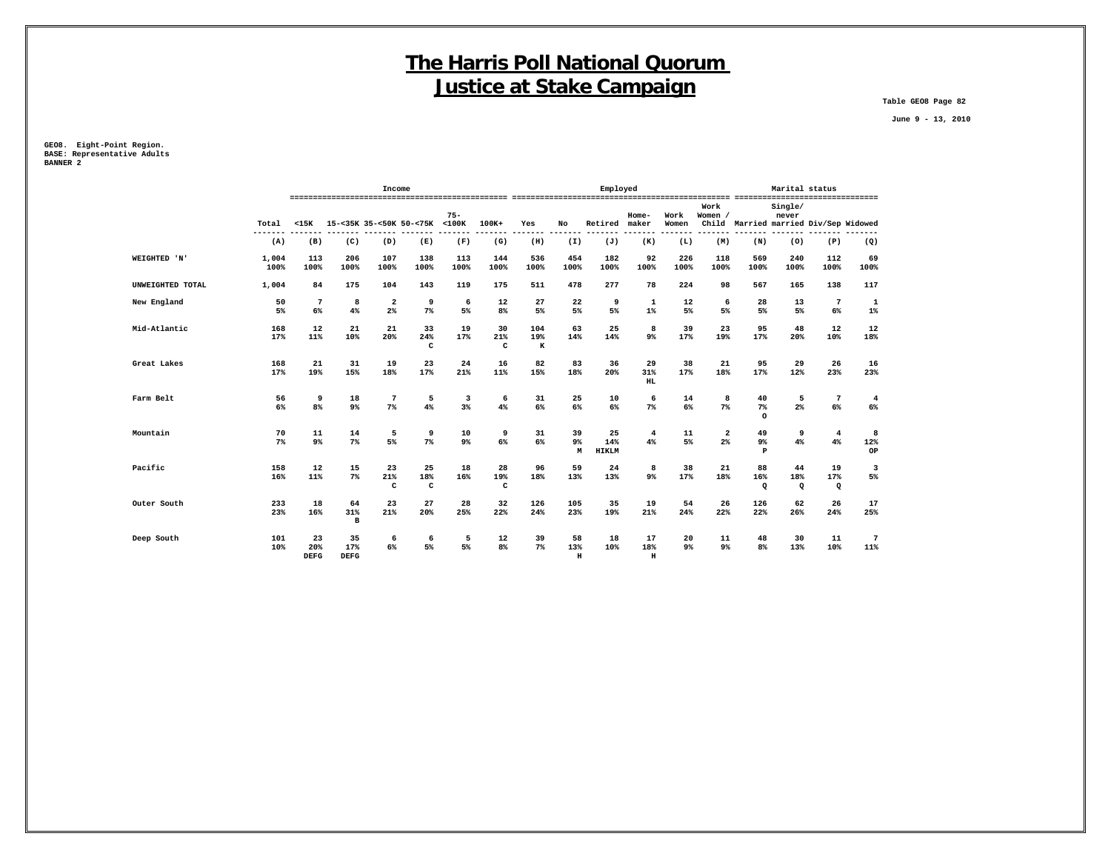**Table GEO8 Page 82**

 **June 9 - 13, 2010**

**GEO8. Eight-Point Region. BASE: Representative Adults BANNER 2**

|                  |                | Income                   |                          |                               |                          |                  |                      |                      |                           | Employed                  | Marital status            |               |                      |                                       |                       |                           |                         |
|------------------|----------------|--------------------------|--------------------------|-------------------------------|--------------------------|------------------|----------------------|----------------------|---------------------------|---------------------------|---------------------------|---------------|----------------------|---------------------------------------|-----------------------|---------------------------|-------------------------|
|                  | Total          | $15K$                    |                          |                               | 15-<35K 35-<50K 50-<75K  | $75 -$<br>$100K$ | $100K+$              | Yes                  | No                        | Retired                   | $Home-$<br>maker          | Work<br>Women | Work<br>Women /      | Child Married married Div/Sep Widowed | Single/<br>never      |                           |                         |
|                  | -------<br>(A) | (B)                      | (C)                      | (D)                           | $- - -$<br>(E)           | (F)              | (G)                  | (H)                  | (I)                       | (J)                       | (K)                       | (L)           | (M)                  | (N)                                   | (0)                   | (P)                       | ----<br>(Q)             |
| WEIGHTED 'N'     | 1,004<br>100%  | 113<br>100%              | 206<br>100%              | 107<br>100%                   | 138<br>100%              | 113<br>100%      | 144<br>100%          | 536<br>100%          | 454<br>100%               | 182<br>100%               | 92<br>100%                | 226<br>100%   | 118<br>100%          | 569<br>100%                           | 240<br>100%           | 112<br>100%               | 69<br>100%              |
| UNWEIGHTED TOTAL | 1,004          | 84                       | 175                      | 104                           | 143                      | 119              | 175                  | 511                  | 478                       | 277                       | 78                        | 224           | 98                   | 567                                   | 165                   | 138                       | 117                     |
| New England      | 50<br>5%       | $7\phantom{.0}$<br>$6\%$ | 8<br>4%                  | $\overline{\mathbf{2}}$<br>2% | 9<br>$7\%$               | 6<br>5%          | 12<br>8 <sup>°</sup> | 27<br>5%             | 22<br>5%                  | 9<br>5%                   | $\mathbf 1$<br>$1\%$      | 12<br>5%      | 6<br>5%              | 28<br>5%                              | 13<br>5%              | $\overline{7}$<br>6%      | $\mathbf 1$<br>1%       |
| Mid-Atlantic     | 168<br>17%     | 12<br>11%                | 21<br>10%                | 21<br>20%                     | 33<br>24%<br>C           | 19<br>17%        | 30<br>21%<br>C       | 104<br>19%<br>$\,$ K | 63<br>14%                 | 25<br>14%                 | 8<br>$9\%$                | 39<br>17%     | 23<br>19%            | 95<br>17%                             | 48<br>20%             | 12<br>10%                 | 12<br>18%               |
| Great Lakes      | 168<br>17%     | 21<br>19%                | 31<br>15%                | 19<br>18%                     | 23<br>17%                | 24<br>21%        | 16<br>11%            | 82<br>15%            | 83<br>18%                 | 36<br>20%                 | 29<br>31%<br>HL           | 38<br>17%     | 21<br>18%            | 95<br>17%                             | 29<br>12%             | 26<br>23%                 | 16<br>23%               |
| Farm Belt        | 56<br>6%       | 9<br>8%                  | 18<br>$9\%$              | 7<br>$7\%$                    | 5<br>4%                  | 3<br>3%          | 6<br>4%              | 31<br>6%             | 25<br>6%                  | 10<br>6%                  | 6<br>7%                   | 14<br>6%      | 8<br>7%              | 40<br>7%<br>$\circ$                   | 5<br>$2\%$            | $7\phantom{.0}$<br>6%     | $\overline{4}$<br>$6\%$ |
| Mountain         | 70<br>7%       | 11<br>$9\%$              | 14<br>$7\%$              | 5<br>5%                       | 9<br>$7\%$               | 10<br>9%         | 9<br>$6\%$           | 31<br>6%             | 39<br>9%<br>M             | 25<br>14%<br><b>HIKLM</b> | 4<br>4%                   | 11<br>5%      | $\mathbf{2}$<br>2%   | 49<br>9%<br>P                         | 9<br>4%               | $\overline{4}$<br>4%      | 8<br>12%<br>OP          |
| Pacific          | 158<br>16%     | 12<br>11%                | 15<br>$7\%$              | 23<br>21%<br>C                | 25<br>18%<br>$\mathbf c$ | 18<br>16%        | 28<br>19%<br>C       | 96<br>18%            | 59<br>13%                 | 24<br>13%                 | 8<br>$9\%$                | 38<br>17%     | 21<br>18%            | 88<br>16%<br>Q                        | 44<br>18%<br>$\Omega$ | 19<br>17%<br>$\mathbf{Q}$ | 3<br>5%                 |
| Outer South      | 233<br>23%     | 18<br>16%                | 64<br>31%<br>B           | 23<br>21%                     | 27<br>20%                | 28<br>25%        | 32<br>22%            | 126<br>24%           | 105<br>23%                | 35<br>19%                 | 19<br>21%                 | 54<br>24%     | 26<br>22%            | 126<br>22%                            | 62<br>26%             | 26<br>24%                 | 17<br>25%               |
| Deep South       | 101<br>10%     | 23<br>20%<br><b>DEFG</b> | 35<br>17%<br><b>DEFG</b> | 6<br>6%                       | 6<br>5%                  | 5<br>5%          | 12<br>8%             | 39<br>7%             | 58<br>13%<br>$\mathbf{H}$ | 18<br>10%                 | 17<br>18%<br>$\, {\rm H}$ | 20<br>9%      | 11<br>9 <sup>°</sup> | 48<br>8%                              | 30<br>13%             | 11<br>10%                 | 7<br>11%                |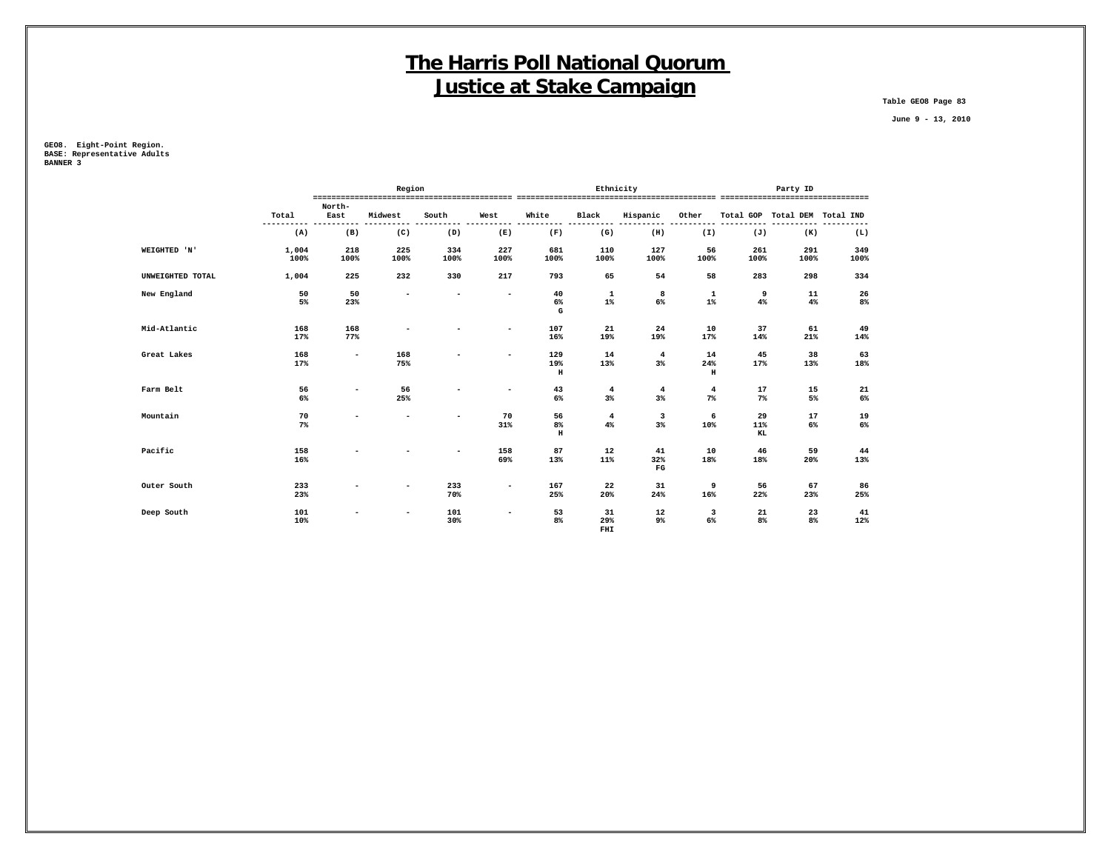**Table GEO8 Page 83**

 **June 9 - 13, 2010**

**GEO8. Eight-Point Region. BASE: Representative Adults BANNER 3**

|                  |               |                          | Region                   |                          |                          |                            | Ethnicity             |                          | Party ID                  |                 |                               |             |  |
|------------------|---------------|--------------------------|--------------------------|--------------------------|--------------------------|----------------------------|-----------------------|--------------------------|---------------------------|-----------------|-------------------------------|-------------|--|
|                  | Total         | North-<br>East           | Midwest                  | South                    | West                     | White                      | Black                 | Hispanic<br>$- - - -$    | Other                     |                 | Total GOP Total DEM Total IND |             |  |
|                  | (A)           | (B)                      | (C)                      | (D)                      | (E)                      | (F)                        | (G)                   | (H)                      | (I)                       | (J)             | (K)                           | (L)         |  |
| WEIGHTED 'N'     | 1,004<br>100% | 218<br>100%              | 225<br>100%              | 334<br>100%              | 227<br>100%              | 681<br>100%                | 110<br>100%           | 127<br>100%              | 56<br>100%                | 261<br>100%     | 291<br>100%                   | 349<br>100% |  |
| UNWEIGHTED TOTAL | 1,004         | 225                      | 232                      | 330                      | 217                      | 793                        | 65                    | 54                       | 58                        | 283             | 298                           | 334         |  |
| New England      | 50<br>5%      | 50<br>23%                | $\overline{\phantom{0}}$ | $\blacksquare$           | $\overline{\phantom{a}}$ | 40<br>6%<br>G              | $\mathbf{1}$<br>$1\%$ | 8<br>6%                  | $\mathbf{1}$<br>$1\%$     | 9<br>4%         | 11<br>4%                      | 26<br>8%    |  |
| Mid-Atlantic     | 168<br>17%    | 168<br>77%               | $\overline{\phantom{0}}$ | $\overline{\phantom{0}}$ | $\overline{\phantom{a}}$ | 107<br>16%                 | 21<br>19%             | 24<br>19%                | 10<br>17%                 | 37<br>14%       | 61<br>21%                     | 49<br>14%   |  |
| Great Lakes      | 168<br>17%    | $\overline{\phantom{a}}$ | 168<br>75%               |                          |                          | 129<br>19%<br>$\, {\rm H}$ | 14<br>13%             | $\overline{4}$<br>$3\%$  | 14<br>24%<br>$\, {\rm H}$ | 45<br>17%       | 38<br>13%                     | 63<br>18%   |  |
| Farm Belt        | 56<br>6%      | ۰.                       | 56<br>25%                | ۰                        | $\overline{\phantom{a}}$ | 43<br>6%                   | $\overline{4}$<br>3%  | $\overline{4}$<br>$3\%$  | 4<br>$7\%$                | 17<br>$7\%$     | 15<br>5%                      | 21<br>6%    |  |
| Mountain         | 70<br>7%      |                          |                          | ۰                        | 70<br>31%                | 56<br>8%<br>$\, {\rm H}$   | $\overline{4}$<br>4%  | 3<br>$3\%$               | 6<br>10%                  | 29<br>11%<br>KL | 17<br>6%                      | 19<br>$6\%$ |  |
| Pacific          | 158<br>16%    |                          |                          | ۰                        | 158<br>69%               | 87<br>13%                  | 12<br>11%             | 41<br>32%<br>$_{\rm FG}$ | 10<br>18%                 | 46<br>18%       | 59<br>20%                     | 44<br>13%   |  |
| Outer South      | 233<br>23%    |                          |                          | 233<br>70%               | $\overline{\phantom{a}}$ | 167<br>25%                 | 22<br>20%             | 31<br>24%                | 9<br>16%                  | 56<br>22%       | 67<br>23%                     | 86<br>25%   |  |
| Deep South       | 101<br>10%    |                          |                          | 101<br>30%               |                          | 53<br>8%                   | 31<br>29%             | 12<br>9%                 | 3<br>6%                   | 21<br>8%        | 23<br>8%                      | 41<br>12%   |  |

 **FHI**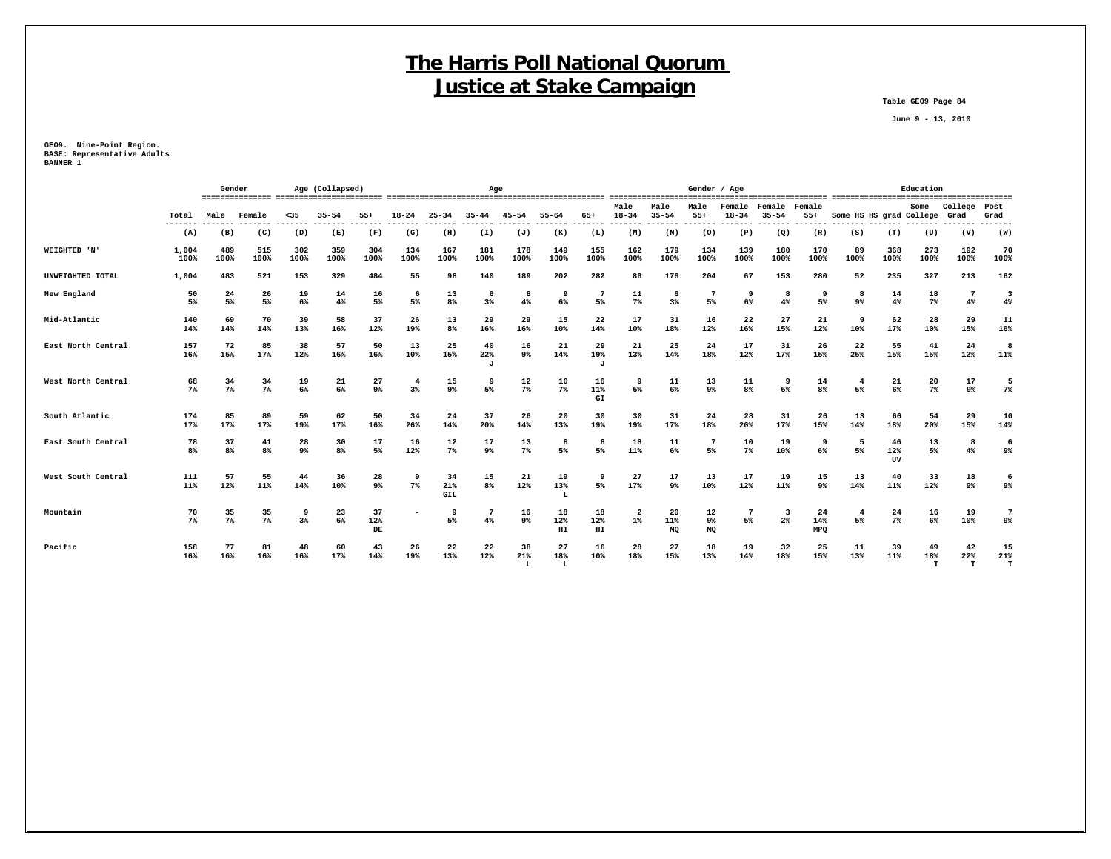**Table GEO9 Page 84**

 **June 9 - 13, 2010**

**GEO9. Nine-Point Region. BASE: Representative Adults BANNER 1**

|                    |               | Gender               |             |             | Age (Collapsed)      |                      | Age         |                      |                |                |                 |                 | Gender / Age            |                   |                            |                     |                               |                         |                         | Education       |                |                          |                       |  |  |
|--------------------|---------------|----------------------|-------------|-------------|----------------------|----------------------|-------------|----------------------|----------------|----------------|-----------------|-----------------|-------------------------|-------------------|----------------------------|---------------------|-------------------------------|-------------------------|-------------------------|-----------------|----------------|--------------------------|-----------------------|--|--|
|                    | Total         | Male                 | Female      | $35$        | $35 - 54$            | $55+$                | $18 - 24$   | $25 - 34$            | $35 - 44$      | $45 - 54$      | $55 - 64$       | $65+$           | Male<br>$18 - 34$       | Male<br>$35 - 54$ | Male<br>$55+$              | Female<br>$18 - 34$ | Female<br>$35 - 54$           | Female<br>$55+$         | Some HS HS grad College |                 | Some           | College<br>Grad          | Post<br>Grad          |  |  |
|                    | ----<br>(A)   | (B)                  | (C)         | (D)         | (E)                  | (F)                  | (G)         | (H)                  | (I)            | (J)            | (K)             | (L)             | (M)                     | (N)               | (0)                        | (P)                 | (Q)                           | (R)                     | (S)                     | (T)             | (U)            | (V)                      | -----<br>(W)          |  |  |
| WEIGHTED 'N'       | 1,004<br>100% | 489<br>100%          | 515<br>100% | 302<br>100% | 359<br>100%          | 304<br>100%          | 134<br>100% | 167<br>100%          | 181<br>100%    | 178<br>100%    | 149<br>100%     | 155<br>100%     | 162<br>100%             | 179<br>100%       | 134<br>100%                | 139<br>100%         | 180<br>100%                   | 170<br>100%             | 89<br>100%              | 368<br>100%     | 273<br>100%    | 192<br>100%              | 70<br>100%            |  |  |
| UNWEIGHTED TOTAL   | 1,004         | 483                  | 521         | 153         | 329                  | 484                  | 55          | 98                   | 140            | 189            | 202             | 282             | 86                      | 176               | 204                        | 67                  | 153                           | 280                     | 52                      | 235             | 327            | 213                      | 162                   |  |  |
| New England        | 50<br>5%      | 24<br>5%             | 26<br>5%    | 19<br>6%    | 14<br>4%             | 16<br>5%             | 6<br>5%     | 13<br>8 <sup>°</sup> | -6<br>3%       | 8<br>4%        | 9<br>6%         | 7<br>5%         | 11<br>$7\%$             | -6<br>3%          | -7<br>5%                   | 9<br>6%             | -8<br>4%                      | 9<br>5%                 | 8<br>9 <sup>°</sup>     | 14<br>4%        | 18<br>7%       | $7\phantom{.0}$<br>4%    | 3<br>4%               |  |  |
| Mid-Atlantic       | 140<br>14%    | 69<br>14%            | 70<br>14%   | 39<br>13%   | 58<br>16%            | 37<br>12%            | 26<br>19%   | 13<br>8 <sup>°</sup> | 29<br>16%      | 29<br>16%      | 15<br>10%       | 22<br>14%       | 17<br>10%               | 31<br>18%         | 16<br>12%                  | 22<br>16%           | 27<br>15%                     | 21<br>12%               | 9<br>10%                | 62<br>17%       | 28<br>10%      | 29<br>15%                | 11<br>16%             |  |  |
| East North Central | 157<br>16%    | 72<br>15%            | 85<br>17%   | 38<br>12%   | 57<br>16%            | 50<br>16%            | 13<br>10%   | 25<br>15%            | 40<br>22%<br>J | 16<br>9%       | 21<br>14%       | 29<br>19%       | 21<br>13%               | 25<br>14%         | 24<br>18%                  | 17<br>12%           | 31<br>17%                     | 26<br>15%               | 22<br>25%               | 55<br>15%       | 41<br>15%      | 24<br>12%                | 8<br>11%              |  |  |
| West North Central | 68<br>7%      | 34<br>$7\%$          | 34<br>$7\%$ | 19<br>6%    | 21<br>6%             | 27<br>9 <sup>°</sup> | 4<br>3%     | 15<br>9%             | 9<br>5%        | 12<br>$7\%$    | 10<br>$7\%$     | 16<br>11%<br>GI | 9<br>5%                 | 11<br>6%          | 13<br>$9\%$                | 11<br>8%            | -9<br>5%                      | 14<br>8%                | 4<br>5%                 | 21<br>6%        | 20<br>$7\%$    | 17<br>9%                 | 5<br>$7\%$            |  |  |
| South Atlantic     | 174<br>17%    | 85<br>17%            | 89<br>17%   | 59<br>19%   | 62<br>17%            | 50<br>16%            | 34<br>26%   | 24<br>14%            | 37<br>20%      | 26<br>14%      | 20<br>13%       | 30<br>19%       | 30<br>19%               | 31<br>17%         | 24<br>18%                  | 28<br>20%           | 31<br>17%                     | 26<br>15%               | 13<br>14%               | 66<br>18%       | 54<br>20%      | 29<br>15%                | 10<br>14%             |  |  |
| East South Central | 78<br>8%      | 37<br>8 <sup>°</sup> | 41<br>8%    | 28<br>9%    | 30<br>8 <sup>8</sup> | 17<br>5%             | 16<br>12%   | 12<br>7%             | 17<br>9%       | 13<br>$7\%$    | -8<br>5%        | 8<br>5%         | 18<br>11%               | 11<br>6%          | 5%                         | 10<br>$7\%$         | 19<br>10%                     | 9<br>6%                 | 5<br>5%                 | 46<br>12%<br>UV | 13<br>5%       | 8<br>$4\%$               | -6<br>9%              |  |  |
| West South Central | 111<br>11%    | 57<br>12%            | 55<br>11%   | 44<br>14%   | 36<br>10%            | 28<br>$9\%$          | 9<br>$7\%$  | 34<br>21%<br>GIL     | 15<br>8%       | 21<br>12%      | 19<br>13%<br>L  | 9<br>5%         | 27<br>17%               | 17<br>$9\%$       | 13<br>10%                  | 17<br>12%           | 19<br>11%                     | 15<br>$9\%$             | 13<br>14%               | 40<br>11%       | 33<br>12%      | 18<br>9%                 | -6<br>9%              |  |  |
| Mountain           | 70<br>7%      | 35<br>$7\%$          | 35<br>7%    | 9<br>$3\%$  | 23<br>6%             | 37<br>12%<br>DE      |             | -9<br>5%             | -7<br>4%       | 16<br>9%       | 18<br>12%<br>HI | 18<br>12%<br>HI | $\overline{2}$<br>$1\%$ | 20<br>11%<br>MQ   | 12<br>9 <sup>°</sup><br>MQ | 7<br>5%             | $\overline{\mathbf{3}}$<br>2% | 24<br>14%<br><b>MPQ</b> | 4<br>5%                 | 24<br>$7\%$     | 16<br>6%       | 19<br>10%                | $7\phantom{.0}$<br>9% |  |  |
| Pacific            | 158<br>16%    | 77<br>16%            | 81<br>16%   | 48<br>16%   | 60<br>17%            | 43<br>14%            | 26<br>19%   | 22<br>13%            | 22<br>12%      | 38<br>21%<br>L | 27<br>18%<br>L  | 16<br>10%       | 28<br>18%               | 27<br>15%         | 18<br>13%                  | 19<br>14%           | 32<br>18%                     | 25<br>15%               | 11<br>13%               | 39<br>11%       | 49<br>18%<br>T | 42<br>22%<br>$\mathbf T$ | 15<br>21%<br>T        |  |  |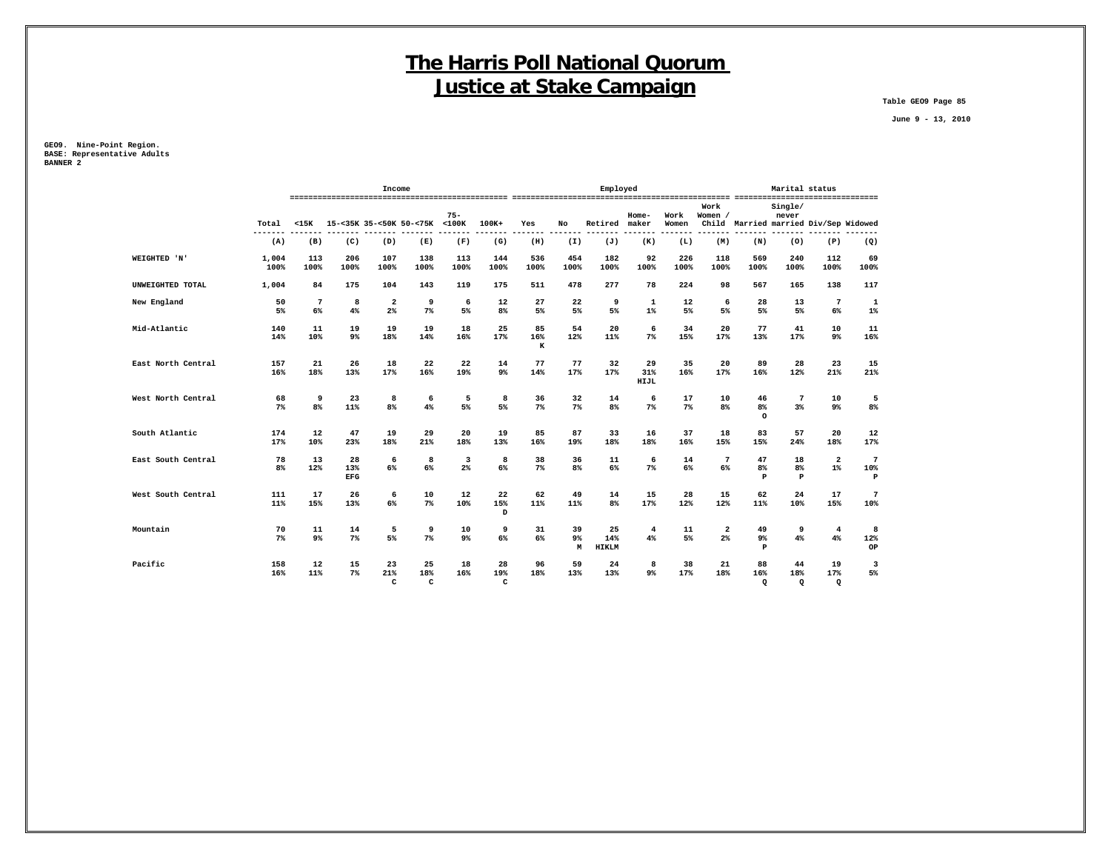**Table GEO9 Page 85**

 **June 9 - 13, 2010**

**GEO9. Nine-Point Region. BASE: Representative Adults BANNER 2**

|                    |                      |                       |                         | Income                    |                               |                     |                      |                     |                      | Employed                  |                   | Marital status |                                |                                 |                           |                                       |                                        |
|--------------------|----------------------|-----------------------|-------------------------|---------------------------|-------------------------------|---------------------|----------------------|---------------------|----------------------|---------------------------|-------------------|----------------|--------------------------------|---------------------------------|---------------------------|---------------------------------------|----------------------------------------|
|                    | Total                | $15K$                 |                         |                           | 15-<35K 35-<50K 50-<75K <100K | $75 -$              | $100K +$             | Yes                 | No                   | Retired                   | $Home-$<br>maker  | Work<br>Women  | Work<br>Women /                |                                 | Single/<br>never          | Child Married married Div/Sep Widowed |                                        |
|                    | $- - - - - -$<br>(A) | (B)                   | (C)                     | (D)                       | (E)                           | (F)                 | (G)                  | (H)                 | (I)                  | (J)                       | (K)               | (L)            | (M)                            | (N)                             | (0)                       | (P)                                   | (Q)                                    |
| WEIGHTED 'N'       | 1,004<br>100%        | 113<br>100%           | 206<br>100%             | 107<br>100%               | 138<br>100%                   | 113<br>100%         | 144<br>100%          | 536<br>100%         | 454<br>100%          | 182<br>100%               | 92<br>100%        | 226<br>100%    | 118<br>100%                    | 569<br>100%                     | 240<br>100%               | 112<br>100%                           | 69<br>100%                             |
| UNWEIGHTED TOTAL   | 1,004                | 84                    | 175                     | 104                       | 143                           | 119                 | 175                  | 511                 | 478                  | 277                       | 78                | 224            | 98                             | 567                             | 165                       | 138                                   | 117                                    |
| New England        | 50<br>5%             | $7\phantom{.0}$<br>6% | 8<br>4%                 | 2<br>2%                   | 9<br>7%                       | 6<br>5%             | 12<br>8%             | 27<br>5%            | 22<br>5%             | 9<br>5%                   | 1<br>$1\%$        | 12<br>5%       | 6<br>5%                        | 28<br>5%                        | 13<br>5%                  | $7\phantom{.0}$<br>$6\%$              | 1<br>$1\%$                             |
| Mid-Atlantic       | 140<br>14%           | 11<br>10%             | 19<br>$9\%$             | 19<br>18%                 | 19<br>14%                     | 18<br>16%           | 25<br>17%            | 85<br>16%<br>$\,$ K | 54<br>12%            | 20<br>11%                 | 6<br>7%           | 34<br>15%      | 20<br>17%                      | 77<br>13%                       | 41<br>17%                 | 10<br>9 <sup>°</sup>                  | 11<br>16%                              |
| East North Central | 157<br>16%           | 21<br>18%             | 26<br>13%               | 18<br>17%                 | 22<br>16%                     | 22<br>19%           | 14<br>9 <sup>°</sup> | 77<br>14%           | 77<br>17%            | 32<br>17%                 | 29<br>31%<br>HIJL | 35<br>16%      | 20<br>17%                      | 89<br>16%                       | 28<br>12%                 | 23<br>21%                             | 15<br>21%                              |
| West North Central | 68<br>$7\%$          | 9<br>8 <sup>8</sup>   | 23<br>11%               | 8<br>8%                   | 6<br>4%                       | 5<br>5%             | 8<br>5%              | 36<br>7%            | 32<br>7%             | 14<br>8 <sup>8</sup>      | 6<br>7%           | 17<br>$7\%$    | 10<br>8%                       | 46<br>8 <sup>°</sup><br>$\circ$ | $7\phantom{.0}$<br>3%     | 10<br>$9\%$                           | 5<br>8%                                |
| South Atlantic     | 174<br>17%           | 12<br>10%             | 47<br>23%               | 19<br>18%                 | 29<br>21%                     | 20<br>18%           | 19<br>13%            | 85<br>16%           | 87<br>19%            | 33<br>18%                 | 16<br>18%         | 37<br>16%      | 18<br>15%                      | 83<br>15%                       | 57<br>24%                 | 20<br>18%                             | 12<br>17%                              |
| East South Central | 78<br>8%             | 13<br>12%             | 28<br>13%<br><b>EFG</b> | 6<br>6%                   | 8<br>6%                       | 3<br>2 <sup>8</sup> | 8<br>$6\%$           | 38<br>7%            | 36<br>8 <sup>8</sup> | 11<br>6%                  | 6<br>7%           | 14<br>6%       | 7<br>6%                        | 47<br>8 <sup>°</sup><br>P       | 18<br>8 <sup>8</sup><br>P | $\overline{\mathbf{2}}$<br>$1\%$      | $7\phantom{.0}$<br>10%<br>$\, {\bf P}$ |
| West South Central | 111<br>11%           | 17<br>15%             | 26<br>13%               | 6<br>6%                   | 10<br>$7\%$                   | 12<br>10%           | 22<br>15%<br>D       | 62<br>11%           | 49<br>11%            | 14<br>8 <sup>8</sup>      | 15<br>17%         | 28<br>12%      | 15<br>12%                      | 62<br>11%                       | 24<br>10%                 | 17<br>15%                             | $7\phantom{.0}$<br>10%                 |
| Mountain           | 70<br>$7\%$          | 11<br>$9\%$           | 14<br>$7\%$             | 5<br>5%                   | 9<br>7%                       | 10<br>9%            | 9<br>6%              | 31<br>6%            | 39<br>9%<br>M        | 25<br>14%<br><b>HIKLM</b> | 4<br>4%           | 11<br>5%       | $\mathbf{2}$<br>2 <sup>8</sup> | 49<br>$9\%$<br>$\, {\bf P}$     | 9<br>4%                   | $\overline{4}$<br>4%                  | 8<br>12%<br>OP                         |
| Pacific            | 158<br>16%           | 12<br>11%             | 15<br>$7\%$             | 23<br>21%<br>$\mathbf{C}$ | 25<br>18%<br>C                | 18<br>16%           | 28<br>19%<br>C       | 96<br>18%           | 59<br>13%            | 24<br>13%                 | 8<br>9%           | 38<br>17%      | 21<br>18%                      | 88<br>16%<br>$\mathbf Q$        | 44<br>18%<br>$\mathbf Q$  | 19<br>17%<br>$\mathbf Q$              | 3<br>5%                                |